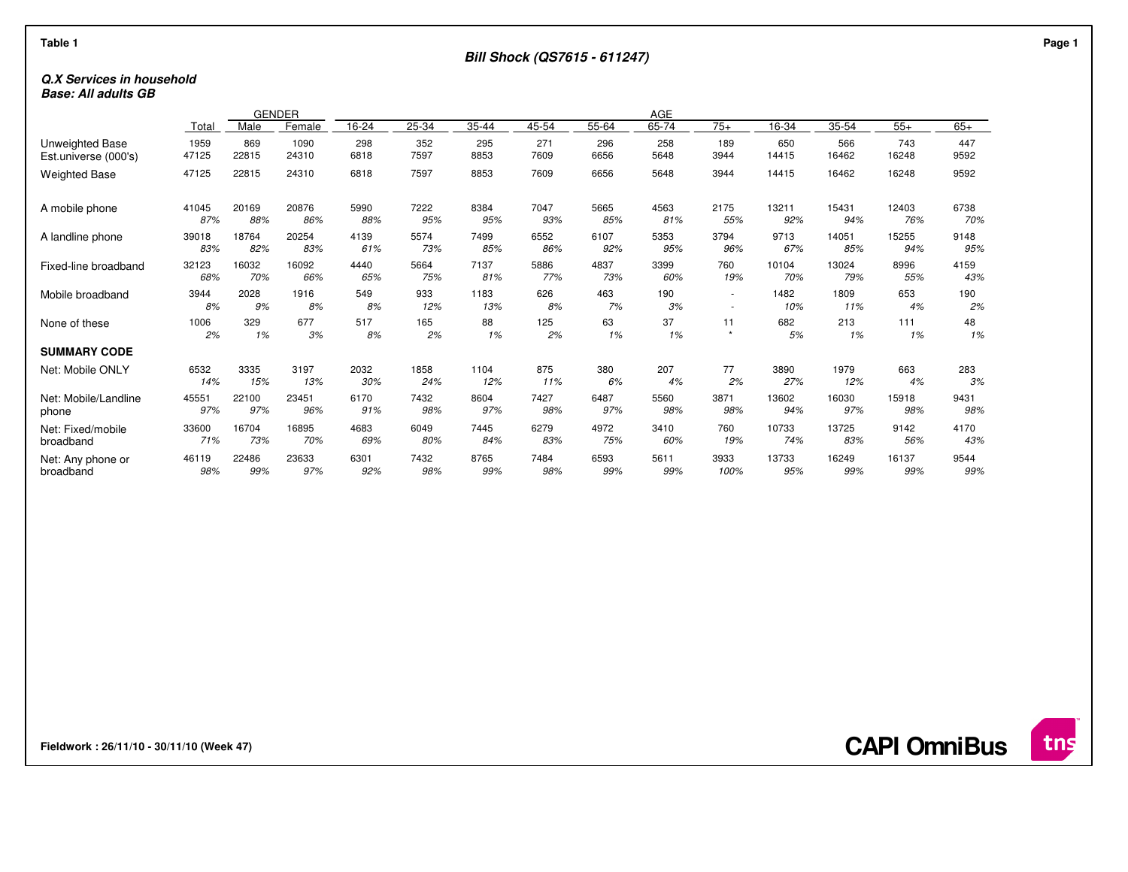### **Q.X Services in householdBase: All adults GB**

|                      |       |       | GENDER |       | AGE   |       |       |       |       |                          |       |       |       |       |
|----------------------|-------|-------|--------|-------|-------|-------|-------|-------|-------|--------------------------|-------|-------|-------|-------|
|                      | Total | Male  | Female | 16-24 | 25-34 | 35-44 | 45-54 | 55-64 | 65-74 | $75+$                    | 16-34 | 35-54 | $55+$ | $65+$ |
| Unweighted Base      | 1959  | 869   | 1090   | 298   | 352   | 295   | 271   | 296   | 258   | 189                      | 650   | 566   | 743   | 447   |
| Est.universe (000's) | 47125 | 22815 | 24310  | 6818  | 7597  | 8853  | 7609  | 6656  | 5648  | 3944                     | 14415 | 16462 | 16248 | 9592  |
| <b>Weighted Base</b> | 47125 | 22815 | 24310  | 6818  | 7597  | 8853  | 7609  | 6656  | 5648  | 3944                     | 14415 | 16462 | 16248 | 9592  |
| A mobile phone       | 41045 | 20169 | 20876  | 5990  | 7222  | 8384  | 7047  | 5665  | 4563  | 2175                     | 13211 | 15431 | 12403 | 6738  |
|                      | 87%   | 88%   | 86%    | 88%   | 95%   | 95%   | 93%   | 85%   | 81%   | 55%                      | 92%   | 94%   | 76%   | 70%   |
| A landline phone     | 39018 | 18764 | 20254  | 4139  | 5574  | 7499  | 6552  | 6107  | 5353  | 3794                     | 9713  | 14051 | 15255 | 9148  |
|                      | 83%   | 82%   | 83%    | 61%   | 73%   | 85%   | 86%   | 92%   | 95%   | 96%                      | 67%   | 85%   | 94%   | 95%   |
| Fixed-line broadband | 32123 | 16032 | 16092  | 4440  | 5664  | 7137  | 5886  | 4837  | 3399  | 760                      | 10104 | 13024 | 8996  | 4159  |
|                      | 68%   | 70%   | 66%    | 65%   | 75%   | 81%   | 77%   | 73%   | 60%   | 19%                      | 70%   | 79%   | 55%   | 43%   |
| Mobile broadband     | 3944  | 2028  | 1916   | 549   | 933   | 1183  | 626   | 463   | 190   | $\sim$                   | 1482  | 1809  | 653   | 190   |
|                      | 8%    | 9%    | 8%     | 8%    | 12%   | 13%   | 8%    | 7%    | 3%    | $\overline{\phantom{a}}$ | 10%   | 11%   | 4%    | 2%    |
| None of these        | 1006  | 329   | 677    | 517   | 165   | 88    | 125   | 63    | 37    | 11                       | 682   | 213   | 111   | 48    |
|                      | 2%    | 1%    | 3%     | 8%    | 2%    | 1%    | 2%    | 1%    | 1%    | $\star$                  | 5%    | 1%    | 1%    | 1%    |
| <b>SUMMARY CODE</b>  |       |       |        |       |       |       |       |       |       |                          |       |       |       |       |
| Net: Mobile ONLY     | 6532  | 3335  | 3197   | 2032  | 1858  | 1104  | 875   | 380   | 207   | 77                       | 3890  | 1979  | 663   | 283   |
|                      | 14%   | 15%   | 13%    | 30%   | 24%   | 12%   | 11%   | 6%    | 4%    | 2%                       | 27%   | 12%   | 4%    | 3%    |
| Net: Mobile/Landline | 45551 | 22100 | 23451  | 6170  | 7432  | 8604  | 7427  | 6487  | 5560  | 3871                     | 13602 | 16030 | 15918 | 9431  |
| phone                | 97%   | 97%   | 96%    | 91%   | 98%   | 97%   | 98%   | 97%   | 98%   | 98%                      | 94%   | 97%   | 98%   | 98%   |
| Net: Fixed/mobile    | 33600 | 16704 | 16895  | 4683  | 6049  | 7445  | 6279  | 4972  | 3410  | 760                      | 10733 | 13725 | 9142  | 4170  |
| broadband            | 71%   | 73%   | 70%    | 69%   | 80%   | 84%   | 83%   | 75%   | 60%   | 19%                      | 74%   | 83%   | 56%   | 43%   |
| Net: Any phone or    | 46119 | 22486 | 23633  | 6301  | 7432  | 8765  | 7484  | 6593  | 5611  | 3933                     | 13733 | 16249 | 16137 | 9544  |
| broadband            | 98%   | 99%   | 97%    | 92%   | 98%   | 99%   | 98%   | 99%   | 99%   | 100%                     | 95%   | 99%   | 99%   | 99%   |

**Fieldwork : 26/11/10 - 30/11/10 (Week 47)** 

**CAPI OmniBus**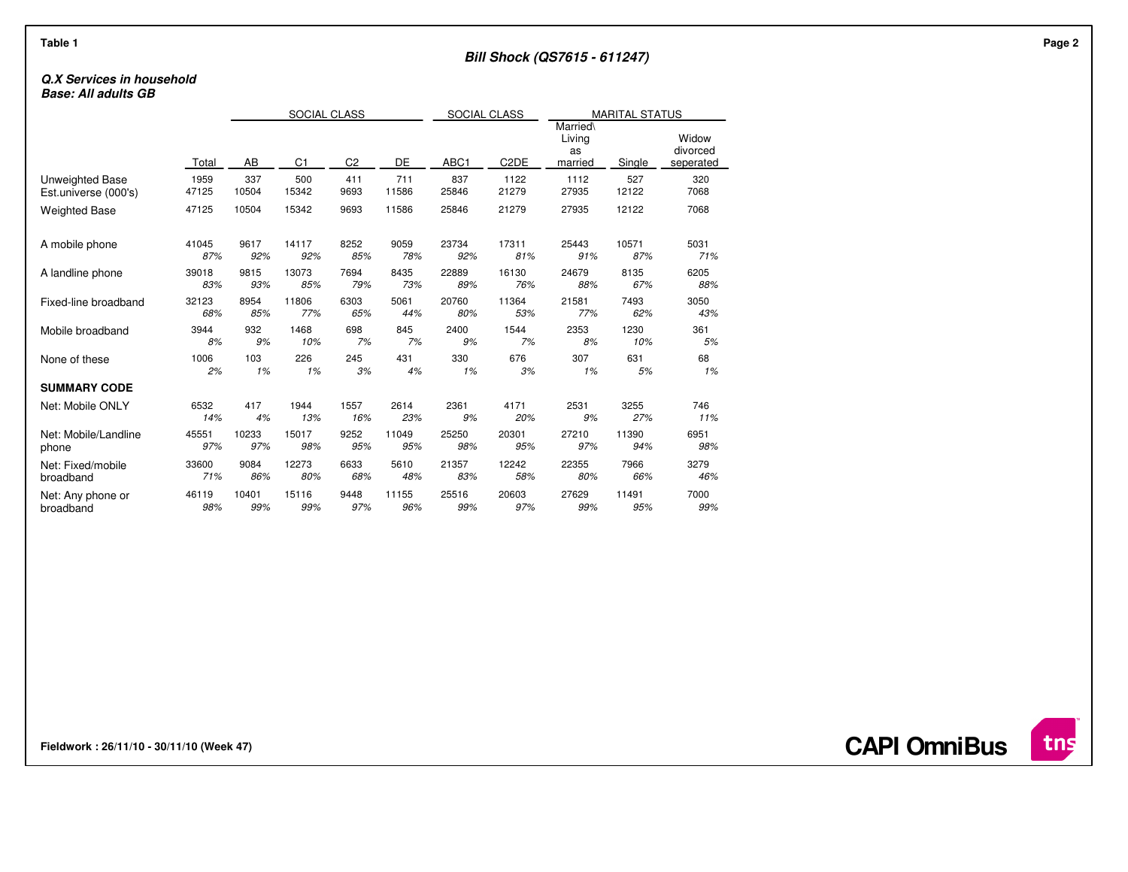# **Q.X Services in household**

**Base: All adults GB**

|                        |       | SOCIAL CLASS |                |                |       | SOCIAL CLASS |                   | <b>MARITAL STATUS</b>               |        |                                |  |
|------------------------|-------|--------------|----------------|----------------|-------|--------------|-------------------|-------------------------------------|--------|--------------------------------|--|
|                        | Total | AB           | C <sub>1</sub> | C <sub>2</sub> | DE    | ABC1         | C <sub>2</sub> DE | Married\<br>Living<br>as<br>married | Single | Widow<br>divorced<br>seperated |  |
| <b>Unweighted Base</b> | 1959  | 337          | 500            | 411            | 711   | 837          | 1122              | 1112                                | 527    | 320                            |  |
| Est.universe (000's)   | 47125 | 10504        | 15342          | 9693           | 11586 | 25846        | 21279             | 27935                               | 12122  | 7068                           |  |
| <b>Weighted Base</b>   | 47125 | 10504        | 15342          | 9693           | 11586 | 25846        | 21279             | 27935                               | 12122  | 7068                           |  |
| A mobile phone         | 41045 | 9617         | 14117          | 8252           | 9059  | 23734        | 17311             | 25443                               | 10571  | 5031                           |  |
|                        | 87%   | 92%          | 92%            | 85%            | 78%   | 92%          | 81%               | 91%                                 | 87%    | 71%                            |  |
| A landline phone       | 39018 | 9815         | 13073          | 7694           | 8435  | 22889        | 16130             | 24679                               | 8135   | 6205                           |  |
|                        | 83%   | 93%          | 85%            | 79%            | 73%   | 89%          | 76%               | 88%                                 | 67%    | 88%                            |  |
| Fixed-line broadband   | 32123 | 8954         | 11806          | 6303           | 5061  | 20760        | 11364             | 21581                               | 7493   | 3050                           |  |
|                        | 68%   | 85%          | 77%            | 65%            | 44%   | 80%          | 53%               | 77%                                 | 62%    | 43%                            |  |
| Mobile broadband       | 3944  | 932          | 1468           | 698            | 845   | 2400         | 1544              | 2353                                | 1230   | 361                            |  |
|                        | 8%    | 9%           | 10%            | 7%             | 7%    | 9%           | 7%                | 8%                                  | 10%    | 5%                             |  |
| None of these          | 1006  | 103          | 226            | 245            | 431   | 330          | 676               | 307                                 | 631    | 68                             |  |
|                        | 2%    | 1%           | 1%             | 3%             | 4%    | 1%           | 3%                | 1%                                  | 5%     | 1%                             |  |
| <b>SUMMARY CODE</b>    |       |              |                |                |       |              |                   |                                     |        |                                |  |
| Net: Mobile ONLY       | 6532  | 417          | 1944           | 1557           | 2614  | 2361         | 4171              | 2531                                | 3255   | 746                            |  |
|                        | 14%   | 4%           | 13%            | 16%            | 23%   | 9%           | 20%               | 9%                                  | 27%    | 11%                            |  |
| Net: Mobile/Landline   | 45551 | 10233        | 15017          | 9252           | 11049 | 25250        | 20301             | 27210                               | 11390  | 6951                           |  |
| phone                  | 97%   | 97%          | 98%            | 95%            | 95%   | 98%          | 95%               | 97%                                 | 94%    | 98%                            |  |
| Net: Fixed/mobile      | 33600 | 9084         | 12273          | 6633           | 5610  | 21357        | 12242             | 22355                               | 7966   | 3279                           |  |
| broadband              | 71%   | 86%          | 80%            | 68%            | 48%   | 83%          | 58%               | 80%                                 | 66%    | 46%                            |  |
| Net: Any phone or      | 46119 | 10401        | 15116          | 9448           | 11155 | 25516        | 20603             | 27629                               | 11491  | 7000                           |  |
| broadband              | 98%   | 99%          | 99%            | 97%            | 96%   | 99%          | 97%               | 99%                                 | 95%    | 99%                            |  |

**Fieldwork : 26/11/10 - 30/11/10 (Week 47)** 

 $int$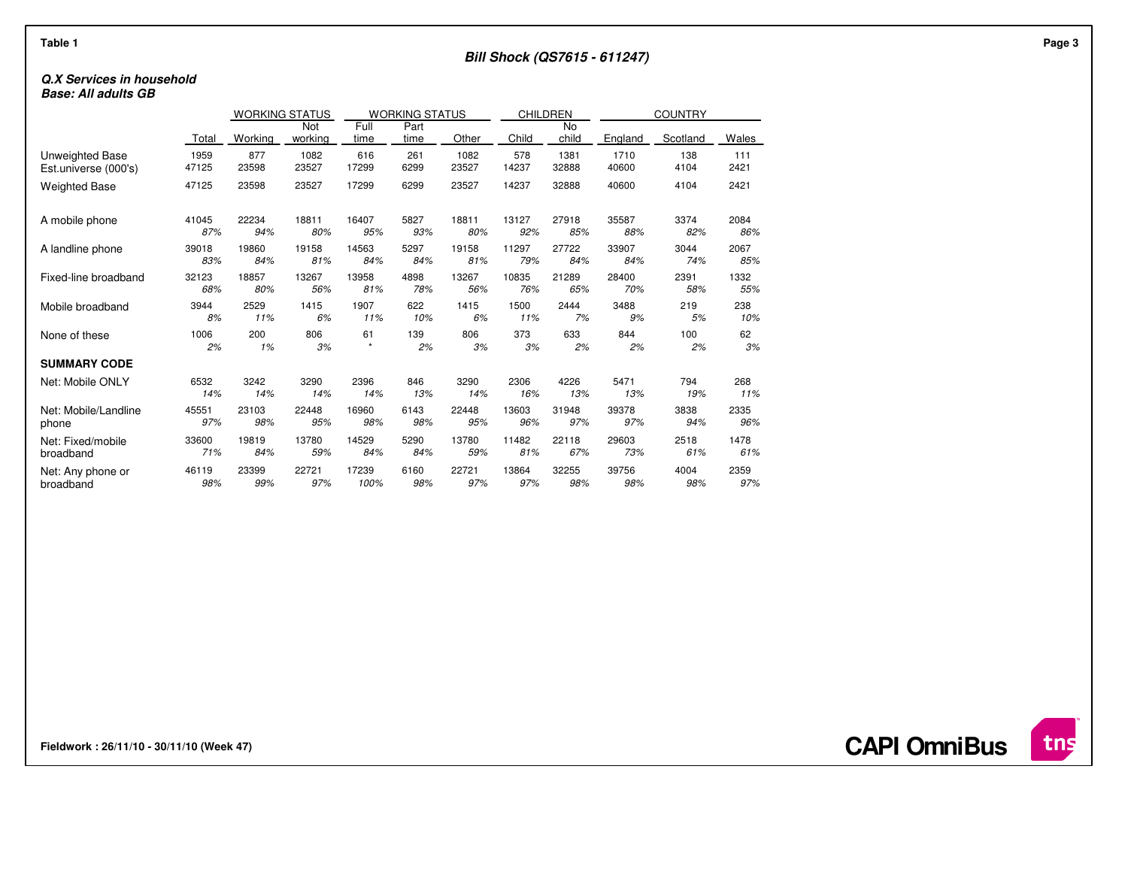# **Q.X Services in household**

**Base: All adults GB**

|                      |       | <b>WORKING STATUS</b> |         | <b>WORKING STATUS</b> |      |       | CHILDREN |       |         |          |       |
|----------------------|-------|-----------------------|---------|-----------------------|------|-------|----------|-------|---------|----------|-------|
|                      |       |                       | Not     | Full                  | Part |       |          | No    |         |          |       |
|                      | Total | Working               | working | time                  | time | Other | Child    | child | England | Scotland | Wales |
| Unweighted Base      | 1959  | 877                   | 1082    | 616                   | 261  | 1082  | 578      | 1381  | 1710    | 138      | 111   |
| Est.universe (000's) | 47125 | 23598                 | 23527   | 17299                 | 6299 | 23527 | 14237    | 32888 | 40600   | 4104     | 2421  |
| <b>Weighted Base</b> | 47125 | 23598                 | 23527   | 17299                 | 6299 | 23527 | 14237    | 32888 | 40600   | 4104     | 2421  |
| A mobile phone       | 41045 | 22234                 | 18811   | 16407                 | 5827 | 18811 | 13127    | 27918 | 35587   | 3374     | 2084  |
|                      | 87%   | 94%                   | 80%     | 95%                   | 93%  | 80%   | 92%      | 85%   | 88%     | 82%      | 86%   |
| A landline phone     | 39018 | 19860                 | 19158   | 14563                 | 5297 | 19158 | 11297    | 27722 | 33907   | 3044     | 2067  |
|                      | 83%   | 84%                   | 81%     | 84%                   | 84%  | 81%   | 79%      | 84%   | 84%     | 74%      | 85%   |
| Fixed-line broadband | 32123 | 18857                 | 13267   | 13958                 | 4898 | 13267 | 10835    | 21289 | 28400   | 2391     | 1332  |
|                      | 68%   | 80%                   | 56%     | 81%                   | 78%  | 56%   | 76%      | 65%   | 70%     | 58%      | 55%   |
| Mobile broadband     | 3944  | 2529                  | 1415    | 1907                  | 622  | 1415  | 1500     | 2444  | 3488    | 219      | 238   |
|                      | 8%    | 11%                   | 6%      | 11%                   | 10%  | 6%    | 11%      | 7%    | 9%      | 5%       | 10%   |
| None of these        | 1006  | 200                   | 806     | 61                    | 139  | 806   | 373      | 633   | 844     | 100      | 62    |
|                      | 2%    | 1%                    | 3%      | $\star$               | 2%   | 3%    | 3%       | 2%    | 2%      | 2%       | 3%    |
| <b>SUMMARY CODE</b>  |       |                       |         |                       |      |       |          |       |         |          |       |
| Net: Mobile ONLY     | 6532  | 3242                  | 3290    | 2396                  | 846  | 3290  | 2306     | 4226  | 5471    | 794      | 268   |
|                      | 14%   | 14%                   | 14%     | 14%                   | 13%  | 14%   | 16%      | 13%   | 13%     | 19%      | 11%   |
| Net: Mobile/Landline | 45551 | 23103                 | 22448   | 16960                 | 6143 | 22448 | 13603    | 31948 | 39378   | 3838     | 2335  |
| phone                | 97%   | 98%                   | 95%     | 98%                   | 98%  | 95%   | 96%      | 97%   | 97%     | 94%      | 96%   |
| Net: Fixed/mobile    | 33600 | 19819                 | 13780   | 14529                 | 5290 | 13780 | 11482    | 22118 | 29603   | 2518     | 1478  |
| broadband            | 71%   | 84%                   | 59%     | 84%                   | 84%  | 59%   | 81%      | 67%   | 73%     | 61%      | 61%   |
| Net: Any phone or    | 46119 | 23399                 | 22721   | 17239                 | 6160 | 22721 | 13864    | 32255 | 39756   | 4004     | 2359  |
| broadband            | 98%   | 99%                   | 97%     | 100%                  | 98%  | 97%   | 97%      | 98%   | 98%     | 98%      | 97%   |

**Fieldwork : 26/11/10 - 30/11/10 (Week 47)** 



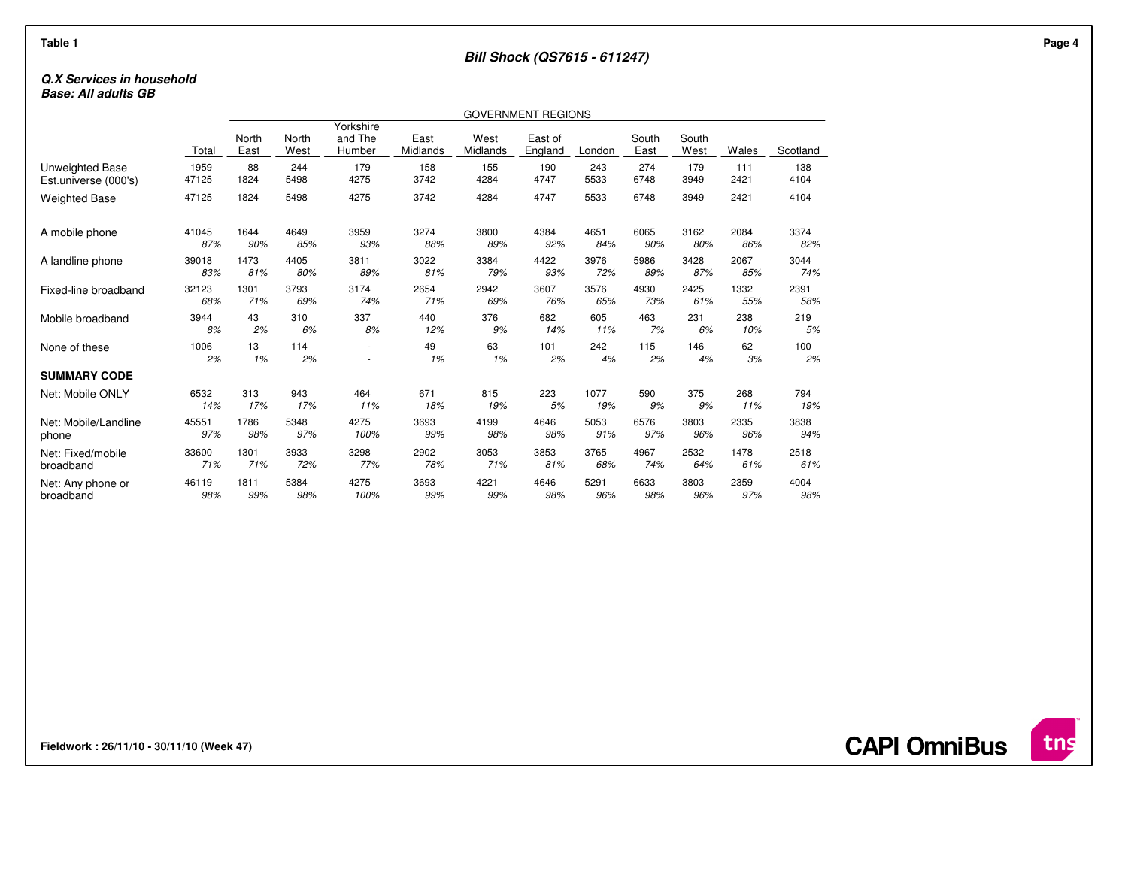## **Bill Shock (QS7615 - 611247)**

# **Q.X Services in household**

**Base: All adults GB**

|                      | GOVERNMENT REGIONS |               |               |                                |                  |                  |                    |           |               |               |              |           |
|----------------------|--------------------|---------------|---------------|--------------------------------|------------------|------------------|--------------------|-----------|---------------|---------------|--------------|-----------|
|                      | Total              | North<br>East | North<br>West | Yorkshire<br>and The<br>Humber | East<br>Midlands | West<br>Midlands | East of<br>England | London    | South<br>East | South<br>West | <b>Wales</b> | Scotland  |
| Unweighted Base      | 1959               | 88            | 244           | 179                            | 158              | 155              | 190                | 243       | 274           | 179           | 111          | 138       |
| Est.universe (000's) | 47125              | 1824          | 5498          | 4275                           | 3742             | 4284             | 4747               | 5533      | 6748          | 3949          | 2421         | 4104      |
| <b>Weighted Base</b> | 47125              | 1824          | 5498          | 4275                           | 3742             | 4284             | 4747               | 5533      | 6748          | 3949          | 2421         | 4104      |
| A mobile phone       | 41045              | 1644          | 4649          | 3959                           | 3274             | 3800             | 4384               | 4651      | 6065          | 3162          | 2084         | 3374      |
|                      | 87%                | 90%           | 85%           | 93%                            | 88%              | 89%              | 92%                | 84%       | 90%           | 80%           | 86%          | 82%       |
| A landline phone     | 39018              | 1473          | 4405          | 3811                           | 3022             | 3384             | 4422               | 3976      | 5986          | 3428          | 2067         | 3044      |
|                      | 83%                | 81%           | 80%           | 89%                            | 81%              | 79%              | 93%                | 72%       | 89%           | 87%           | 85%          | 74%       |
| Fixed-line broadband | 32123              | 1301          | 3793          | 3174                           | 2654             | 2942             | 3607               | 3576      | 4930          | 2425          | 1332         | 2391      |
|                      | 68%                | 71%           | 69%           | 74%                            | 71%              | 69%              | 76%                | 65%       | 73%           | 61%           | 55%          | 58%       |
| Mobile broadband     | 3944               | 43            | 310           | 337                            | 440              | 376              | 682                | 605       | 463           | 231           | 238          | 219       |
|                      | 8%                 | 2%            | 6%            | 8%                             | 12%              | 9%               | 14%                | 11%       | 7%            | 6%            | 10%          | 5%        |
| None of these        | 1006<br>2%         | 13<br>1%      | 114<br>2%     |                                | 49<br>1%         | 63<br>1%         | 101<br>2%          | 242<br>4% | 115<br>2%     | 146<br>4%     | 62<br>3%     | 100<br>2% |
| <b>SUMMARY CODE</b>  |                    |               |               |                                |                  |                  |                    |           |               |               |              |           |
| Net: Mobile ONLY     | 6532               | 313           | 943           | 464                            | 671              | 815              | 223                | 1077      | 590           | 375           | 268          | 794       |
|                      | 14%                | 17%           | 17%           | 11%                            | 18%              | 19%              | 5%                 | 19%       | 9%            | 9%            | 11%          | 19%       |
| Net: Mobile/Landline | 45551              | 1786          | 5348          | 4275                           | 3693             | 4199             | 4646               | 5053      | 6576          | 3803          | 2335         | 3838      |
| phone                | 97%                | 98%           | 97%           | 100%                           | 99%              | 98%              | 98%                | 91%       | 97%           | 96%           | 96%          | 94%       |
| Net: Fixed/mobile    | 33600              | 1301          | 3933          | 3298                           | 2902             | 3053             | 3853               | 3765      | 4967          | 2532          | 1478         | 2518      |
| broadband            | 71%                | 71%           | 72%           | 77%                            | 78%              | 71%              | 81%                | 68%       | 74%           | 64%           | 61%          | 61%       |
| Net: Any phone or    | 46119              | 1811          | 5384          | 4275                           | 3693             | 4221             | 4646               | 5291      | 6633          | 3803          | 2359         | 4004      |
| broadband            | 98%                | 99%           | 98%           | 100%                           | 99%              | 99%              | 98%                | 96%       | 98%           | 96%           | 97%          | 98%       |

**Fieldwork : 26/11/10 - 30/11/10 (Week 47)** 

**CAPI OmniBus**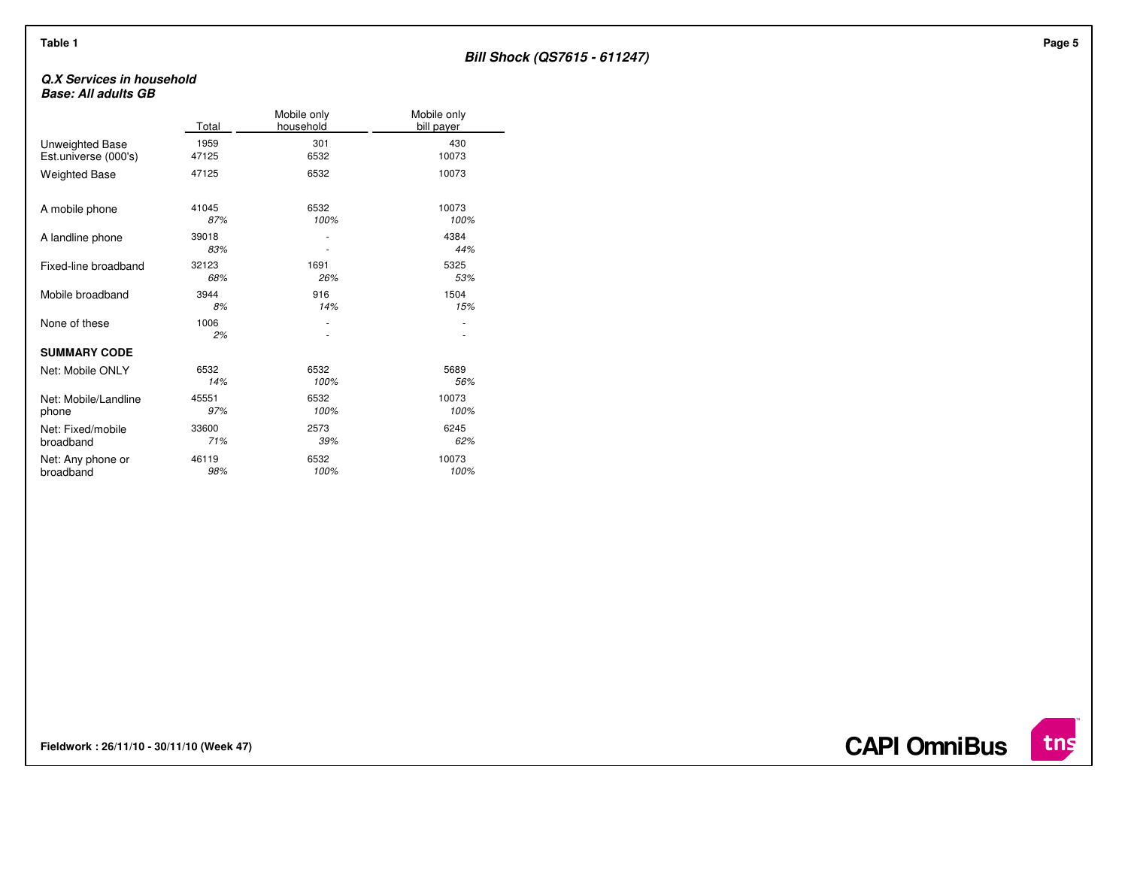# **Bill Shock (QS7615 - 611247)**

### **Q.X Services in householdBase: All adults GB**

|                      | Total        | Mobile only<br>household | Mobile only<br>bill payer |
|----------------------|--------------|--------------------------|---------------------------|
| Unweighted Base      | 1959         | 301                      | 430                       |
| Est.universe (000's) | 47125        | 6532                     | 10073                     |
| <b>Weighted Base</b> | 47125        | 6532                     | 10073                     |
| A mobile phone       | 41045        | 6532                     | 10073                     |
|                      | 87%          | 100%                     | 100%                      |
| A landline phone     | 39018<br>83% |                          | 4384<br>44%               |
| Fixed-line broadband | 32123        | 1691                     | 5325                      |
|                      | 68%          | 26%                      | 53%                       |
| Mobile broadband     | 3944         | 916                      | 1504                      |
|                      | 8%           | 14%                      | 15%                       |
| None of these        | 1006<br>2%   |                          |                           |
| <b>SUMMARY CODE</b>  |              |                          |                           |
| Net: Mobile ONLY     | 6532         | 6532                     | 5689                      |
|                      | 14%          | 100%                     | 56%                       |
| Net: Mobile/Landline | 45551        | 6532                     | 10073                     |
| phone                | 97%          | 100%                     | 100%                      |
| Net: Fixed/mobile    | 33600        | 2573                     | 6245                      |
| broadband            | 71%          | 39%                      | 62%                       |
| Net: Any phone or    | 46119        | 6532                     | 10073                     |
| broadband            | 98%          | 100%                     | 100%                      |

**Fieldwork : 26/11/10 - 30/11/10 (Week 47)** 

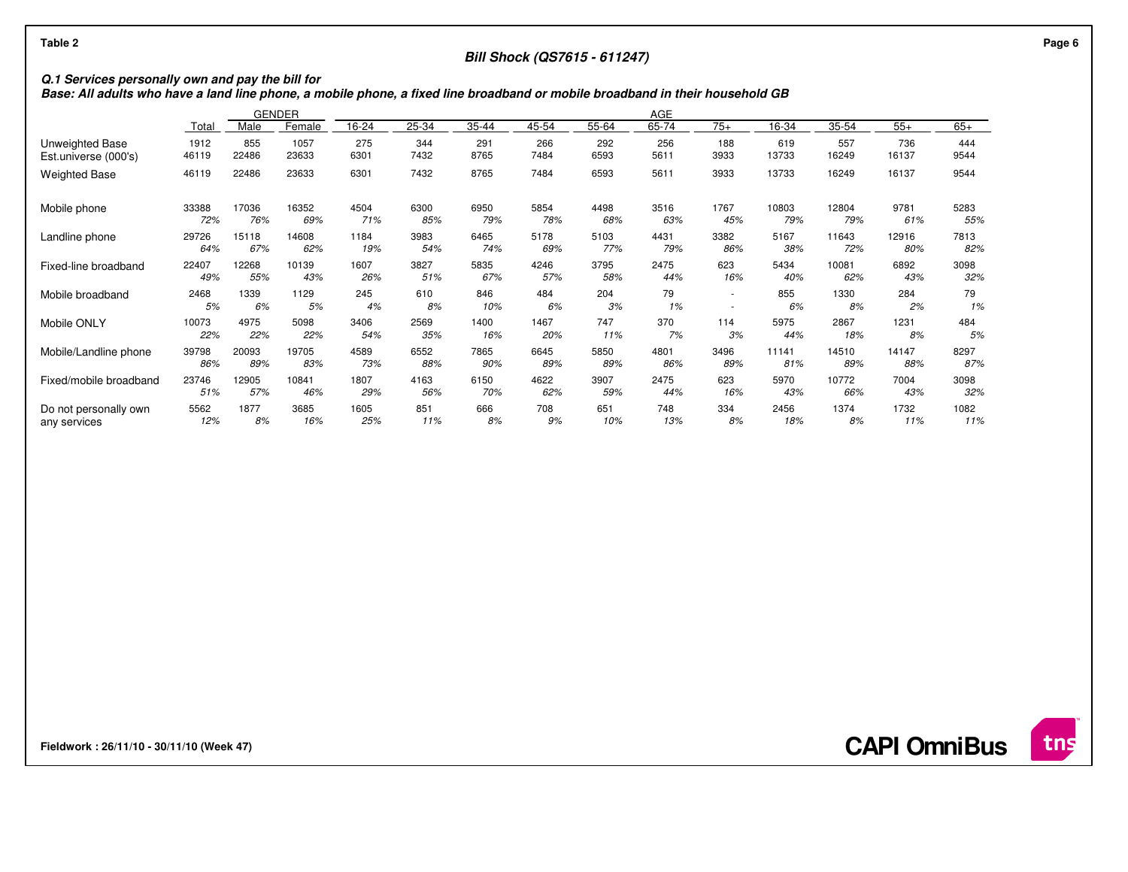# **Bill Shock (QS7615 - 611247)**

**Q.1 Services personally own and pay the bill for Base: All adults who have a land line phone, a mobile phone, a fixed line broadband or mobile broadband in their household GB**

|                        |       |       | <b>GENDER</b><br>AGE |       |       |       |       |       |       |        |       |       |       |       |
|------------------------|-------|-------|----------------------|-------|-------|-------|-------|-------|-------|--------|-------|-------|-------|-------|
|                        | Total | Male  | Female               | 16-24 | 25-34 | 35-44 | 45-54 | 55-64 | 65-74 | $75+$  | 16-34 | 35-54 | $55+$ | $65+$ |
| Unweighted Base        | 1912  | 855   | 1057                 | 275   | 344   | 291   | 266   | 292   | 256   | 188    | 619   | 557   | 736   | 444   |
| Est.universe (000's)   | 46119 | 22486 | 23633                | 6301  | 7432  | 8765  | 7484  | 6593  | 5611  | 3933   | 13733 | 16249 | 16137 | 9544  |
| <b>Weighted Base</b>   | 46119 | 22486 | 23633                | 6301  | 7432  | 8765  | 7484  | 6593  | 5611  | 3933   | 13733 | 16249 | 16137 | 9544  |
| Mobile phone           | 33388 | 17036 | 16352                | 4504  | 6300  | 6950  | 5854  | 4498  | 3516  | 1767   | 10803 | 12804 | 9781  | 5283  |
|                        | 72%   | 76%   | 69%                  | 71%   | 85%   | 79%   | 78%   | 68%   | 63%   | 45%    | 79%   | 79%   | 61%   | 55%   |
| Landline phone         | 29726 | 15118 | 14608                | 1184  | 3983  | 6465  | 5178  | 5103  | 4431  | 3382   | 5167  | 11643 | 12916 | 7813  |
|                        | 64%   | 67%   | 62%                  | 19%   | 54%   | 74%   | 69%   | 77%   | 79%   | 86%    | 38%   | 72%   | 80%   | 82%   |
| Fixed-line broadband   | 22407 | 12268 | 10139                | 1607  | 3827  | 5835  | 4246  | 3795  | 2475  | 623    | 5434  | 10081 | 6892  | 3098  |
|                        | 49%   | 55%   | 43%                  | 26%   | 51%   | 67%   | 57%   | 58%   | 44%   | 16%    | 40%   | 62%   | 43%   | 32%   |
| Mobile broadband       | 2468  | 1339  | 1129                 | 245   | 610   | 846   | 484   | 204   | 79    | $\sim$ | 855   | 1330  | 284   | 79    |
|                        | 5%    | 6%    | 5%                   | 4%    | 8%    | 10%   | 6%    | 3%    | 1%    | ٠      | 6%    | 8%    | 2%    | 1%    |
| Mobile ONLY            | 10073 | 4975  | 5098                 | 3406  | 2569  | 1400  | 1467  | 747   | 370   | 114    | 5975  | 2867  | 1231  | 484   |
|                        | 22%   | 22%   | 22%                  | 54%   | 35%   | 16%   | 20%   | 11%   | 7%    | 3%     | 44%   | 18%   | 8%    | 5%    |
| Mobile/Landline phone  | 39798 | 20093 | 19705                | 4589  | 6552  | 7865  | 6645  | 5850  | 4801  | 3496   | 11141 | 14510 | 14147 | 8297  |
|                        | 86%   | 89%   | 83%                  | 73%   | 88%   | 90%   | 89%   | 89%   | 86%   | 89%    | 81%   | 89%   | 88%   | 87%   |
| Fixed/mobile broadband | 23746 | 12905 | 10841                | 1807  | 4163  | 6150  | 4622  | 3907  | 2475  | 623    | 5970  | 10772 | 7004  | 3098  |
|                        | 51%   | 57%   | 46%                  | 29%   | 56%   | 70%   | 62%   | 59%   | 44%   | 16%    | 43%   | 66%   | 43%   | 32%   |
| Do not personally own  | 5562  | 1877  | 3685                 | 1605  | 851   | 666   | 708   | 651   | 748   | 334    | 2456  | 1374  | 1732  | 1082  |
| any services           | 12%   | 8%    | 16%                  | 25%   | 11%   | 8%    | 9%    | 10%   | 13%   | 8%     | 18%   | 8%    | 11%   | 11%   |

**Fieldwork : 26/11/10 - 30/11/10 (Week 47)** 

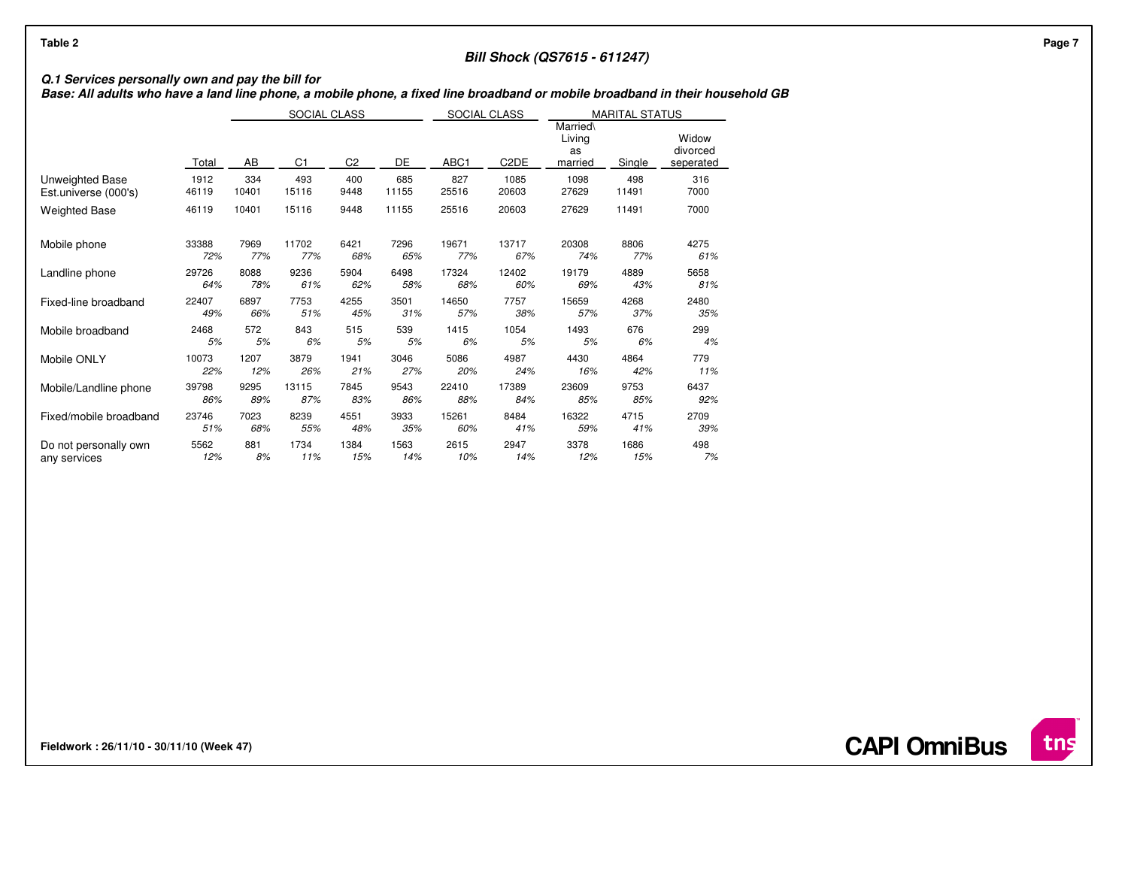# **Bill Shock (QS7615 - 611247)**

# **Q.1 Services personally own and pay the bill for Base: All adults who have a land line phone, a mobile phone, a fixed line broadband or mobile broadband in their household GB**

|                        |       |       | SOCIAL CLASS   |                |       | SOCIAL CLASS |                   |                                     | <b>MARITAL STATUS</b> |                                |  |  |  |  |
|------------------------|-------|-------|----------------|----------------|-------|--------------|-------------------|-------------------------------------|-----------------------|--------------------------------|--|--|--|--|
|                        | Total | AB    | C <sub>1</sub> | C <sub>2</sub> | DE    | ABC1         | C <sub>2</sub> DE | Married\<br>Living<br>as<br>married | Single                | Widow<br>divorced<br>seperated |  |  |  |  |
| Unweighted Base        | 1912  | 334   | 493            | 400            | 685   | 827          | 1085              | 1098                                | 498                   | 316                            |  |  |  |  |
| Est.universe (000's)   | 46119 | 10401 | 15116          | 9448           | 11155 | 25516        | 20603             | 27629                               | 11491                 | 7000                           |  |  |  |  |
| <b>Weighted Base</b>   | 46119 | 10401 | 15116          | 9448           | 11155 | 25516        | 20603             | 27629                               | 11491                 | 7000                           |  |  |  |  |
| Mobile phone           | 33388 | 7969  | 11702          | 6421           | 7296  | 19671        | 13717             | 20308                               | 8806                  | 4275                           |  |  |  |  |
|                        | 72%   | 77%   | 77%            | 68%            | 65%   | 77%          | 67%               | 74%                                 | 77%                   | 61%                            |  |  |  |  |
| Landline phone         | 29726 | 8088  | 9236           | 5904           | 6498  | 17324        | 12402             | 19179                               | 4889                  | 5658                           |  |  |  |  |
|                        | 64%   | 78%   | 61%            | 62%            | 58%   | 68%          | 60%               | 69%                                 | 43%                   | 81%                            |  |  |  |  |
| Fixed-line broadband   | 22407 | 6897  | 7753           | 4255           | 3501  | 14650        | 7757              | 15659                               | 4268                  | 2480                           |  |  |  |  |
|                        | 49%   | 66%   | 51%            | 45%            | 31%   | 57%          | 38%               | 57%                                 | 37%                   | 35%                            |  |  |  |  |
| Mobile broadband       | 2468  | 572   | 843            | 515            | 539   | 1415         | 1054              | 1493                                | 676                   | 299                            |  |  |  |  |
|                        | 5%    | 5%    | 6%             | 5%             | 5%    | 6%           | 5%                | 5%                                  | 6%                    | 4%                             |  |  |  |  |
| Mobile ONLY            | 10073 | 1207  | 3879           | 1941           | 3046  | 5086         | 4987              | 4430                                | 4864                  | 779                            |  |  |  |  |
|                        | 22%   | 12%   | 26%            | 21%            | 27%   | 20%          | 24%               | 16%                                 | 42%                   | 11%                            |  |  |  |  |
| Mobile/Landline phone  | 39798 | 9295  | 13115          | 7845           | 9543  | 22410        | 17389             | 23609                               | 9753                  | 6437                           |  |  |  |  |
|                        | 86%   | 89%   | 87%            | 83%            | 86%   | 88%          | 84%               | 85%                                 | 85%                   | 92%                            |  |  |  |  |
| Fixed/mobile broadband | 23746 | 7023  | 8239           | 4551           | 3933  | 15261        | 8484              | 16322                               | 4715                  | 2709                           |  |  |  |  |
|                        | 51%   | 68%   | 55%            | 48%            | 35%   | 60%          | 41%               | 59%                                 | 41%                   | 39%                            |  |  |  |  |
| Do not personally own  | 5562  | 881   | 1734           | 1384           | 1563  | 2615         | 2947              | 3378                                | 1686                  | 498                            |  |  |  |  |
| any services           | 12%   | 8%    | 11%            | 15%            | 14%   | 10%          | 14%               | 12%                                 | 15%                   | 7%                             |  |  |  |  |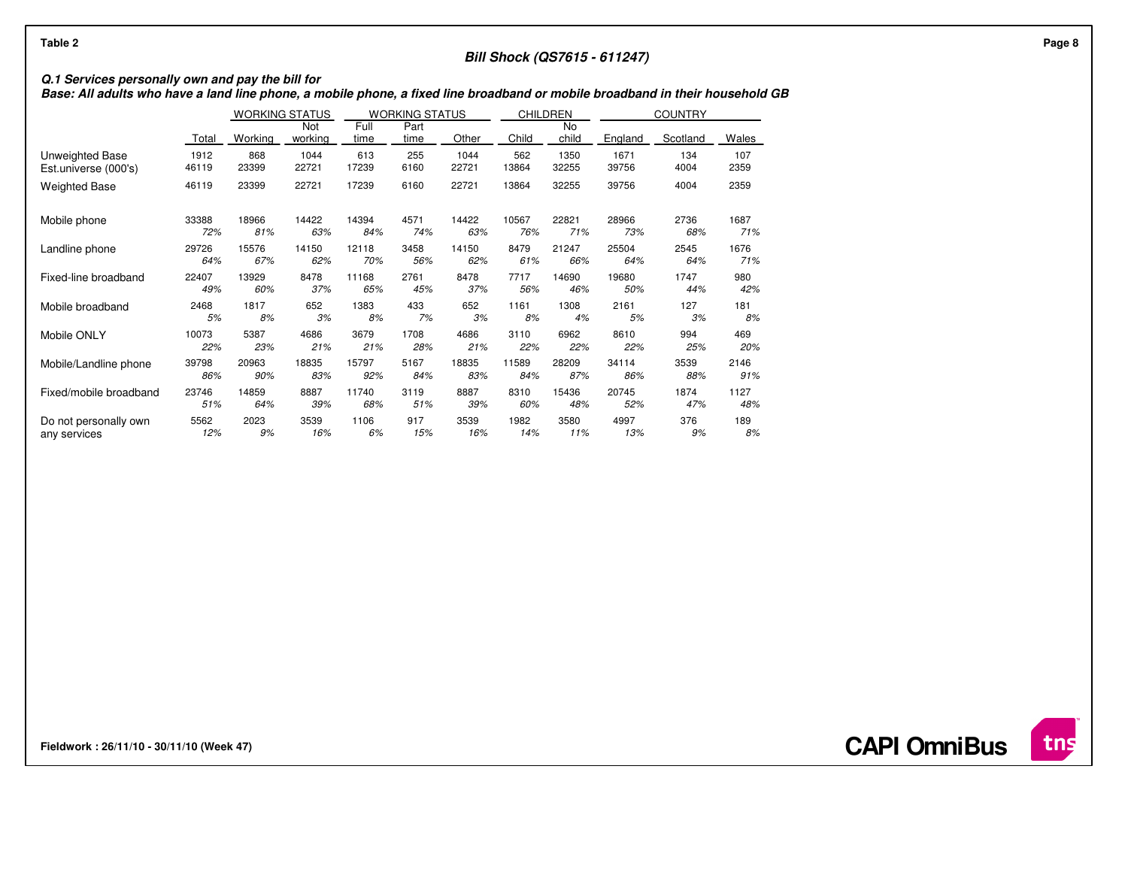# **Bill Shock (QS7615 - 611247)**

# **Q.1 Services personally own and pay the bill for Base: All adults who have a land line phone, a mobile phone, a fixed line broadband or mobile broadband in their household GB**

|                        |       | <b>WORKING STATUS</b> |                |              | <b>WORKING STATUS</b> |       |       | <b>CHILDREN</b>    |         | <b>COUNTRY</b> |       |
|------------------------|-------|-----------------------|----------------|--------------|-----------------------|-------|-------|--------------------|---------|----------------|-------|
|                        | Total | Working               | Not<br>working | Full<br>time | Part<br>time          | Other | Child | <b>No</b><br>child | England | Scotland       | Wales |
| Unweighted Base        | 1912  | 868                   | 1044           | 613          | 255                   | 1044  | 562   | 1350               | 1671    | 134            | 107   |
| Est.universe (000's)   | 46119 | 23399                 | 22721          | 17239        | 6160                  | 22721 | 13864 | 32255              | 39756   | 4004           | 2359  |
| <b>Weighted Base</b>   | 46119 | 23399                 | 22721          | 17239        | 6160                  | 22721 | 13864 | 32255              | 39756   | 4004           | 2359  |
| Mobile phone           | 33388 | 18966                 | 14422          | 14394        | 4571                  | 14422 | 10567 | 22821              | 28966   | 2736           | 1687  |
|                        | 72%   | 81%                   | 63%            | 84%          | 74%                   | 63%   | 76%   | 71%                | 73%     | 68%            | 71%   |
| Landline phone         | 29726 | 15576                 | 14150          | 12118        | 3458                  | 14150 | 8479  | 21247              | 25504   | 2545           | 1676  |
|                        | 64%   | 67%                   | 62%            | 70%          | 56%                   | 62%   | 61%   | 66%                | 64%     | 64%            | 71%   |
| Fixed-line broadband   | 22407 | 13929                 | 8478           | 11168        | 2761                  | 8478  | 7717  | 14690              | 19680   | 1747           | 980   |
|                        | 49%   | 60%                   | 37%            | 65%          | 45%                   | 37%   | 56%   | 46%                | 50%     | 44%            | 42%   |
| Mobile broadband       | 2468  | 1817                  | 652            | 1383         | 433                   | 652   | 1161  | 1308               | 2161    | 127            | 181   |
|                        | 5%    | 8%                    | 3%             | 8%           | 7%                    | 3%    | 8%    | 4%                 | 5%      | 3%             | 8%    |
| Mobile ONLY            | 10073 | 5387                  | 4686           | 3679         | 1708                  | 4686  | 3110  | 6962               | 8610    | 994            | 469   |
|                        | 22%   | 23%                   | 21%            | 21%          | 28%                   | 21%   | 22%   | 22%                | 22%     | 25%            | 20%   |
| Mobile/Landline phone  | 39798 | 20963                 | 18835          | 15797        | 5167                  | 18835 | 11589 | 28209              | 34114   | 3539           | 2146  |
|                        | 86%   | 90%                   | 83%            | 92%          | 84%                   | 83%   | 84%   | 87%                | 86%     | 88%            | 91%   |
| Fixed/mobile broadband | 23746 | 14859                 | 8887           | 11740        | 3119                  | 8887  | 8310  | 15436              | 20745   | 1874           | 1127  |
|                        | 51%   | 64%                   | 39%            | 68%          | 51%                   | 39%   | 60%   | 48%                | 52%     | 47%            | 48%   |
| Do not personally own  | 5562  | 2023                  | 3539           | 1106         | 917                   | 3539  | 1982  | 3580               | 4997    | 376            | 189   |
| any services           | 12%   | 9%                    | 16%            | 6%           | 15%                   | 16%   | 14%   | 11%                | 13%     | 9%             | 8%    |

**Fieldwork : 26/11/10 - 30/11/10 (Week 47)** 

**CAPI OmniBus**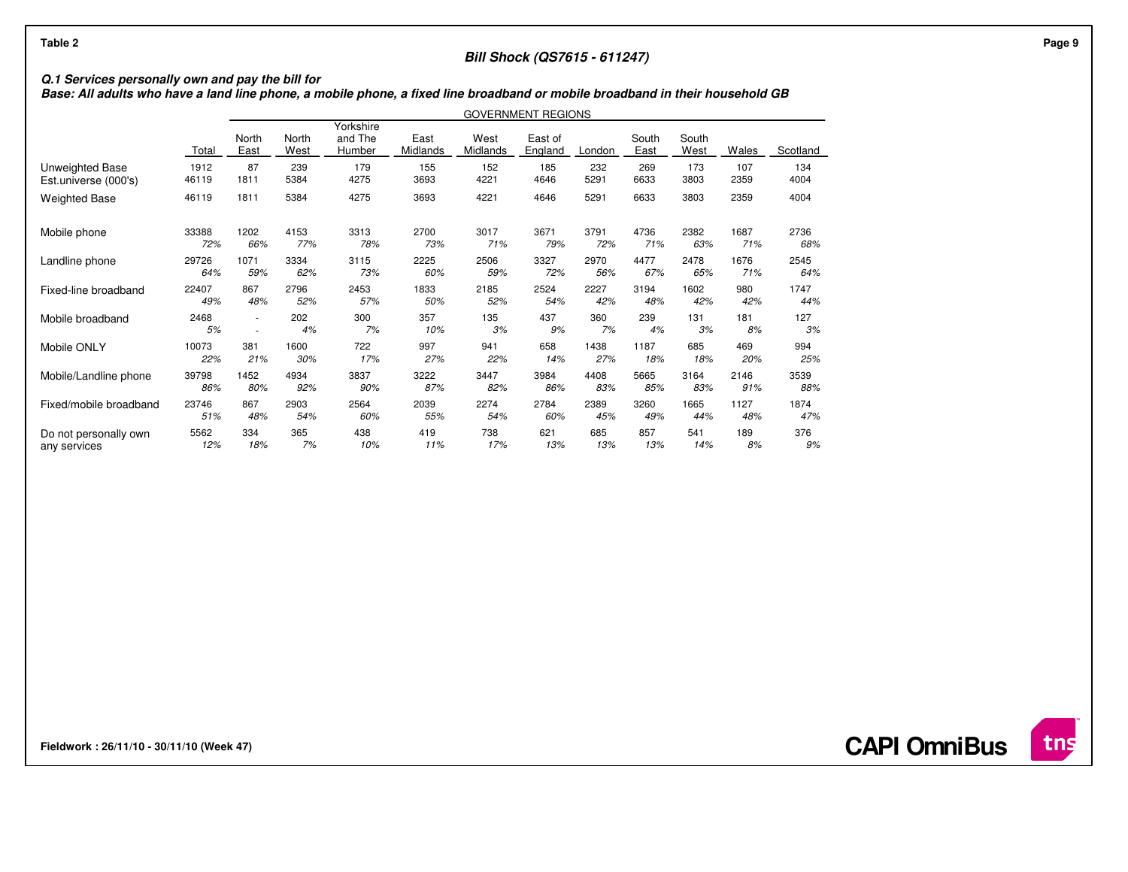## **Bill Shock (QS7615 - 611247)**

# **Q.1 Services personally own and pay the bill for Base: All adults who have a land line phone, a mobile phone, a fixed line broadband or mobile broadband in their household GB**

|                        |       | <b>GOVERNMENT REGIONS</b> |               |                                |                  |                  |                    |        |               |               |       |          |
|------------------------|-------|---------------------------|---------------|--------------------------------|------------------|------------------|--------------------|--------|---------------|---------------|-------|----------|
|                        | Total | North<br>East             | North<br>West | Yorkshire<br>and The<br>Humber | East<br>Midlands | West<br>Midlands | East of<br>England | London | South<br>East | South<br>West | Wales | Scotland |
| Unweighted Base        | 1912  | 87                        | 239           | 179                            | 155              | 152              | 185                | 232    | 269           | 173           | 107   | 134      |
| Est.universe (000's)   | 46119 | 1811                      | 5384          | 4275                           | 3693             | 4221             | 4646               | 5291   | 6633          | 3803          | 2359  | 4004     |
| <b>Weighted Base</b>   | 46119 | 1811                      | 5384          | 4275                           | 3693             | 4221             | 4646               | 5291   | 6633          | 3803          | 2359  | 4004     |
| Mobile phone           | 33388 | 1202                      | 4153          | 3313                           | 2700             | 3017             | 3671               | 3791   | 4736          | 2382          | 1687  | 2736     |
|                        | 72%   | 66%                       | 77%           | 78%                            | 73%              | 71%              | 79%                | 72%    | 71%           | 63%           | 71%   | 68%      |
| Landline phone         | 29726 | 1071                      | 3334          | 3115                           | 2225             | 2506             | 3327               | 2970   | 4477          | 2478          | 1676  | 2545     |
|                        | 64%   | 59%                       | 62%           | 73%                            | 60%              | 59%              | 72%                | 56%    | 67%           | 65%           | 71%   | 64%      |
| Fixed-line broadband   | 22407 | 867                       | 2796          | 2453                           | 1833             | 2185             | 2524               | 2227   | 3194          | 1602          | 980   | 1747     |
|                        | 49%   | 48%                       | 52%           | 57%                            | 50%              | 52%              | 54%                | 42%    | 48%           | 42%           | 42%   | 44%      |
| Mobile broadband       | 2468  | ٠                         | 202           | 300                            | 357              | 135              | 437                | 360    | 239           | 131           | 181   | 127      |
|                        | 5%    | ٠                         | 4%            | 7%                             | 10%              | 3%               | 9%                 | 7%     | 4%            | 3%            | 8%    | 3%       |
| Mobile ONLY            | 10073 | 381                       | 1600          | 722                            | 997              | 941              | 658                | 1438   | 1187          | 685           | 469   | 994      |
|                        | 22%   | 21%                       | 30%           | 17%                            | 27%              | 22%              | 14%                | 27%    | 18%           | 18%           | 20%   | 25%      |
| Mobile/Landline phone  | 39798 | 1452                      | 4934          | 3837                           | 3222             | 3447             | 3984               | 4408   | 5665          | 3164          | 2146  | 3539     |
|                        | 86%   | 80%                       | 92%           | 90%                            | 87%              | 82%              | 86%                | 83%    | 85%           | 83%           | 91%   | 88%      |
| Fixed/mobile broadband | 23746 | 867                       | 2903          | 2564                           | 2039             | 2274             | 2784               | 2389   | 3260          | 1665          | 1127  | 1874     |
|                        | 51%   | 48%                       | 54%           | 60%                            | 55%              | 54%              | 60%                | 45%    | 49%           | 44%           | 48%   | 47%      |
| Do not personally own  | 5562  | 334                       | 365           | 438                            | 419              | 738              | 621                | 685    | 857           | 541           | 189   | 376      |
| any services           | 12%   | 18%                       | 7%            | 10%                            | 11%              | 17%              | 13%                | 13%    | 13%           | 14%           | 8%    | 9%       |

**Fieldwork : 26/11/10 - 30/11/10 (Week 47)** 

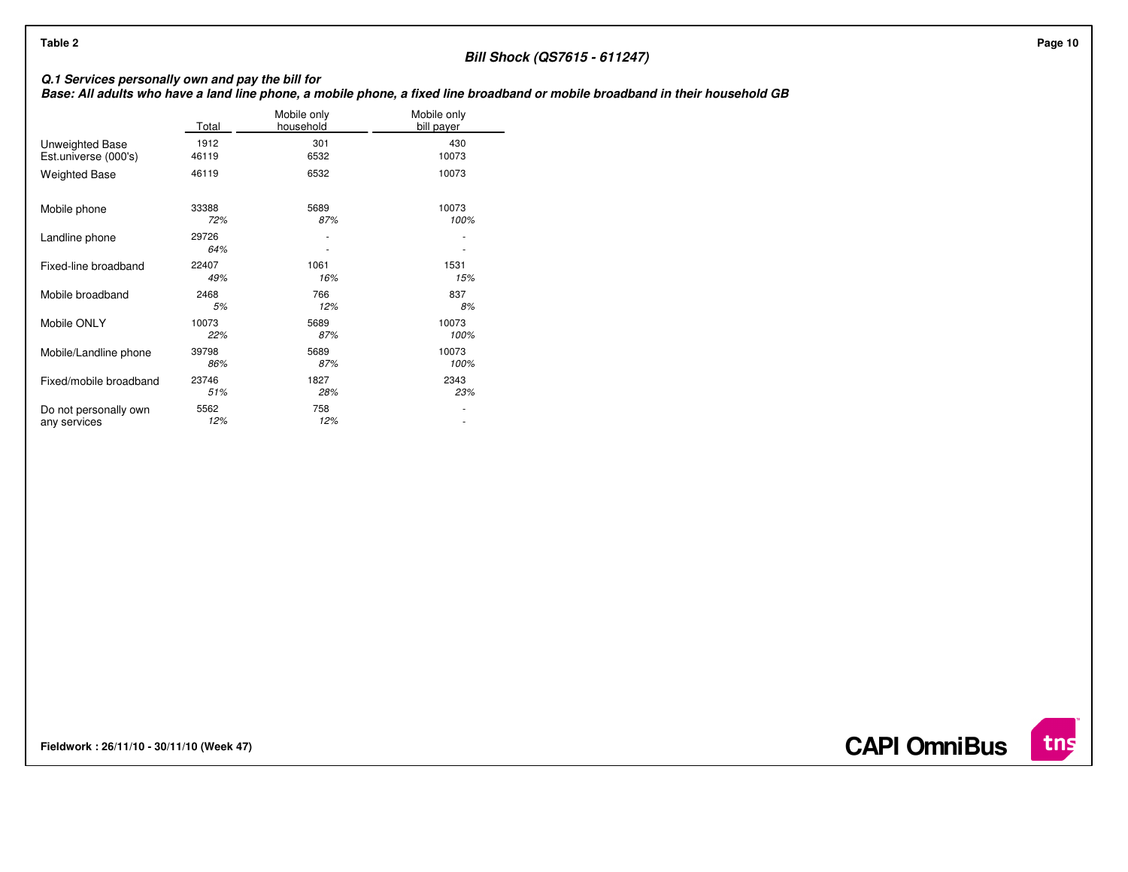| Table 2                                          |               |                          |                                                      | <b>Bill Shock (QS7615 - 611247)</b>                                                                                           | Page 10 |
|--------------------------------------------------|---------------|--------------------------|------------------------------------------------------|-------------------------------------------------------------------------------------------------------------------------------|---------|
|                                                  |               |                          |                                                      |                                                                                                                               |         |
| Q.1 Services personally own and pay the bill for |               |                          |                                                      | Base: All adults who have a land line phone, a mobile phone, a fixed line broadband or mobile broadband in their household GB |         |
|                                                  | Total         | Mobile only<br>household | Mobile only<br>bill payer                            |                                                                                                                               |         |
| Unweighted Base<br>Est.universe (000's)          | 1912<br>46119 | 301<br>6532              | 430<br>10073                                         |                                                                                                                               |         |
| <b>Weighted Base</b>                             | 46119         | 6532                     | 10073                                                |                                                                                                                               |         |
| Mobile phone                                     | 33388<br>72%  | 5689<br>87%              | 10073<br>100%                                        |                                                                                                                               |         |
| Landline phone                                   | 29726<br>64%  |                          | $\overline{\phantom{a}}$                             |                                                                                                                               |         |
| Fixed-line broadband                             | 22407<br>49%  | 1061<br>16%              | 1531<br>15%                                          |                                                                                                                               |         |
| Mobile broadband                                 | 2468<br>5%    | 766<br>12%               | 837<br>8%                                            |                                                                                                                               |         |
| Mobile ONLY                                      | 10073<br>22%  | 5689<br>87%              | 10073<br>100%                                        |                                                                                                                               |         |
| Mobile/Landline phone                            | 39798<br>86%  | 5689<br>87%              | 10073<br>100%                                        |                                                                                                                               |         |
| Fixed/mobile broadband                           | 23746<br>51%  | 1827<br>28%              | 2343<br>23%                                          |                                                                                                                               |         |
| Do not personally own<br>any services            | 5562<br>12%   | 758<br>12%               | $\overline{\phantom{a}}$<br>$\overline{\phantom{a}}$ |                                                                                                                               |         |
|                                                  |               |                          |                                                      |                                                                                                                               |         |

**Fieldwork : 26/11/10 - 30/11/10 (Week 47)** 

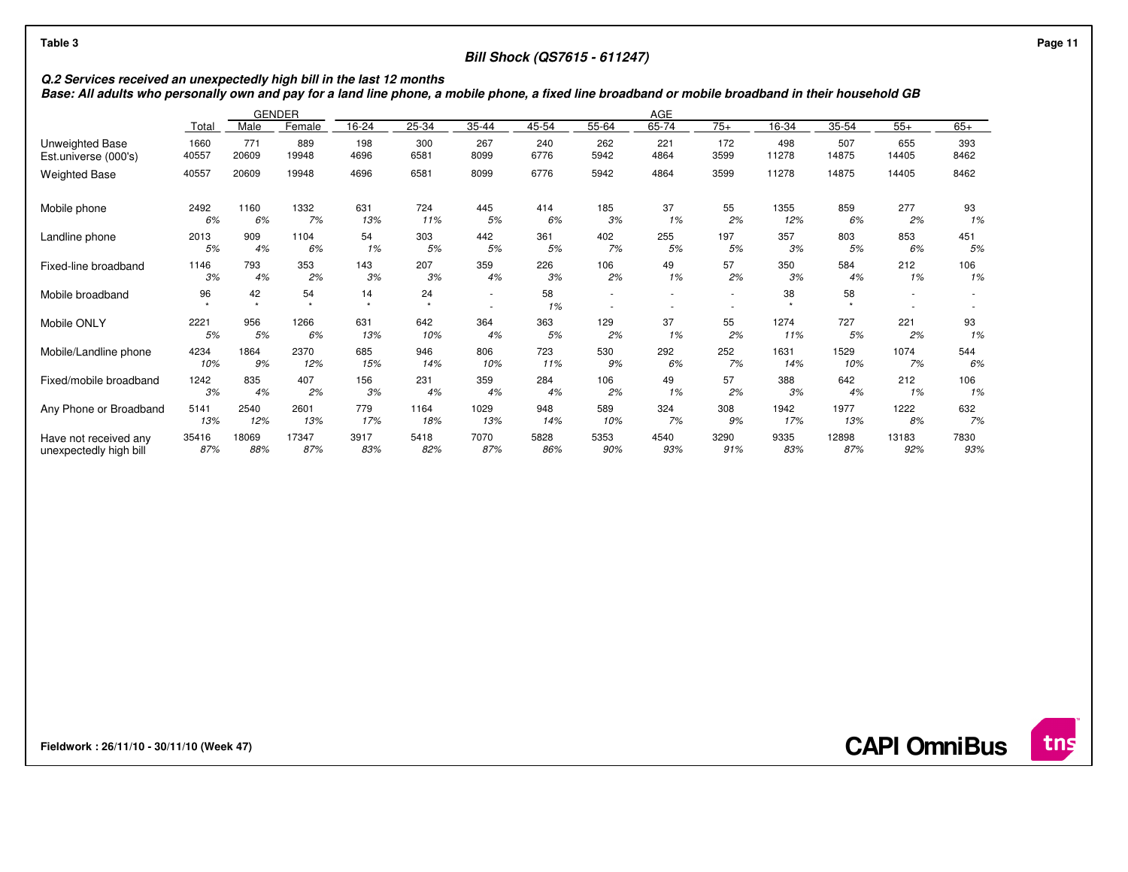## **Bill Shock (QS7615 - 611247)**

Q.2 Services received an unexpectedly high bill in the last 12 months<br>Base: All adults who personally own and pay for a land line phone, a mobile phone, a fixed line broadband or mobile broadband in their household GB

|                        |       |                 | <b>GENDER</b><br>AGE |                               |               |                          |          |       |       |       |                 |       |       |       |
|------------------------|-------|-----------------|----------------------|-------------------------------|---------------|--------------------------|----------|-------|-------|-------|-----------------|-------|-------|-------|
|                        | Total | Male            | Female               | 16-24                         | 25-34         | 35-44                    | 45-54    | 55-64 | 65-74 | $75+$ | 16-34           | 35-54 | $55+$ | $65+$ |
| <b>Unweighted Base</b> | 1660  | 771             | 889                  | 198                           | 300           | 267                      | 240      | 262   | 221   | 172   | 498             | 507   | 655   | 393   |
| Est.universe (000's)   | 40557 | 20609           | 19948                | 4696                          | 6581          | 8099                     | 6776     | 5942  | 4864  | 3599  | 11278           | 14875 | 14405 | 8462  |
| <b>Weighted Base</b>   | 40557 | 20609           | 19948                | 4696                          | 6581          | 8099                     | 6776     | 5942  | 4864  | 3599  | 11278           | 14875 | 14405 | 8462  |
| Mobile phone           | 2492  | 1160            | 1332                 | 631                           | 724           | 445                      | 414      | 185   | 37    | 55    | 1355            | 859   | 277   | 93    |
|                        | 6%    | 6%              | 7%                   | 13%                           | 11%           | 5%                       | 6%       | 3%    | 1%    | 2%    | 12%             | 6%    | 2%    | 1%    |
| Landline phone         | 2013  | 909             | 1104                 | 54                            | 303           | 442                      | 361      | 402   | 255   | 197   | 357             | 803   | 853   | 451   |
|                        | 5%    | 4%              | 6%                   | 1%                            | 5%            | 5%                       | 5%       | 7%    | 5%    | 5%    | 3%              | 5%    | 6%    | 5%    |
| Fixed-line broadband   | 1146  | 793             | 353                  | 143                           | 207           | 359                      | 226      | 106   | 49    | 57    | 350             | 584   | 212   | 106   |
|                        | 3%    | 4%              | 2%                   | 3%                            | 3%            | 4%                       | 3%       | 2%    | 1%    | 2%    | 3%              | 4%    | 1%    | 1%    |
| Mobile broadband       | 96    | 42<br>$\bullet$ | 54<br>$\mathbf{a}_i$ | 14<br>$\mathbf{d}_\mathrm{F}$ | 24<br>$\star$ | $\overline{\phantom{a}}$ | 58<br>1% |       |       | ٠     | 38<br>$\bullet$ | 58    |       |       |
| Mobile ONLY            | 2221  | 956             | 1266                 | 631                           | 642           | 364                      | 363      | 129   | 37    | 55    | 1274            | 727   | 221   | 93    |
|                        | 5%    | 5%              | 6%                   | 13%                           | 10%           | 4%                       | 5%       | 2%    | 1%    | 2%    | 11%             | 5%    | 2%    | 1%    |
| Mobile/Landline phone  | 4234  | 1864            | 2370                 | 685                           | 946           | 806                      | 723      | 530   | 292   | 252   | 1631            | 1529  | 1074  | 544   |
|                        | 10%   | 9%              | 12%                  | 15%                           | 14%           | 10%                      | 11%      | 9%    | 6%    | 7%    | 14%             | 10%   | 7%    | 6%    |
| Fixed/mobile broadband | 1242  | 835             | 407                  | 156                           | 231           | 359                      | 284      | 106   | 49    | 57    | 388             | 642   | 212   | 106   |
|                        | 3%    | 4%              | 2%                   | 3%                            | 4%            | 4%                       | 4%       | 2%    | 1%    | 2%    | 3%              | 4%    | 1%    | 1%    |
| Any Phone or Broadband | 5141  | 2540            | 2601                 | 779                           | 1164          | 1029                     | 948      | 589   | 324   | 308   | 1942            | 1977  | 1222  | 632   |
|                        | 13%   | 12%             | 13%                  | 17%                           | 18%           | 13%                      | 14%      | 10%   | 7%    | 9%    | 17%             | 13%   | 8%    | 7%    |
| Have not received any  | 35416 | 18069           | 17347                | 3917                          | 5418          | 7070                     | 5828     | 5353  | 4540  | 3290  | 9335            | 12898 | 13183 | 7830  |
| unexpectedly high bill | 87%   | 88%             | 87%                  | 83%                           | 82%           | 87%                      | 86%      | 90%   | 93%   | 91%   | 83%             | 87%   | 92%   | 93%   |

**Fieldwork : 26/11/10 - 30/11/10 (Week 47)** 

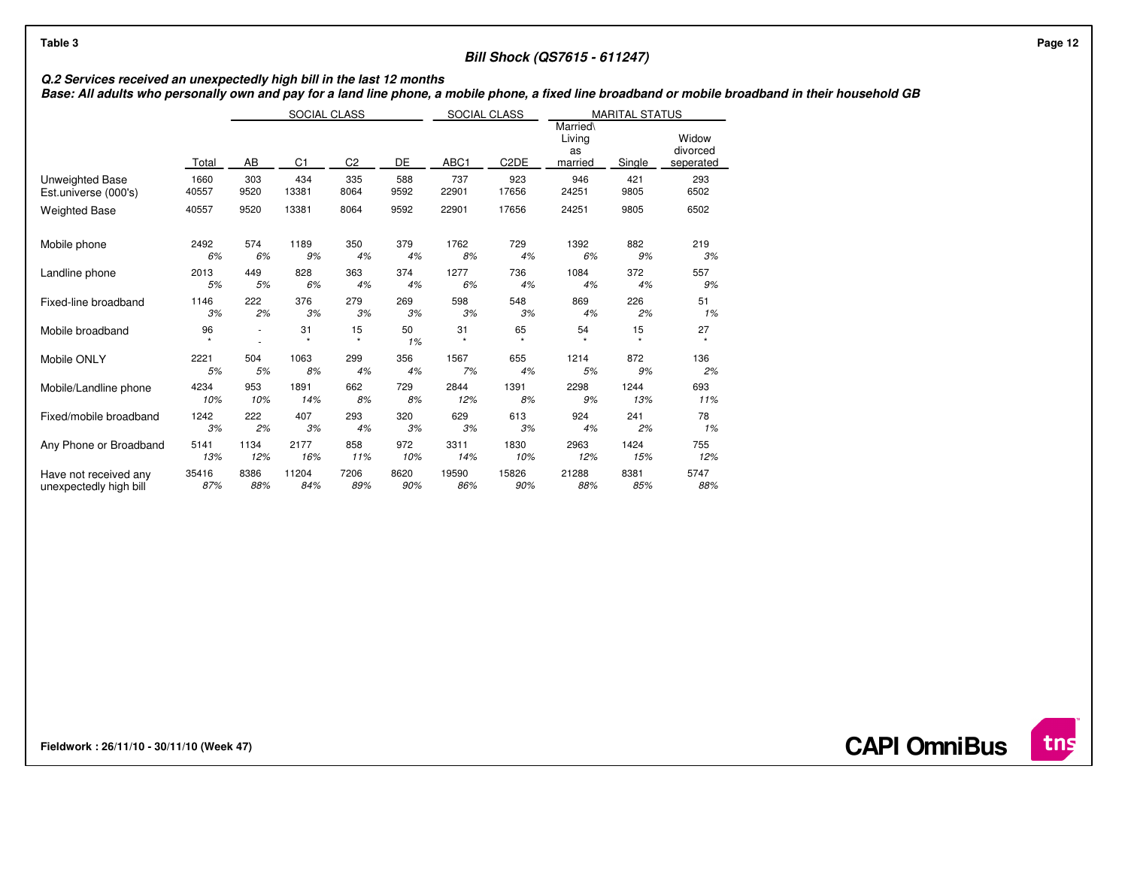# **Bill Shock (QS7615 - 611247)**

Q.2 Services received an unexpectedly high bill in the last 12 months<br>Base: All adults who personally own and pay for a land line phone, a mobile phone, a fixed line broadband or mobile broadband in their household GB

|                        |         | SOCIAL CLASS |                 |                |          | SOCIAL CLASS<br><b>MARITAL STATUS</b> |                   |                                     |          |                                |
|------------------------|---------|--------------|-----------------|----------------|----------|---------------------------------------|-------------------|-------------------------------------|----------|--------------------------------|
|                        | Total   | AB           | C <sub>1</sub>  | C <sub>2</sub> | DE       | ABC <sub>1</sub>                      | C <sub>2</sub> DE | Married\<br>Living<br>as<br>married | Single   | Widow<br>divorced<br>seperated |
| Unweighted Base        | 1660    | 303          | 434             | 335            | 588      | 737                                   | 923               | 946                                 | 421      | 293                            |
| Est.universe (000's)   | 40557   | 9520         | 13381           | 8064           | 9592     | 22901                                 | 17656             | 24251                               | 9805     | 6502                           |
| <b>Weighted Base</b>   | 40557   | 9520         | 13381           | 8064           | 9592     | 22901                                 | 17656             | 24251                               | 9805     | 6502                           |
| Mobile phone           | 2492    | 574          | 1189            | 350            | 379      | 1762                                  | 729               | 1392                                | 882      | 219                            |
|                        | 6%      | 6%           | 9%              | 4%             | 4%       | 8%                                    | 4%                | 6%                                  | 9%       | 3%                             |
| Landline phone         | 2013    | 449          | 828             | 363            | 374      | 1277                                  | 736               | 1084                                | 372      | 557                            |
|                        | 5%      | 5%           | 6%              | 4%             | 4%       | 6%                                    | 4%                | 4%                                  | 4%       | 9%                             |
| Fixed-line broadband   | 1146    | 222          | 376             | 279            | 269      | 598                                   | 548               | 869                                 | 226      | 51                             |
|                        | 3%      | 2%           | 3%              | 3%             | 3%       | 3%                                    | 3%                | 4%                                  | 2%       | 1%                             |
| Mobile broadband       | 96<br>٠ | ٠            | 31<br>$\bullet$ | 15<br>$\star$  | 50<br>1% | 31<br>$\star$                         | 65<br>٠           | 54<br>$\mathbf{v}$                  | 15<br>÷. | 27<br>٠                        |
| Mobile ONLY            | 2221    | 504          | 1063            | 299            | 356      | 1567                                  | 655               | 1214                                | 872      | 136                            |
|                        | 5%      | 5%           | 8%              | 4%             | 4%       | 7%                                    | 4%                | 5%                                  | 9%       | 2%                             |
| Mobile/Landline phone  | 4234    | 953          | 1891            | 662            | 729      | 2844                                  | 1391              | 2298                                | 1244     | 693                            |
|                        | 10%     | 10%          | 14%             | 8%             | 8%       | 12%                                   | 8%                | 9%                                  | 13%      | 11%                            |
| Fixed/mobile broadband | 1242    | 222          | 407             | 293            | 320      | 629                                   | 613               | 924                                 | 241      | 78                             |
|                        | 3%      | 2%           | 3%              | 4%             | 3%       | 3%                                    | 3%                | 4%                                  | 2%       | 1%                             |
| Any Phone or Broadband | 5141    | 1134         | 2177            | 858            | 972      | 3311                                  | 1830              | 2963                                | 1424     | 755                            |
|                        | 13%     | 12%          | 16%             | 11%            | 10%      | 14%                                   | 10%               | 12%                                 | 15%      | 12%                            |
| Have not received any  | 35416   | 8386         | 11204           | 7206           | 8620     | 19590                                 | 15826             | 21288                               | 8381     | 5747                           |
| unexpectedly high bill | 87%     | 88%          | 84%             | 89%            | 90%      | 86%                                   | 90%               | 88%                                 | 85%      | 88%                            |

**Fieldwork : 26/11/10 - 30/11/10 (Week 47)** 



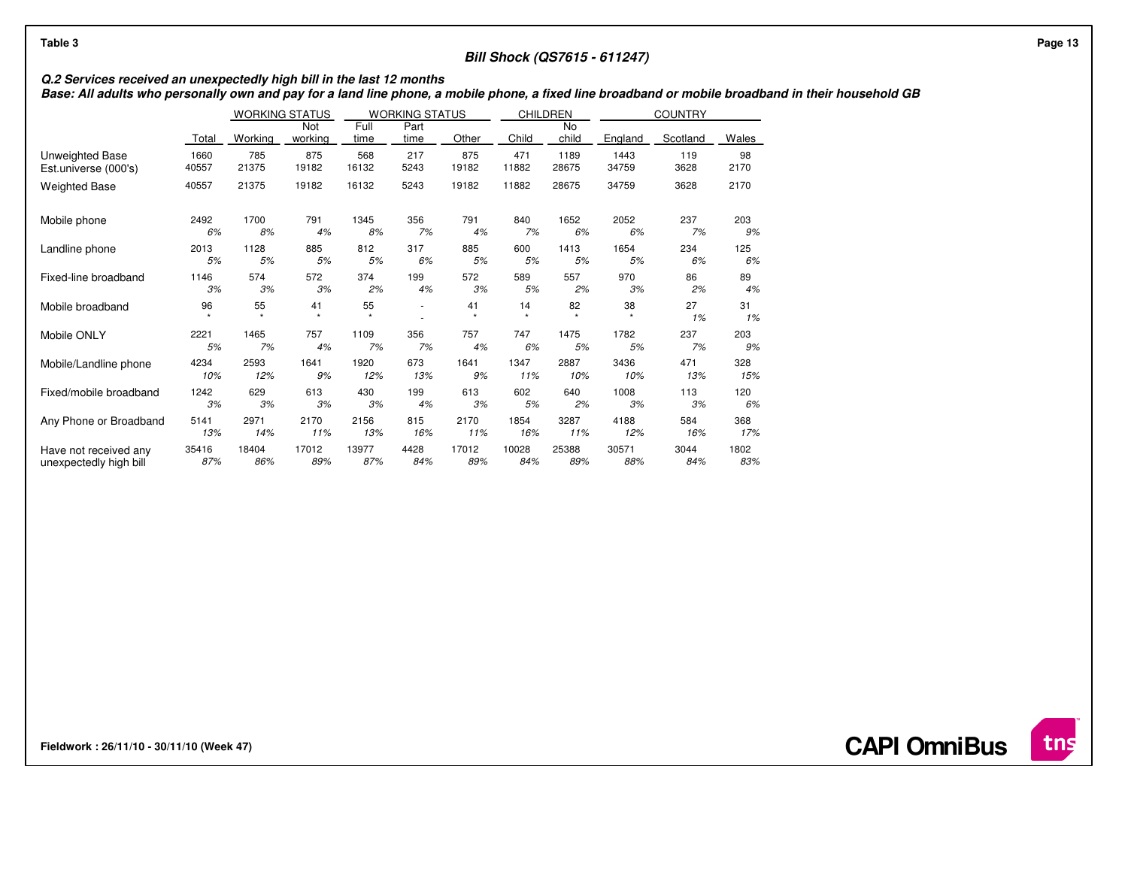# **Bill Shock (QS7615 - 611247)**

Q.2 Services received an unexpectedly high bill in the last 12 months<br>Base: All adults who personally own and pay for a land line phone, a mobile phone, a fixed line broadband or mobile broadband in their household GB

|                        |       | <b>WORKING STATUS</b> |                           |               | WORKING STATUS |                           |               | CHILDREN           |               | <b>COUNTRY</b> |          |
|------------------------|-------|-----------------------|---------------------------|---------------|----------------|---------------------------|---------------|--------------------|---------------|----------------|----------|
|                        | Total | Working               | Not<br>working            | Full<br>time  | Part<br>time   | Other                     | Child         | <b>No</b><br>child | England       | Scotland       | Wales    |
| Unweighted Base        | 1660  | 785                   | 875                       | 568           | 217            | 875                       | 471           | 1189               | 1443          | 119            | 98       |
| Est.universe (000's)   | 40557 | 21375                 | 19182                     | 16132         | 5243           | 19182                     | 11882         | 28675              | 34759         | 3628           | 2170     |
| <b>Weighted Base</b>   | 40557 | 21375                 | 19182                     | 16132         | 5243           | 19182                     | 11882         | 28675              | 34759         | 3628           | 2170     |
| Mobile phone           | 2492  | 1700                  | 791                       | 1345          | 356            | 791                       | 840           | 1652               | 2052          | 237            | 203      |
|                        | 6%    | 8%                    | 4%                        | 8%            | 7%             | 4%                        | 7%            | 6%                 | 6%            | 7%             | 9%       |
| Landline phone         | 2013  | 1128                  | 885                       | 812           | 317            | 885                       | 600           | 1413               | 1654          | 234            | 125      |
|                        | 5%    | 5%                    | 5%                        | 5%            | 6%             | 5%                        | 5%            | 5%                 | 5%            | 6%             | 6%       |
| Fixed-line broadband   | 1146  | 574                   | 572                       | 374           | 199            | 572                       | 589           | 557                | 970           | 86             | 89       |
|                        | 3%    | 3%                    | 3%                        | 2%            | 4%             | 3%                        | 5%            | 2%                 | 3%            | 2%             | 4%       |
| Mobile broadband       | 96    | 55<br>$\star$         | 41<br>$\boldsymbol{\Psi}$ | 55<br>$\star$ |                | 41<br>$\boldsymbol{\Psi}$ | 14<br>$\star$ | 82<br>$\star$      | 38<br>$\star$ | 27<br>1%       | 31<br>1% |
| Mobile ONLY            | 2221  | 1465                  | 757                       | 1109          | 356            | 757                       | 747           | 1475               | 1782          | 237            | 203      |
|                        | 5%    | 7%                    | 4%                        | 7%            | 7%             | 4%                        | 6%            | 5%                 | 5%            | 7%             | 9%       |
| Mobile/Landline phone  | 4234  | 2593                  | 1641                      | 1920          | 673            | 1641                      | 1347          | 2887               | 3436          | 471            | 328      |
|                        | 10%   | 12%                   | 9%                        | 12%           | 13%            | 9%                        | 11%           | 10%                | 10%           | 13%            | 15%      |
| Fixed/mobile broadband | 1242  | 629                   | 613                       | 430           | 199            | 613                       | 602           | 640                | 1008          | 113            | 120      |
|                        | 3%    | 3%                    | 3%                        | 3%            | 4%             | 3%                        | 5%            | 2%                 | 3%            | 3%             | 6%       |
| Any Phone or Broadband | 5141  | 2971                  | 2170                      | 2156          | 815            | 2170                      | 1854          | 3287               | 4188          | 584            | 368      |
|                        | 13%   | 14%                   | 11%                       | 13%           | 16%            | 11%                       | 16%           | 11%                | 12%           | 16%            | 17%      |
| Have not received any  | 35416 | 18404                 | 17012                     | 13977         | 4428           | 17012                     | 10028         | 25388              | 30571         | 3044           | 1802     |
| unexpectedly high bill | 87%   | 86%                   | 89%                       | 87%           | 84%            | 89%                       | 84%           | 89%                | 88%           | 84%            | 83%      |

**Fieldwork : 26/11/10 - 30/11/10 (Week 47)** 

**CAPI OmniBus**

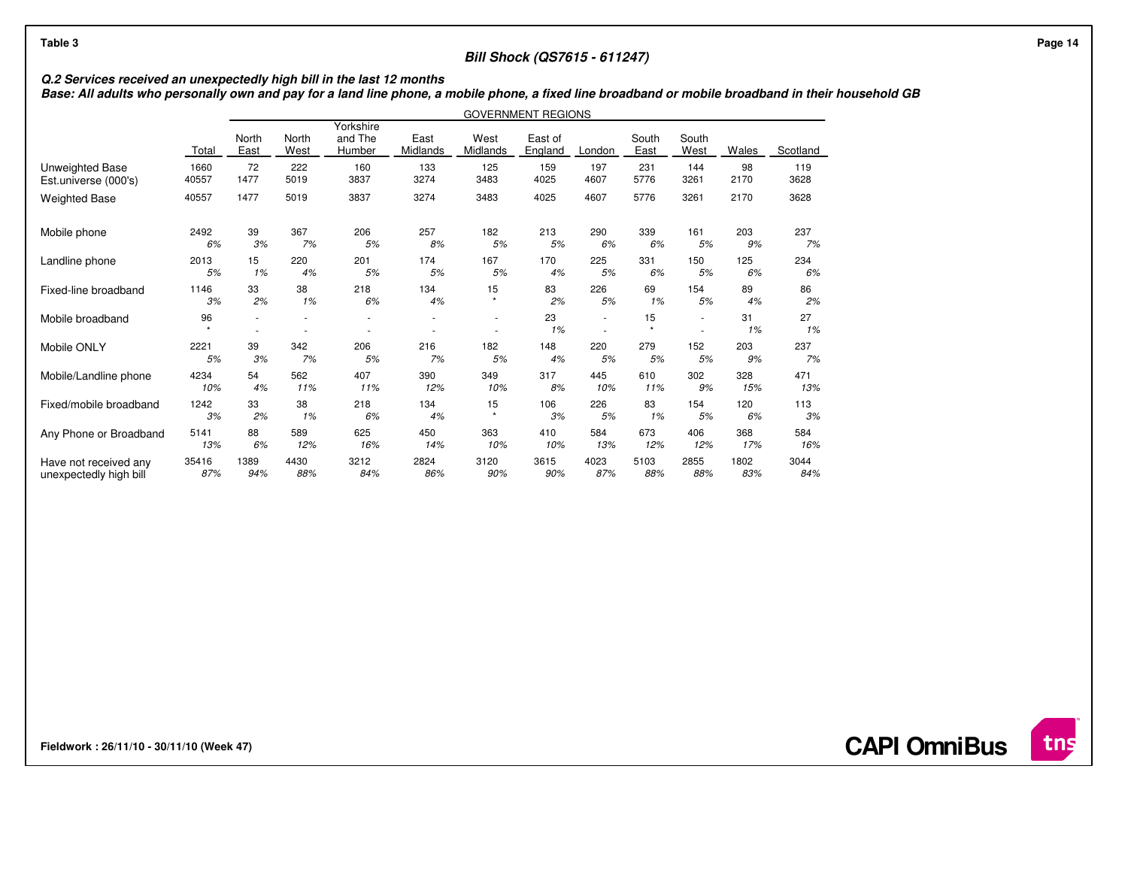## **Bill Shock (QS7615 - 611247)**

Q.2 Services received an unexpectedly high bill in the last 12 months<br>Base: All adults who personally own and pay for a land line phone, a mobile phone, a fixed line broadband or mobile broadband in their household GB

|                        |               |               |               |                                |                  |                  | <b>GOVERNMENT REGIONS</b> |        |               |               |          |          |
|------------------------|---------------|---------------|---------------|--------------------------------|------------------|------------------|---------------------------|--------|---------------|---------------|----------|----------|
|                        | Total         | North<br>East | North<br>West | Yorkshire<br>and The<br>Humber | East<br>Midlands | West<br>Midlands | East of<br>England        | London | South<br>East | South<br>West | Wales    | Scotland |
| Unweighted Base        | 1660          | 72            | 222           | 160                            | 133              | 125              | 159                       | 197    | 231           | 144           | 98       | 119      |
| Est.universe (000's)   | 40557         | 1477          | 5019          | 3837                           | 3274             | 3483             | 4025                      | 4607   | 5776          | 3261          | 2170     | 3628     |
| <b>Weighted Base</b>   | 40557         | 1477          | 5019          | 3837                           | 3274             | 3483             | 4025                      | 4607   | 5776          | 3261          | 2170     | 3628     |
| Mobile phone           | 2492          | 39            | 367           | 206                            | 257              | 182              | 213                       | 290    | 339           | 161           | 203      | 237      |
|                        | 6%            | 3%            | 7%            | 5%                             | 8%               | 5%               | 5%                        | 6%     | 6%            | 5%            | 9%       | 7%       |
| Landline phone         | 2013          | 15            | 220           | 201                            | 174              | 167              | 170                       | 225    | 331           | 150           | 125      | 234      |
|                        | 5%            | 1%            | 4%            | 5%                             | 5%               | 5%               | 4%                        | 5%     | 6%            | 5%            | 6%       | 6%       |
| Fixed-line broadband   | 1146          | 33            | 38            | 218                            | 134              | 15               | 83                        | 226    | 69            | 154           | 89       | 86       |
|                        | 3%            | 2%            | 1%            | 6%                             | 4%               | $\star$          | 2%                        | 5%     | 1%            | 5%            | 4%       | 2%       |
| Mobile broadband       | 96<br>$\star$ |               |               |                                |                  |                  | 23<br>1%                  | ×      | 15<br>$\star$ | ٠<br>$\sim$   | 31<br>1% | 27<br>1% |
| Mobile ONLY            | 2221          | 39            | 342           | 206                            | 216              | 182              | 148                       | 220    | 279           | 152           | 203      | 237      |
|                        | 5%            | 3%            | 7%            | 5%                             | 7%               | 5%               | 4%                        | 5%     | 5%            | 5%            | 9%       | 7%       |
| Mobile/Landline phone  | 4234          | 54            | 562           | 407                            | 390              | 349              | 317                       | 445    | 610           | 302           | 328      | 471      |
|                        | 10%           | 4%            | 11%           | 11%                            | 12%              | 10%              | 8%                        | 10%    | 11%           | 9%            | 15%      | 13%      |
| Fixed/mobile broadband | 1242          | 33            | 38            | 218                            | 134              | 15               | 106                       | 226    | 83            | 154           | 120      | 113      |
|                        | 3%            | 2%            | 1%            | 6%                             | 4%               | $\bullet$        | 3%                        | 5%     | 1%            | 5%            | 6%       | 3%       |
| Any Phone or Broadband | 5141          | 88            | 589           | 625                            | 450              | 363              | 410                       | 584    | 673           | 406           | 368      | 584      |
|                        | 13%           | 6%            | 12%           | 16%                            | 14%              | 10%              | 10%                       | 13%    | 12%           | 12%           | 17%      | 16%      |
| Have not received any  | 35416         | 1389          | 4430          | 3212                           | 2824             | 3120             | 3615                      | 4023   | 5103          | 2855          | 1802     | 3044     |
| unexpectedly high bill | 87%           | 94%           | 88%           | 84%                            | 86%              | 90%              | 90%                       | 87%    | 88%           | 88%           | 83%      | 84%      |

**Fieldwork : 26/11/10 - 30/11/10 (Week 47)**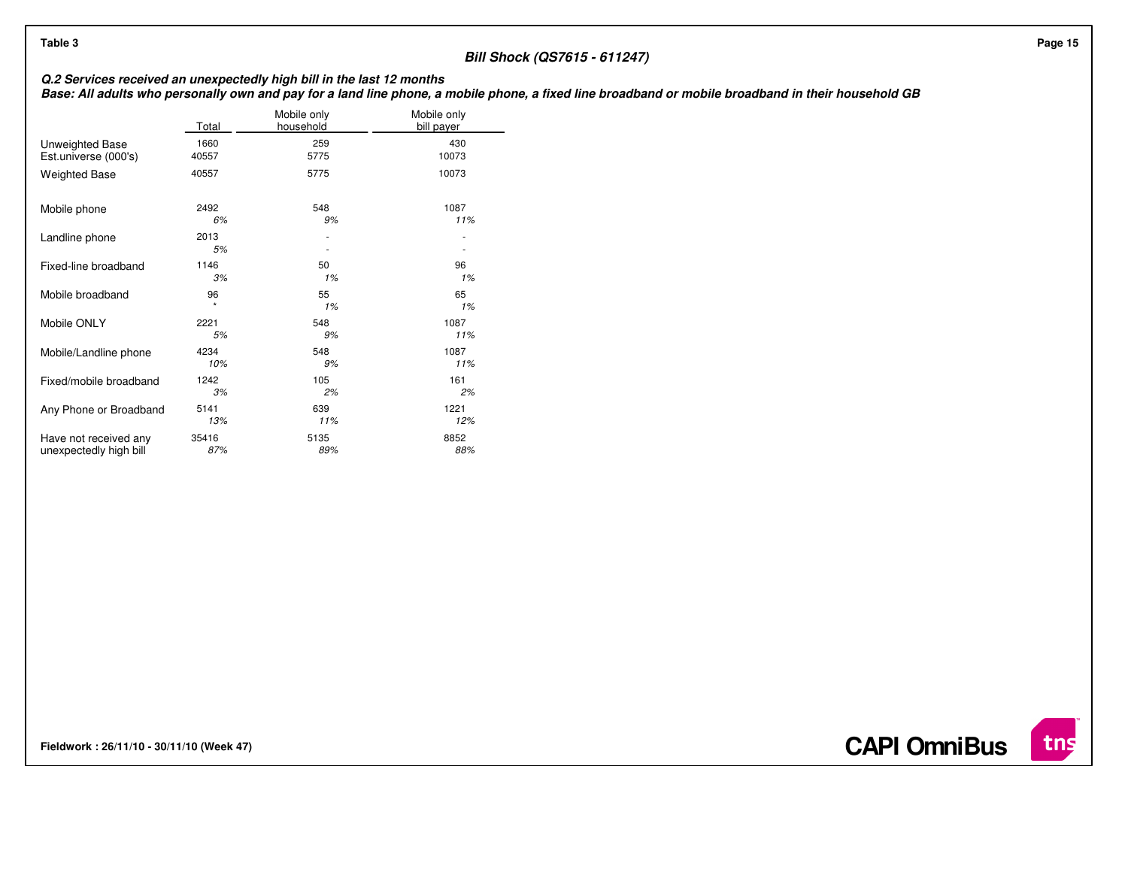# **Bill Shock (QS7615 - 611247)**

Q.2 Services received an unexpectedly high bill in the last 12 months<br>Base: All adults who personally own and pay for a land line phone, a mobile phone, a fixed line broadband or mobile broadband in their household GB

|                        | Total      | Mobile only<br>household | Mobile only<br>bill payer |
|------------------------|------------|--------------------------|---------------------------|
| Unweighted Base        | 1660       | 259                      | 430                       |
| Est.universe (000's)   | 40557      | 5775                     | 10073                     |
| <b>Weighted Base</b>   | 40557      | 5775                     | 10073                     |
| Mobile phone           | 2492       | 548                      | 1087                      |
|                        | 6%         | 9%                       | 11%                       |
| Landline phone         | 2013<br>5% |                          |                           |
| Fixed-line broadband   | 1146       | 50                       | 96                        |
|                        | 3%         | 1%                       | 1%                        |
| Mobile broadband       | 96         | 55                       | 65                        |
|                        | ÷          | 1%                       | 1%                        |
| Mobile ONLY            | 2221       | 548                      | 1087                      |
|                        | 5%         | 9%                       | 11%                       |
| Mobile/Landline phone  | 4234       | 548                      | 1087                      |
|                        | 10%        | 9%                       | 11%                       |
| Fixed/mobile broadband | 1242       | 105                      | 161                       |
|                        | 3%         | 2%                       | 2%                        |
| Any Phone or Broadband | 5141       | 639                      | 1221                      |
|                        | 13%        | 11%                      | 12%                       |
| Have not received any  | 35416      | 5135                     | 8852                      |
| unexpectedly high bill | 87%        | 89%                      | 88%                       |

**Fieldwork : 26/11/10 - 30/11/10 (Week 47)** 

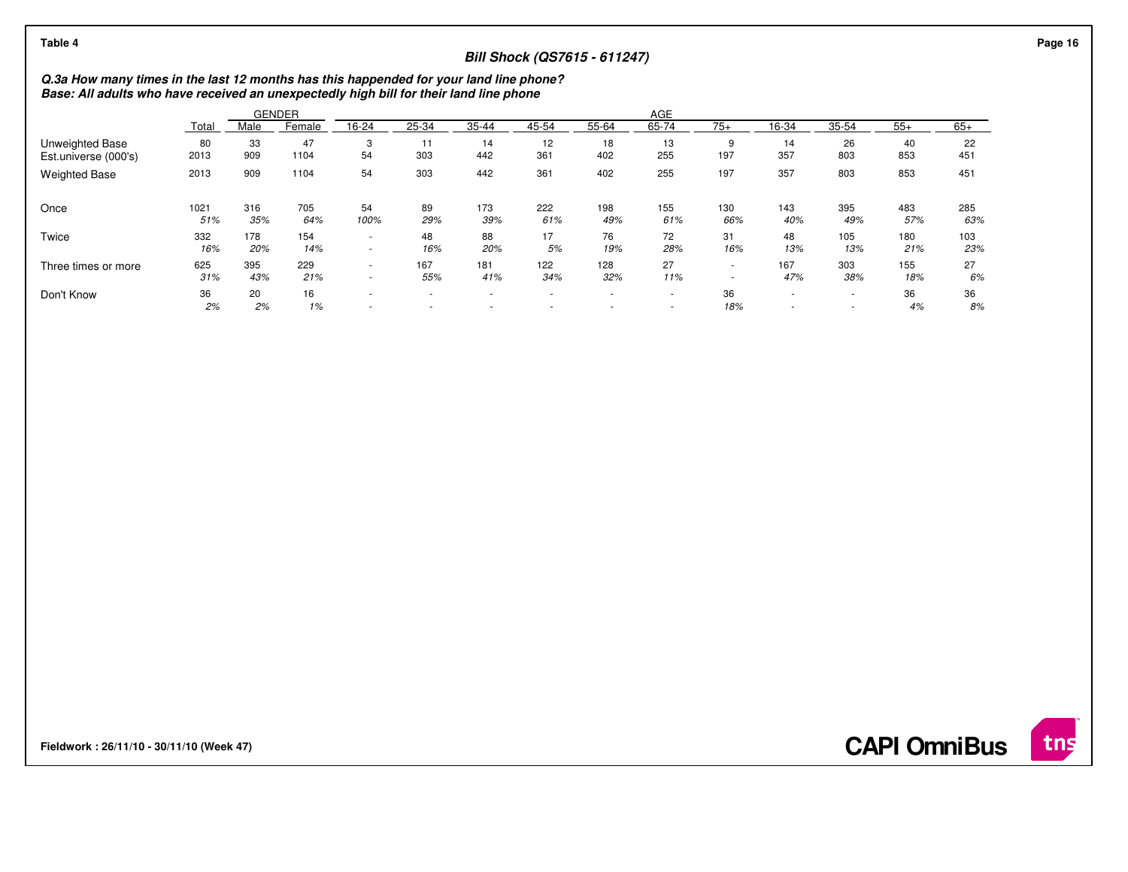## **Bill Shock (QS7615 - 611247)**

**Q.3a How many times in the last 12 months has this happended for your land line phone? Base: All adults who have received an unexpectedly high bill for their land line phone**

|                      |          |          | <b>GENDER</b> |                                                      |                                                      |                          |                  |        | AGE    |                          |                               |                                                      |          |          |
|----------------------|----------|----------|---------------|------------------------------------------------------|------------------------------------------------------|--------------------------|------------------|--------|--------|--------------------------|-------------------------------|------------------------------------------------------|----------|----------|
|                      | Total    | Male     | Female        | 16-24                                                | 25-34                                                | $35 - 44$                | 45-54            | 55-64  | 65-74  | $75+$                    | 16-34                         | 35-54                                                | $55+$    | $65+$    |
| Unweighted Base      | 80       | 33       | 47            | 3                                                    | 11                                                   | 14                       | 12               | 18     | 13     | 9                        | 14                            | 26                                                   | 40       | 22       |
| Est.universe (000's) | 2013     | 909      | 1104          | 54                                                   | 303                                                  | 442                      | 361              | 402    | 255    | 197                      | 357                           | 803                                                  | 853      | 451      |
| <b>Weighted Base</b> | 2013     | 909      | 1104          | 54                                                   | 303                                                  | 442                      | 361              | 402    | 255    | 197                      | 357                           | 803                                                  | 853      | 451      |
| Once                 | 1021     | 316      | 705           | 54                                                   | 89                                                   | 173                      | 222              | 198    | 155    | 130                      | 143                           | 395                                                  | 483      | 285      |
|                      | 51%      | 35%      | 64%           | 100%                                                 | 29%                                                  | 39%                      | 61%              | 49%    | 61%    | 66%                      | 40%                           | 49%                                                  | 57%      | 63%      |
| Twice                | 332      | 178      | 154           | $\overline{\phantom{a}}$                             | 48                                                   | 88                       | 17               | 76     | 72     | 31                       | 48                            | 105                                                  | 180      | 103      |
|                      | 16%      | 20%      | 14%           | $\sim$                                               | 16%                                                  | 20%                      | 5%               | 19%    | 28%    | 16%                      | 13%                           | 13%                                                  | 21%      | 23%      |
| Three times or more  | 625      | 395      | 229           | $\overline{\phantom{a}}$                             | 167                                                  | 181                      | 122              | 128    | 27     | $\overline{\phantom{a}}$ | 167                           | 303                                                  | 155      | 27       |
|                      | 31%      | 43%      | 21%           | $\overline{\phantom{a}}$                             | 55%                                                  | 41%                      | 34%              | 32%    | 11%    |                          | 47%                           | 38%                                                  | 18%      | 6%       |
| Don't Know           | 36<br>2% | 20<br>2% | 16<br>1%      | $\overline{\phantom{a}}$<br>$\overline{\phantom{a}}$ | $\overline{\phantom{a}}$<br>$\overline{\phantom{a}}$ | $\overline{\phantom{a}}$ | $\sim$<br>$\sim$ | $\sim$ | $\sim$ | 36<br>18%                | ۰<br>$\overline{\phantom{a}}$ | $\overline{\phantom{a}}$<br>$\overline{\phantom{a}}$ | 36<br>4% | 36<br>8% |

**Fieldwork : 26/11/10 - 30/11/10 (Week 47)** 

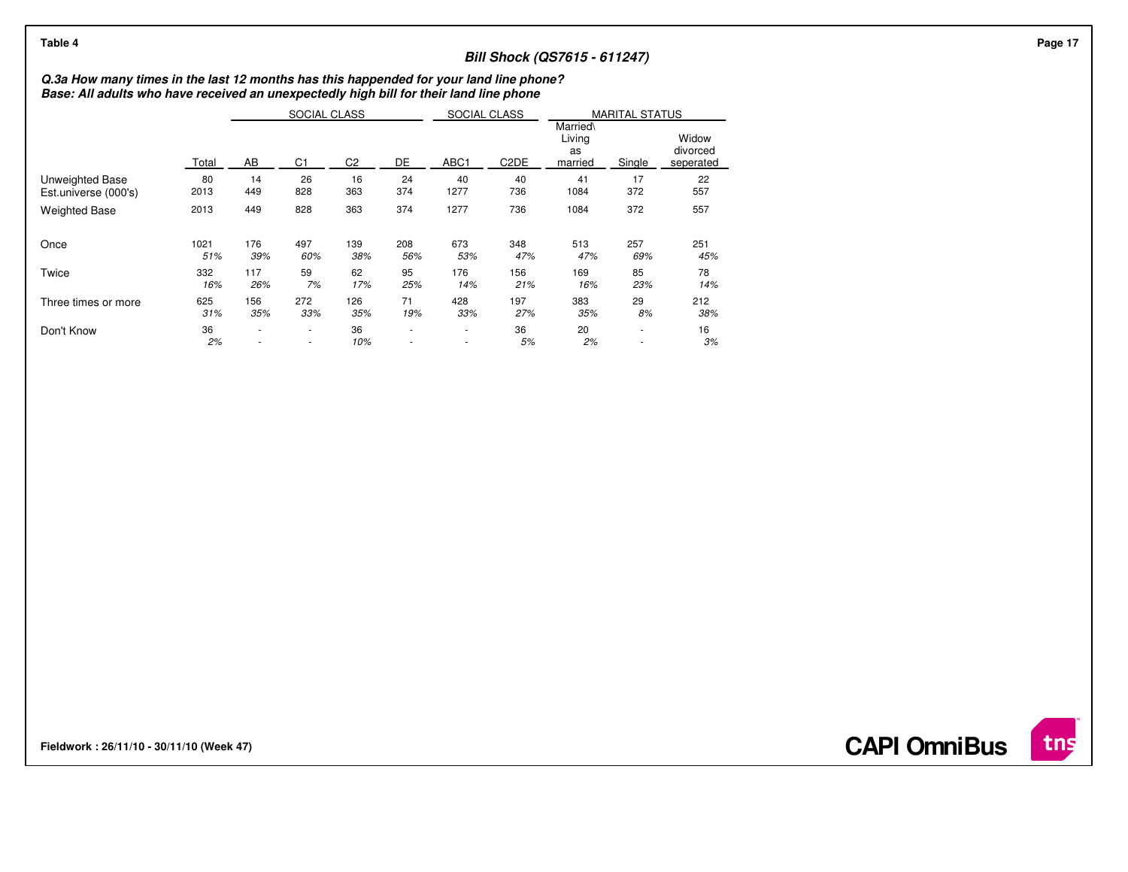## **Bill Shock (QS7615 - 611247)**

# **Q.3a How many times in the last 12 months has this happended for your land line phone? Base: All adults who have received an unexpectedly high bill for their land line phone**

|                        |       |     | SOCIAL CLASS   |                |                | SOCIAL CLASS     |                               |                                     | <b>MARITAL STATUS</b> |                                |
|------------------------|-------|-----|----------------|----------------|----------------|------------------|-------------------------------|-------------------------------------|-----------------------|--------------------------------|
|                        | Total | AB  | C <sub>1</sub> | C <sub>2</sub> | DE             | ABC <sub>1</sub> | C <sub>2</sub> D <sub>E</sub> | Married\<br>Living<br>as<br>married | Single                | Widow<br>divorced<br>seperated |
| <b>Unweighted Base</b> | 80    | 14  | 26             | 16             | 24             | 40               | 40                            | 41                                  | 17                    | 22                             |
| Est.universe (000's)   | 2013  | 449 | 828            | 363            | 374            | 1277             | 736                           | 1084                                | 372                   | 557                            |
| <b>Weighted Base</b>   | 2013  | 449 | 828            | 363            | 374            | 1277             | 736                           | 1084                                | 372                   | 557                            |
| Once                   | 1021  | 176 | 497            | 139            | 208            | 673              | 348                           | 513                                 | 257                   | 251                            |
|                        | 51%   | 39% | 60%            | 38%            | 56%            | 53%              | 47%                           | 47%                                 | 69%                   | 45%                            |
| Twice                  | 332   | 117 | 59             | 62             | 95             | 176              | 156                           | 169                                 | 85                    | 78                             |
|                        | 16%   | 26% | 7%             | 17%            | 25%            | 14%              | 21%                           | 16%                                 | 23%                   | 14%                            |
| Three times or more    | 625   | 156 | 272            | 126            | 71             | 428              | 197                           | 383                                 | 29                    | 212                            |
|                        | 31%   | 35% | 33%            | 35%            | 19%            | 33%              | 27%                           | 35%                                 | 8%                    | 38%                            |
| Don't Know             | 36    | ٠   | ۰.             | 36             | $\blacksquare$ | ٠                | 36                            | 20                                  | ٠                     | 16                             |
|                        | 2%    | ٠   | ٠              | 10%            | $\blacksquare$ | $\sim$           | 5%                            | 2%                                  | ٠                     | 3%                             |

**Fieldwork : 26/11/10 - 30/11/10 (Week 47)** 

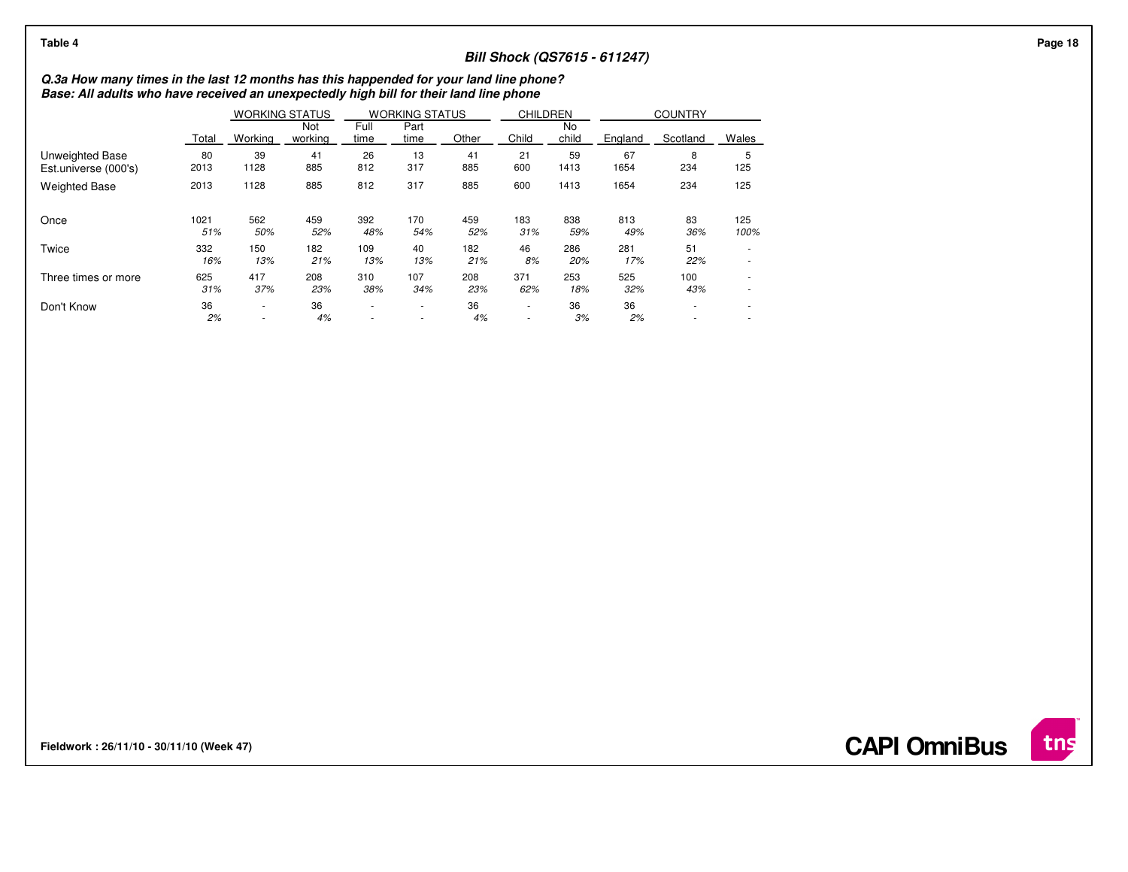| Table 4                                                                                                                                                                          |             |                  |                       |              |                                                      |            |                  |             | <b>Bill Shock (QS7615 - 611247)</b> |                |             |  |  |
|----------------------------------------------------------------------------------------------------------------------------------------------------------------------------------|-------------|------------------|-----------------------|--------------|------------------------------------------------------|------------|------------------|-------------|-------------------------------------|----------------|-------------|--|--|
| Q.3a How many times in the last 12 months has this happended for your land line phone?<br>Base: All adults who have received an unexpectedly high bill for their land line phone |             |                  |                       |              |                                                      |            |                  |             |                                     |                |             |  |  |
|                                                                                                                                                                                  |             |                  | <b>WORKING STATUS</b> |              | <b>WORKING STATUS</b>                                |            | <b>CHILDREN</b>  |             |                                     | <b>COUNTRY</b> |             |  |  |
|                                                                                                                                                                                  | Total       | Working          | Not<br>working        | Full<br>time | Part<br>time                                         | Other      | Child            | No<br>child | England                             | Scotland       | Wales       |  |  |
| Unweighted Base<br>Est.universe (000's)                                                                                                                                          | 80<br>2013  | 39<br>1128       | 41<br>885             | 26<br>812    | 13<br>317                                            | 41<br>885  | 21<br>600        | 59<br>1413  | 67<br>1654                          | 8<br>234       | ა<br>125    |  |  |
| <b>Weighted Base</b>                                                                                                                                                             | 2013        | 1128             | 885                   | 812          | 317                                                  | 885        | 600              | 1413        | 1654                                | 234            | 125         |  |  |
| Once                                                                                                                                                                             | 1021<br>51% | 562<br>50%       | 459<br>52%            | 392<br>48%   | 170<br>54%                                           | 459<br>52% | 183<br>31%       | 838<br>59%  | 813<br>49%                          | 83<br>36%      | 125<br>100% |  |  |
| Twice                                                                                                                                                                            | 332<br>16%  | 150<br>13%       | 182<br>21%            | 109<br>13%   | 40<br>13%                                            | 182<br>21% | 46<br>8%         | 286<br>20%  | 281<br>17%                          | 51<br>22%      | $\sim$      |  |  |
| Three times or more                                                                                                                                                              | 625<br>31%  | 417<br>37%       | 208<br>23%            | 310<br>38%   | 107<br>34%                                           | 208<br>23% | 371<br>62%       | 253<br>18%  | 525<br>32%                          | 100<br>43%     | $\sim$      |  |  |
| Don't Know                                                                                                                                                                       | 36<br>2%    | $\sim$<br>$\sim$ | 36<br>4%              | $\sim$       | $\overline{\phantom{a}}$<br>$\overline{\phantom{a}}$ | 36<br>4%   | $\sim$<br>$\sim$ | 36<br>3%    | 36<br>2%                            | $\sim$         | ۰<br>۰      |  |  |

**Fieldwork : 26/11/10 - 30/11/10 (Week 47)** 

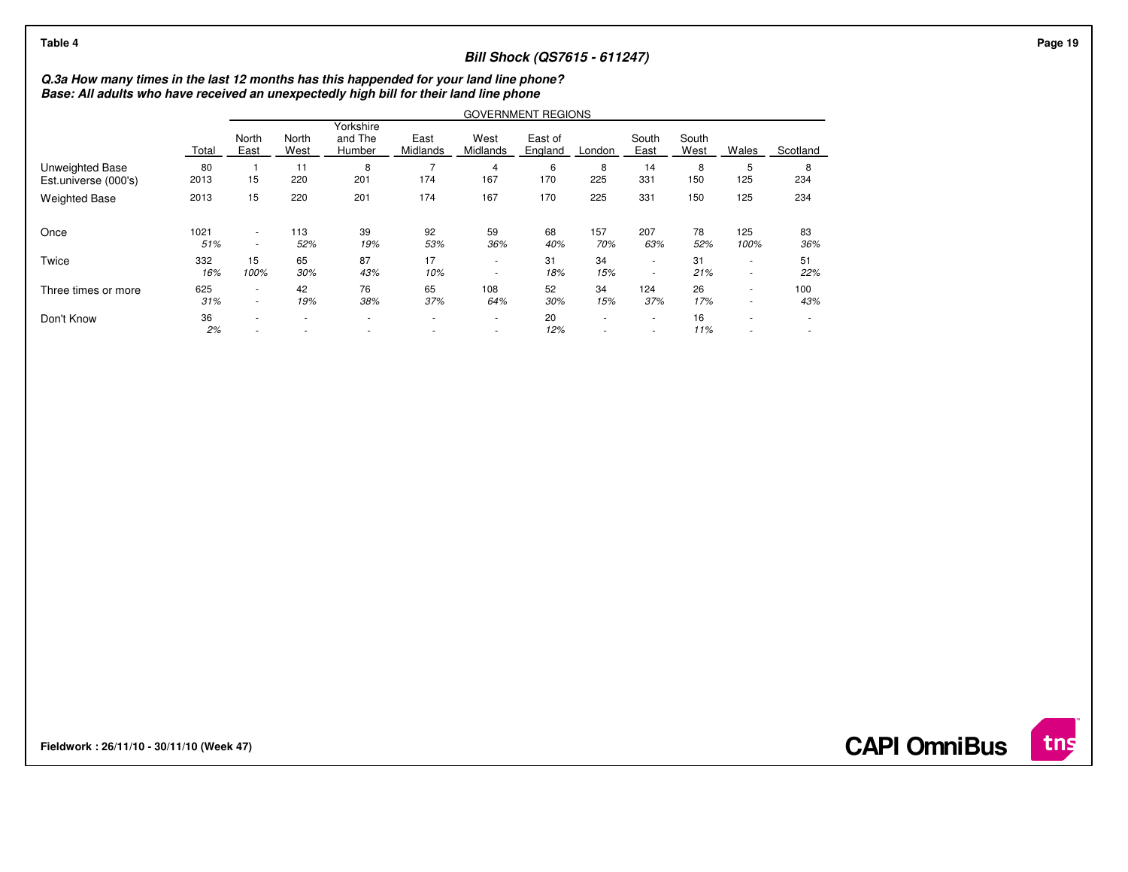| Table 4                                                                                                                                                                          |             |                                    |               |                                |                                            |                  | <b>Bill Shock (QS7615 - 611247)</b> |            |                                    |               |                                    |                  |
|----------------------------------------------------------------------------------------------------------------------------------------------------------------------------------|-------------|------------------------------------|---------------|--------------------------------|--------------------------------------------|------------------|-------------------------------------|------------|------------------------------------|---------------|------------------------------------|------------------|
| Q.3a How many times in the last 12 months has this happended for your land line phone?<br>Base: All adults who have received an unexpectedly high bill for their land line phone |             |                                    |               |                                |                                            |                  |                                     |            |                                    |               |                                    |                  |
|                                                                                                                                                                                  |             |                                    |               |                                |                                            |                  | <b>GOVERNMENT REGIONS</b>           |            |                                    |               |                                    |                  |
|                                                                                                                                                                                  | Total       | North<br>East                      | North<br>West | Yorkshire<br>and The<br>Humber | East<br>Midlands                           | West<br>Midlands | East of<br>England                  | London     | South<br>East                      | South<br>West | Wales                              | Scotland         |
| Unweighted Base<br>Est.universe (000's)                                                                                                                                          | 80<br>2013  | 15                                 | 11<br>220     | 8<br>201                       | 174                                        | 167              | 6<br>170                            | 8<br>225   | 14<br>331                          | 8<br>150      | 5<br>125                           | 8<br>234         |
| <b>Weighted Base</b>                                                                                                                                                             | 2013        | 15                                 | 220           | 201                            | 174                                        | 167              | 170                                 | 225        | 331                                | 150           | 125                                | 234              |
| Once                                                                                                                                                                             | 1021<br>51% | $\sim$<br>$\overline{\phantom{a}}$ | 113<br>52%    | 39<br>19%                      | 92<br>53%                                  | 59<br>36%        | 68<br>40%                           | 157<br>70% | 207<br>63%                         | 78<br>52%     | 125<br>100%                        | 83<br>36%        |
| Twice                                                                                                                                                                            | 332<br>16%  | 15<br>100%                         | 65<br>30%     | 87<br>43%                      | 17<br>10%                                  | ٠<br>$\sim$      | 31<br>18%                           | 34<br>15%  | $\sim$<br>$\overline{\phantom{a}}$ | 31<br>21%     | $\sim$<br>$\overline{\phantom{a}}$ | 51<br>22%        |
| Three times or more                                                                                                                                                              | 625<br>31%  | $\sim$<br>$\sim$                   | 42<br>19%     | 76<br>38%                      | 65<br>37%                                  | 108<br>64%       | 52<br>30%                           | 34<br>15%  | 124<br>37%                         | 26<br>17%     | $\sim$<br>$\overline{\phantom{a}}$ | 100<br>43%       |
| Don't Know                                                                                                                                                                       | 36<br>2%    | $\sim$                             | $\sim$        | $\sim$                         | $\overline{\phantom{a}}$<br>$\blacksquare$ | ٠<br>٠           | 20<br>12%                           | ٠<br>٠     | $\sim$<br>$\blacksquare$           | 16<br>11%     | $\sim$<br>٠                        | $\sim$<br>$\sim$ |

**Fieldwork : 26/11/10 - 30/11/10 (Week 47)** 

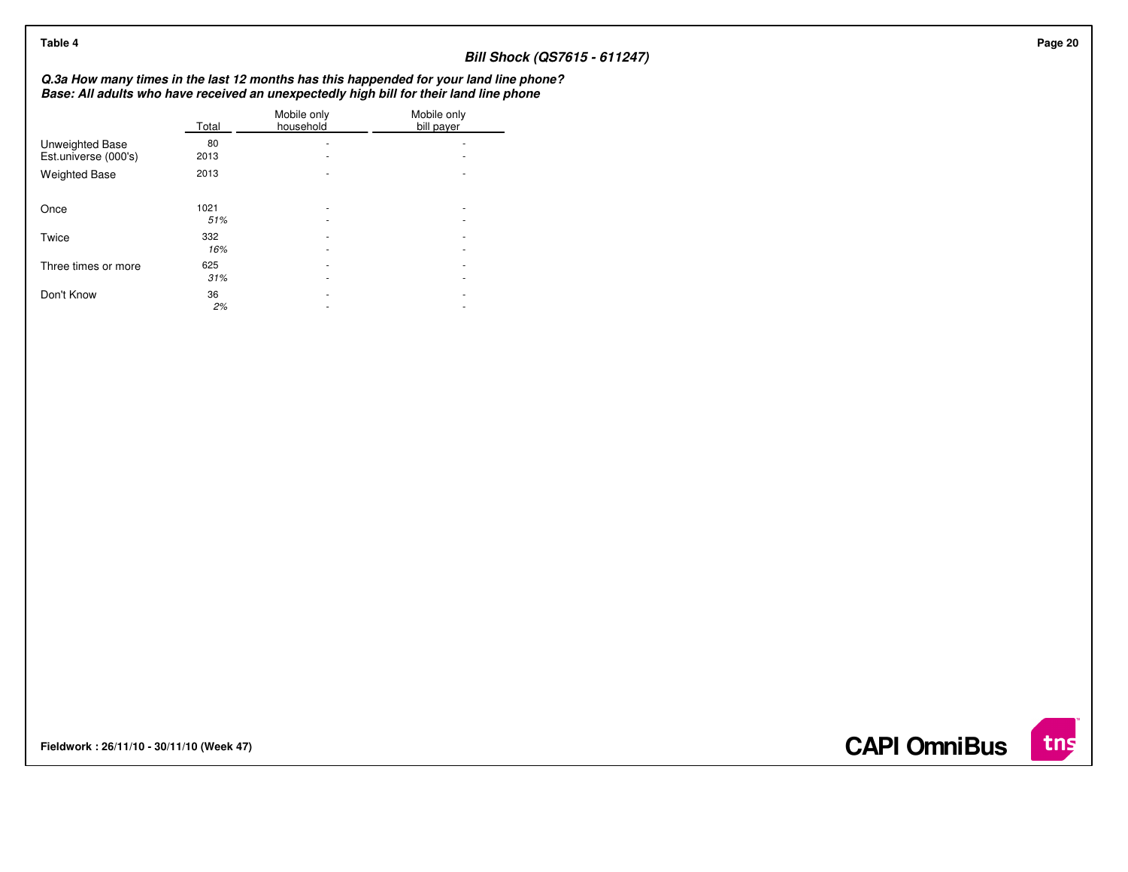| Table 4                                 |             |                          |                                                                                                                                                                                  | <b>Bill Shock (QS7615 - 611247)</b> |
|-----------------------------------------|-------------|--------------------------|----------------------------------------------------------------------------------------------------------------------------------------------------------------------------------|-------------------------------------|
|                                         |             |                          | Q.3a How many times in the last 12 months has this happended for your land line phone?<br>Base: All adults who have received an unexpectedly high bill for their land line phone |                                     |
|                                         | Total       | Mobile only<br>household | Mobile only<br>bill payer                                                                                                                                                        |                                     |
| Unweighted Base<br>Est.universe (000's) | 80<br>2013  | ٠<br>٠                   | $\overline{\phantom{a}}$                                                                                                                                                         |                                     |
| <b>Weighted Base</b>                    | 2013        | $\sim$                   | $\overline{\phantom{a}}$                                                                                                                                                         |                                     |
| Once                                    | 1021<br>51% | ٠<br>٠                   | $\overline{\phantom{a}}$<br>$\overline{\phantom{a}}$                                                                                                                             |                                     |
| Twice                                   | 332<br>16%  | ٠<br>۰                   | $\overline{\phantom{a}}$<br>$\overline{\phantom{a}}$                                                                                                                             |                                     |
| Three times or more                     | 625<br>31%  | ٠<br>٠                   | $\overline{\phantom{a}}$<br>$\overline{\phantom{a}}$                                                                                                                             |                                     |
| Don't Know                              | 36<br>2%    | ٠<br>٠                   | $\sim$<br>$\overline{\phantom{a}}$                                                                                                                                               |                                     |
|                                         |             |                          |                                                                                                                                                                                  |                                     |

**Fieldwork : 26/11/10 - 30/11/10 (Week 47)** 

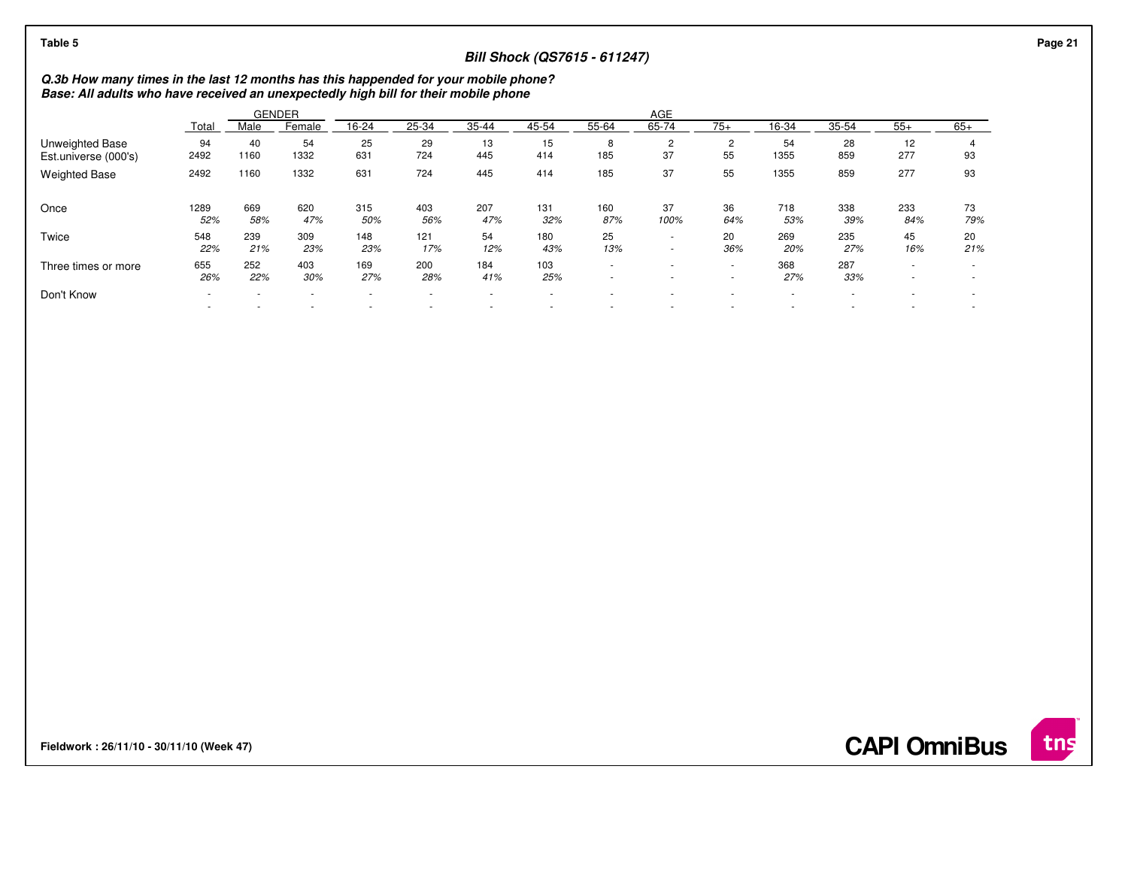| Table 5                                                                                                                                                                    |             | <b>Bill Shock (QS7615 - 611247)</b> |               |                          |                               |            |            |                  |                      |                          |            |            |                  |                               | Page 21 |
|----------------------------------------------------------------------------------------------------------------------------------------------------------------------------|-------------|-------------------------------------|---------------|--------------------------|-------------------------------|------------|------------|------------------|----------------------|--------------------------|------------|------------|------------------|-------------------------------|---------|
| Q.3b How many times in the last 12 months has this happended for your mobile phone?<br>Base: All adults who have received an unexpectedly high bill for their mobile phone |             |                                     |               |                          |                               |            |            |                  |                      |                          |            |            |                  |                               |         |
|                                                                                                                                                                            |             |                                     | <b>GENDER</b> |                          |                               |            |            |                  | AGE                  |                          |            |            |                  |                               |         |
|                                                                                                                                                                            | Total       | Male                                | Female        | 16-24                    | 25-34                         | 35-44      | 45-54      | 55-64            | 65-74                | $75+$                    | 16-34      | $35 - 54$  | $55+$            | $65+$                         |         |
| <b>Unweighted Base</b><br>Est.universe (000's)                                                                                                                             | 94<br>2492  | 40<br>1160                          | 54<br>1332    | 25<br>631                | 29<br>724                     | 13<br>445  | 15<br>414  | 8<br>185         | $\overline{2}$<br>37 | 2<br>55                  | 54<br>1355 | 28<br>859  | 12<br>277        | 93                            |         |
| <b>Weighted Base</b>                                                                                                                                                       | 2492        | 1160                                | 1332          | 631                      | 724                           | 445        | 414        | 185              | 37                   | 55                       | 1355       | 859        | 277              | 93                            |         |
| Once                                                                                                                                                                       | 1289<br>52% | 669<br>58%                          | 620<br>47%    | 315<br>50%               | 403<br>56%                    | 207<br>47% | 131<br>32% | 160<br>87%       | 37<br>100%           | 36<br>64%                | 718<br>53% | 338<br>39% | 233<br>84%       | 73<br>79%                     |         |
| Twice                                                                                                                                                                      | 548<br>22%  | 239<br>21%                          | 309<br>23%    | 148<br>23%               | 121<br>17%                    | 54<br>12%  | 180<br>43% | 25<br>13%        | $\sim$<br>$\sim$     | 20<br>36%                | 269<br>20% | 235<br>27% | 45<br>16%        | 20<br>21%                     |         |
| Three times or more                                                                                                                                                        | 655<br>26%  | 252<br>22%                          | 403<br>30%    | 169<br>27%               | 200<br>28%                    | 184<br>41% | 103<br>25% | $\sim$<br>$\sim$ | $\sim$               | $\sim$<br>$\sim$         | 368<br>27% | 287<br>33% | $\sim$<br>$\sim$ | $\overline{\phantom{a}}$<br>٠ |         |
| Don't Know                                                                                                                                                                 | $\sim$      |                                     | ٠             | $\overline{\phantom{a}}$ | $\overline{\phantom{a}}$<br>٠ |            | $\sim$     | ٠                |                      | $\overline{\phantom{a}}$ | ٠<br>٠     |            |                  | $\overline{\phantom{a}}$      |         |
|                                                                                                                                                                            |             |                                     |               |                          |                               |            |            |                  |                      |                          |            |            |                  |                               |         |

**Fieldwork : 26/11/10 - 30/11/10 (Week 47)** 

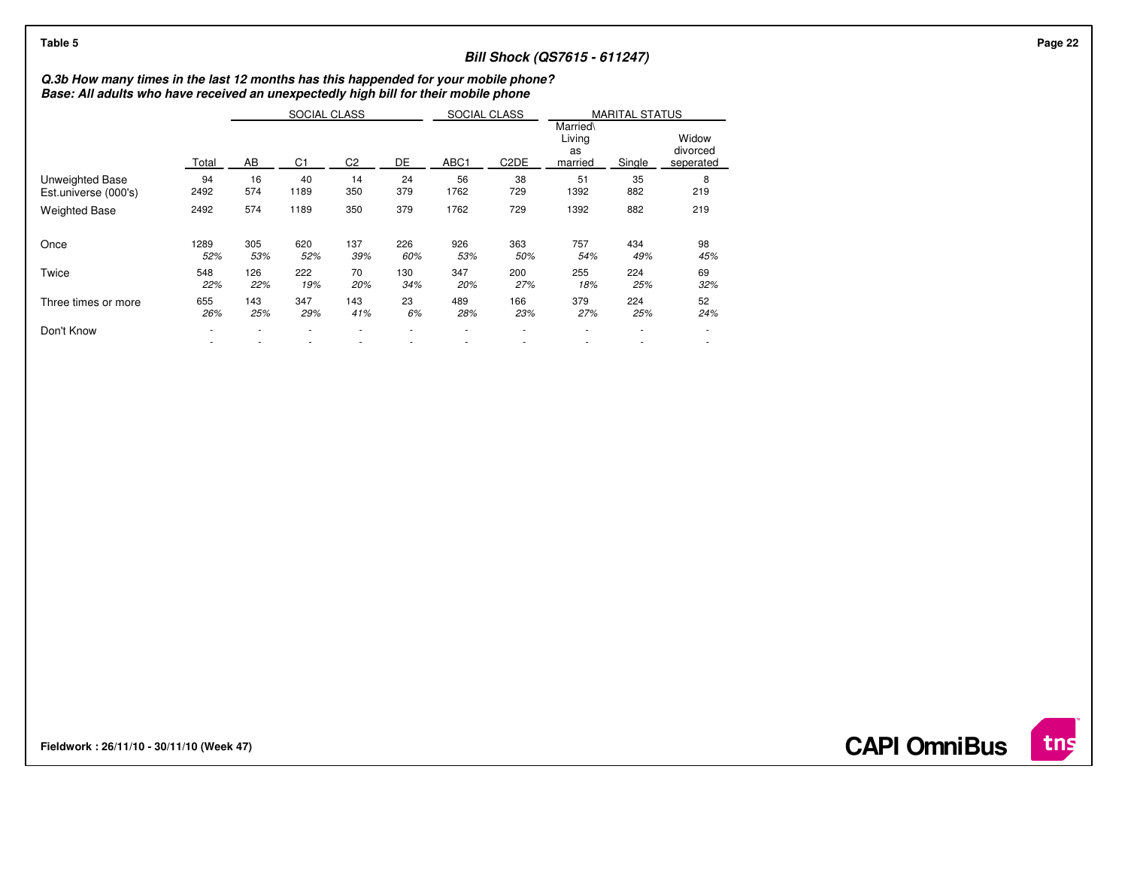| Table 5                                                                                                                                                                    |             |            |                |                |            |            |                   | <b>Bill Shock (QS7615 - 611247)</b> |                          |                                |
|----------------------------------------------------------------------------------------------------------------------------------------------------------------------------|-------------|------------|----------------|----------------|------------|------------|-------------------|-------------------------------------|--------------------------|--------------------------------|
| Q.3b How many times in the last 12 months has this happended for your mobile phone?<br>Base: All adults who have received an unexpectedly high bill for their mobile phone |             |            |                |                |            |            |                   |                                     |                          |                                |
|                                                                                                                                                                            |             |            | SOCIAL CLASS   |                |            |            | SOCIAL CLASS      | <b>MARITAL STATUS</b><br>Married\   |                          |                                |
|                                                                                                                                                                            | Total       | AB         | C <sub>1</sub> | C <sub>2</sub> | DE         | ABC1       | C <sub>2</sub> DE | Living<br>as<br>married             | Single                   | Widow<br>divorced<br>seperated |
| Unweighted Base<br>Est.universe (000's)                                                                                                                                    | 94<br>2492  | 16<br>574  | 40<br>1189     | 14<br>350      | 24<br>379  | 56<br>1762 | 38<br>729         | 51<br>1392                          | 35<br>882                | 8<br>219                       |
| <b>Weighted Base</b>                                                                                                                                                       | 2492        | 574        | 1189           | 350            | 379        | 1762       | 729               | 1392                                | 882                      | 219                            |
| Once                                                                                                                                                                       | 1289<br>52% | 305<br>53% | 620<br>52%     | 137<br>39%     | 226<br>60% | 926<br>53% | 363<br>50%        | 757<br>54%                          | 434<br>49%               | 98<br>45%                      |
| Twice                                                                                                                                                                      | 548<br>22%  | 126<br>22% | 222<br>19%     | 70<br>20%      | 130<br>34% | 347<br>20% | 200<br>27%        | 255<br>18%                          | 224<br>25%               | 69<br>32%                      |
| Three times or more                                                                                                                                                        | 655<br>26%  | 143<br>25% | 347<br>29%     | 143<br>41%     | 23<br>6%   | 489<br>28% | 166<br>23%        | 379<br>27%                          | 224<br>25%               | 52<br>24%                      |
| Don't Know                                                                                                                                                                 |             |            |                |                |            |            |                   |                                     | $\overline{\phantom{a}}$ | $\sim$<br>٠                    |
|                                                                                                                                                                            |             |            |                |                |            |            |                   |                                     |                          |                                |

**Fieldwork : 26/11/10 - 30/11/10 (Week 47)** 

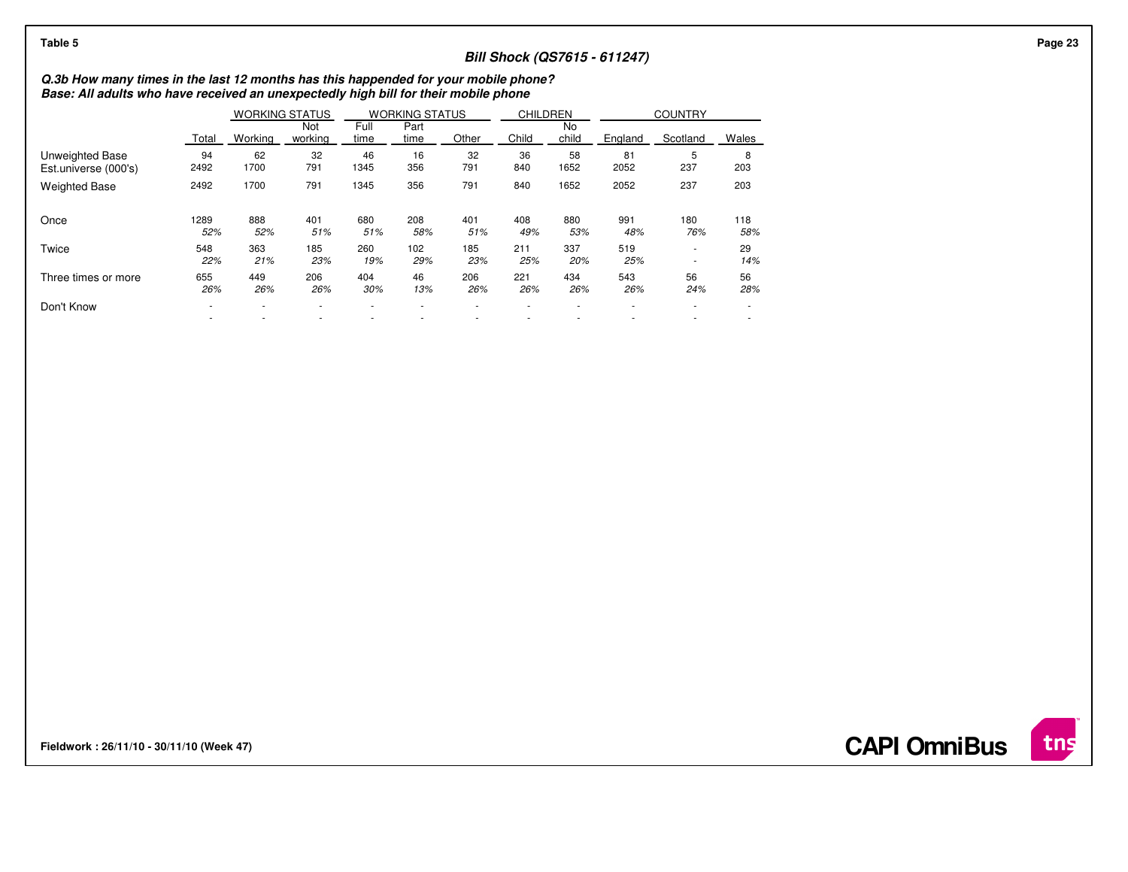| Table 5                                                                                                                                                                    |                          |                       |                |              |                       |            |                 |             | <b>Bill Shock (QS7615 - 611247)</b> |                  |            |
|----------------------------------------------------------------------------------------------------------------------------------------------------------------------------|--------------------------|-----------------------|----------------|--------------|-----------------------|------------|-----------------|-------------|-------------------------------------|------------------|------------|
| Q.3b How many times in the last 12 months has this happended for your mobile phone?<br>Base: All adults who have received an unexpectedly high bill for their mobile phone |                          |                       |                |              |                       |            |                 |             |                                     |                  |            |
|                                                                                                                                                                            |                          | <b>WORKING STATUS</b> |                |              | <b>WORKING STATUS</b> |            | <b>CHILDREN</b> |             |                                     | <b>COUNTRY</b>   |            |
|                                                                                                                                                                            | Total                    | Working               | Not<br>working | Full<br>time | Part<br>time          | Other      | Child           | No<br>child | England                             | Scotland         | Wales      |
| Unweighted Base<br>Est.universe (000's)                                                                                                                                    | 94<br>2492               | 62<br>1700            | 32<br>791      | 46<br>1345   | 16<br>356             | 32<br>791  | 36<br>840       | 58<br>1652  | 81<br>2052                          | b<br>237         | 8<br>203   |
| <b>Weighted Base</b>                                                                                                                                                       | 2492                     | 1700                  | 791            | 1345         | 356                   | 791        | 840             | 1652        | 2052                                | 237              | 203        |
| Once                                                                                                                                                                       | 1289<br>52%              | 888<br>52%            | 401<br>51%     | 680<br>51%   | 208<br>58%            | 401<br>51% | 408<br>49%      | 880<br>53%  | 991<br>48%                          | 180<br>76%       | 118<br>58% |
| Twice                                                                                                                                                                      | 548<br>22%               | 363<br>21%            | 185<br>23%     | 260<br>19%   | 102<br>29%            | 185<br>23% | 211<br>25%      | 337<br>20%  | 519<br>25%                          | $\sim$<br>$\sim$ | 29<br>14%  |
| Three times or more                                                                                                                                                        | 655<br>26%               | 449<br>26%            | 206<br>26%     | 404<br>30%   | 46<br>13%             | 206<br>26% | 221<br>26%      | 434<br>26%  | 543<br>26%                          | 56<br>24%        | 56<br>28%  |
| Don't Know                                                                                                                                                                 | $\overline{\phantom{a}}$ |                       | ٠              |              |                       |            |                 |             |                                     |                  |            |

**Fieldwork : 26/11/10 - 30/11/10 (Week 47)** 

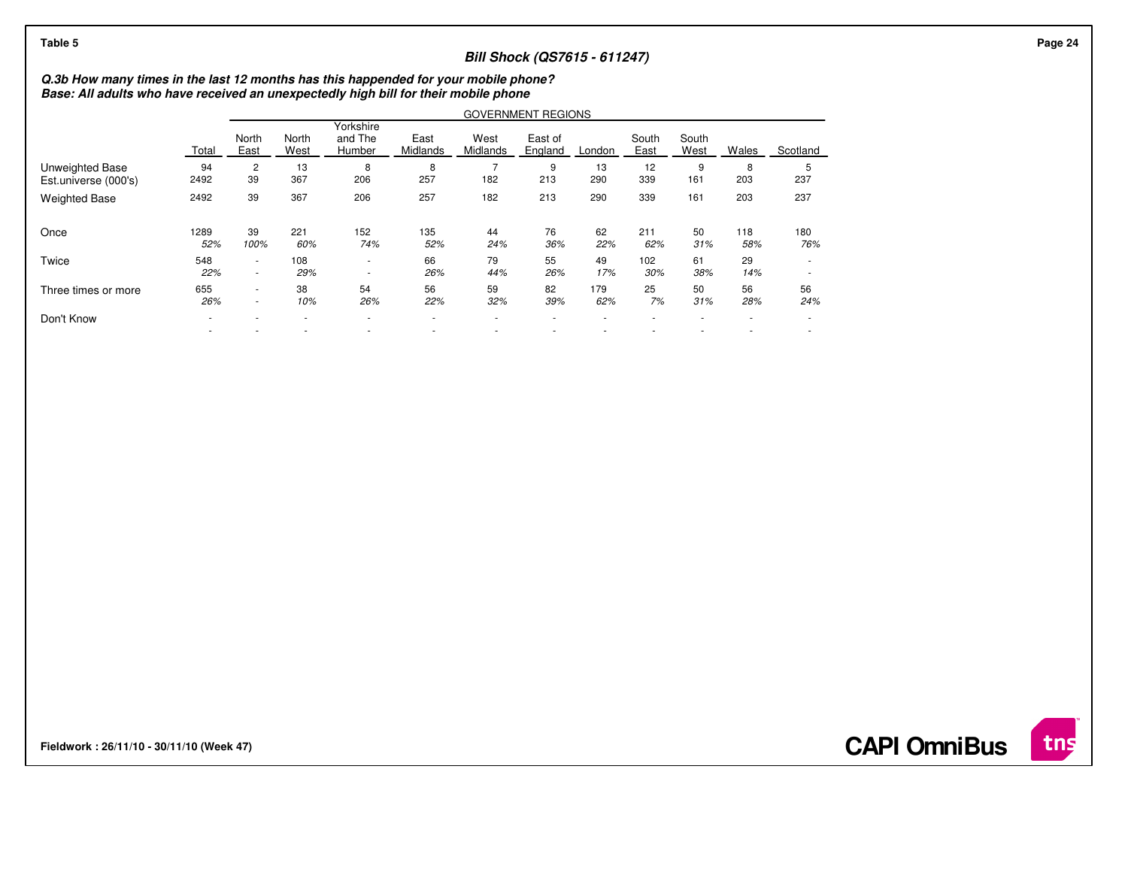| Table 5                                 | <b>Bill Shock (QS7615 - 611247)</b><br>Q.3b How many times in the last 12 months has this happended for your mobile phone?<br>Base: All adults who have received an unexpectedly high bill for their mobile phone<br><b>GOVERNMENT REGIONS</b><br>Yorkshire<br>and The<br>North<br>West<br>East of<br>South<br>East<br>South<br>North<br>Midlands<br>East<br>West<br>Midlands<br>East<br>West<br>Wales<br>Scotland<br>England<br>Total<br>Humber<br>London<br>94<br>12<br>13<br>13<br>9<br>2<br>8<br>8<br>9<br>8<br>5<br>367<br>257<br>290<br>339<br>237<br>39<br>206<br>182<br>213<br>2492<br>161<br>203 |                  |            |                                    |                                                      |           |           |            |            |           |            |            |
|-----------------------------------------|-----------------------------------------------------------------------------------------------------------------------------------------------------------------------------------------------------------------------------------------------------------------------------------------------------------------------------------------------------------------------------------------------------------------------------------------------------------------------------------------------------------------------------------------------------------------------------------------------------------|------------------|------------|------------------------------------|------------------------------------------------------|-----------|-----------|------------|------------|-----------|------------|------------|
|                                         |                                                                                                                                                                                                                                                                                                                                                                                                                                                                                                                                                                                                           |                  |            |                                    |                                                      |           |           |            |            |           |            |            |
|                                         |                                                                                                                                                                                                                                                                                                                                                                                                                                                                                                                                                                                                           |                  |            |                                    |                                                      |           |           |            |            |           |            |            |
|                                         |                                                                                                                                                                                                                                                                                                                                                                                                                                                                                                                                                                                                           |                  |            |                                    |                                                      |           |           |            |            |           |            |            |
| Unweighted Base<br>Est.universe (000's) |                                                                                                                                                                                                                                                                                                                                                                                                                                                                                                                                                                                                           |                  |            |                                    |                                                      |           |           |            |            |           |            |            |
| <b>Weighted Base</b>                    | 2492                                                                                                                                                                                                                                                                                                                                                                                                                                                                                                                                                                                                      | 39               | 367        | 206                                | 257                                                  | 182       | 213       | 290        | 339        | 161       | 203        | 237        |
| Once                                    | 1289<br>52%                                                                                                                                                                                                                                                                                                                                                                                                                                                                                                                                                                                               | 39<br>100%       | 221<br>60% | 152<br>74%                         | 135<br>52%                                           | 44<br>24% | 76<br>36% | 62<br>22%  | 211<br>62% | 50<br>31% | 118<br>58% | 180<br>76% |
| Twice                                   | 548<br>22%                                                                                                                                                                                                                                                                                                                                                                                                                                                                                                                                                                                                | $\sim$<br>$\sim$ | 108<br>29% | $\sim$<br>$\overline{\phantom{a}}$ | 66<br>26%                                            | 79<br>44% | 55<br>26% | 49<br>17%  | 102<br>30% | 61<br>38% | 29<br>14%  |            |
| Three times or more                     | 655<br>26%                                                                                                                                                                                                                                                                                                                                                                                                                                                                                                                                                                                                | $\sim$<br>$\sim$ | 38<br>10%  | 54<br>26%                          | 56<br>22%                                            | 59<br>32% | 82<br>39% | 179<br>62% | 25<br>7%   | 50<br>31% | 56<br>28%  | 56<br>24%  |
| Don't Know                              | ٠                                                                                                                                                                                                                                                                                                                                                                                                                                                                                                                                                                                                         |                  |            |                                    | $\overline{\phantom{a}}$<br>$\overline{\phantom{a}}$ | ۰<br>۰    |           |            |            |           |            | $\sim$     |

**Fieldwork : 26/11/10 - 30/11/10 (Week 47)** 

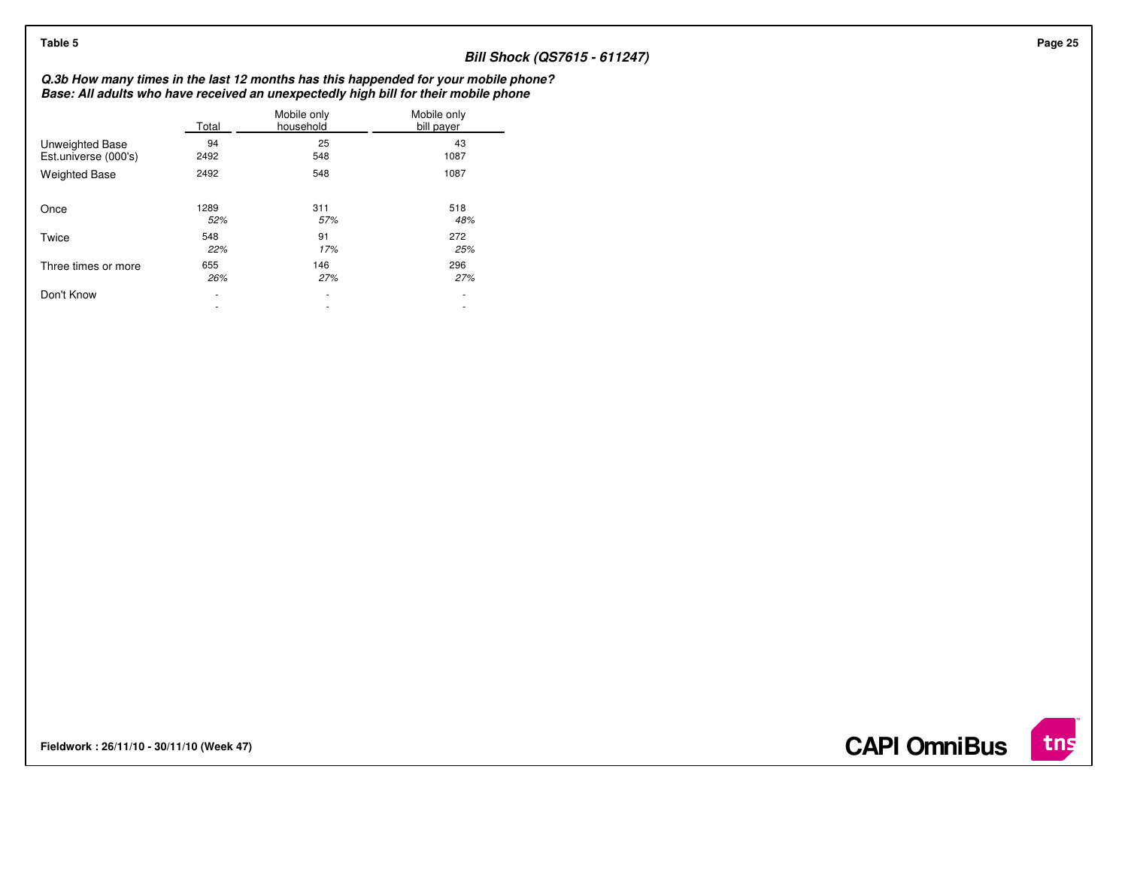| Table 5                                 |                          |                          |                                                                                                                                                                            |
|-----------------------------------------|--------------------------|--------------------------|----------------------------------------------------------------------------------------------------------------------------------------------------------------------------|
|                                         |                          |                          | <b>Bill Shock (QS7615 - 611247)</b>                                                                                                                                        |
|                                         |                          |                          | Q.3b How many times in the last 12 months has this happended for your mobile phone?<br>Base: All adults who have received an unexpectedly high bill for their mobile phone |
|                                         | Total                    | Mobile only<br>household | Mobile only<br>bill payer                                                                                                                                                  |
| Unweighted Base<br>Est.universe (000's) | 94<br>2492               | 25<br>548                | 43<br>1087                                                                                                                                                                 |
| <b>Weighted Base</b>                    | 2492                     | 548                      | 1087                                                                                                                                                                       |
| Once                                    | 1289<br>52%              | 311<br>57%               | 518<br>48%                                                                                                                                                                 |
| Twice                                   | 548<br>22%               | 91<br>17%                | 272<br>25%                                                                                                                                                                 |
| Three times or more                     | 655<br>26%               | 146<br>27%               | 296<br>27%                                                                                                                                                                 |
| Don't Know                              | $\overline{\phantom{a}}$ | $\sim$                   | $\overline{\phantom{a}}$                                                                                                                                                   |
|                                         | $\overline{\phantom{a}}$ | $\sim$                   | $\overline{\phantom{a}}$                                                                                                                                                   |

**Fieldwork : 26/11/10 - 30/11/10 (Week 47)** 

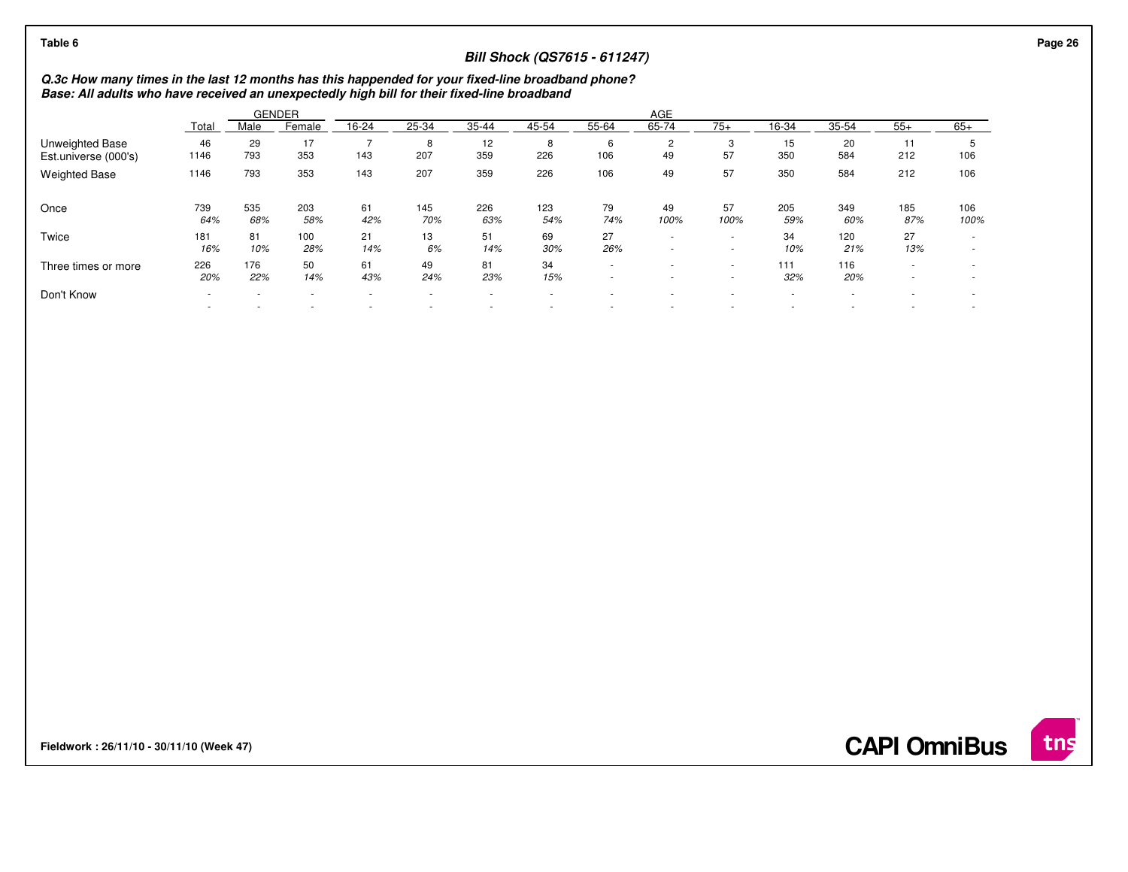| Q.3c How many times in the last 12 months has this happended for your fixed-line broadband phone?<br>Base: All adults who have received an unexpectedly high bill for their fixed-line broadband<br>AGE<br><b>GENDER</b><br>65-74<br>25-34<br>35-44<br>45-54<br>55-64<br>$75+$<br>35-54<br>$55+$<br>$65+$<br>16-24<br>16-34<br>Male<br>Female<br>Total<br>20<br>46<br>29<br>17<br>12<br><b>Unweighted Base</b><br>$\overline{2}$<br>3<br>15<br>11<br>8<br>8<br>6<br>÷<br>226<br>57<br>793<br>207<br>359<br>106<br>49<br>350<br>584<br>106<br>1146<br>353<br>143<br>212<br>Est.universe (000's)<br>226<br>793<br>353<br>143<br>207<br>359<br>49<br>57<br>350<br>584<br>212<br>106<br><b>Weighted Base</b><br>1146<br>106<br>535<br>145<br>79<br>49<br>57<br>739<br>203<br>61<br>226<br>123<br>205<br>349<br>185<br>106<br>Once<br>64%<br>42%<br>70%<br>63%<br>74%<br>100%<br>59%<br>68%<br>58%<br>54%<br>100%<br>60%<br>87%<br>100%<br>21<br>27<br>27<br>81<br>13<br>51<br>69<br>34<br>120<br>Twice<br>181<br>100<br>$\overline{\phantom{a}}$<br>$\sim$<br>10%<br>16%<br>14%<br>6%<br>26%<br>13%<br>10%<br>28%<br>14%<br>30%<br>21%<br>$\sim$<br>$\sim$<br>50<br>34<br>116<br>226<br>176<br>61<br>49<br>81<br>111<br>Three times or more<br>$\sim$<br><b>м</b><br>20%<br>22%<br>14%<br>43%<br>24%<br>23%<br>32%<br>20%<br>15%<br>$\sim$<br>$\sim$<br>$\overline{\phantom{a}}$<br>$\sim$<br>$\sim$<br>$\sim$<br>$\overline{\phantom{a}}$<br>$\sim$<br>$\sim$<br>$\sim$ | Table 6    |  |  |  | <b>Bill Shock (QS7615 - 611247)</b> |  |  |  |  |
|----------------------------------------------------------------------------------------------------------------------------------------------------------------------------------------------------------------------------------------------------------------------------------------------------------------------------------------------------------------------------------------------------------------------------------------------------------------------------------------------------------------------------------------------------------------------------------------------------------------------------------------------------------------------------------------------------------------------------------------------------------------------------------------------------------------------------------------------------------------------------------------------------------------------------------------------------------------------------------------------------------------------------------------------------------------------------------------------------------------------------------------------------------------------------------------------------------------------------------------------------------------------------------------------------------------------------------------------------------------------------------------------------------------------------------------------------------------------|------------|--|--|--|-------------------------------------|--|--|--|--|
|                                                                                                                                                                                                                                                                                                                                                                                                                                                                                                                                                                                                                                                                                                                                                                                                                                                                                                                                                                                                                                                                                                                                                                                                                                                                                                                                                                                                                                                                      |            |  |  |  |                                     |  |  |  |  |
|                                                                                                                                                                                                                                                                                                                                                                                                                                                                                                                                                                                                                                                                                                                                                                                                                                                                                                                                                                                                                                                                                                                                                                                                                                                                                                                                                                                                                                                                      |            |  |  |  |                                     |  |  |  |  |
|                                                                                                                                                                                                                                                                                                                                                                                                                                                                                                                                                                                                                                                                                                                                                                                                                                                                                                                                                                                                                                                                                                                                                                                                                                                                                                                                                                                                                                                                      |            |  |  |  |                                     |  |  |  |  |
|                                                                                                                                                                                                                                                                                                                                                                                                                                                                                                                                                                                                                                                                                                                                                                                                                                                                                                                                                                                                                                                                                                                                                                                                                                                                                                                                                                                                                                                                      |            |  |  |  |                                     |  |  |  |  |
|                                                                                                                                                                                                                                                                                                                                                                                                                                                                                                                                                                                                                                                                                                                                                                                                                                                                                                                                                                                                                                                                                                                                                                                                                                                                                                                                                                                                                                                                      |            |  |  |  |                                     |  |  |  |  |
|                                                                                                                                                                                                                                                                                                                                                                                                                                                                                                                                                                                                                                                                                                                                                                                                                                                                                                                                                                                                                                                                                                                                                                                                                                                                                                                                                                                                                                                                      |            |  |  |  |                                     |  |  |  |  |
|                                                                                                                                                                                                                                                                                                                                                                                                                                                                                                                                                                                                                                                                                                                                                                                                                                                                                                                                                                                                                                                                                                                                                                                                                                                                                                                                                                                                                                                                      |            |  |  |  |                                     |  |  |  |  |
|                                                                                                                                                                                                                                                                                                                                                                                                                                                                                                                                                                                                                                                                                                                                                                                                                                                                                                                                                                                                                                                                                                                                                                                                                                                                                                                                                                                                                                                                      |            |  |  |  |                                     |  |  |  |  |
| $\blacksquare$                                                                                                                                                                                                                                                                                                                                                                                                                                                                                                                                                                                                                                                                                                                                                                                                                                                                                                                                                                                                                                                                                                                                                                                                                                                                                                                                                                                                                                                       | Don't Know |  |  |  |                                     |  |  |  |  |

**Fieldwork : 26/11/10 - 30/11/10 (Week 47)** 

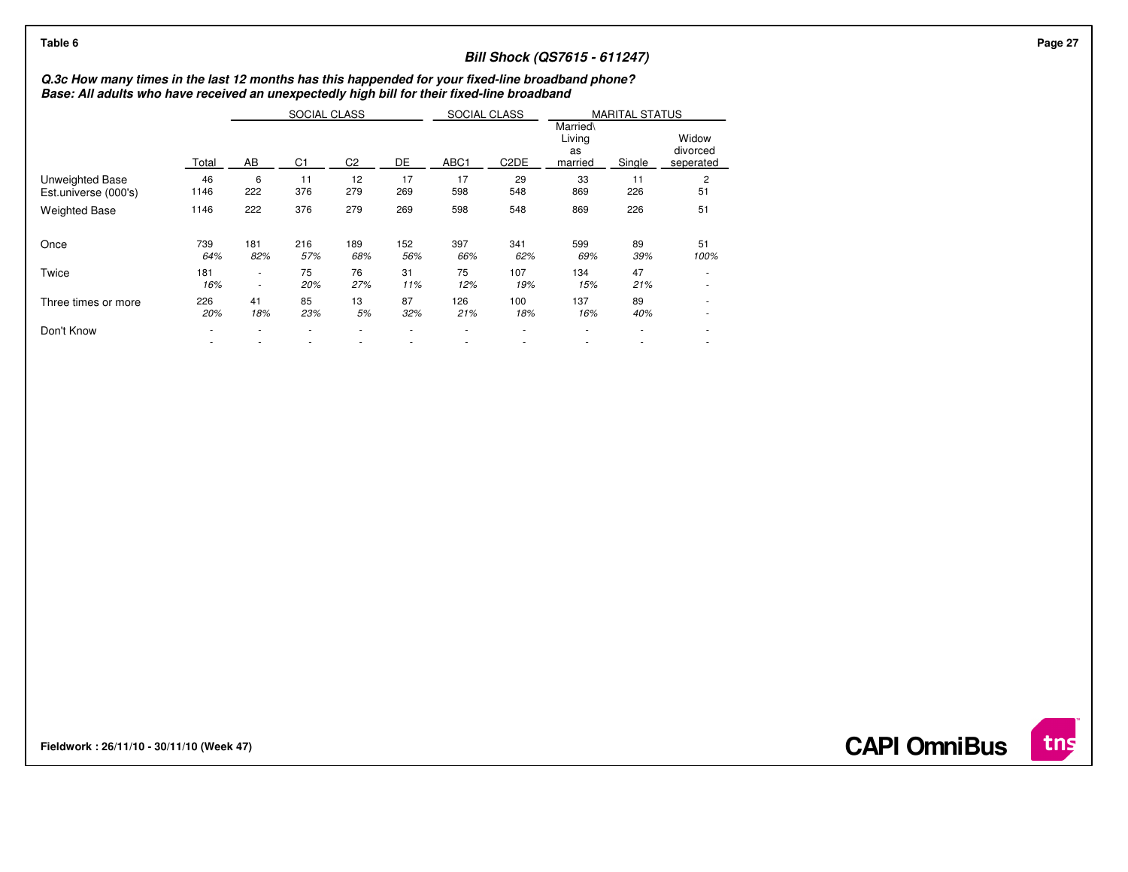| Table 6                                                                                                                                                                                          |            |                  |                                |                |            |            |                                   | <b>Bill Shock (QS7615 - 611247)</b> |                                 |                                                      |  |
|--------------------------------------------------------------------------------------------------------------------------------------------------------------------------------------------------|------------|------------------|--------------------------------|----------------|------------|------------|-----------------------------------|-------------------------------------|---------------------------------|------------------------------------------------------|--|
| Q.3c How many times in the last 12 months has this happended for your fixed-line broadband phone?<br>Base: All adults who have received an unexpectedly high bill for their fixed-line broadband |            |                  |                                |                |            |            |                                   |                                     |                                 |                                                      |  |
|                                                                                                                                                                                                  | Total      | AB               | SOCIAL CLASS<br>C <sub>1</sub> | C <sub>2</sub> | DE         | ABC1       | SOCIAL CLASS<br>C <sub>2</sub> DE | Married\<br>Living<br>as<br>married | <b>MARITAL STATUS</b><br>Single | Widow<br>divorced<br>seperated                       |  |
| Unweighted Base<br>Est.universe (000's)                                                                                                                                                          | 46<br>1146 | 6<br>222         | 11<br>376                      | 12<br>279      | 17<br>269  | 17<br>598  | 29<br>548                         | 33<br>869                           | 11<br>226                       | $\overline{2}$<br>51                                 |  |
| <b>Weighted Base</b>                                                                                                                                                                             | 1146       | 222              | 376                            | 279            | 269        | 598        | 548                               | 869                                 | 226                             | 51                                                   |  |
| Once                                                                                                                                                                                             | 739<br>64% | 181<br>82%       | 216<br>57%                     | 189<br>68%     | 152<br>56% | 397<br>66% | 341<br>62%                        | 599<br>69%                          | 89<br>39%                       | 51<br>100%                                           |  |
| Twice                                                                                                                                                                                            | 181<br>16% | $\sim$<br>$\sim$ | 75<br>20%                      | 76<br>27%      | 31<br>11%  | 75<br>12%  | 107<br>19%                        | 134<br>15%                          | 47<br>21%                       | $\overline{\phantom{a}}$<br>$\overline{\phantom{a}}$ |  |
| Three times or more                                                                                                                                                                              | 226<br>20% | 41<br>18%        | 85<br>23%                      | 13<br>5%       | 87<br>32%  | 126<br>21% | 100<br>18%                        | 137<br>16%                          | 89<br>40%                       | $\sim$<br>$\sim$                                     |  |
| Don't Know                                                                                                                                                                                       |            |                  |                                |                |            |            |                                   |                                     |                                 | ٠                                                    |  |

**Fieldwork : 26/11/10 - 30/11/10 (Week 47)** 

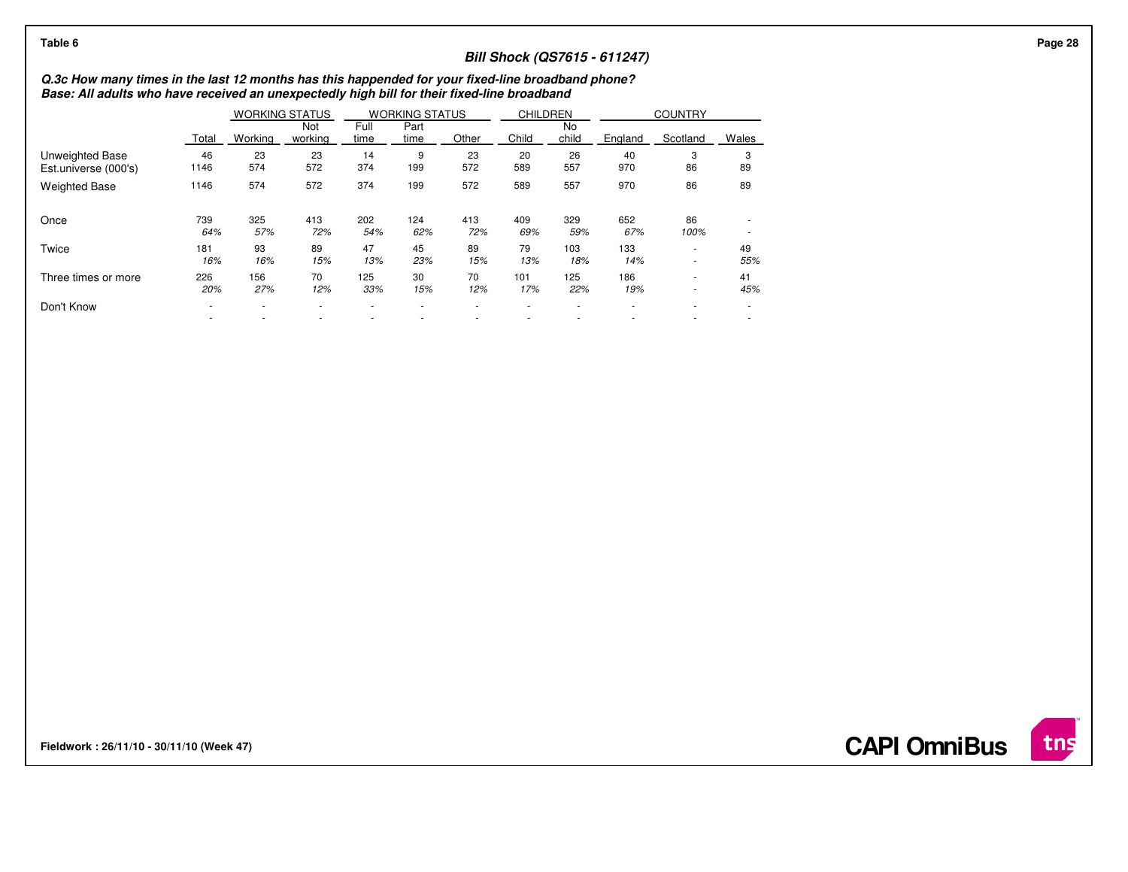| Table 6                                                                                                                                                                                          |            |            |                       |              |                       |            |                 |             | <b>Bill Shock (QS7615 - 611247)</b> |                |                          |  |
|--------------------------------------------------------------------------------------------------------------------------------------------------------------------------------------------------|------------|------------|-----------------------|--------------|-----------------------|------------|-----------------|-------------|-------------------------------------|----------------|--------------------------|--|
| Q.3c How many times in the last 12 months has this happended for your fixed-line broadband phone?<br>Base: All adults who have received an unexpectedly high bill for their fixed-line broadband |            |            |                       |              |                       |            |                 |             |                                     |                |                          |  |
|                                                                                                                                                                                                  |            |            | <b>WORKING STATUS</b> |              | <b>WORKING STATUS</b> |            | <b>CHILDREN</b> |             |                                     | <b>COUNTRY</b> |                          |  |
|                                                                                                                                                                                                  | Total      | Working    | Not<br>working        | Full<br>time | Part<br>time          | Other      | Child           | No<br>child | England                             | Scotland       | Wales                    |  |
| Unweighted Base<br>Est.universe (000's)                                                                                                                                                          | 46<br>1146 | 23<br>574  | 23<br>572             | 14<br>374    | 9<br>199              | 23<br>572  | 20<br>589       | 26<br>557   | 40<br>970                           | 3<br>86        | 3<br>89                  |  |
| <b>Weighted Base</b>                                                                                                                                                                             | 1146       | 574        | 572                   | 374          | 199                   | 572        | 589             | 557         | 970                                 | 86             | 89                       |  |
| Once                                                                                                                                                                                             | 739<br>64% | 325<br>57% | 413<br>72%            | 202<br>54%   | 124<br>62%            | 413<br>72% | 409<br>69%      | 329<br>59%  | 652<br>67%                          | 86<br>100%     | $\overline{\phantom{a}}$ |  |
| Twice                                                                                                                                                                                            | 181<br>16% | 93<br>16%  | 89<br>15%             | 47<br>13%    | 45<br>23%             | 89<br>15%  | 79<br>13%       | 103<br>18%  | 133<br>14%                          | $\sim$<br>۰.   | 49<br>55%                |  |
| Three times or more                                                                                                                                                                              | 226<br>20% | 156<br>27% | 70<br>12%             | 125<br>33%   | 30<br>15%             | 70<br>12%  | 101<br>17%      | 125<br>22%  | 186<br>19%                          | $\sim$<br>۰.   | 41<br>45%                |  |
| Don't Know                                                                                                                                                                                       |            |            |                       |              |                       |            |                 |             |                                     |                |                          |  |
|                                                                                                                                                                                                  |            |            |                       |              |                       |            |                 |             |                                     |                |                          |  |

**Fieldwork : 26/11/10 - 30/11/10 (Week 47)** 



**CAPI OmniBus**

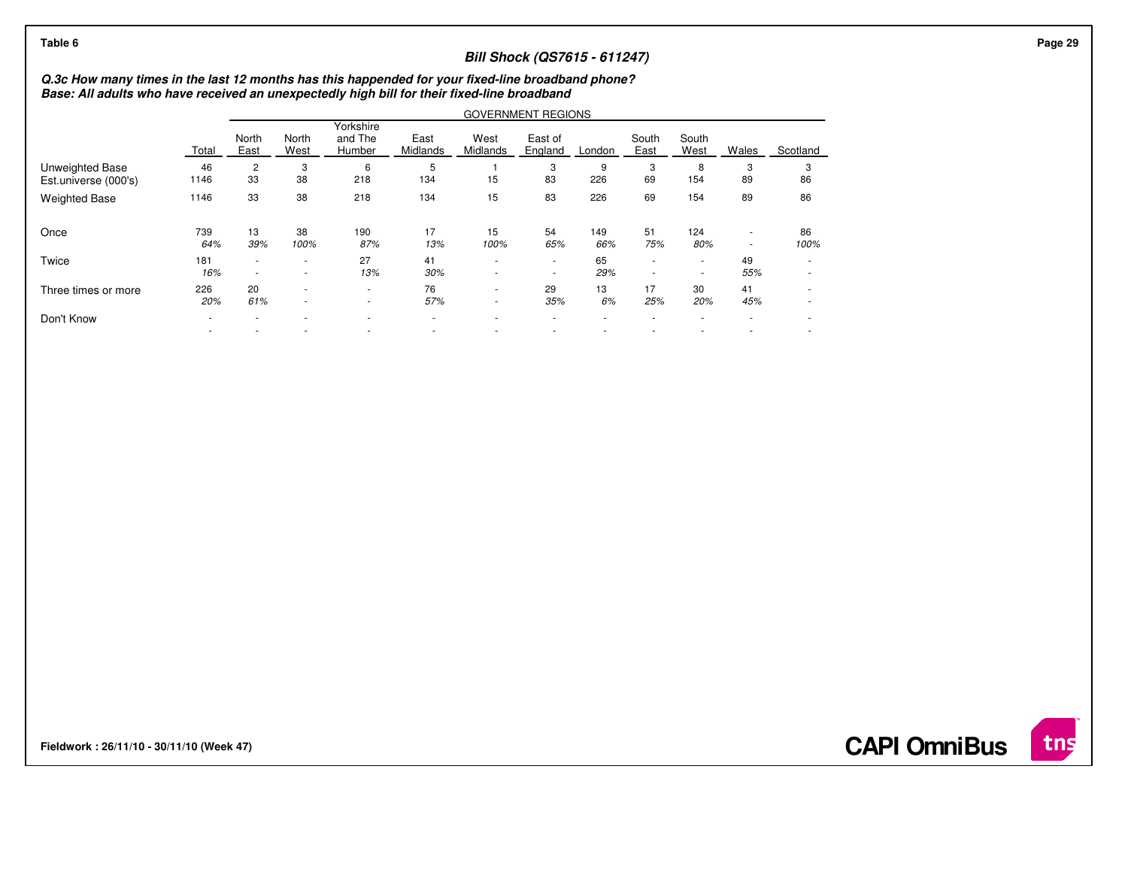| Table 6                                 |                                                                                                                                                                                                  |                  |                          |                                |                          |                  | <b>Bill Shock (QS7615 - 611247)</b> |            |                                    |                                                      |                                    |                  |  |  |
|-----------------------------------------|--------------------------------------------------------------------------------------------------------------------------------------------------------------------------------------------------|------------------|--------------------------|--------------------------------|--------------------------|------------------|-------------------------------------|------------|------------------------------------|------------------------------------------------------|------------------------------------|------------------|--|--|
|                                         | Q.3c How many times in the last 12 months has this happended for your fixed-line broadband phone?<br>Base: All adults who have received an unexpectedly high bill for their fixed-line broadband |                  |                          |                                |                          |                  |                                     |            |                                    |                                                      |                                    |                  |  |  |
|                                         |                                                                                                                                                                                                  |                  |                          |                                |                          |                  | <b>GOVERNMENT REGIONS</b>           |            |                                    |                                                      |                                    |                  |  |  |
|                                         | Total                                                                                                                                                                                            | North<br>East    | North<br>West            | Yorkshire<br>and The<br>Humber | East<br>Midlands         | West<br>Midlands | East of<br>England                  | London     | South<br>East                      | South<br>West                                        | Wales                              | Scotland         |  |  |
| Unweighted Base<br>Est.universe (000's) | 46<br>1146                                                                                                                                                                                       | 2<br>33          | 3<br>38                  | 6<br>218                       | 5<br>134                 | 15               | 3<br>83                             | 9<br>226   | 3<br>69                            | 8<br>154                                             | 3<br>89                            | 3<br>86          |  |  |
| <b>Weighted Base</b>                    | 1146                                                                                                                                                                                             | 33               | 38                       | 218                            | 134                      | 15               | 83                                  | 226        | 69                                 | 154                                                  | 89                                 | 86               |  |  |
| Once                                    | 739<br>64%                                                                                                                                                                                       | 13<br>39%        | 38<br>100%               | 190<br>87%                     | 17<br>13%                | 15<br>100%       | 54<br>65%                           | 149<br>66% | 51<br>75%                          | 124<br>80%                                           | $\sim$<br>$\overline{\phantom{a}}$ | 86<br>100%       |  |  |
| Twice                                   | 181<br>16%                                                                                                                                                                                       | $\sim$<br>$\sim$ | $\overline{\phantom{a}}$ | 27<br>13%                      | 41<br>30%                | ٠<br>٠           | $\sim$                              | 65<br>29%  | $\sim$<br>$\overline{\phantom{a}}$ | $\overline{\phantom{a}}$<br>$\overline{\phantom{a}}$ | 49<br>55%                          | $\sim$           |  |  |
| Three times or more                     | 226<br>20%                                                                                                                                                                                       | 20<br>61%        | $\sim$<br>$\sim$         | $\sim$<br>$\sim$               | 76<br>57%                | ۰.<br>٠          | 29<br>35%                           | 13<br>6%   | 17<br>25%                          | 30<br>20%                                            | 41<br>45%                          | $\sim$<br>$\sim$ |  |  |
| Don't Know                              |                                                                                                                                                                                                  |                  |                          |                                | $\overline{\phantom{a}}$ |                  |                                     |            |                                    |                                                      |                                    |                  |  |  |
|                                         |                                                                                                                                                                                                  |                  |                          |                                |                          |                  |                                     |            |                                    |                                                      |                                    |                  |  |  |

**Fieldwork : 26/11/10 - 30/11/10 (Week 47)** 

**CAPI OmniBus**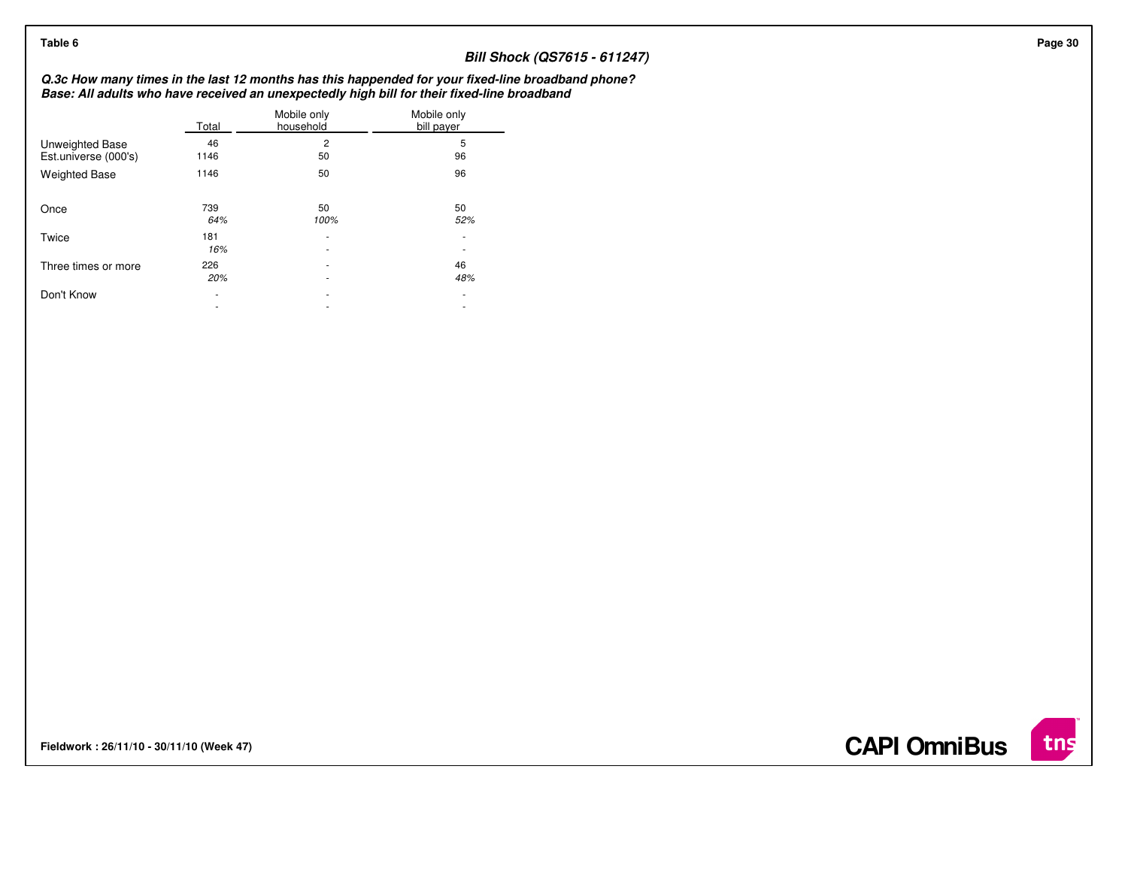| Table 6                                        |                                    |                               | <b>Bill Shock (QS7615 - 611247)</b>                                                                                                                                                              |
|------------------------------------------------|------------------------------------|-------------------------------|--------------------------------------------------------------------------------------------------------------------------------------------------------------------------------------------------|
|                                                |                                    |                               | Q.3c How many times in the last 12 months has this happended for your fixed-line broadband phone?<br>Base: All adults who have received an unexpectedly high bill for their fixed-line broadband |
|                                                | Total                              | Mobile only<br>household      | Mobile only<br>bill payer                                                                                                                                                                        |
| <b>Unweighted Base</b><br>Est.universe (000's) | 46<br>1146                         | 2<br>50                       | 5<br>96                                                                                                                                                                                          |
| <b>Weighted Base</b>                           | 1146                               | 50                            | 96                                                                                                                                                                                               |
| Once                                           | 739<br>64%                         | 50<br>100%                    | 50<br>52%                                                                                                                                                                                        |
| Twice                                          | 181<br>16%                         | ۰<br>۰                        | $\overline{\phantom{a}}$                                                                                                                                                                         |
| Three times or more                            | 226<br>20%                         | ٠<br>$\overline{\phantom{a}}$ | 46<br>48%                                                                                                                                                                                        |
| Don't Know                                     | $\sim$<br>$\overline{\phantom{a}}$ | $\sim$<br>٠                   | $\sim$<br>$\overline{\phantom{a}}$                                                                                                                                                               |

**Fieldwork : 26/11/10 - 30/11/10 (Week 47)** 

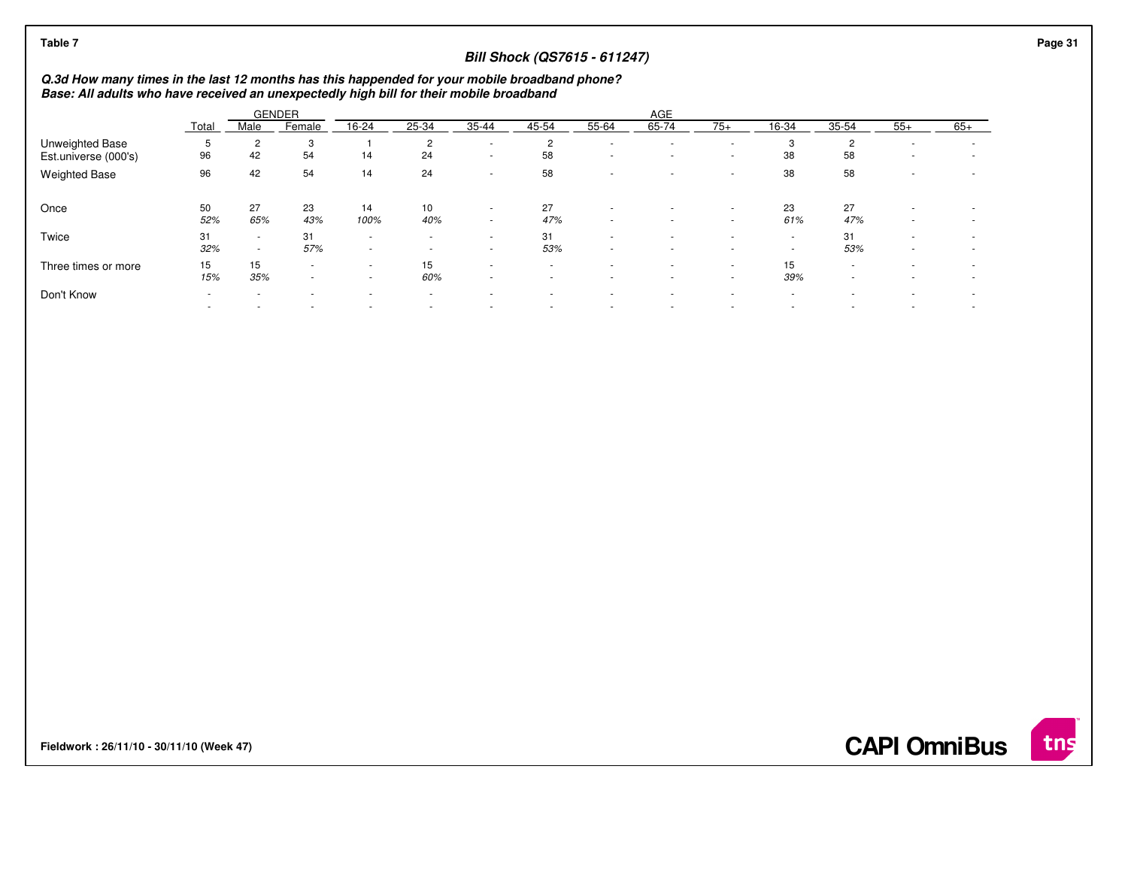| Table 7                                                                                                                                                                                  |           |                  |                                    |                                                      |                                                      |                                    | <b>Bill Shock (QS7615 - 611247)</b> |             |                  |                          |                                                      |                      |        |                                                      | Page 31 |
|------------------------------------------------------------------------------------------------------------------------------------------------------------------------------------------|-----------|------------------|------------------------------------|------------------------------------------------------|------------------------------------------------------|------------------------------------|-------------------------------------|-------------|------------------|--------------------------|------------------------------------------------------|----------------------|--------|------------------------------------------------------|---------|
| Q.3d How many times in the last 12 months has this happended for your mobile broadband phone?<br>Base: All adults who have received an unexpectedly high bill for their mobile broadband |           |                  |                                    |                                                      |                                                      |                                    |                                     |             |                  |                          |                                                      |                      |        |                                                      |         |
|                                                                                                                                                                                          |           |                  | <b>GENDER</b>                      |                                                      |                                                      |                                    |                                     |             | AGE              |                          |                                                      |                      |        |                                                      |         |
|                                                                                                                                                                                          | Total     | Male             | Female                             | 16-24                                                | 25-34                                                | 35-44                              | 45-54                               | 55-64       | 65-74            | $75+$                    | 16-34                                                | $35 - 54$            | $55+$  | $65+$                                                |         |
| <b>Unweighted Base</b><br>Est.universe (000's)                                                                                                                                           | 96        | 2<br>42          | 3<br>54                            | 14                                                   | 2<br>24                                              | $\overline{\phantom{a}}$           | 2<br>58                             | $\sim$<br>٠ |                  | $\overline{\phantom{a}}$ | 3<br>38                                              | $\overline{2}$<br>58 |        | ۰<br>٠                                               |         |
| <b>Weighted Base</b>                                                                                                                                                                     | 96        | 42               | 54                                 | 14                                                   | 24                                                   | $\sim$                             | 58                                  |             |                  |                          | 38                                                   | 58                   |        |                                                      |         |
| Once                                                                                                                                                                                     | 50<br>52% | 27<br>65%        | 23<br>43%                          | 14<br>100%                                           | 10<br>40%                                            | $\sim$<br>$\sim$                   | 27<br>47%                           | ٠<br>٠      | $\sim$           | ۰<br>$\sim$              | 23<br>61%                                            | 27<br>47%            | $\sim$ |                                                      |         |
| Twice                                                                                                                                                                                    | 31<br>32% | $\sim$<br>$\sim$ | 31<br>57%                          | $\overline{\phantom{a}}$<br>$\overline{\phantom{a}}$ | $\overline{\phantom{a}}$<br>$\overline{\phantom{a}}$ | $\sim$<br>$\overline{a}$           | 31<br>53%                           | $\sim$<br>٠ |                  | $\sim$<br>$\sim$         | $\overline{\phantom{a}}$<br>$\overline{\phantom{a}}$ | 31<br>53%            | $\sim$ | $\overline{\phantom{a}}$                             |         |
| Three times or more                                                                                                                                                                      | 15<br>15% | 15<br>35%        | $\overline{\phantom{a}}$<br>$\sim$ | $\overline{\phantom{a}}$                             | 15<br>60%                                            | $\overline{\phantom{a}}$<br>$\sim$ |                                     | ٠<br>٠      | $\sim$<br>$\sim$ | $\sim$<br>$\sim$         | 15<br>39%                                            | $\sim$               |        | $\overline{\phantom{a}}$<br>$\overline{\phantom{a}}$ |         |
| Don't Know                                                                                                                                                                               | $\sim$    |                  |                                    |                                                      | $\overline{\phantom{a}}$<br>$\blacksquare$           |                                    |                                     | ٠<br>٠      |                  | $\sim$                   | ٠<br>$\overline{\phantom{a}}$                        |                      |        | $\overline{\phantom{a}}$                             |         |
|                                                                                                                                                                                          |           |                  |                                    |                                                      |                                                      |                                    |                                     |             |                  |                          |                                                      |                      |        |                                                      |         |

**Fieldwork : 26/11/10 - 30/11/10 (Week 47)** 

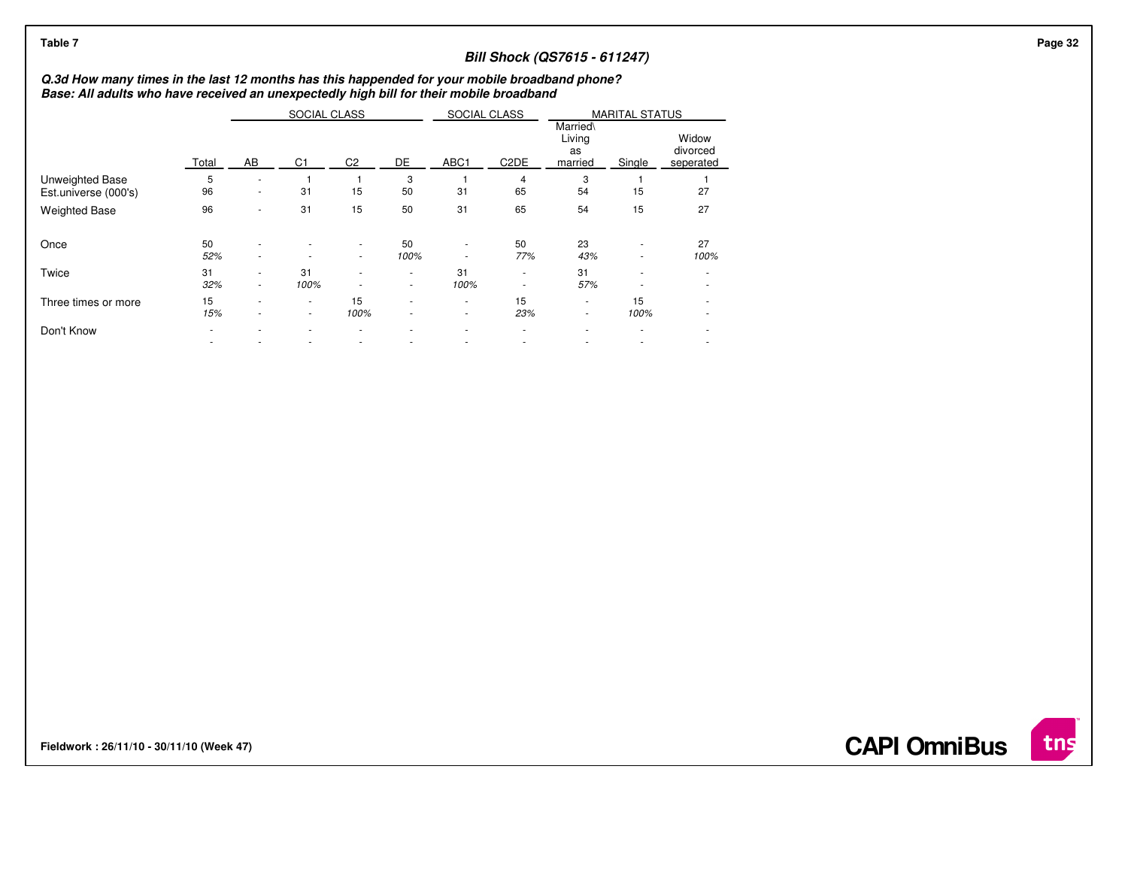| Table 7                                                                                                                                                                                  |           |                  |              |                  |                                                      |              |                   | <b>Bill Shock (QS7615 - 611247)</b> |                                                      |                   |
|------------------------------------------------------------------------------------------------------------------------------------------------------------------------------------------|-----------|------------------|--------------|------------------|------------------------------------------------------|--------------|-------------------|-------------------------------------|------------------------------------------------------|-------------------|
| Q.3d How many times in the last 12 months has this happended for your mobile broadband phone?<br>Base: All adults who have received an unexpectedly high bill for their mobile broadband |           |                  |              |                  |                                                      |              |                   |                                     |                                                      |                   |
|                                                                                                                                                                                          |           |                  | SOCIAL CLASS |                  |                                                      | SOCIAL CLASS |                   | Married\<br>Living<br>as            | <b>MARITAL STATUS</b>                                | Widow<br>divorced |
|                                                                                                                                                                                          | Total     | AB               | C1           | C <sub>2</sub>   | DE                                                   | ABC1         | C <sub>2</sub> DE | married                             | Single                                               | seperated         |
| Unweighted Base<br>Est.universe (000's)                                                                                                                                                  | 5<br>96   | $\sim$           | 31           | 15               | 3<br>50                                              | 31           | 65                | 3<br>54                             | 15                                                   | 27                |
| <b>Weighted Base</b>                                                                                                                                                                     | 96        |                  | 31           | 15               | 50                                                   | 31           | 65                | 54                                  | 15                                                   | 27                |
| Once                                                                                                                                                                                     | 50<br>52% | $\sim$           | $\sim$       | $\sim$           | 50<br>100%                                           | ٠<br>$\sim$  | 50<br>77%         | 23<br>43%                           | $\overline{\phantom{a}}$<br>$\overline{\phantom{a}}$ | 27<br>100%        |
| Twice                                                                                                                                                                                    | 31<br>32% | $\sim$<br>$\sim$ | 31<br>100%   | $\sim$<br>$\sim$ | ٠                                                    | 31<br>100%   | $\sim$<br>$\sim$  | 31<br>57%                           | $\overline{\phantom{a}}$<br>$\overline{\phantom{a}}$ | $\sim$<br>٠       |
| Three times or more                                                                                                                                                                      | 15<br>15% | $\sim$<br>$\sim$ | ٠<br>٠       | 15<br>100%       | $\overline{\phantom{a}}$<br>$\overline{\phantom{a}}$ | ٠<br>٠       | 15<br>23%         | $\sim$<br>$\overline{\phantom{a}}$  | 15<br>100%                                           | ٠<br>$\sim$       |
| Don't Know                                                                                                                                                                               |           |                  |              |                  |                                                      |              |                   |                                     |                                                      | ٠                 |
|                                                                                                                                                                                          |           |                  |              |                  |                                                      |              |                   |                                     |                                                      | $\sim$            |

**Fieldwork : 26/11/10 - 30/11/10 (Week 47)** 

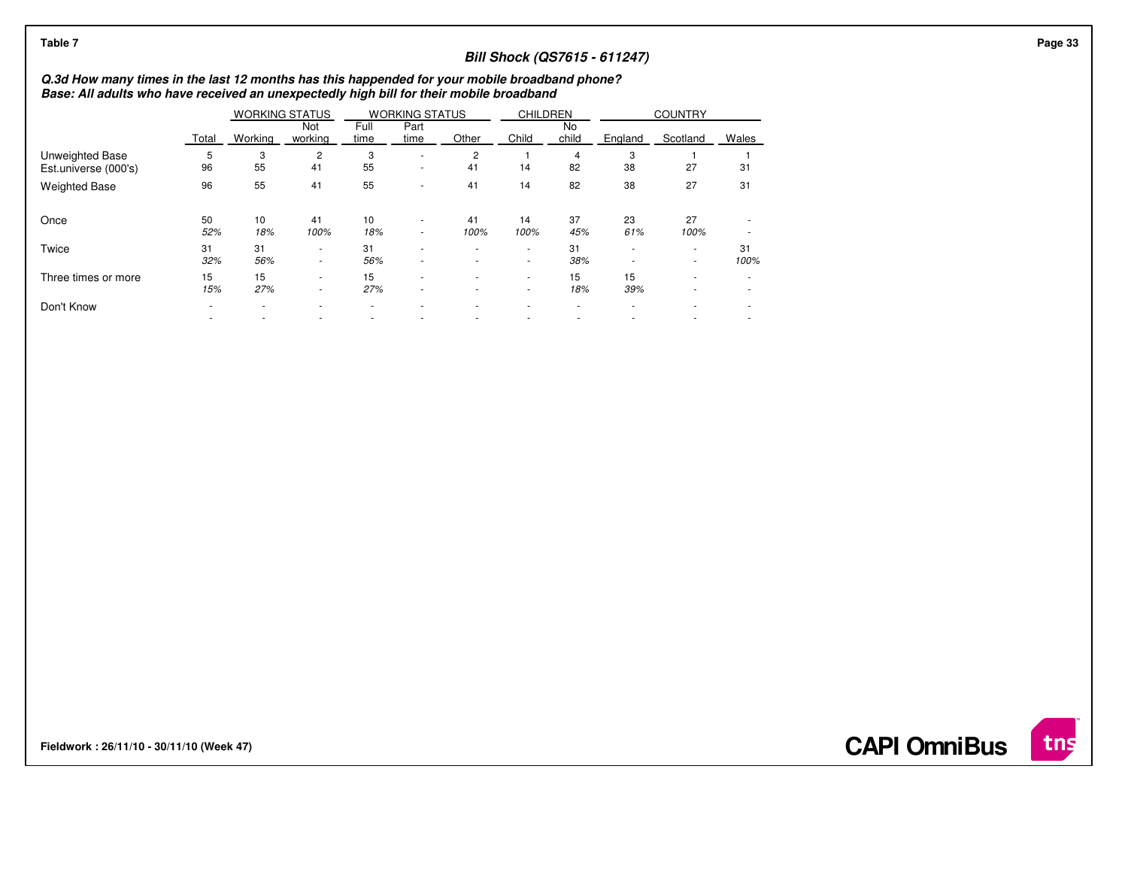| Table 7                                                                                                                                                                                  |           |                       |                  |              |                                                      |            |                                    |             | <b>Bill Shock (QS7615 - 611247)</b> |                                    |                          |
|------------------------------------------------------------------------------------------------------------------------------------------------------------------------------------------|-----------|-----------------------|------------------|--------------|------------------------------------------------------|------------|------------------------------------|-------------|-------------------------------------|------------------------------------|--------------------------|
| Q.3d How many times in the last 12 months has this happended for your mobile broadband phone?<br>Base: All adults who have received an unexpectedly high bill for their mobile broadband |           |                       |                  |              |                                                      |            |                                    |             |                                     |                                    |                          |
|                                                                                                                                                                                          |           | <b>WORKING STATUS</b> |                  |              | <b>WORKING STATUS</b>                                |            | <b>CHILDREN</b>                    |             |                                     | <b>COUNTRY</b>                     |                          |
|                                                                                                                                                                                          | Total     | Working               | Not<br>working   | Full<br>time | Part<br>time                                         | Other      | Child                              | No<br>child | England                             | Scotland                           | Wales                    |
| Unweighted Base<br>Est.universe (000's)                                                                                                                                                  | 96        | 3<br>55               | 2<br>41          | 3<br>55      | $\overline{\phantom{a}}$<br>$\overline{\phantom{a}}$ | 2<br>41    | 14                                 | 82          | 3<br>38                             | 27                                 | 31                       |
| <b>Weighted Base</b>                                                                                                                                                                     | 96        | 55                    | 41               | 55           | $\overline{\phantom{a}}$                             | 41         | 14                                 | 82          | 38                                  | 27                                 | 31                       |
| Once                                                                                                                                                                                     | 50<br>52% | 10<br>18%             | 41<br>100%       | 10<br>18%    | $\overline{\phantom{a}}$<br>$\sim$                   | 41<br>100% | 14<br>100%                         | 37<br>45%   | 23<br>61%                           | 27<br>100%                         | $\overline{\phantom{a}}$ |
| Twice                                                                                                                                                                                    | 31<br>32% | 31<br>56%             | $\sim$<br>$\sim$ | 31<br>56%    | $\overline{\phantom{a}}$<br>$\overline{\phantom{a}}$ | $\sim$     | $\overline{\phantom{a}}$<br>$\sim$ | 31<br>38%   | $\sim$                              | $\sim$<br>$\overline{\phantom{a}}$ | 31<br>100%               |
| Three times or more                                                                                                                                                                      | 15<br>15% | 15<br>27%             | $\sim$<br>$\sim$ | 15<br>27%    | $\sim$<br>٠                                          |            | $\sim$                             | 15<br>18%   | 15<br>39%                           |                                    |                          |
| Don't Know                                                                                                                                                                               |           |                       |                  |              |                                                      |            |                                    |             |                                     |                                    |                          |

**Fieldwork : 26/11/10 - 30/11/10 (Week 47)** 

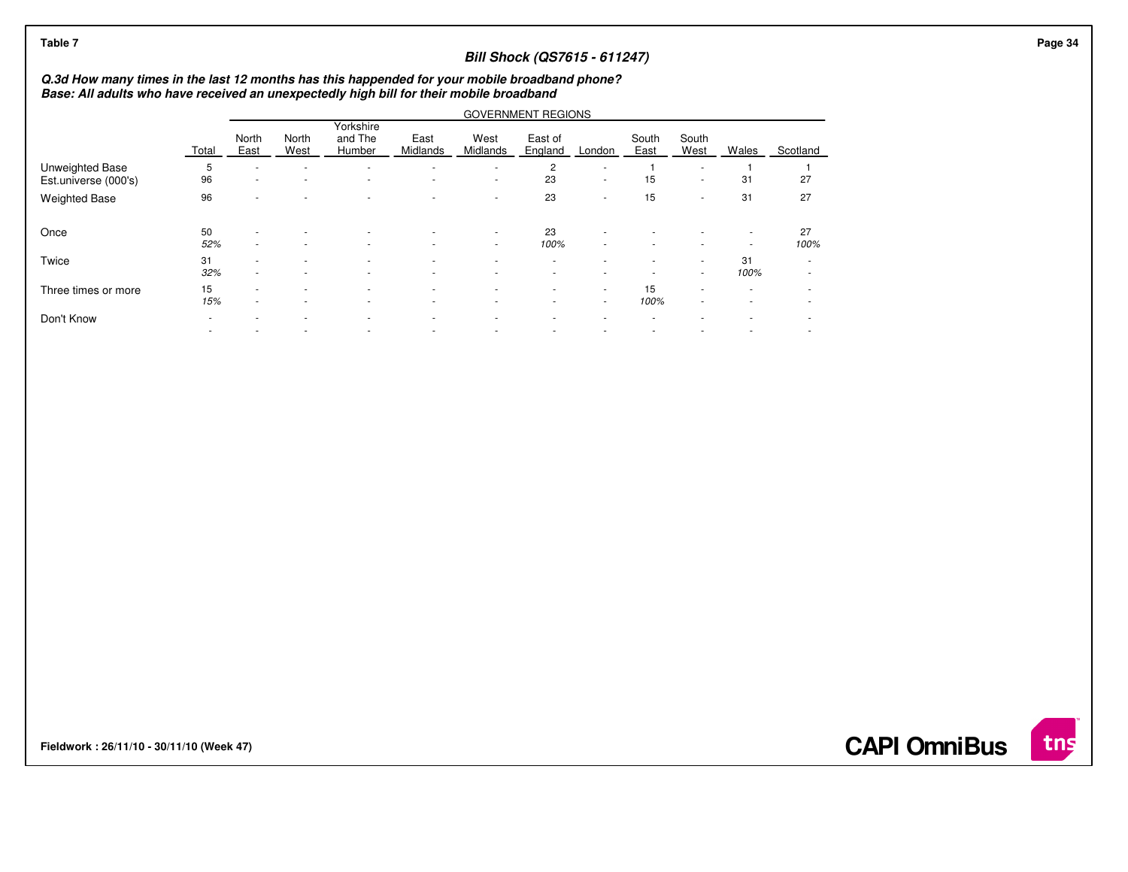| Table 7                                 |                                                                                                                                                                                          |               |               |                                |                                                      |                          | <b>Bill Shock (QS7615 - 611247)</b> |             |               |                               |                  |            |  |  |
|-----------------------------------------|------------------------------------------------------------------------------------------------------------------------------------------------------------------------------------------|---------------|---------------|--------------------------------|------------------------------------------------------|--------------------------|-------------------------------------|-------------|---------------|-------------------------------|------------------|------------|--|--|
|                                         | Q.3d How many times in the last 12 months has this happended for your mobile broadband phone?<br>Base: All adults who have received an unexpectedly high bill for their mobile broadband |               |               |                                |                                                      |                          |                                     |             |               |                               |                  |            |  |  |
|                                         |                                                                                                                                                                                          |               |               |                                |                                                      |                          | <b>GOVERNMENT REGIONS</b>           |             |               |                               |                  |            |  |  |
|                                         | Total                                                                                                                                                                                    | North<br>East | North<br>West | Yorkshire<br>and The<br>Humber | East<br>Midlands                                     | West<br>Midlands         | East of<br>England                  | London      | South<br>East | South<br>West                 | Wales            | Scotland   |  |  |
| Unweighted Base<br>Est.universe (000's) | 5<br>96                                                                                                                                                                                  |               |               |                                |                                                      | $\sim$                   | 2<br>23                             | ٠<br>$\sim$ | 15            | ٠<br>$\sim$                   | 31               | 27         |  |  |
| <b>Weighted Base</b>                    | 96                                                                                                                                                                                       |               |               |                                |                                                      | $\overline{\phantom{a}}$ | 23                                  | ٠           | 15            | $\sim$                        | 31               | 27         |  |  |
| Once                                    | 50<br>52%                                                                                                                                                                                |               |               |                                |                                                      | $\sim$<br>$\sim$         | 23<br>100%                          |             |               |                               |                  | 27<br>100% |  |  |
| Twice                                   | 31<br>32%                                                                                                                                                                                |               |               |                                |                                                      | ٠                        |                                     |             |               | $\overline{\phantom{a}}$      | 31<br>100%       | $\sim$     |  |  |
| Three times or more                     | 15<br>15%                                                                                                                                                                                |               |               |                                | $\overline{\phantom{a}}$<br>$\overline{\phantom{a}}$ | $\sim$                   | $\sim$<br>$\sim$                    | ٠           | 15<br>100%    | ٠<br>$\overline{\phantom{a}}$ | $\sim$<br>$\sim$ |            |  |  |
| Don't Know                              |                                                                                                                                                                                          |               |               |                                |                                                      |                          |                                     |             |               |                               |                  |            |  |  |
|                                         |                                                                                                                                                                                          |               |               |                                |                                                      |                          |                                     |             |               |                               |                  |            |  |  |

**Fieldwork : 26/11/10 - 30/11/10 (Week 47)** 

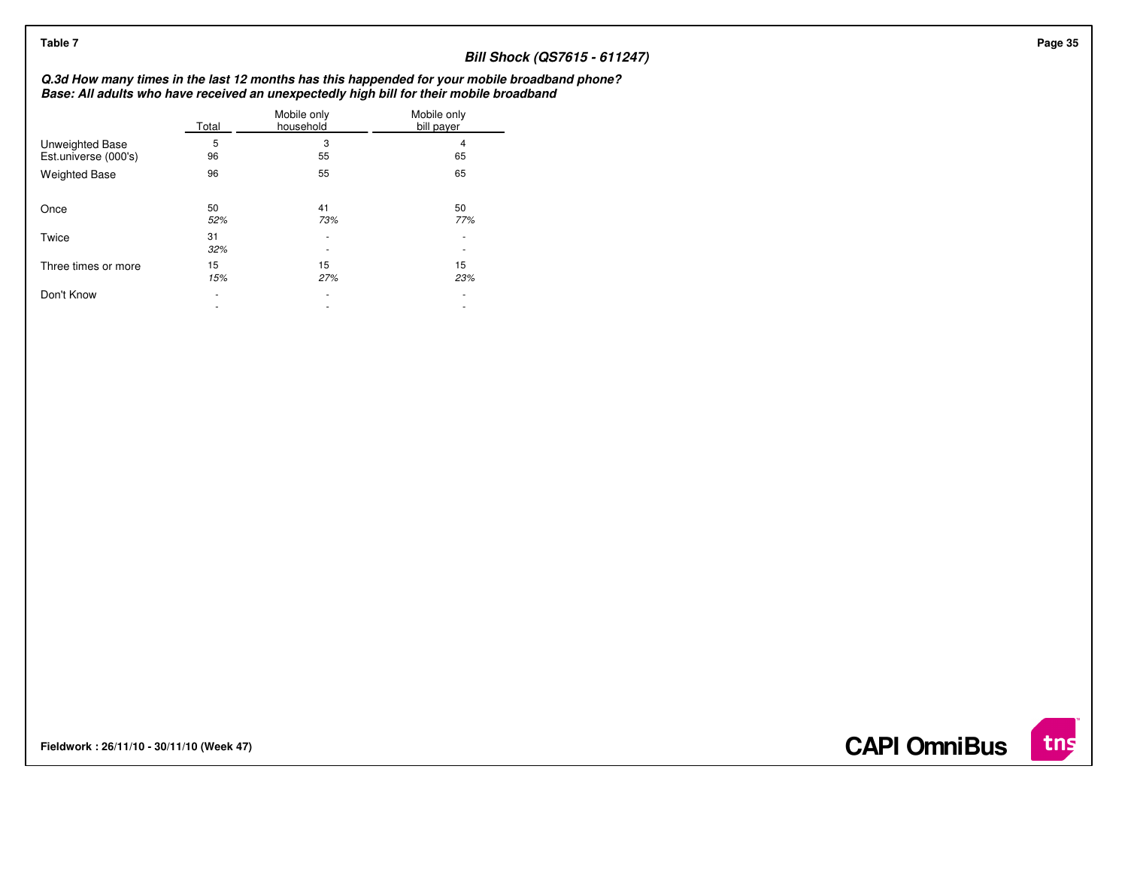| Table 7                                        |                                    |                          |                                                                                                                                                                                          |
|------------------------------------------------|------------------------------------|--------------------------|------------------------------------------------------------------------------------------------------------------------------------------------------------------------------------------|
|                                                |                                    |                          | <b>Bill Shock (QS7615 - 611247)</b>                                                                                                                                                      |
|                                                |                                    |                          | Q.3d How many times in the last 12 months has this happended for your mobile broadband phone?<br>Base: All adults who have received an unexpectedly high bill for their mobile broadband |
|                                                | Total                              | Mobile only<br>household | Mobile only<br>bill payer                                                                                                                                                                |
| <b>Unweighted Base</b><br>Est.universe (000's) | 5<br>96                            | 3<br>55                  | 65                                                                                                                                                                                       |
| <b>Weighted Base</b>                           | 96                                 | 55                       | 65                                                                                                                                                                                       |
| Once                                           | 50<br>52%                          | 41<br>73%                | 50<br>77%                                                                                                                                                                                |
| Twice                                          | 31<br>32%                          | ۰                        | $\overline{\phantom{a}}$                                                                                                                                                                 |
| Three times or more                            | 15<br>15%                          | 15<br>27%                | 15<br>23%                                                                                                                                                                                |
| Don't Know                                     | $\sim$<br>$\overline{\phantom{a}}$ | $\sim$<br>٠              | $\sim$<br>$\overline{\phantom{a}}$                                                                                                                                                       |
|                                                |                                    |                          |                                                                                                                                                                                          |

**Fieldwork : 26/11/10 - 30/11/10 (Week 47)** 

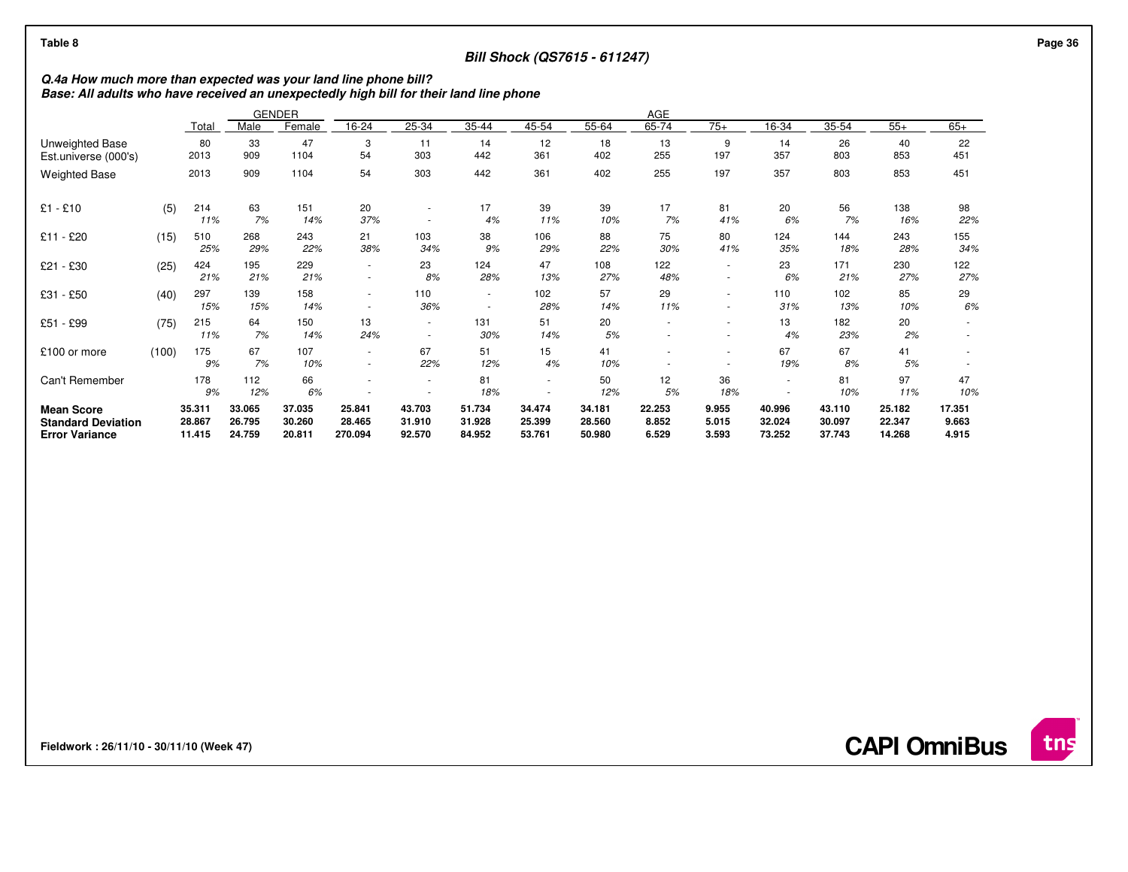## **Bill Shock (QS7615 - 611247)**

# **Q.4a How much more than expected was your land line phone bill? Base: All adults who have received an unexpectedly high bill for their land line phone**

|                                                                         |       |                            |                            | <b>GENDER</b>              | AGE                                |                                                      |                            |                            |                            |                          |                         |                            |                            |                            |                          |  |
|-------------------------------------------------------------------------|-------|----------------------------|----------------------------|----------------------------|------------------------------------|------------------------------------------------------|----------------------------|----------------------------|----------------------------|--------------------------|-------------------------|----------------------------|----------------------------|----------------------------|--------------------------|--|
|                                                                         |       | Total                      | Male                       | Female                     | 16-24                              | 25-34                                                | 35-44                      | 45-54                      | 55-64                      | 65-74                    | $75+$                   | 16-34                      | 35-54                      | $55+$                      | $65+$                    |  |
| Unweighted Base<br>Est.universe (000's)                                 |       | 80<br>2013                 | 33<br>909                  | 47<br>1104                 | 3<br>54                            | 11<br>303                                            | 14<br>442                  | 12<br>361                  | 18<br>402                  | 13<br>255                | 9<br>197                | 14<br>357                  | 26<br>803                  | 40<br>853                  | 22<br>451                |  |
| <b>Weighted Base</b>                                                    |       | 2013                       | 909                        | 1104                       | 54                                 | 303                                                  | 442                        | 361                        | 402                        | 255                      | 197                     | 357                        | 803                        | 853                        | 451                      |  |
| $£1 - £10$                                                              | (5)   | 214<br>11%                 | 63<br>7%                   | 151<br>14%                 | 20<br>37%                          | ٠                                                    | 17<br>4%                   | 39<br>11%                  | 39<br>10%                  | 17<br>7%                 | 81<br>41%               | 20<br>6%                   | 56<br>7%                   | 138<br>16%                 | 98<br>22%                |  |
| £11 - £20                                                               | (15)  | 510<br>25%                 | 268<br>29%                 | 243<br>22%                 | 21<br>38%                          | 103<br>34%                                           | 38<br>9%                   | 106<br>29%                 | 88<br>22%                  | 75<br>30%                | 80<br>41%               | 124<br>35%                 | 144<br>18%                 | 243<br>28%                 | 155<br>34%               |  |
| £21 - £30                                                               | (25)  | 424<br>21%                 | 195<br>21%                 | 229<br>21%                 | ٠<br>$\overline{\phantom{a}}$      | 23<br>8%                                             | 124<br>28%                 | 47<br>13%                  | 108<br>27%                 | 122<br>48%               |                         | 23<br>6%                   | 171<br>21%                 | 230<br>27%                 | 122<br>27%               |  |
| £31 - £50                                                               | (40)  | 297<br>15%                 | 139<br>15%                 | 158<br>14%                 | ٠<br>$\overline{\phantom{a}}$      | 110<br>36%                                           | ٠<br>٠                     | 102<br>28%                 | 57<br>14%                  | 29<br>11%                |                         | 110<br>31%                 | 102<br>13%                 | 85<br>10%                  | 29<br>6%                 |  |
| £51 - £99                                                               | (75)  | 215<br>11%                 | 64<br>7%                   | 150<br>14%                 | 13<br>24%                          | $\overline{\phantom{a}}$<br>$\overline{\phantom{a}}$ | 131<br>30%                 | 51<br>14%                  | 20<br>5%                   |                          |                         | 13<br>4%                   | 182<br>23%                 | 20<br>2%                   |                          |  |
| £100 or more                                                            | (100) | 175<br>9%                  | 67<br>7%                   | 107<br>10%                 | $\sim$<br>$\overline{\phantom{a}}$ | 67<br>22%                                            | 51<br>12%                  | 15<br>4%                   | 41<br>10%                  |                          |                         | 67<br>19%                  | 67<br>8%                   | 41<br>5%                   |                          |  |
| Can't Remember                                                          |       | 178<br>9%                  | 112<br>12%                 | 66<br>6%                   | ۰                                  | ٠                                                    | 81<br>18%                  | $\sim$                     | 50<br>12%                  | 12<br>5%                 | 36<br>18%               | $\sim$                     | 81<br>10%                  | 97<br>11%                  | 47<br>10%                |  |
| <b>Mean Score</b><br><b>Standard Deviation</b><br><b>Error Variance</b> |       | 35.311<br>28.867<br>11.415 | 33.065<br>26.795<br>24.759 | 37.035<br>30.260<br>20.811 | 25.841<br>28.465<br>270.094        | 43.703<br>31.910<br>92.570                           | 51.734<br>31.928<br>84.952 | 34.474<br>25.399<br>53.761 | 34.181<br>28.560<br>50.980 | 22.253<br>8.852<br>6.529 | 9.955<br>5.015<br>3.593 | 40.996<br>32.024<br>73.252 | 43.110<br>30.097<br>37.743 | 25.182<br>22.347<br>14.268 | 17.351<br>9.663<br>4.915 |  |

**Fieldwork : 26/11/10 - 30/11/10 (Week 47)** 

**CAPI OmniBus**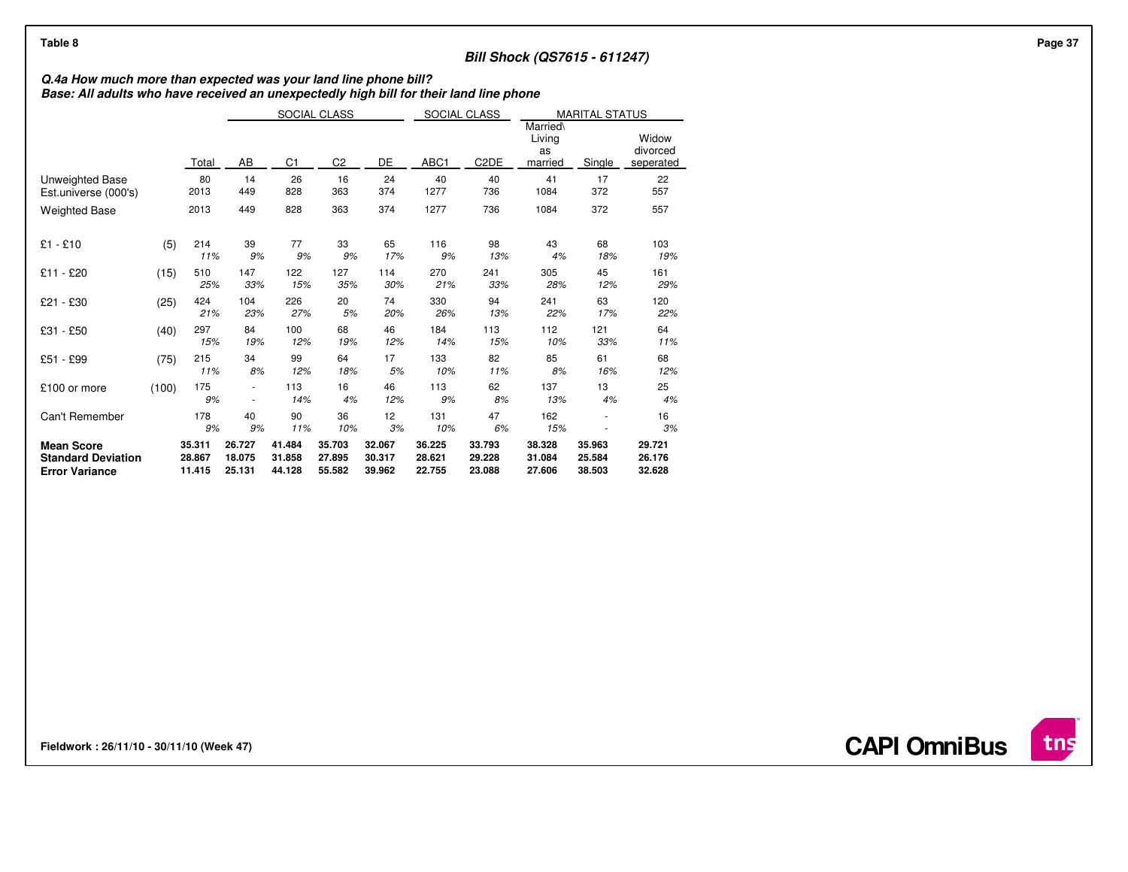## **Bill Shock (QS7615 - 611247)**

# **Q.4a How much more than expected was your land line phone bill? Base: All adults who have received an unexpectedly high bill for their land line phone**

|                                                                         |       |                            | SOCIAL CLASS                     |                            |                            |                            | SOCIAL CLASS               |                                     | <b>MARITAL STATUS</b>      |                                |                            |
|-------------------------------------------------------------------------|-------|----------------------------|----------------------------------|----------------------------|----------------------------|----------------------------|----------------------------|-------------------------------------|----------------------------|--------------------------------|----------------------------|
|                                                                         |       | Total                      | DE<br>AB<br>C1<br>C <sub>2</sub> |                            |                            | ABC1                       | C <sub>2</sub> DE          | Married\<br>Living<br>as<br>married | Single                     | Widow<br>divorced<br>seperated |                            |
| Unweighted Base<br>Est.universe (000's)                                 |       | 80<br>2013                 | 14<br>449                        | 26<br>828                  | 16<br>363                  | 24<br>374                  | 40<br>1277                 | 40<br>736                           | 41<br>1084                 | 17<br>372                      | 22<br>557                  |
| <b>Weighted Base</b>                                                    |       | 2013                       | 449                              | 828                        | 363                        | 374                        | 1277                       | 736                                 | 1084                       | 372                            | 557                        |
| $£1 - £10$                                                              | (5)   | 214<br>11%                 | 39<br>9%                         | 77<br>9%                   | 33<br>9%                   | 65<br>17%                  | 116<br>9%                  | 98<br>13%                           | 43<br>4%                   | 68<br>18%                      | 103<br>19%                 |
| £11 - £20                                                               | (15)  | 510<br>25%                 | 147<br>33%                       | 122<br>15%                 | 127<br>35%                 | 114<br>30%                 | 270<br>21%                 | 241<br>33%                          | 305<br>28%                 | 45<br>12%                      | 161<br>29%                 |
| £21 - £30                                                               | (25)  | 424<br>21%                 | 104<br>23%                       | 226<br>27%                 | 20<br>5%                   | 74<br>20%                  | 330<br>26%                 | 94<br>13%                           | 241<br>22%                 | 63<br>17%                      | 120<br>22%                 |
| £31 - £50                                                               | (40)  | 297<br>15%                 | 84<br>19%                        | 100<br>12%                 | 68<br>19%                  | 46<br>12%                  | 184<br>14%                 | 113<br>15%                          | 112<br>10%                 | 121<br>33%                     | 64<br>11%                  |
| £51 - £99                                                               | (75)  | 215<br>11%                 | 34<br>8%                         | 99<br>12%                  | 64<br>18%                  | 17<br>5%                   | 133<br>10%                 | 82<br>11%                           | 85<br>8%                   | 61<br>16%                      | 68<br>12%                  |
| £100 or more                                                            | (100) | 175<br>9%                  |                                  | 113<br>14%                 | 16<br>4%                   | 46<br>12%                  | 113<br>9%                  | 62<br>8%                            | 137<br>13%                 | 13<br>4%                       | 25<br>4%                   |
| Can't Remember                                                          |       | 178<br>9%                  | 40<br>9%                         | 90<br>11%                  | 36<br>10%                  | 12<br>3%                   | 131<br>10%                 | 47<br>6%                            | 162<br>15%                 |                                | 16<br>3%                   |
| <b>Mean Score</b><br><b>Standard Deviation</b><br><b>Error Variance</b> |       | 35.311<br>28.867<br>11.415 | 26.727<br>18.075<br>25.131       | 41.484<br>31.858<br>44.128 | 35.703<br>27.895<br>55.582 | 32.067<br>30.317<br>39.962 | 36.225<br>28.621<br>22.755 | 33.793<br>29.228<br>23.088          | 38.328<br>31.084<br>27.606 | 35.963<br>25.584<br>38.503     | 29.721<br>26.176<br>32.628 |

**Fieldwork : 26/11/10 - 30/11/10 (Week 47)** 

**CAPI OmniBus**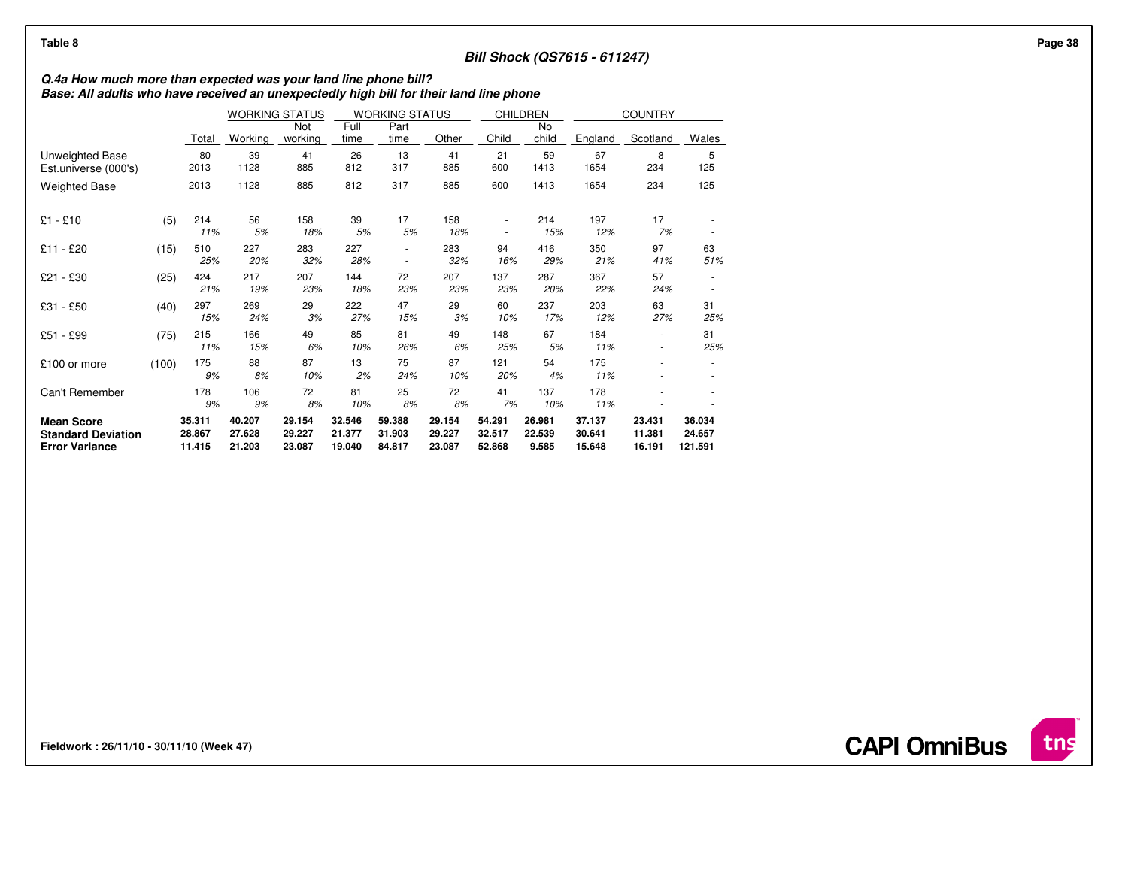## **Bill Shock (QS7615 - 611247)**

# **Q.4a How much more than expected was your land line phone bill? Base: All adults who have received an unexpectedly high bill for their land line phone**

|                                                                         |       |                            | <b>WORKING STATUS</b><br><b>WORKING STATUS</b> |                            | <b>CHILDREN</b>            |                               | <b>COUNTRY</b>             |                            |                           |                            |                            |                             |
|-------------------------------------------------------------------------|-------|----------------------------|------------------------------------------------|----------------------------|----------------------------|-------------------------------|----------------------------|----------------------------|---------------------------|----------------------------|----------------------------|-----------------------------|
|                                                                         |       | Total                      | Working                                        | Not<br>working             | Full<br>time               | Part<br>time                  | Other                      | Child                      | No<br>child               | England                    | Scotland                   | <b>Wales</b>                |
| Unweighted Base<br>Est.universe (000's)                                 |       | 80<br>2013                 | 39<br>1128                                     | 41<br>885                  | 26<br>812                  | 13<br>317                     | 41<br>885                  | 21<br>600                  | 59<br>1413                | 67<br>1654                 | 8<br>234                   | 5<br>125                    |
| <b>Weighted Base</b>                                                    |       | 2013                       | 1128                                           | 885                        | 812                        | 317                           | 885                        | 600                        | 1413                      | 1654                       | 234                        | 125                         |
| $£1 - £10$                                                              | (5)   | 214<br>11%                 | 56<br>5%                                       | 158<br>18%                 | 39<br>5%                   | 17<br>5%                      | 158<br>18%                 | ۰<br>٠                     | 214<br>15%                | 197<br>12%                 | 17<br>7%                   |                             |
| £11 - £20                                                               | (15)  | 510<br>25%                 | 227<br>20%                                     | 283<br>32%                 | 227<br>28%                 | ٠<br>$\overline{\phantom{a}}$ | 283<br>32%                 | 94<br>16%                  | 416<br>29%                | 350<br>21%                 | 97<br>41%                  | 63<br>51%                   |
| £21 - £30                                                               | (25)  | 424<br>21%                 | 217<br>19%                                     | 207<br>23%                 | 144<br>18%                 | 72<br>23%                     | 207<br>23%                 | 137<br>23%                 | 287<br>20%                | 367<br>22%                 | 57<br>24%                  |                             |
| £31 - £50                                                               | (40)  | 297<br>15%                 | 269<br>24%                                     | 29<br>3%                   | 222<br>27%                 | 47<br>15%                     | 29<br>3%                   | 60<br>10%                  | 237<br>17%                | 203<br>12%                 | 63<br>27%                  | 31<br>25%                   |
| £51 - £99                                                               | (75)  | 215<br>11%                 | 166<br>15%                                     | 49<br>6%                   | 85<br>10%                  | 81<br>26%                     | 49<br>6%                   | 148<br>25%                 | 67<br>5%                  | 184<br>11%                 | ٠                          | 31<br>25%                   |
| £100 or more                                                            | (100) | 175<br>9%                  | 88<br>8%                                       | 87<br>10%                  | 13<br>2%                   | 75<br>24%                     | 87<br>10%                  | 121<br>20%                 | 54<br>4%                  | 175<br>11%                 |                            |                             |
| Can't Remember                                                          |       | 178<br>9%                  | 106<br>9%                                      | 72<br>8%                   | 81<br>10%                  | 25<br>8%                      | 72<br>8%                   | 41<br>7%                   | 137<br>10%                | 178<br>11%                 |                            |                             |
| <b>Mean Score</b><br><b>Standard Deviation</b><br><b>Error Variance</b> |       | 35.311<br>28.867<br>11.415 | 40.207<br>27.628<br>21.203                     | 29.154<br>29.227<br>23.087 | 32.546<br>21.377<br>19.040 | 59.388<br>31.903<br>84.817    | 29.154<br>29.227<br>23.087 | 54.291<br>32.517<br>52.868 | 26.981<br>22.539<br>9.585 | 37.137<br>30.641<br>15.648 | 23.431<br>11.381<br>16.191 | 36.034<br>24.657<br>121.591 |

**Fieldwork : 26/11/10 - 30/11/10 (Week 47)**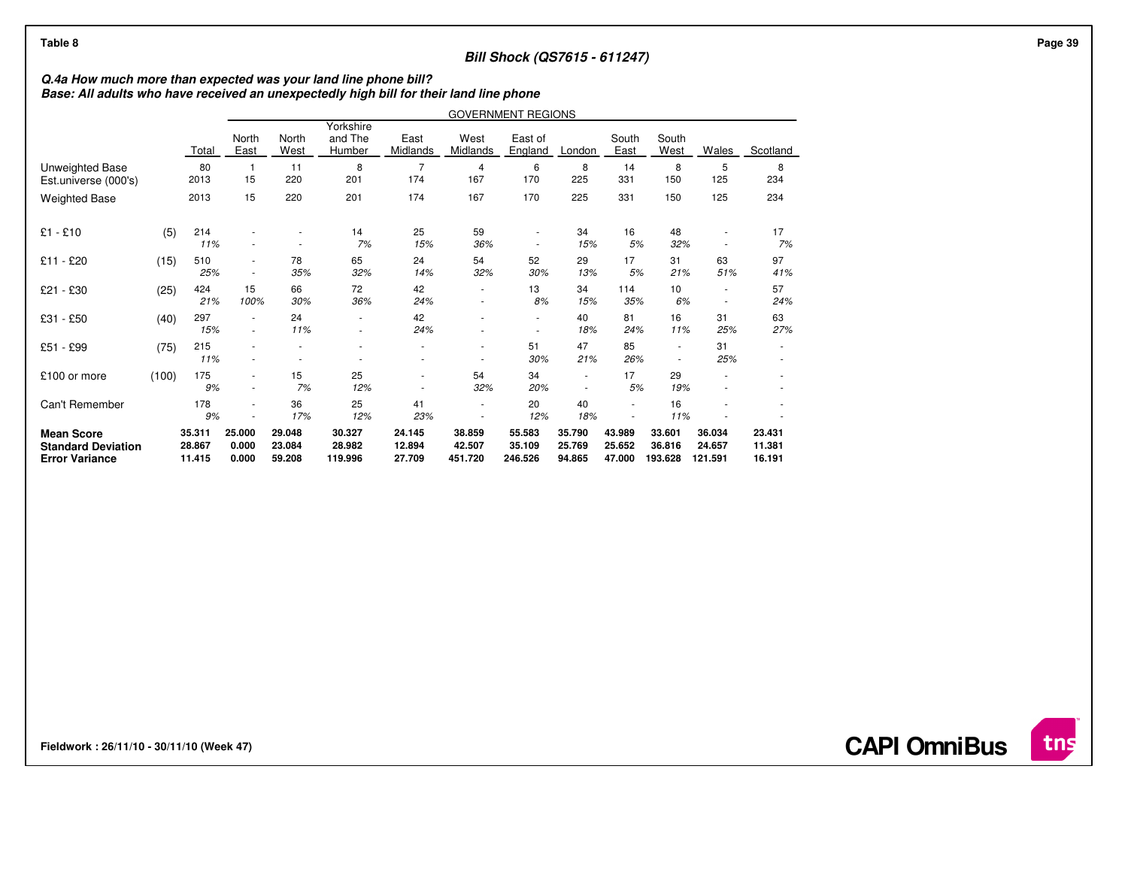## **Bill Shock (QS7615 - 611247)**

## **Q.4a How much more than expected was your land line phone bill? Base: All adults who have received an unexpectedly high bill for their land line phone**

|                                                                         |       |                            | <b>GOVERNMENT REGIONS</b> |                            |                                |                            |                             |                               |                                    |                            |                             |                             |                            |
|-------------------------------------------------------------------------|-------|----------------------------|---------------------------|----------------------------|--------------------------------|----------------------------|-----------------------------|-------------------------------|------------------------------------|----------------------------|-----------------------------|-----------------------------|----------------------------|
|                                                                         |       | Total                      | North<br>East             | North<br>West              | Yorkshire<br>and The<br>Humber | East<br>Midlands           | West<br>Midlands            | East of<br>England            | London                             | South<br>East              | South<br>West               | Wales                       | Scotland                   |
| Unweighted Base<br>Est.universe (000's)                                 |       | 80<br>2013                 | $\overline{1}$<br>15      | 11<br>220                  | 8<br>201                       | $\overline{7}$<br>174      | 4<br>167                    | 6<br>170                      | 8<br>225                           | 14<br>331                  | 8<br>150                    | 5<br>125                    | 8<br>234                   |
| <b>Weighted Base</b>                                                    |       | 2013                       | 15                        | 220                        | 201                            | 174                        | 167                         | 170                           | 225                                | 331                        | 150                         | 125                         | 234                        |
| $£1 - £10$                                                              | (5)   | 214<br>11%                 |                           |                            | 14<br>7%                       | 25<br>15%                  | 59<br>36%                   | ÷                             | 34<br>15%                          | 16<br>5%                   | 48<br>32%                   | ×<br>٠                      | 17<br>7%                   |
| £11 - £20                                                               | (15)  | 510<br>25%                 |                           | 78<br>35%                  | 65<br>32%                      | 24<br>14%                  | 54<br>32%                   | 52<br>30%                     | 29<br>13%                          | 17<br>5%                   | 31<br>21%                   | 63<br>51%                   | 97<br>41%                  |
| - £30<br>£21                                                            | (25)  | 424<br>21%                 | 15<br>100%                | 66<br>30%                  | 72<br>36%                      | 42<br>24%                  | ٠<br>٠                      | 13<br>8%                      | 34<br>15%                          | 114<br>35%                 | 10<br>6%                    | ٠<br>$\sim$                 | 57<br>24%                  |
| £31 - £50                                                               | (40)  | 297<br>15%                 | ٠                         | 24<br>11%                  | ٠                              | 42<br>24%                  |                             | ٠<br>$\overline{\phantom{a}}$ | 40<br>18%                          | 81<br>24%                  | 16<br>11%                   | 31<br>25%                   | 63<br>27%                  |
| £51 - £99                                                               | (75)  | 215<br>11%                 |                           |                            |                                | ٠                          | ۰                           | 51<br>30%                     | 47<br>21%                          | 85<br>26%                  |                             | 31<br>25%                   |                            |
| £100 or more                                                            | (100) | 175<br>9%                  |                           | 15<br>7%                   | 25<br>12%                      | $\overline{\phantom{a}}$   | 54<br>32%                   | 34<br>20%                     | $\overline{\phantom{a}}$<br>$\sim$ | 17<br>5%                   | 29<br>19%                   |                             |                            |
| Can't Remember                                                          |       | 178<br>9%                  |                           | 36<br>17%                  | 25<br>12%                      | 41<br>23%                  | ٠                           | 20<br>12%                     | 40<br>18%                          | $\sim$                     | 16<br>11%                   |                             |                            |
| <b>Mean Score</b><br><b>Standard Deviation</b><br><b>Error Variance</b> |       | 35.311<br>28.867<br>11.415 | 25,000<br>0.000<br>0.000  | 29.048<br>23.084<br>59.208 | 30.327<br>28.982<br>119.996    | 24.145<br>12.894<br>27.709 | 38.859<br>42.507<br>451.720 | 55.583<br>35.109<br>246.526   | 35.790<br>25.769<br>94.865         | 43.989<br>25.652<br>47.000 | 33.601<br>36.816<br>193.628 | 36.034<br>24.657<br>121.591 | 23.431<br>11.381<br>16.191 |

**Fieldwork : 26/11/10 - 30/11/10 (Week 47)** 

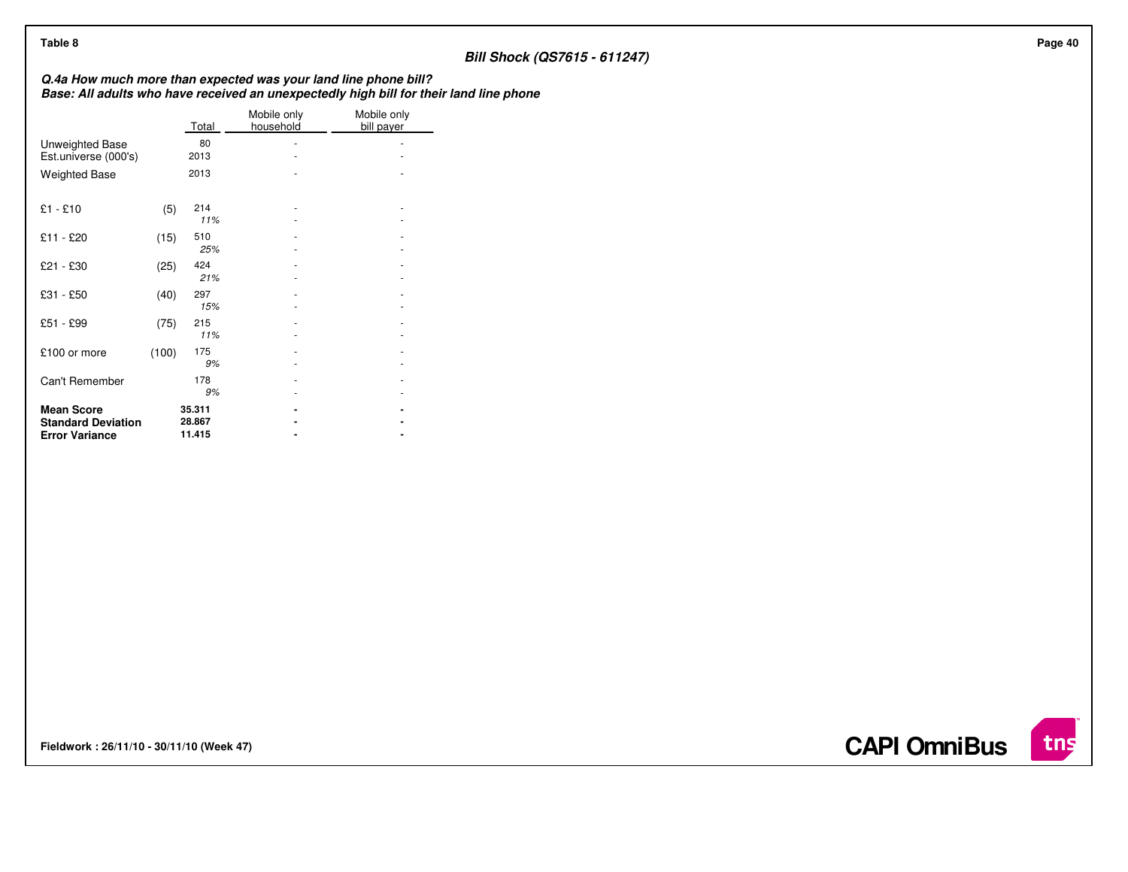## **Bill Shock (QS7615 - 611247)**

**Q.4a How much more than expected was your land line phone bill? Base: All adults who have received an unexpectedly high bill for their land line phone**

|                                                    |       | Total            | Mobile only<br>household | Mobile only<br>bill payer |
|----------------------------------------------------|-------|------------------|--------------------------|---------------------------|
| Unweighted Base                                    |       | 80               |                          |                           |
| Est.universe (000's)                               |       | 2013             |                          |                           |
| <b>Weighted Base</b>                               |       | 2013             |                          |                           |
| $£1 - £10$                                         | (5)   | 214<br>11%       |                          |                           |
| £11 - £20                                          | (15)  | 510<br>25%       |                          |                           |
| £21 - £30                                          | (25)  | 424<br>21%       |                          |                           |
| £31 - £50                                          | (40)  | 297<br>15%       |                          |                           |
| £51 - £99                                          | (75)  | 215<br>11%       |                          |                           |
| £100 or more                                       | (100) | 175<br>9%        |                          |                           |
| Can't Remember                                     |       | 178<br>9%        |                          |                           |
| <b>Mean Score</b>                                  |       | 35.311           |                          |                           |
| <b>Standard Deviation</b><br><b>Error Variance</b> |       | 28.867<br>11.415 |                          |                           |

**Fieldwork : 26/11/10 - 30/11/10 (Week 47)** 



 $int$ 

**CAPI OmniBus**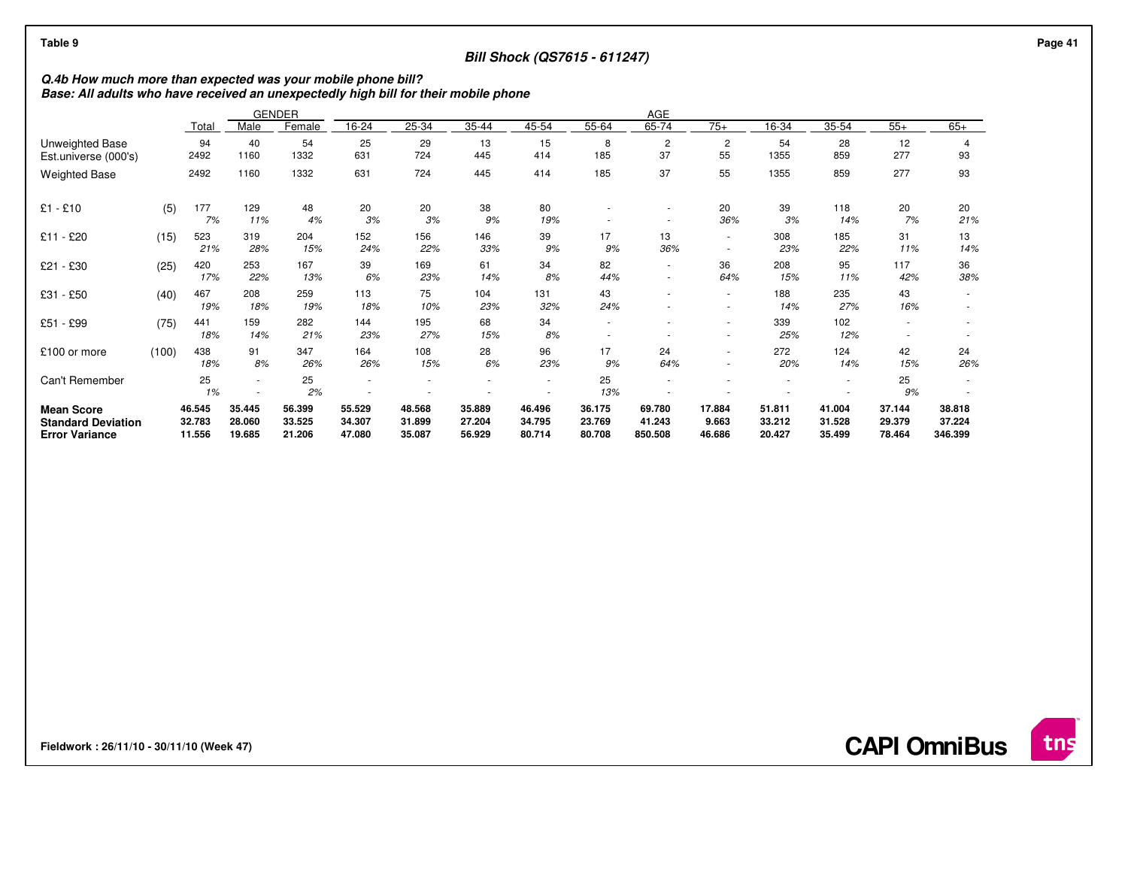## **Bill Shock (QS7615 - 611247)**

# **Q.4b How much more than expected was your mobile phone bill? Base: All adults who have received an unexpectedly high bill for their mobile phone**

|                                                                         |       |                            |                            | <b>GENDER</b>              | AGE                        |                            |                            |                            |                               |                               |                           |                            |                            |                            |                             |
|-------------------------------------------------------------------------|-------|----------------------------|----------------------------|----------------------------|----------------------------|----------------------------|----------------------------|----------------------------|-------------------------------|-------------------------------|---------------------------|----------------------------|----------------------------|----------------------------|-----------------------------|
|                                                                         |       | Total                      | Male                       | Female                     | 16-24                      | 25-34                      | 35-44                      | 45-54                      | 55-64                         | 65-74                         | $75+$                     | 16-34                      | 35-54                      | $55+$                      | $65+$                       |
| Unweighted Base<br>Est.universe (000's)                                 |       | 94<br>2492                 | 40<br>1160                 | 54<br>1332                 | 25<br>631                  | 29<br>724                  | 13<br>445                  | 15<br>414                  | 8<br>185                      | $\overline{2}$<br>37          | 2<br>55                   | 54<br>1355                 | 28<br>859                  | 12<br>277                  | 4<br>93                     |
| <b>Weighted Base</b>                                                    |       | 2492                       | 1160                       | 1332                       | 631                        | 724                        | 445                        | 414                        | 185                           | 37                            | 55                        | 1355                       | 859                        | 277                        | 93                          |
| $£1 - £10$                                                              | (5)   | 177<br>7%                  | 129<br>11%                 | 48<br>4%                   | 20<br>3%                   | 20<br>3%                   | 38<br>9%                   | 80<br>19%                  |                               | ٠                             | 20<br>36%                 | 39<br>3%                   | 118<br>14%                 | 20<br>7%                   | 20<br>21%                   |
| £11 - £20                                                               | (15)  | 523<br>21%                 | 319<br>28%                 | 204<br>15%                 | 152<br>24%                 | 156<br>22%                 | 146<br>33%                 | 39<br>9%                   | 17<br>9%                      | 13<br>36%                     | $\sim$                    | 308<br>23%                 | 185<br>22%                 | 31<br>11%                  | 13<br>14%                   |
| £21 - £30                                                               | (25)  | 420<br>17%                 | 253<br>22%                 | 167<br>13%                 | 39<br>6%                   | 169<br>23%                 | 61<br>14%                  | 34<br>8%                   | 82<br>44%                     | $\overline{\phantom{a}}$<br>٠ | 36<br>64%                 | 208<br>15%                 | 95<br>11%                  | 117<br>42%                 | 36<br>38%                   |
| £31 - £50                                                               | (40)  | 467<br>19%                 | 208<br>18%                 | 259<br>19%                 | 113<br>18%                 | 75<br>10%                  | 104<br>23%                 | 131<br>32%                 | 43<br>24%                     | $\overline{\phantom{a}}$      | $\sim$<br>$\sim$          | 188<br>14%                 | 235<br>27%                 | 43<br>16%                  |                             |
| £51 - £99                                                               | (75)  | 441<br>18%                 | 159<br>14%                 | 282<br>21%                 | 144<br>23%                 | 195<br>27%                 | 68<br>15%                  | 34<br>8%                   | $\overline{\phantom{a}}$<br>٠ | ٠<br>$\overline{\phantom{a}}$ | ٠<br>٠                    | 339<br>25%                 | 102<br>12%                 |                            |                             |
| £100 or more                                                            | (100) | 438<br>18%                 | 91<br>8%                   | 347<br>26%                 | 164<br>26%                 | 108<br>15%                 | 28<br>6%                   | 96<br>23%                  | 17<br>9%                      | 24<br>64%                     | $\overline{a}$            | 272<br>20%                 | 124<br>14%                 | 42<br>15%                  | 24<br>26%                   |
| Can't Remember                                                          |       | 25<br>1%                   | ٠                          | 25<br>2%                   | $\overline{\phantom{a}}$   | ٠                          |                            | $\overline{\phantom{a}}$   | 25<br>13%                     |                               |                           |                            | $\sim$                     | 25<br>9%                   |                             |
| <b>Mean Score</b><br><b>Standard Deviation</b><br><b>Error Variance</b> |       | 46.545<br>32.783<br>11.556 | 35.445<br>28.060<br>19.685 | 56.399<br>33.525<br>21.206 | 55.529<br>34.307<br>47.080 | 48.568<br>31.899<br>35.087 | 35.889<br>27.204<br>56.929 | 46.496<br>34.795<br>80.714 | 36.175<br>23.769<br>80.708    | 69.780<br>41.243<br>850.508   | 17.884<br>9.663<br>46.686 | 51.811<br>33.212<br>20.427 | 41.004<br>31.528<br>35.499 | 37.144<br>29.379<br>78.464 | 38.818<br>37.224<br>346.399 |

**Fieldwork : 26/11/10 - 30/11/10 (Week 47)** 

**CAPI OmniBus**

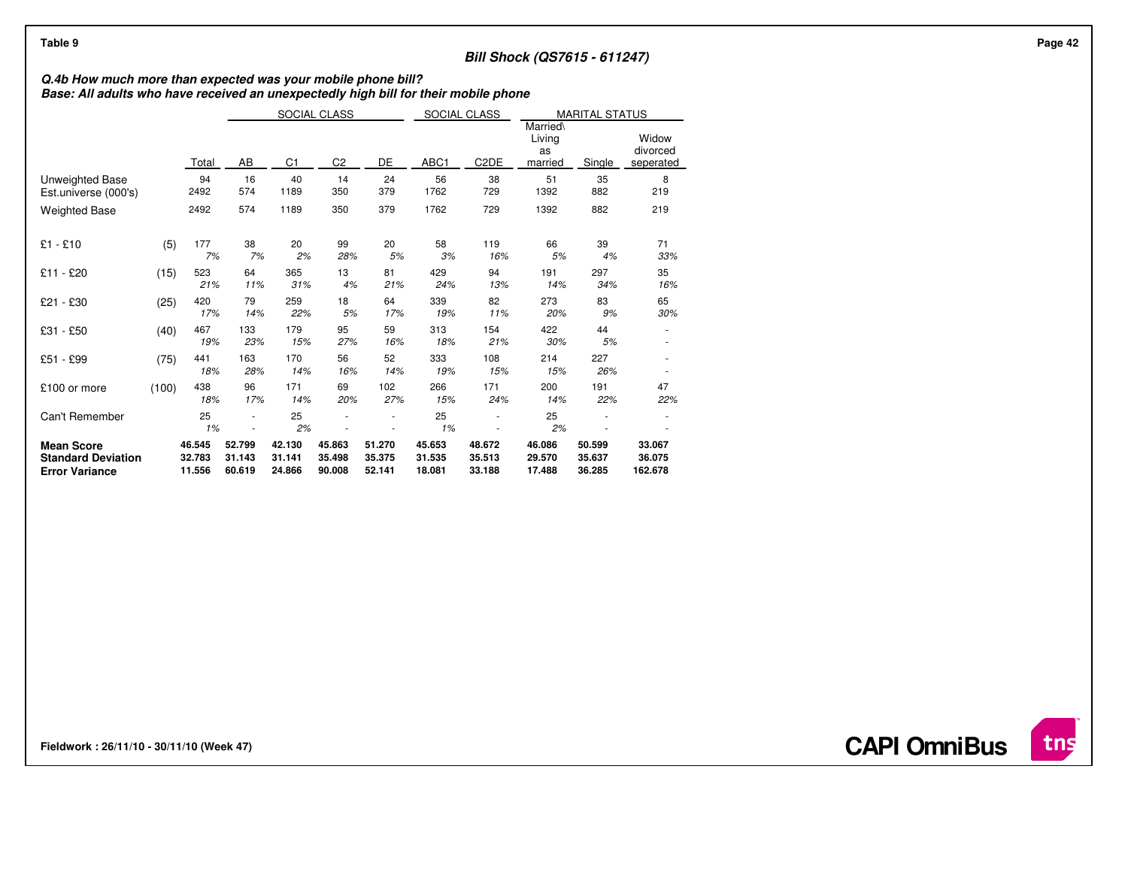## **Bill Shock (QS7615 - 611247)**

# **Q.4b How much more than expected was your mobile phone bill? Base: All adults who have received an unexpectedly high bill for their mobile phone**

|                                                                         |       |                            | SOCIAL CLASS               |                            |                            |                            | SOCIAL CLASS               |                            | <b>MARITAL STATUS</b><br>Married\ |                            |                                |
|-------------------------------------------------------------------------|-------|----------------------------|----------------------------|----------------------------|----------------------------|----------------------------|----------------------------|----------------------------|-----------------------------------|----------------------------|--------------------------------|
|                                                                         |       | Total                      | AB                         | C <sub>1</sub>             |                            | DE                         | ABC1                       | C <sub>2</sub> DE          |                                   | Single                     | Widow<br>divorced<br>seperated |
| Unweighted Base<br>Est.universe (000's)                                 |       | 94<br>2492                 | 16<br>574                  | 40<br>1189                 | 14<br>350                  | 24<br>379                  | 56<br>1762                 | 38<br>729                  | 51<br>1392                        | 35<br>882                  | 8<br>219                       |
| <b>Weighted Base</b>                                                    |       | 2492                       | 574                        | 1189                       | 350                        | 379                        | 1762                       | 729                        | 1392                              | 882                        | 219                            |
| $£1 - £10$                                                              | (5)   | 177<br>7%                  | 38<br>7%                   | 20<br>2%                   | 99<br>28%                  | 20<br>5%                   | 58<br>3%                   | 119<br>16%                 | 66<br>5%                          | 39<br>4%                   | 71<br>33%                      |
| £11 - £20                                                               | (15)  | 523<br>21%                 | 64<br>11%                  | 365<br>31%                 | 13<br>4%                   | 81<br>21%                  | 429<br>24%                 | 94<br>13%                  | 191<br>14%                        | 297<br>34%                 | 35<br>16%                      |
| £21 - £30                                                               | (25)  | 420<br>17%                 | 79<br>14%                  | 259<br>22%                 | 18<br>5%                   | 64<br>17%                  | 339<br>19%                 | 82<br>11%                  | 273<br>20%                        | 83<br>9%                   | 65<br>30%                      |
| £31 - £50                                                               | (40)  | 467<br>19%                 | 133<br>23%                 | 179<br>15%                 | 95<br>27%                  | 59<br>16%                  | 313<br>18%                 | 154<br>21%                 | 422<br>30%                        | 44<br>5%                   |                                |
| £51 - £99                                                               | (75)  | 441<br>18%                 | 163<br>28%                 | 170<br>14%                 | 56<br>16%                  | 52<br>14%                  | 333<br>19%                 | 108<br>15%                 | 214<br>15%                        | 227<br>26%                 |                                |
| £100 or more                                                            | (100) | 438<br>18%                 | 96<br>17%                  | 171<br>14%                 | 69<br>20%                  | 102<br>27%                 | 266<br>15%                 | 171<br>24%                 | 200<br>14%                        | 191<br>22%                 | 47<br>22%                      |
| Can't Remember                                                          |       | 25<br>1%                   |                            | 25<br>2%                   |                            |                            | 25<br>1%                   |                            | 25<br>2%                          |                            |                                |
| <b>Mean Score</b><br><b>Standard Deviation</b><br><b>Error Variance</b> |       | 46.545<br>32.783<br>11.556 | 52.799<br>31.143<br>60.619 | 42.130<br>31.141<br>24.866 | 45.863<br>35.498<br>90.008 | 51.270<br>35.375<br>52.141 | 45.653<br>31.535<br>18.081 | 48.672<br>35.513<br>33.188 | 46.086<br>29.570<br>17.488        | 50.599<br>35.637<br>36.285 | 33.067<br>36.075<br>162.678    |

**Fieldwork : 26/11/10 - 30/11/10 (Week 47)**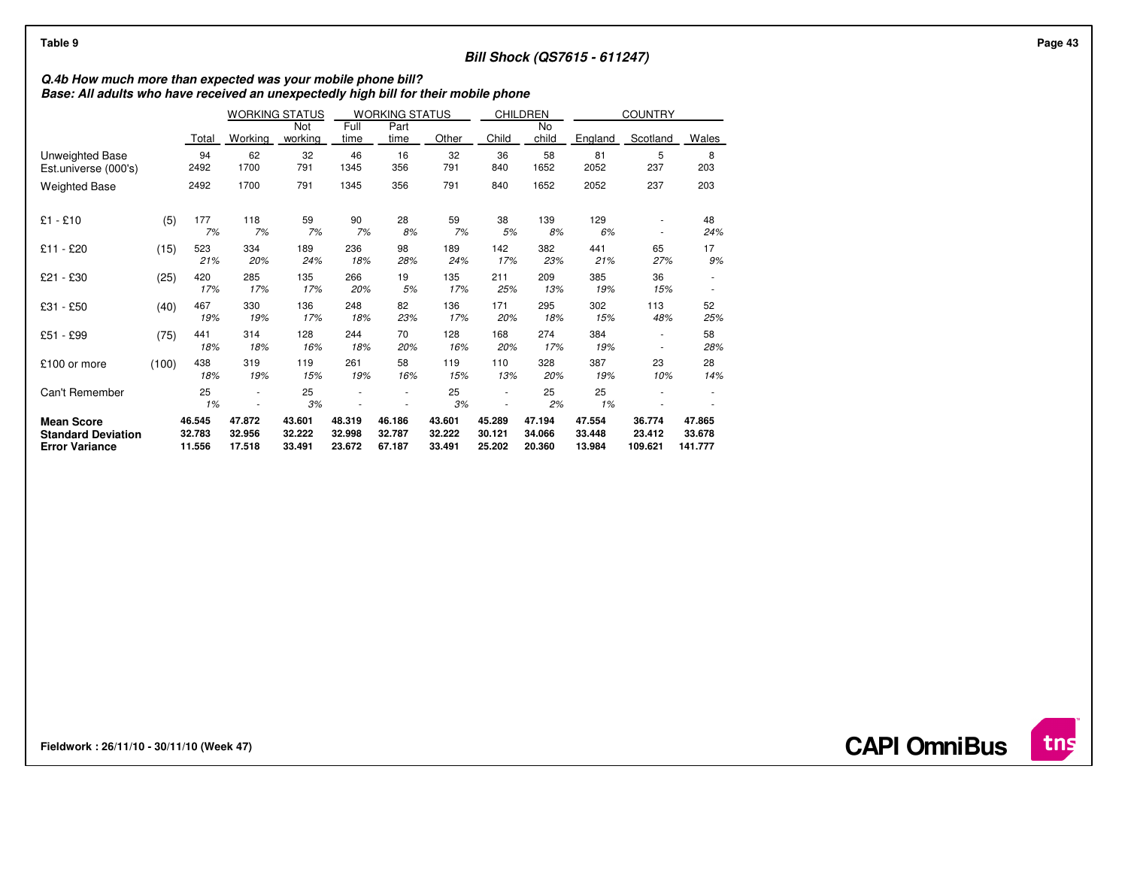## **Bill Shock (QS7615 - 611247)**

## **Q.4b How much more than expected was your mobile phone bill? Base: All adults who have received an unexpectedly high bill for their mobile phone**

|                                                                         |       |                            | <b>WORKING STATUS</b>      |                            |                            | <b>WORKING STATUS</b>      |                            | <b>CHILDREN</b>            |                            |                            | <b>COUNTRY</b>              |                             |
|-------------------------------------------------------------------------|-------|----------------------------|----------------------------|----------------------------|----------------------------|----------------------------|----------------------------|----------------------------|----------------------------|----------------------------|-----------------------------|-----------------------------|
|                                                                         |       | Total                      | Working                    | Not<br>working             | Full<br>time               | Part<br>time               | Other                      | Child                      | No<br>child                | England                    | Scotland                    | Wales                       |
| Unweighted Base<br>Est.universe (000's)                                 |       | 94<br>2492                 | 62<br>1700                 | 32<br>791                  | 46<br>1345                 | 16<br>356                  | 32<br>791                  | 36<br>840                  | 58<br>1652                 | 81<br>2052                 | 5<br>237                    | 8<br>203                    |
| <b>Weighted Base</b>                                                    |       | 2492                       | 1700                       | 791                        | 1345                       | 356                        | 791                        | 840                        | 1652                       | 2052                       | 237                         | 203                         |
| $£1 - £10$                                                              | (5)   | 177<br>7%                  | 118<br>7%                  | 59<br>7%                   | 90<br>7%                   | 28<br>8%                   | 59<br>7%                   | 38<br>5%                   | 139<br>8%                  | 129<br>6%                  |                             | 48<br>24%                   |
| £11 - £20                                                               | (15)  | 523<br>21%                 | 334<br>20%                 | 189<br>24%                 | 236<br>18%                 | 98<br>28%                  | 189<br>24%                 | 142<br>17%                 | 382<br>23%                 | 441<br>21%                 | 65<br>27%                   | 17<br>9%                    |
| £21 - £30                                                               | (25)  | 420<br>17%                 | 285<br>17%                 | 135<br>17%                 | 266<br>20%                 | 19<br>5%                   | 135<br>17%                 | 211<br>25%                 | 209<br>13%                 | 385<br>19%                 | 36<br>15%                   |                             |
| £31 - £50                                                               | (40)  | 467<br>19%                 | 330<br>19%                 | 136<br>17%                 | 248<br>18%                 | 82<br>23%                  | 136<br>17%                 | 171<br>20%                 | 295<br>18%                 | 302<br>15%                 | 113<br>48%                  | 52<br>25%                   |
| £51 - £99                                                               | (75)  | 441<br>18%                 | 314<br>18%                 | 128<br>16%                 | 244<br>18%                 | 70<br>20%                  | 128<br>16%                 | 168<br>20%                 | 274<br>17%                 | 384<br>19%                 | ۰                           | 58<br>28%                   |
| £100 or more                                                            | (100) | 438<br>18%                 | 319<br>19%                 | 119<br>15%                 | 261<br>19%                 | 58<br>16%                  | 119<br>15%                 | 110<br>13%                 | 328<br>20%                 | 387<br>19%                 | 23<br>10%                   | 28<br>14%                   |
| Can't Remember                                                          |       | 25<br>1%                   |                            | 25<br>3%                   |                            |                            | 25<br>3%                   |                            | 25<br>2%                   | 25<br>1%                   |                             |                             |
| <b>Mean Score</b><br><b>Standard Deviation</b><br><b>Error Variance</b> |       | 46.545<br>32.783<br>11.556 | 47.872<br>32.956<br>17.518 | 43.601<br>32.222<br>33.491 | 48.319<br>32.998<br>23.672 | 46.186<br>32.787<br>67.187 | 43.601<br>32.222<br>33.491 | 45.289<br>30.121<br>25.202 | 47.194<br>34.066<br>20.360 | 47.554<br>33.448<br>13.984 | 36.774<br>23.412<br>109.621 | 47.865<br>33.678<br>141.777 |

**Fieldwork : 26/11/10 - 30/11/10 (Week 47)**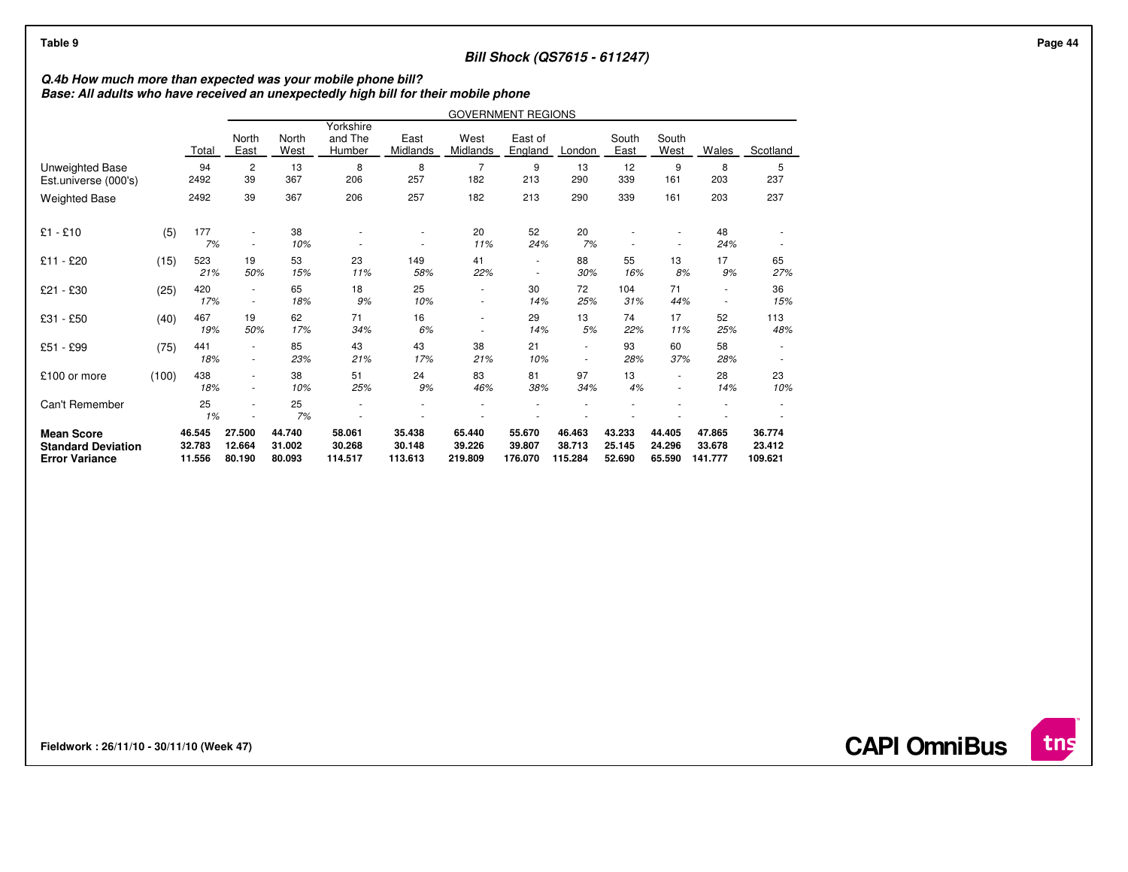## **Bill Shock (QS7615 - 611247)**

## **Q.4b How much more than expected was your mobile phone bill? Base: All adults who have received an unexpectedly high bill for their mobile phone**

|                                                                         |       |                            | <b>GOVERNMENT REGIONS</b>  |                            |                                |                             |                             |                                    |                                            |                            |                            |                             |                             |
|-------------------------------------------------------------------------|-------|----------------------------|----------------------------|----------------------------|--------------------------------|-----------------------------|-----------------------------|------------------------------------|--------------------------------------------|----------------------------|----------------------------|-----------------------------|-----------------------------|
|                                                                         |       | Total                      | North<br>East              | North<br>West              | Yorkshire<br>and The<br>Humber | East<br>Midlands            | West<br>Midlands            | East of<br>England                 | London                                     | South<br>East              | South<br>West              | Wales                       | Scotland                    |
| <b>Unweighted Base</b><br>Est.universe (000's)                          |       | 94<br>2492                 | $\overline{c}$<br>39       | 13<br>367                  | 8<br>206                       | 8<br>257                    | 7<br>182                    | 9<br>213                           | 13<br>290                                  | 12<br>339                  | 9<br>161                   | 8<br>203                    | 5<br>237                    |
| <b>Weighted Base</b>                                                    |       | 2492                       | 39                         | 367                        | 206                            | 257                         | 182                         | 213                                | 290                                        | 339                        | 161                        | 203                         | 237                         |
| $£1 - £10$                                                              | (5)   | 177<br>7%                  | $\overline{\phantom{a}}$   | 38<br>10%                  |                                |                             | 20<br>11%                   | 52<br>24%                          | 20<br>7%                                   |                            |                            | 48<br>24%                   |                             |
| £11 - £20                                                               | (15)  | 523<br>21%                 | 19<br>50%                  | 53<br>15%                  | 23<br>11%                      | 149<br>58%                  | 41<br>22%                   | $\sim$<br>$\overline{\phantom{a}}$ | 88<br>30%                                  | 55<br>16%                  | 13<br>8%                   | 17<br>9%                    | 65<br>27%                   |
| £21 - £30                                                               | (25)  | 420<br>17%                 | $\sim$                     | 65<br>18%                  | 18<br>9%                       | 25<br>10%                   | ٠<br>$\sim$                 | 30<br>14%                          | 72<br>25%                                  | 104<br>31%                 | 71<br>44%                  | ÷,<br>$\sim$                | 36<br>15%                   |
| £31 - £50                                                               | (40)  | 467<br>19%                 | 19<br>50%                  | 62<br>17%                  | 71<br>34%                      | 16<br>6%                    | ٠                           | 29<br>14%                          | 13<br>5%                                   | 74<br>22%                  | 17<br>11%                  | 52<br>25%                   | 113<br>48%                  |
| £51 - £99                                                               | (75)  | 441<br>18%                 | ٠                          | 85<br>23%                  | 43<br>21%                      | 43<br>17%                   | 38<br>21%                   | 21<br>10%                          | $\blacksquare$<br>$\overline{\phantom{a}}$ | 93<br>28%                  | 60<br>37%                  | 58<br>28%                   |                             |
| £100 or more                                                            | (100) | 438<br>18%                 |                            | 38<br>10%                  | 51<br>25%                      | 24<br>9%                    | 83<br>46%                   | 81<br>38%                          | 97<br>34%                                  | 13<br>4%                   | $\sim$<br>$\sim$           | 28<br>14%                   | 23<br>10%                   |
| Can't Remember                                                          |       | 25<br>1%                   |                            | 25<br>7%                   |                                |                             |                             |                                    |                                            |                            |                            |                             |                             |
| <b>Mean Score</b><br><b>Standard Deviation</b><br><b>Error Variance</b> |       | 46.545<br>32.783<br>11.556 | 27.500<br>12.664<br>80.190 | 44.740<br>31.002<br>80.093 | 58.061<br>30.268<br>114.517    | 35.438<br>30.148<br>113.613 | 65.440<br>39.226<br>219,809 | 55.670<br>39.807<br>176.070        | 46.463<br>38.713<br>115.284                | 43.233<br>25.145<br>52.690 | 44.405<br>24.296<br>65.590 | 47.865<br>33.678<br>141.777 | 36.774<br>23.412<br>109.621 |

**Fieldwork : 26/11/10 - 30/11/10 (Week 47)** 

**CAPI OmniBus**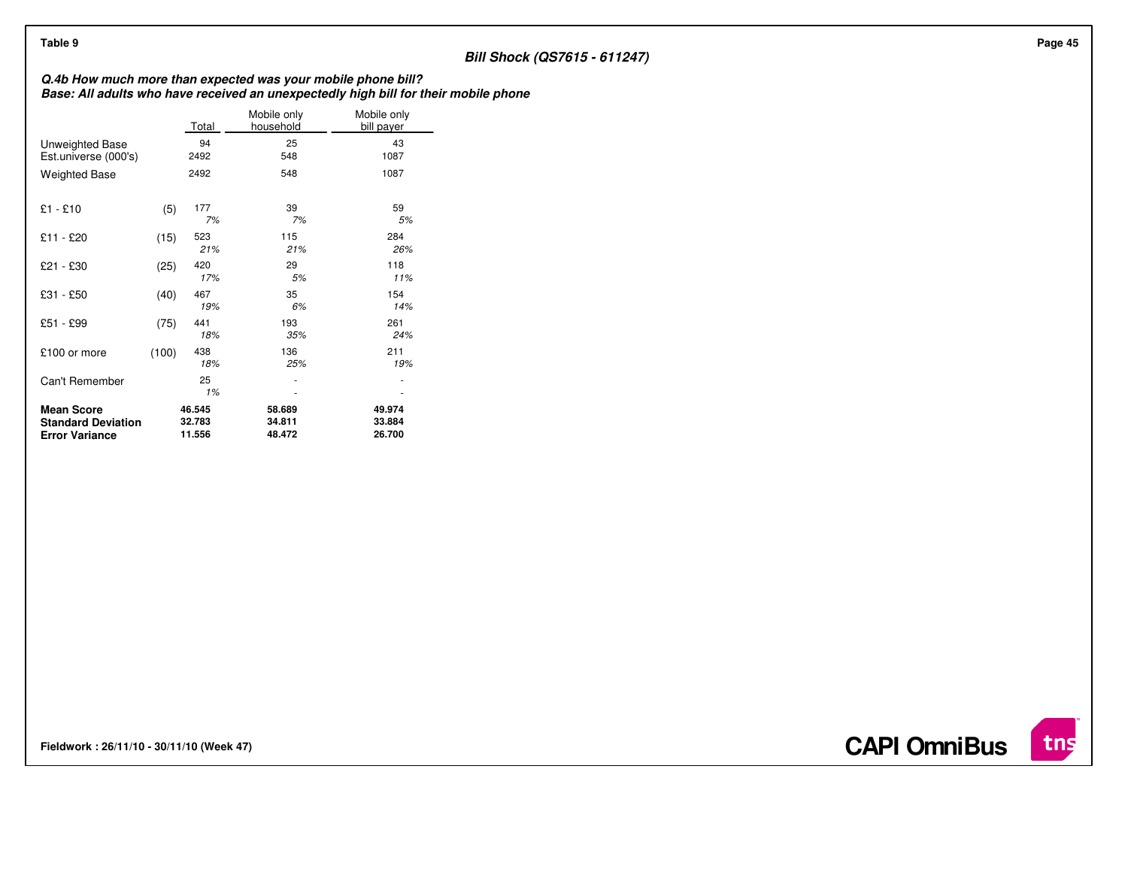## **Bill Shock (QS7615 - 611247)**

**Q.4b How much more than expected was your mobile phone bill? Base: All adults who have received an unexpectedly high bill for their mobile phone**

|                                                                         |       | Total                      | Mobile only<br>household   | Mobile only<br>bill payer  |
|-------------------------------------------------------------------------|-------|----------------------------|----------------------------|----------------------------|
| Unweighted Base<br>Est.universe (000's)                                 |       | 94<br>2492                 | 25<br>548                  | 43<br>1087                 |
| <b>Weighted Base</b>                                                    |       | 2492                       | 548                        | 1087                       |
| $£1 - £10$                                                              | (5)   | 177<br>7%                  | 39<br>7%                   | 59<br>5%                   |
| £11 - £20                                                               | (15)  | 523<br>21%                 | 115<br>21%                 | 284<br>26%                 |
| £21 - £30                                                               | (25)  | 420<br>17%                 | 29<br>5%                   | 118<br>11%                 |
| £31 - £50                                                               | (40)  | 467<br>19%                 | 35<br>6%                   | 154<br>14%                 |
| £51 - £99                                                               | (75)  | 441<br>18%                 | 193<br>35%                 | 261<br>24%                 |
| £100 or more                                                            | (100) | 438<br>18%                 | 136<br>25%                 | 211<br>19%                 |
| Can't Remember                                                          |       | 25<br>1%                   | ٠                          |                            |
| <b>Mean Score</b><br><b>Standard Deviation</b><br><b>Error Variance</b> |       | 46.545<br>32.783<br>11.556 | 58.689<br>34.811<br>48.472 | 49.974<br>33.884<br>26.700 |

**Fieldwork : 26/11/10 - 30/11/10 (Week 47)** 



**CAPI OmniBus**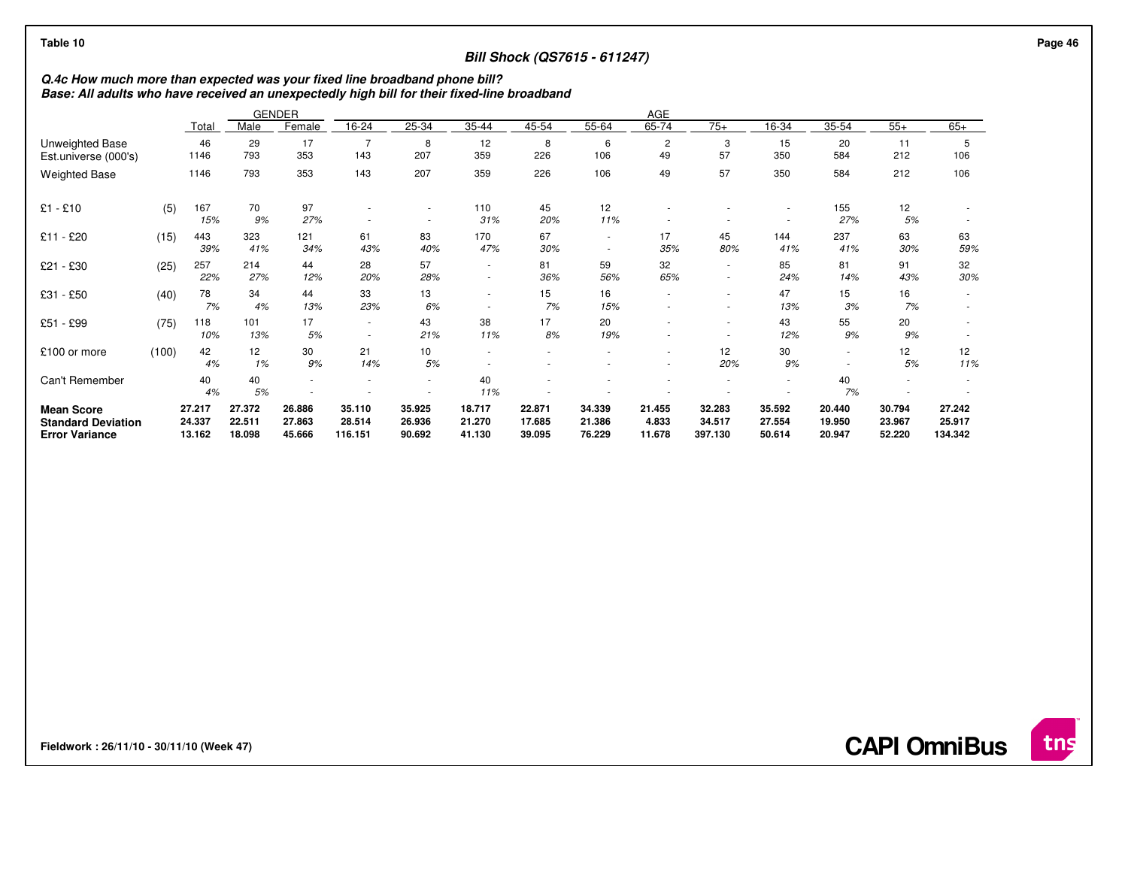## **Bill Shock (QS7615 - 611247)**

**Q.4c How much more than expected was your fixed line broadband phone bill? Base: All adults who have received an unexpectedly high bill for their fixed-line broadband**

|                                                                         |       |                            |                            | <b>GENDER</b>              | AGE                         |                            |                            |                            |                                    |                           |                                    |                            |                            |                            |                             |
|-------------------------------------------------------------------------|-------|----------------------------|----------------------------|----------------------------|-----------------------------|----------------------------|----------------------------|----------------------------|------------------------------------|---------------------------|------------------------------------|----------------------------|----------------------------|----------------------------|-----------------------------|
|                                                                         |       | Total                      | Male                       | Female                     | 16-24                       | 25-34                      | 35-44                      | 45-54                      | 55-64                              | 65-74                     | $75+$                              | 16-34                      | 35-54                      | $55+$                      | $65+$                       |
| Unweighted Base<br>Est.universe (000's)                                 |       | 46<br>1146                 | 29<br>793                  | 17<br>353                  | 143                         | 8<br>207                   | 12<br>359                  | 8<br>226                   | 6<br>106                           | $\overline{2}$<br>49      | 3<br>57                            | 15<br>350                  | 20<br>584                  | 11<br>212                  | 106                         |
| <b>Weighted Base</b>                                                    |       | 1146                       | 793                        | 353                        | 143                         | 207                        | 359                        | 226                        | 106                                | 49                        | 57                                 | 350                        | 584                        | 212                        | 106                         |
| $£1 - £10$                                                              | (5)   | 167<br>15%                 | 70<br>9%                   | 97<br>27%                  | $\overline{\phantom{a}}$    | $\sim$                     | 110<br>31%                 | 45<br>20%                  | 12<br>11%                          |                           |                                    |                            | 155<br>27%                 | 12<br>5%                   |                             |
| £11 - £20                                                               | (15)  | 443<br>39%                 | 323<br>41%                 | 121<br>34%                 | 61<br>43%                   | 83<br>40%                  | 170<br>47%                 | 67<br>30%                  | $\sim$<br>$\overline{\phantom{a}}$ | 17<br>35%                 | 45<br>80%                          | 144<br>41%                 | 237<br>41%                 | 63<br>30%                  | 63<br>59%                   |
| £21 - £30                                                               | (25)  | 257<br>22%                 | 214<br>27%                 | 44<br>12%                  | 28<br>20%                   | 57<br>28%                  | ٠<br>٠                     | 81<br>36%                  | 59<br>56%                          | 32<br>65%                 | $\overline{\phantom{a}}$<br>$\sim$ | 85<br>24%                  | 81<br>14%                  | 91<br>43%                  | 32<br>30%                   |
| £31 - £50                                                               | (40)  | 78<br>7%                   | 34<br>4%                   | 44<br>13%                  | 33<br>23%                   | 13<br>6%                   | ٠<br>٠                     | 15<br>7%                   | 16<br>15%                          |                           | ٠                                  | 47<br>13%                  | 15<br>3%                   | 16<br>7%                   |                             |
| £51 - £99                                                               | (75)  | 118<br>10%                 | 101<br>13%                 | 17<br>5%                   | $\sim$<br>٠                 | 43<br>21%                  | 38<br>11%                  | 17<br>8%                   | 20<br>19%                          |                           |                                    | 43<br>12%                  | 55<br>9%                   | 20<br>9%                   |                             |
| £100 or more                                                            | (100) | 42<br>4%                   | 12<br>1%                   | 30<br>9%                   | 21<br>14%                   | 10 <sup>10</sup><br>5%     |                            |                            |                                    | ٠                         | 12<br>20%                          | 30<br>9%                   | $\overline{\phantom{a}}$   | 12<br>5%                   | 12<br>11%                   |
| Can't Remember                                                          |       | 40<br>4%                   | 40<br>5%                   |                            |                             | ٠                          | 40<br>11%                  |                            |                                    |                           |                                    | ٠                          | 40<br>7%                   |                            |                             |
| <b>Mean Score</b><br><b>Standard Deviation</b><br><b>Error Variance</b> |       | 27.217<br>24.337<br>13.162 | 27.372<br>22.511<br>18.098 | 26.886<br>27.863<br>45.666 | 35.110<br>28.514<br>116.151 | 35.925<br>26.936<br>90.692 | 18.717<br>21.270<br>41.130 | 22.871<br>17.685<br>39.095 | 34.339<br>21.386<br>76.229         | 21.455<br>4.833<br>11.678 | 32.283<br>34.517<br>397.130        | 35.592<br>27.554<br>50.614 | 20.440<br>19.950<br>20.947 | 30.794<br>23.967<br>52.220 | 27.242<br>25.917<br>134.342 |

**Fieldwork : 26/11/10 - 30/11/10 (Week 47)**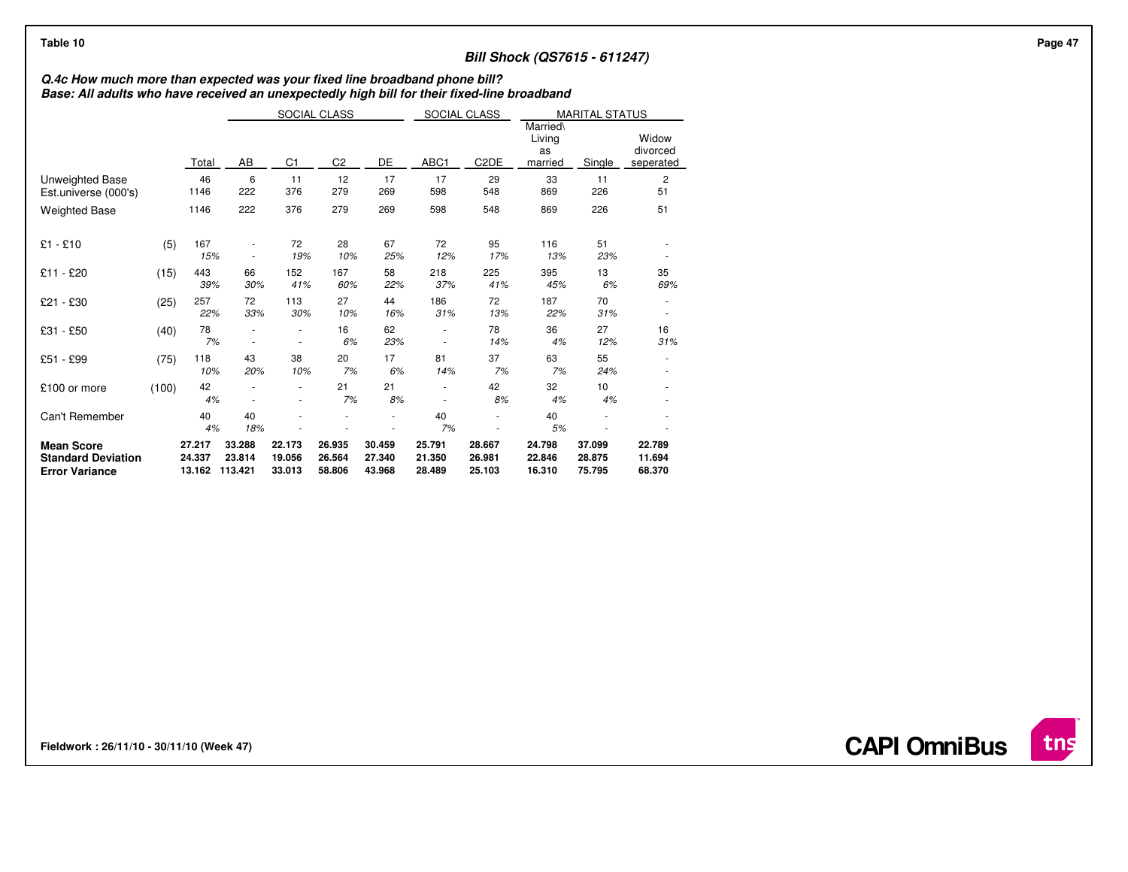## **Bill Shock (QS7615 - 611247)**

# **Q.4c How much more than expected was your fixed line broadband phone bill? Base: All adults who have received an unexpectedly high bill for their fixed-line broadband**

|                                                                         |       |                            | SOCIAL CLASS                                 |                            |                            |                            | SOCIAL CLASS               |                                     | <b>MARITAL STATUS</b>      |                                |                            |
|-------------------------------------------------------------------------|-------|----------------------------|----------------------------------------------|----------------------------|----------------------------|----------------------------|----------------------------|-------------------------------------|----------------------------|--------------------------------|----------------------------|
|                                                                         |       | Total                      | DE<br>AB<br>C <sub>1</sub><br>C <sub>2</sub> |                            |                            | ABC1                       | C <sub>2</sub> DE          | Married\<br>Living<br>as<br>married | Single                     | Widow<br>divorced<br>seperated |                            |
| Unweighted Base<br>Est.universe (000's)                                 |       | 46<br>1146                 | 6<br>222                                     | 11<br>376                  | 12<br>279                  | 17<br>269                  | 17<br>598                  | 29<br>548                           | 33<br>869                  | 11<br>226                      | $\overline{c}$<br>51       |
| <b>Weighted Base</b>                                                    |       | 1146                       | 222                                          | 376                        | 279                        | 269                        | 598                        | 548                                 | 869                        | 226                            | 51                         |
| $£1 - £10$                                                              | (5)   | 167<br>15%                 |                                              | 72<br>19%                  | 28<br>10%                  | 67<br>25%                  | 72<br>12%                  | 95<br>17%                           | 116<br>13%                 | 51<br>23%                      |                            |
| £11 - £20                                                               | (15)  | 443<br>39%                 | 66<br>30%                                    | 152<br>41%                 | 167<br>60%                 | 58<br>22%                  | 218<br>37%                 | 225<br>41%                          | 395<br>45%                 | 13<br>6%                       | 35<br>69%                  |
| £21 - £30                                                               | (25)  | 257<br>22%                 | 72<br>33%                                    | 113<br>30%                 | 27<br>10%                  | 44<br>16%                  | 186<br>31%                 | 72<br>13%                           | 187<br>22%                 | 70<br>31%                      |                            |
| £31 - £50                                                               | (40)  | 78<br>7%                   |                                              | ٠                          | 16<br>6%                   | 62<br>23%                  |                            | 78<br>14%                           | 36<br>4%                   | 27<br>12%                      | 16<br>31%                  |
| £51 - £99                                                               | (75)  | 118<br>10%                 | 43<br>20%                                    | 38<br>10%                  | 20<br>7%                   | 17<br>6%                   | 81<br>14%                  | 37<br>7%                            | 63<br>7%                   | 55<br>24%                      |                            |
| £100 or more                                                            | (100) | 42<br>4%                   |                                              | ٠                          | 21<br>7%                   | 21<br>8%                   |                            | 42<br>8%                            | 32<br>4%                   | 10<br>4%                       |                            |
| Can't Remember                                                          |       | 40<br>4%                   | 40<br>18%                                    |                            |                            |                            | 40<br>7%                   |                                     | 40<br>5%                   |                                |                            |
| <b>Mean Score</b><br><b>Standard Deviation</b><br><b>Error Variance</b> |       | 27.217<br>24.337<br>13.162 | 33.288<br>23.814<br>113.421                  | 22.173<br>19.056<br>33.013 | 26.935<br>26.564<br>58.806 | 30.459<br>27.340<br>43.968 | 25.791<br>21.350<br>28.489 | 28.667<br>26.981<br>25.103          | 24.798<br>22.846<br>16.310 | 37.099<br>28.875<br>75.795     | 22.789<br>11.694<br>68.370 |

**Fieldwork : 26/11/10 - 30/11/10 (Week 47)**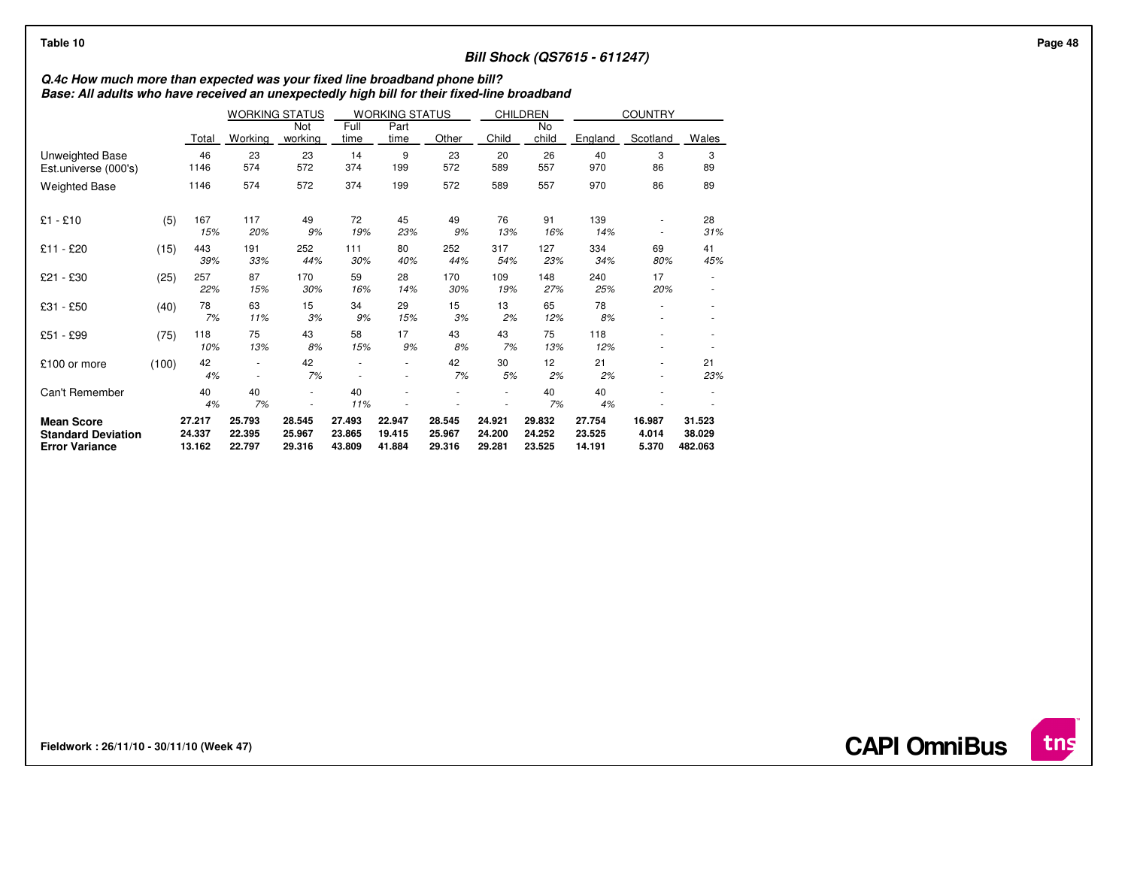## **Bill Shock (QS7615 - 611247)**

# **Q.4c How much more than expected was your fixed line broadband phone bill? Base: All adults who have received an unexpectedly high bill for their fixed-line broadband**

|                                                                         |       |                            | <b>WORKING STATUS</b><br><b>WORKING STATUS</b> |                            | <b>CHILDREN</b>            |                            | <b>COUNTRY</b>             |                            |                            |                            |                          |                             |
|-------------------------------------------------------------------------|-------|----------------------------|------------------------------------------------|----------------------------|----------------------------|----------------------------|----------------------------|----------------------------|----------------------------|----------------------------|--------------------------|-----------------------------|
|                                                                         |       | Total                      | Working                                        | Not<br>working             | Full<br>time               | Part<br>time               | Other                      | Child                      | No<br>child                | England                    | Scotland                 | Wales                       |
| Unweighted Base<br>Est.universe (000's)                                 |       | 46<br>1146                 | 23<br>574                                      | 23<br>572                  | 14<br>374                  | 9<br>199                   | 23<br>572                  | 20<br>589                  | 26<br>557                  | 40<br>970                  | 3<br>86                  | 3<br>89                     |
| <b>Weighted Base</b>                                                    |       | 1146                       | 574                                            | 572                        | 374                        | 199                        | 572                        | 589                        | 557                        | 970                        | 86                       | 89                          |
| $£1 - £10$                                                              | (5)   | 167<br>15%                 | 117<br>20%                                     | 49<br>9%                   | 72<br>19%                  | 45<br>23%                  | 49<br>9%                   | 76<br>13%                  | 91<br>16%                  | 139<br>14%                 |                          | 28<br>31%                   |
| - £20<br>£11                                                            | (15)  | 443<br>39%                 | 191<br>33%                                     | 252<br>44%                 | 111<br>30%                 | 80<br>40%                  | 252<br>44%                 | 317<br>54%                 | 127<br>23%                 | 334<br>34%                 | 69<br>80%                | 41<br>45%                   |
| £21 - £30                                                               | (25)  | 257<br>22%                 | 87<br>15%                                      | 170<br>30%                 | 59<br>16%                  | 28<br>14%                  | 170<br>30%                 | 109<br>19%                 | 148<br>27%                 | 240<br>25%                 | 17<br>20%                |                             |
| £31 - £50                                                               | (40)  | 78<br>7%                   | 63<br>11%                                      | 15<br>3%                   | 34<br>9%                   | 29<br>15%                  | 15<br>3%                   | 13<br>2%                   | 65<br>12%                  | 78<br>8%                   |                          |                             |
| £51 - £99                                                               | (75)  | 118<br>10%                 | 75<br>13%                                      | 43<br>8%                   | 58<br>15%                  | 17<br>9%                   | 43<br>8%                   | 43<br>7%                   | 75<br>13%                  | 118<br>12%                 |                          |                             |
| £100 or more                                                            | (100) | 42<br>4%                   | ٠                                              | 42<br>7%                   |                            | ٠                          | 42<br>7%                   | 30<br>5%                   | 12<br>2%                   | 21<br>2%                   |                          | 21<br>23%                   |
| Can't Remember                                                          |       | 40<br>4%                   | 40<br>7%                                       |                            | 40<br>11%                  |                            |                            |                            | 40<br>7%                   | 40<br>4%                   |                          |                             |
| <b>Mean Score</b><br><b>Standard Deviation</b><br><b>Error Variance</b> |       | 27.217<br>24.337<br>13.162 | 25.793<br>22.395<br>22.797                     | 28.545<br>25.967<br>29.316 | 27.493<br>23.865<br>43.809 | 22.947<br>19.415<br>41.884 | 28.545<br>25.967<br>29.316 | 24.921<br>24.200<br>29.281 | 29.832<br>24.252<br>23.525 | 27.754<br>23.525<br>14.191 | 16.987<br>4.014<br>5.370 | 31.523<br>38.029<br>482.063 |

**Fieldwork : 26/11/10 - 30/11/10 (Week 47)** 

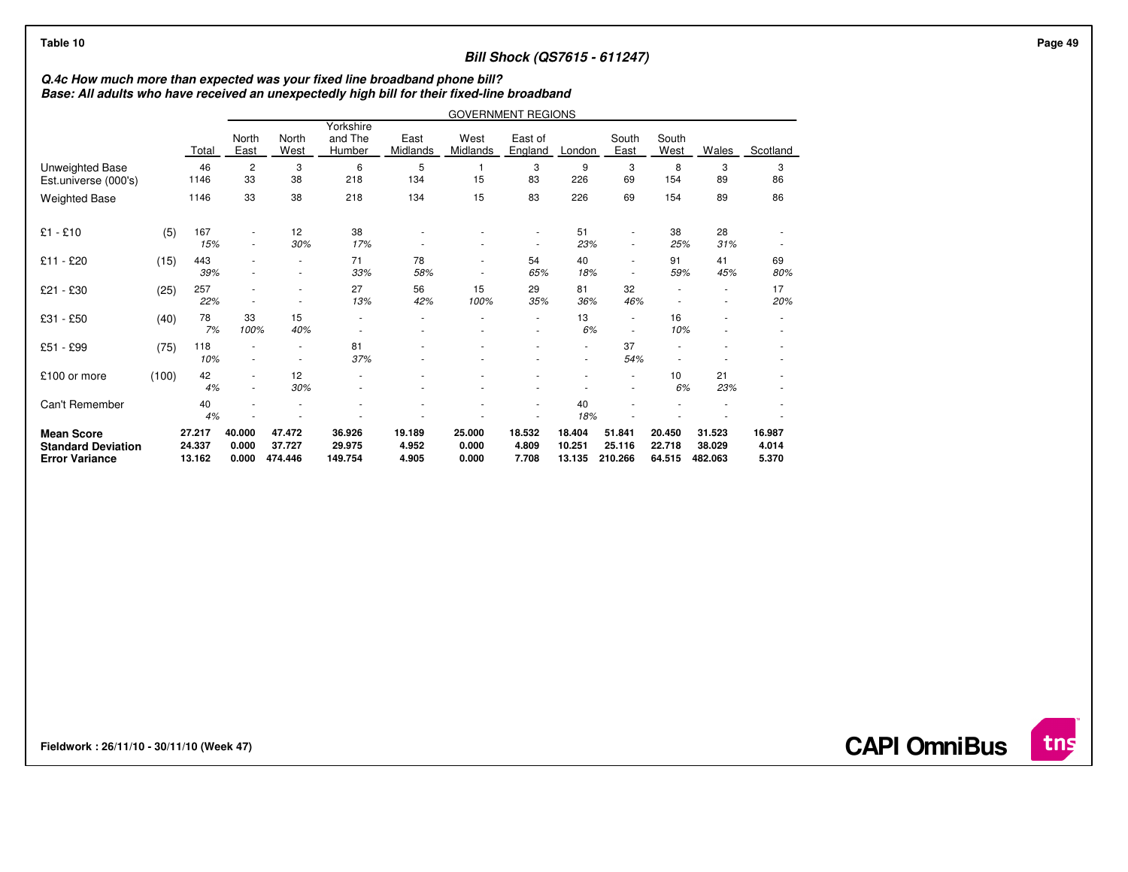## **Bill Shock (QS7615 - 611247)**

# **Q.4c How much more than expected was your fixed line broadband phone bill? Base: All adults who have received an unexpectedly high bill for their fixed-line broadband**

|                                                                         |       |                            | <b>GOVERNMENT REGIONS</b> |                               |                                |                          |                          |                          |                            |                             |                            |                             |                          |
|-------------------------------------------------------------------------|-------|----------------------------|---------------------------|-------------------------------|--------------------------------|--------------------------|--------------------------|--------------------------|----------------------------|-----------------------------|----------------------------|-----------------------------|--------------------------|
|                                                                         |       | Total                      | North<br>East             | North<br>West                 | Yorkshire<br>and The<br>Humber | East<br>Midlands         | West<br>Midlands         | East of<br>England       | London                     | South<br>East               | South<br>West              | <b>Wales</b>                | Scotland                 |
| Unweighted Base<br>Est.universe (000's)                                 |       | 46<br>1146                 | $\overline{2}$<br>33      | 3<br>38                       | 6<br>218                       | 5<br>134                 | $\mathbf{1}$<br>15       | 3<br>83                  | 9<br>226                   | 3<br>69                     | 8<br>154                   | 3<br>89                     | 3<br>86                  |
| <b>Weighted Base</b>                                                    |       | 1146                       | 33                        | 38                            | 218                            | 134                      | 15                       | 83                       | 226                        | 69                          | 154                        | 89                          | 86                       |
| $£1 - £10$                                                              | (5)   | 167<br>15%                 | $\overline{\phantom{a}}$  | 12<br>30%                     | 38<br>17%                      |                          |                          |                          | 51<br>23%                  |                             | 38<br>25%                  | 28<br>31%                   |                          |
| £11 - £20                                                               | (15)  | 443<br>39%                 |                           | ٠                             | 71<br>33%                      | 78<br>58%                | ٠                        | 54<br>65%                | 40<br>18%                  |                             | 91<br>59%                  | 41<br>45%                   | 69<br>80%                |
| £21 - £30                                                               | (25)  | 257<br>22%                 |                           | ٠<br>٠                        | 27<br>13%                      | 56<br>42%                | 15<br>100%               | 29<br>35%                | 81<br>36%                  | 32<br>46%                   |                            | ٠<br>٠                      | 17<br>20%                |
| £31 - £50                                                               | (40)  | 78<br>7%                   | 33<br>100%                | 15<br>40%                     |                                | ٠<br>۰                   |                          | $\overline{\phantom{a}}$ | 13<br>6%                   |                             | 16<br>10%                  | ٠                           | $\overline{\phantom{a}}$ |
| £51 - £99                                                               | (75)  | 118<br>10%                 |                           | $\overline{\phantom{a}}$<br>٠ | 81<br>37%                      |                          |                          |                          | $\frac{1}{2}$<br>$\sim$    | 37<br>54%                   |                            |                             |                          |
| £100 or more                                                            | (100) | 42<br>4%                   |                           | 12<br>30%                     |                                |                          |                          |                          | ٠                          |                             | 10<br>6%                   | 21<br>23%                   |                          |
| Can't Remember                                                          |       | 40<br>4%                   |                           |                               |                                |                          |                          |                          | 40<br>18%                  |                             |                            |                             |                          |
| <b>Mean Score</b><br><b>Standard Deviation</b><br><b>Error Variance</b> |       | 27.217<br>24.337<br>13.162 | 40.000<br>0.000<br>0.000  | 47.472<br>37.727<br>474.446   | 36.926<br>29.975<br>149.754    | 19.189<br>4.952<br>4.905 | 25.000<br>0.000<br>0.000 | 18.532<br>4.809<br>7.708 | 18.404<br>10.251<br>13.135 | 51.841<br>25.116<br>210.266 | 20.450<br>22.718<br>64.515 | 31.523<br>38.029<br>482.063 | 16.987<br>4.014<br>5.370 |

**Fieldwork : 26/11/10 - 30/11/10 (Week 47)** 

**CAPI OmniBus**

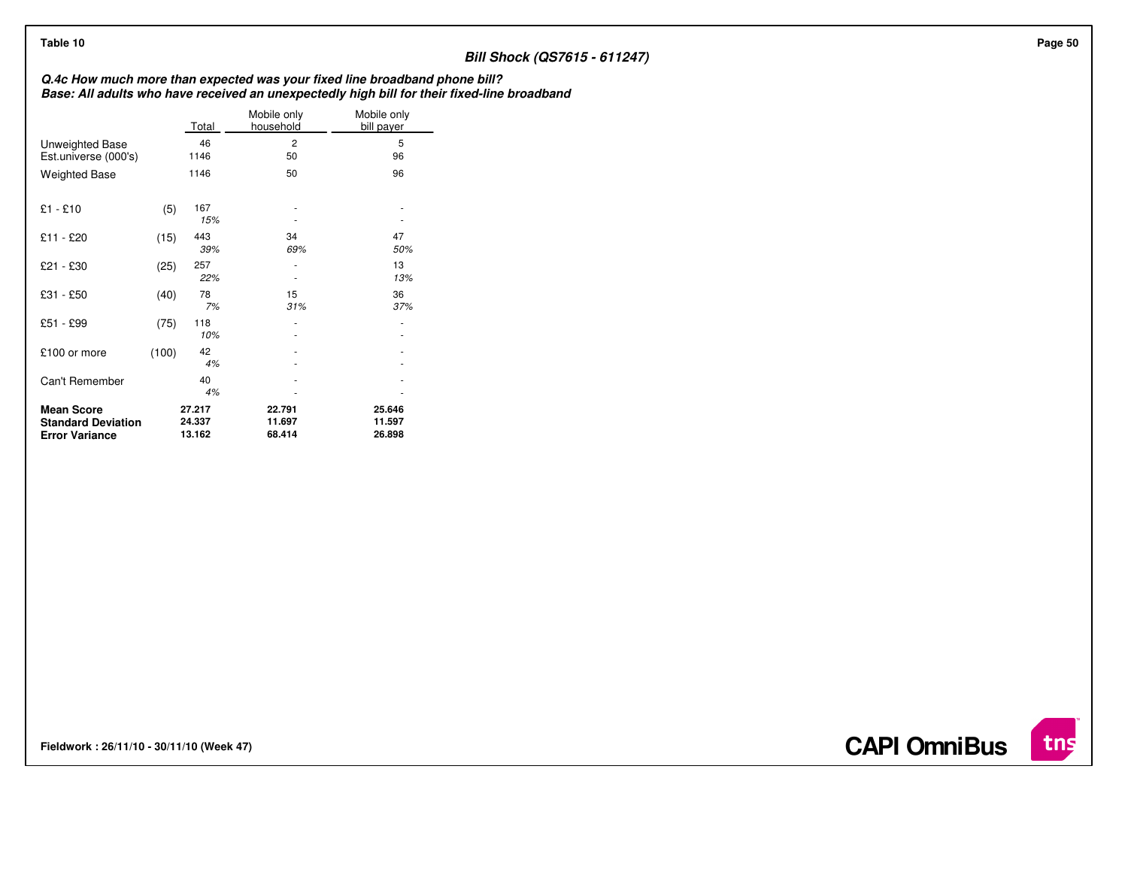## **Bill Shock (QS7615 - 611247)**

**Q.4c How much more than expected was your fixed line broadband phone bill? Base: All adults who have received an unexpectedly high bill for their fixed-line broadband**

|                                                                         |       | Total                      | Mobile only<br>household   | Mobile only<br>bill payer  |
|-------------------------------------------------------------------------|-------|----------------------------|----------------------------|----------------------------|
| Unweighted Base<br>Est.universe (000's)                                 |       | 46<br>1146                 | 2<br>50                    | 5<br>96                    |
| <b>Weighted Base</b>                                                    |       | 1146                       | 50                         | 96                         |
| $£1 - £10$                                                              | (5)   | 167<br>15%                 |                            |                            |
| £11 - £20                                                               | (15)  | 443<br>39%                 | 34<br>69%                  | 47<br>50%                  |
| £21 - £30                                                               | (25)  | 257<br>22%                 |                            | 13<br>13%                  |
| £31 - £50                                                               | (40)  | 78<br>7%                   | 15<br>31%                  | 36<br>37%                  |
| £51 - £99                                                               | (75)  | 118<br>10%                 |                            |                            |
| £100 or more                                                            | (100) | 42<br>4%                   |                            |                            |
| Can't Remember                                                          |       | 40<br>4%                   |                            |                            |
| <b>Mean Score</b><br><b>Standard Deviation</b><br><b>Error Variance</b> |       | 27.217<br>24.337<br>13.162 | 22.791<br>11.697<br>68.414 | 25.646<br>11.597<br>26.898 |

**Fieldwork : 26/11/10 - 30/11/10 (Week 47)** 

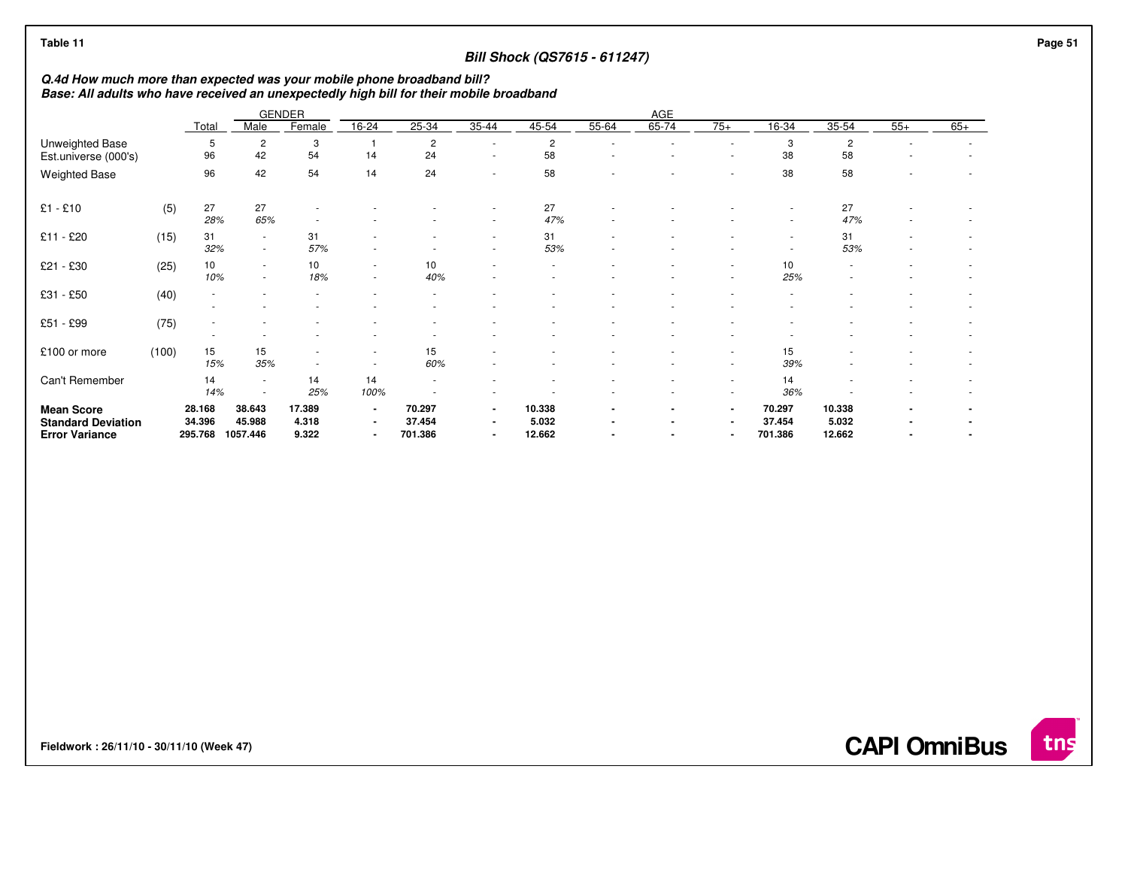## **Bill Shock (QS7615 - 611247)**

**Q.4d How much more than expected was your mobile phone broadband bill? Base: All adults who have received an unexpectedly high bill for their mobile broadband**

|                                                                         |       |                             |                                                      | <b>GENDER</b>            | AGE                                                  |                             |                                                              |                           |       |                                  |                                                    |                             |                           |       |       |
|-------------------------------------------------------------------------|-------|-----------------------------|------------------------------------------------------|--------------------------|------------------------------------------------------|-----------------------------|--------------------------------------------------------------|---------------------------|-------|----------------------------------|----------------------------------------------------|-----------------------------|---------------------------|-------|-------|
|                                                                         |       | Total                       | Male                                                 | Female                   | 16-24                                                | 25-34                       | 35-44                                                        | 45-54                     | 55-64 | 65-74                            | $75+$                                              | 16-34                       | 35-54                     | $55+$ | $65+$ |
| Unweighted Base                                                         |       | 5                           | 2                                                    | 3                        |                                                      | $\overline{c}$              | ٠                                                            | $\overline{c}$            |       |                                  |                                                    | 3                           | $\overline{c}$            |       |       |
| Est.universe (000's)                                                    |       | 96                          | 42                                                   | 54                       | 14                                                   | 24                          | $\overline{\phantom{a}}$                                     | 58                        |       |                                  |                                                    | 38                          | 58                        |       |       |
| <b>Weighted Base</b>                                                    |       | 96                          | 42                                                   | 54                       | 14                                                   | 24                          | ٠                                                            | 58                        |       |                                  |                                                    | 38                          | 58                        |       |       |
| $£1 - £10$                                                              | (5)   | 27<br>28%                   | 27<br>65%                                            |                          |                                                      |                             | $\overline{\phantom{a}}$                                     | 27<br>47%                 |       |                                  |                                                    |                             | 27<br>47%                 |       |       |
| £11 - £20                                                               | (15)  | 31<br>32%                   | $\sim$<br>$\overline{\phantom{a}}$                   | 31<br>57%                |                                                      |                             | ٠<br>٠                                                       | 31<br>53%                 |       |                                  |                                                    |                             | 31<br>53%                 |       |       |
| £21 - £30                                                               | (25)  | 10<br>10%                   | $\overline{\phantom{a}}$<br>$\overline{\phantom{a}}$ | 10<br>18%                | $\overline{\phantom{a}}$<br>$\overline{\phantom{a}}$ | 10<br>40%                   |                                                              |                           |       |                                  | ٠                                                  | 10<br>25%                   |                           |       |       |
| £31 - £50                                                               | (40)  |                             |                                                      |                          |                                                      |                             |                                                              |                           |       |                                  |                                                    |                             |                           |       |       |
| £51 - £99                                                               | (75)  |                             |                                                      |                          |                                                      |                             |                                                              |                           |       |                                  |                                                    |                             |                           |       |       |
| £100 or more                                                            | (100) | 15<br>15%                   | 15<br>35%                                            |                          |                                                      | 15<br>60%                   |                                                              |                           |       |                                  |                                                    | 15<br>39%                   |                           |       |       |
| Can't Remember                                                          |       | 14<br>14%                   | $\sim$                                               | 14<br>25%                | 14<br>100%                                           |                             |                                                              |                           |       |                                  | ٠<br>$\overline{\phantom{a}}$                      | 14<br>36%                   |                           |       |       |
| <b>Mean Score</b><br><b>Standard Deviation</b><br><b>Error Variance</b> |       | 28.168<br>34.396<br>295.768 | 38.643<br>45.988<br>1057.446                         | 17.389<br>4.318<br>9.322 | $\blacksquare$<br>$\blacksquare$<br>$\blacksquare$   | 70.297<br>37.454<br>701.386 | $\blacksquare$<br>$\blacksquare$<br>$\overline{\phantom{0}}$ | 10.338<br>5.032<br>12.662 |       | $\blacksquare$<br>$\blacksquare$ | $\blacksquare$<br>$\blacksquare$<br>$\blacksquare$ | 70.297<br>37.454<br>701.386 | 10.338<br>5.032<br>12.662 |       |       |

**Fieldwork : 26/11/10 - 30/11/10 (Week 47)** 



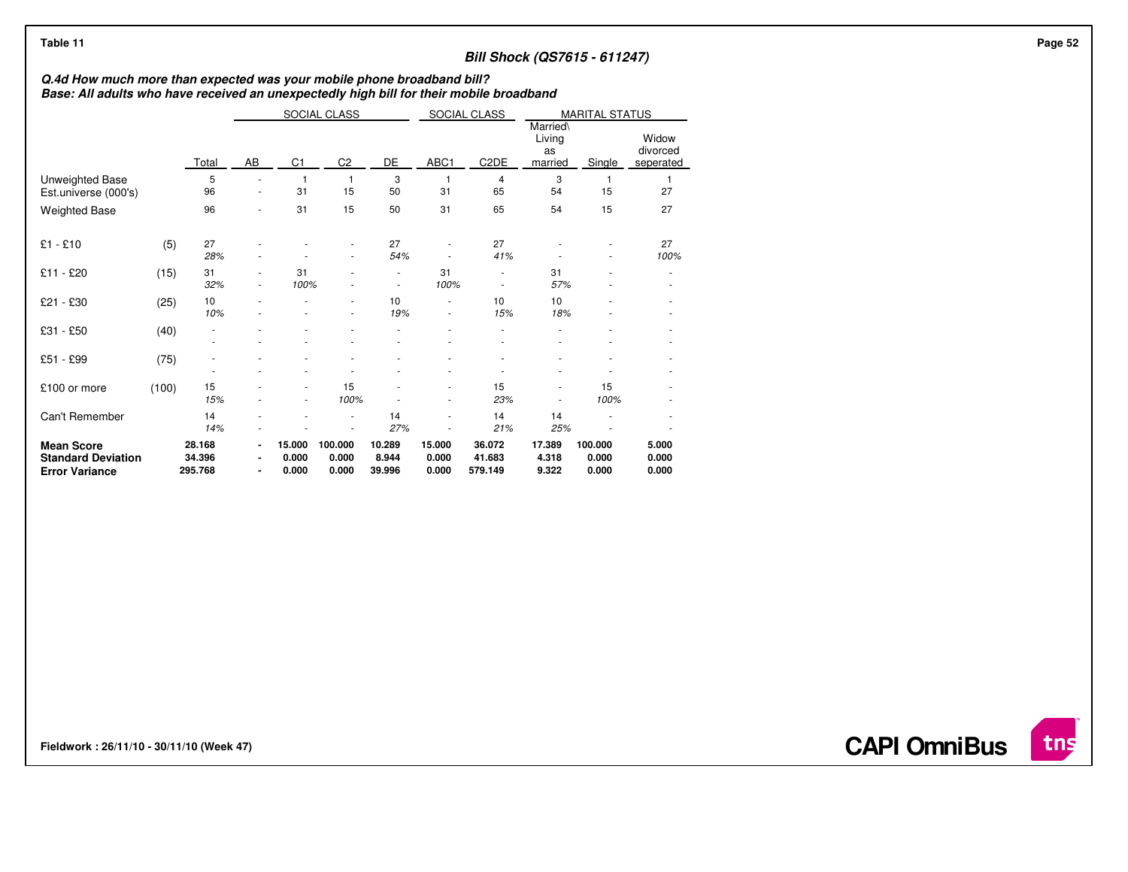## **Bill Shock (QS7615 - 611247)**

# **Q.4d How much more than expected was your mobile phone broadband bill? Base: All adults who have received an unexpectedly high bill for their mobile broadband**

|                                                                         |       |                             |    |                          | SOCIAL CLASS                   |                           |                          | SOCIAL CLASS<br><b>MARITAL STATUS</b> |                                     |                           |                                |
|-------------------------------------------------------------------------|-------|-----------------------------|----|--------------------------|--------------------------------|---------------------------|--------------------------|---------------------------------------|-------------------------------------|---------------------------|--------------------------------|
|                                                                         |       | Total                       | AB | C <sub>1</sub>           | C <sub>2</sub>                 | DE                        | ABC1                     | C <sub>2</sub> DE                     | Married\<br>Living<br>as<br>married | Single                    | Widow<br>divorced<br>seperated |
| Unweighted Base<br>Est.universe (000's)                                 |       | 5<br>96                     | ٠  | 31                       | 1<br>15                        | 3<br>50                   | 1<br>31                  | 4<br>65                               | 3<br>54                             | 15                        | 1<br>27                        |
| <b>Weighted Base</b>                                                    |       | 96                          |    | 31                       | 15                             | 50                        | 31                       | 65                                    | 54                                  | 15                        | 27                             |
| $£1 - £10$                                                              | (5)   | 27<br>28%                   |    |                          | ä,<br>$\overline{\phantom{m}}$ | 27<br>54%                 |                          | 27<br>41%                             |                                     |                           | 27<br>100%                     |
| £11 - £20                                                               | (15)  | 31<br>32%                   |    | 31<br>100%               |                                | ٠                         | 31<br>100%               | ٠                                     | 31<br>57%                           |                           |                                |
| £21 - £30                                                               | (25)  | 10<br>10%                   |    |                          | ä,<br>ä,                       | 10<br>19%                 | ×                        | 10<br>15%                             | 10<br>18%                           |                           |                                |
| £31 - £50                                                               | (40)  | $\overline{\phantom{m}}$    |    |                          |                                |                           |                          | ÷                                     |                                     |                           |                                |
| £51 - £99                                                               | (75)  | ٠                           |    |                          |                                |                           |                          |                                       |                                     |                           |                                |
| £100 or more                                                            | (100) | 15<br>15%                   |    |                          | 15<br>100%                     |                           |                          | 15<br>23%                             |                                     | 15<br>100%                |                                |
| Can't Remember                                                          |       | 14<br>14%                   |    |                          | ä,<br>٠                        | 14<br>27%                 |                          | 14<br>21%                             | 14<br>25%                           |                           |                                |
| <b>Mean Score</b><br><b>Standard Deviation</b><br><b>Error Variance</b> |       | 28.168<br>34.396<br>295.768 |    | 15.000<br>0.000<br>0.000 | 100.000<br>0.000<br>0.000      | 10.289<br>8.944<br>39.996 | 15.000<br>0.000<br>0.000 | 36.072<br>41.683<br>579.149           | 17.389<br>4.318<br>9.322            | 100.000<br>0.000<br>0.000 | 5.000<br>0.000<br>0.000        |

**Fieldwork : 26/11/10 - 30/11/10 (Week 47)** 

**CAPI OmniBus**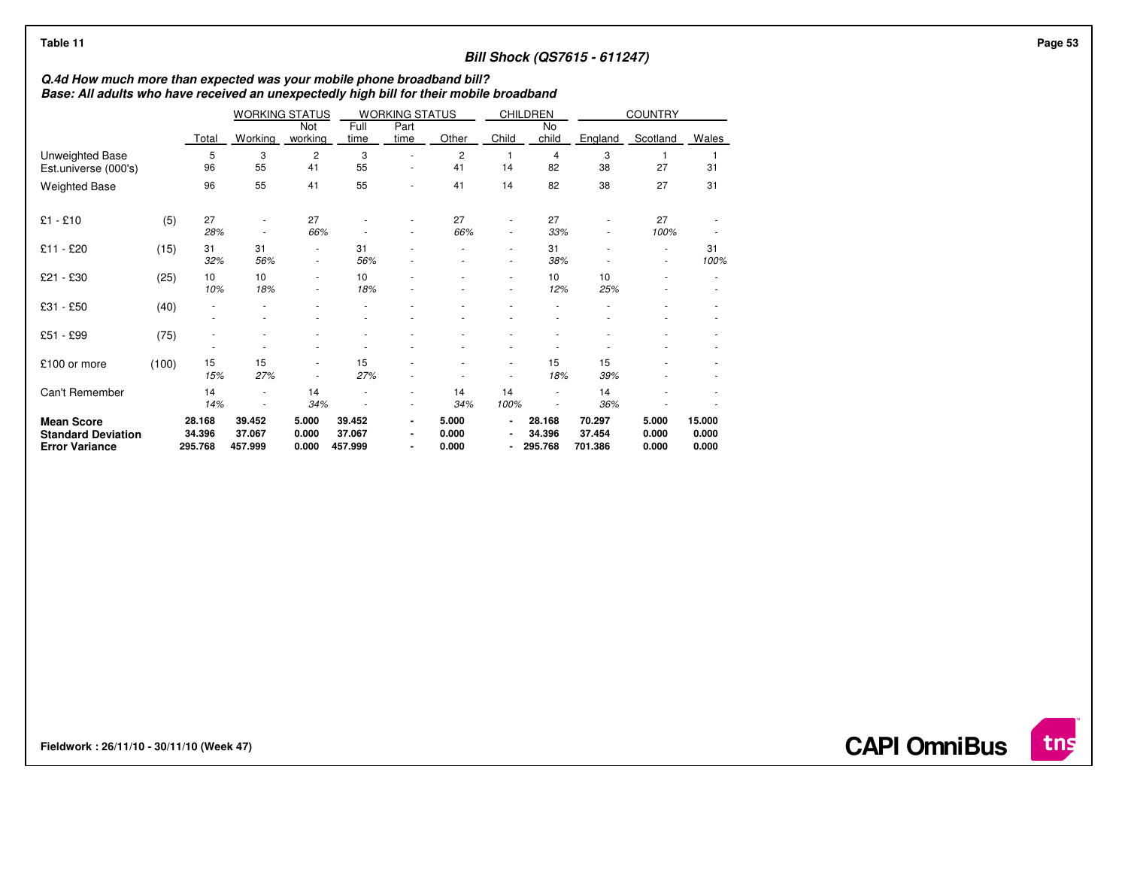## **Bill Shock (QS7615 - 611247)**

# **Q.4d How much more than expected was your mobile phone broadband bill? Base: All adults who have received an unexpectedly high bill for their mobile broadband**

|                                                                         |       |                             | <b>WORKING STATUS</b>       |                               |                             | <b>WORKING STATUS</b>                              |                         |                                  | <b>CHILDREN</b>             | <b>COUNTRY</b>              |                         |                          |
|-------------------------------------------------------------------------|-------|-----------------------------|-----------------------------|-------------------------------|-----------------------------|----------------------------------------------------|-------------------------|----------------------------------|-----------------------------|-----------------------------|-------------------------|--------------------------|
|                                                                         |       | Total                       | Working                     | Not<br>working                | Full<br>time                | Part<br>time                                       | Other                   | Child                            | No<br>child                 | England                     | Scotland                | Wales                    |
| Unweighted Base<br>Est.universe (000's)                                 |       | 5<br>96                     | 3<br>55                     | 2<br>41                       | 3<br>55                     | ٠<br>٠                                             | 2<br>41                 | 14                               | 4<br>82                     | 3<br>38                     | 27                      | 31                       |
| <b>Weighted Base</b>                                                    |       | 96                          | 55                          | 41                            | 55                          | ٠                                                  | 41                      | 14                               | 82                          | 38                          | 27                      | 31                       |
| $£1 - £10$                                                              | (5)   | 27<br>28%                   |                             | 27<br>66%                     |                             | ٠                                                  | 27<br>66%               | $\blacksquare$<br>$\blacksquare$ | 27<br>33%                   |                             | 27<br>100%              |                          |
| £11 - £20                                                               | (15)  | 31<br>32%                   | 31<br>56%                   | ٠<br>$\overline{\phantom{a}}$ | 31<br>56%                   | ٠                                                  | ٠                       | $\blacksquare$<br>٠              | 31<br>38%                   |                             | ٠                       | 31<br>100%               |
| £21 - £30                                                               | (25)  | 10<br>10%                   | 10<br>18%                   | ٠<br>٠                        | 10<br>18%                   |                                                    | ٠                       | $\blacksquare$<br>٠              | 10<br>12%                   | 10<br>25%                   |                         |                          |
| £31 - £50                                                               | (40)  |                             |                             |                               |                             |                                                    |                         |                                  |                             |                             |                         |                          |
| £51 - £99                                                               | (75)  |                             |                             |                               |                             |                                                    |                         |                                  |                             |                             |                         |                          |
| £100 or more                                                            | (100) | 15<br>15%                   | 15<br>27%                   | ٠                             | 15<br>27%                   |                                                    |                         | ٠                                | 15<br>18%                   | 15<br>39%                   |                         |                          |
| Can't Remember                                                          |       | 14<br>14%                   |                             | 14<br>34%                     |                             | ٠<br>$\overline{\phantom{a}}$                      | 14<br>34%               | 14<br>100%                       | ٠                           | 14<br>36%                   |                         |                          |
| <b>Mean Score</b><br><b>Standard Deviation</b><br><b>Error Variance</b> |       | 28.168<br>34.396<br>295.768 | 39.452<br>37.067<br>457.999 | 5.000<br>0.000<br>0.000       | 39.452<br>37.067<br>457.999 | $\blacksquare$<br>$\blacksquare$<br>$\blacksquare$ | 5.000<br>0.000<br>0.000 | $\blacksquare$<br>$\blacksquare$ | 28.168<br>34.396<br>295.768 | 70.297<br>37.454<br>701.386 | 5.000<br>0.000<br>0.000 | 15.000<br>0.000<br>0.000 |

**Fieldwork : 26/11/10 - 30/11/10 (Week 47)** 

**CAPI OmniBus**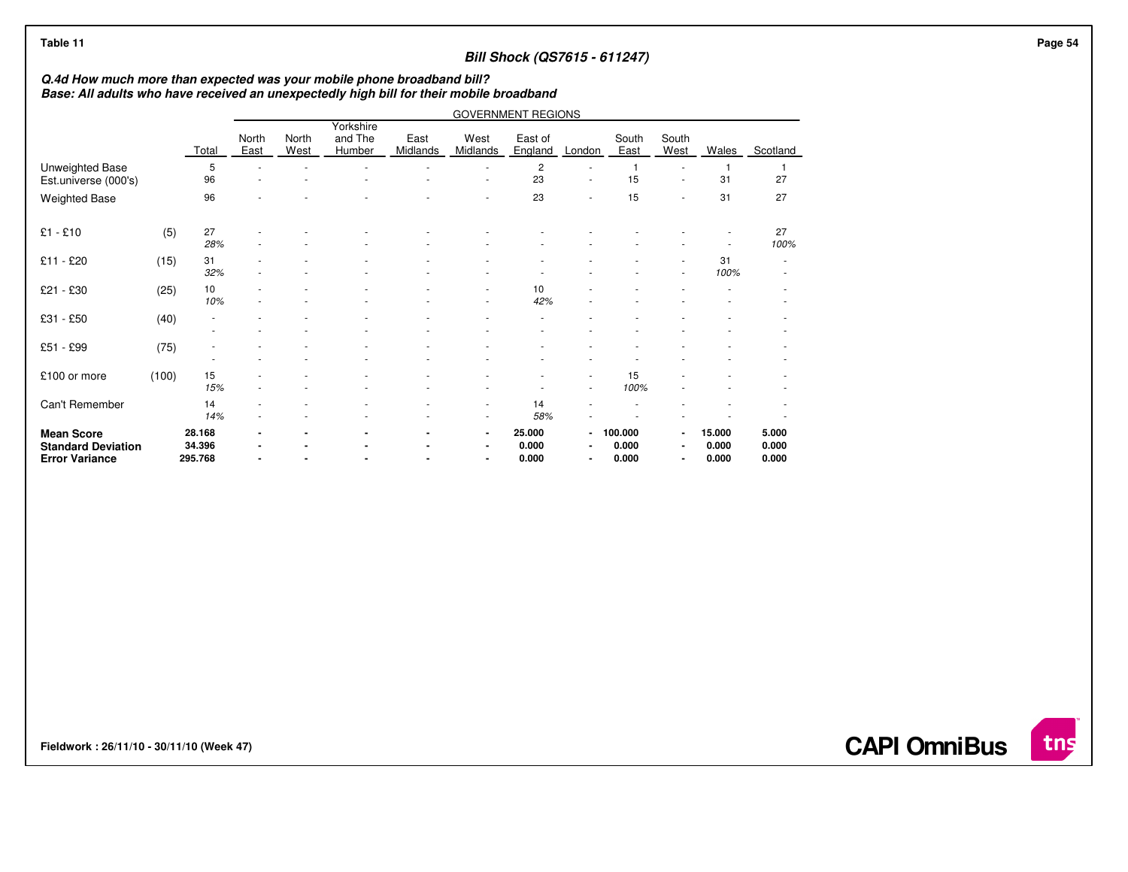## **Bill Shock (QS7615 - 611247)**

# **Q.4d How much more than expected was your mobile phone broadband bill? Base: All adults who have received an unexpectedly high bill for their mobile broadband**

|                                                                         |       |                             |                      |               |                                | <b>GOVERNMENT REGIONS</b> |                                                      |                          |                                                      |                           |                                  |                          |                         |  |
|-------------------------------------------------------------------------|-------|-----------------------------|----------------------|---------------|--------------------------------|---------------------------|------------------------------------------------------|--------------------------|------------------------------------------------------|---------------------------|----------------------------------|--------------------------|-------------------------|--|
|                                                                         |       | Total                       | North<br><b>East</b> | North<br>West | Yorkshire<br>and The<br>Humber | East<br>Midlands          | West<br>Midlands                                     | East of<br>England       | London                                               | South<br>East             | South<br>West                    | Wales                    | Scotland                |  |
| Unweighted Base<br>Est.universe (000's)                                 |       | 5<br>96                     | ÷<br>٠               |               |                                |                           | ×<br>٠                                               | $\overline{c}$<br>23     | ٠<br>$\sim$                                          | 15                        |                                  | 31                       | 27                      |  |
| <b>Weighted Base</b>                                                    |       | 96                          |                      |               |                                |                           | ٠                                                    | 23                       | ٠                                                    | 15                        |                                  | 31                       | 27                      |  |
| $£1 - £10$                                                              | (5)   | 27<br>28%                   |                      |               |                                |                           |                                                      |                          |                                                      |                           |                                  |                          | 27<br>100%              |  |
| £11 - £20                                                               | (15)  | 31<br>32%                   |                      |               |                                |                           |                                                      |                          |                                                      |                           | $\sim$                           | 31<br>100%               |                         |  |
| £21 - £30                                                               | (25)  | 10<br>10%                   | ٠                    |               |                                |                           | ×<br>٠                                               | 10<br>42%                |                                                      |                           |                                  |                          |                         |  |
| £31 - £50                                                               | (40)  | ٠<br>٠                      |                      |               |                                | ٠                         | ٠                                                    |                          |                                                      |                           |                                  |                          |                         |  |
| £51 - £99                                                               | (75)  |                             |                      |               |                                |                           |                                                      |                          |                                                      |                           |                                  |                          |                         |  |
| £100 or more                                                            | (100) | 15<br>15%                   |                      |               |                                |                           | ۰                                                    |                          | $\overline{\phantom{a}}$<br>$\overline{\phantom{a}}$ | 15<br>100%                |                                  |                          |                         |  |
| Can't Remember                                                          |       | 14<br>14%                   |                      |               |                                |                           | $\overline{\phantom{a}}$<br>$\overline{\phantom{a}}$ | 14<br>58%                |                                                      |                           |                                  |                          |                         |  |
| <b>Mean Score</b><br><b>Standard Deviation</b><br><b>Error Variance</b> |       | 28.168<br>34.396<br>295.768 |                      |               |                                |                           | $\blacksquare$<br>$\blacksquare$<br>$\blacksquare$   | 25.000<br>0.000<br>0.000 | $\blacksquare$<br>$\blacksquare$<br>$\blacksquare$   | 100.000<br>0.000<br>0.000 | $\blacksquare$<br>$\blacksquare$ | 15.000<br>0.000<br>0.000 | 5.000<br>0.000<br>0.000 |  |

**Fieldwork : 26/11/10 - 30/11/10 (Week 47)** 

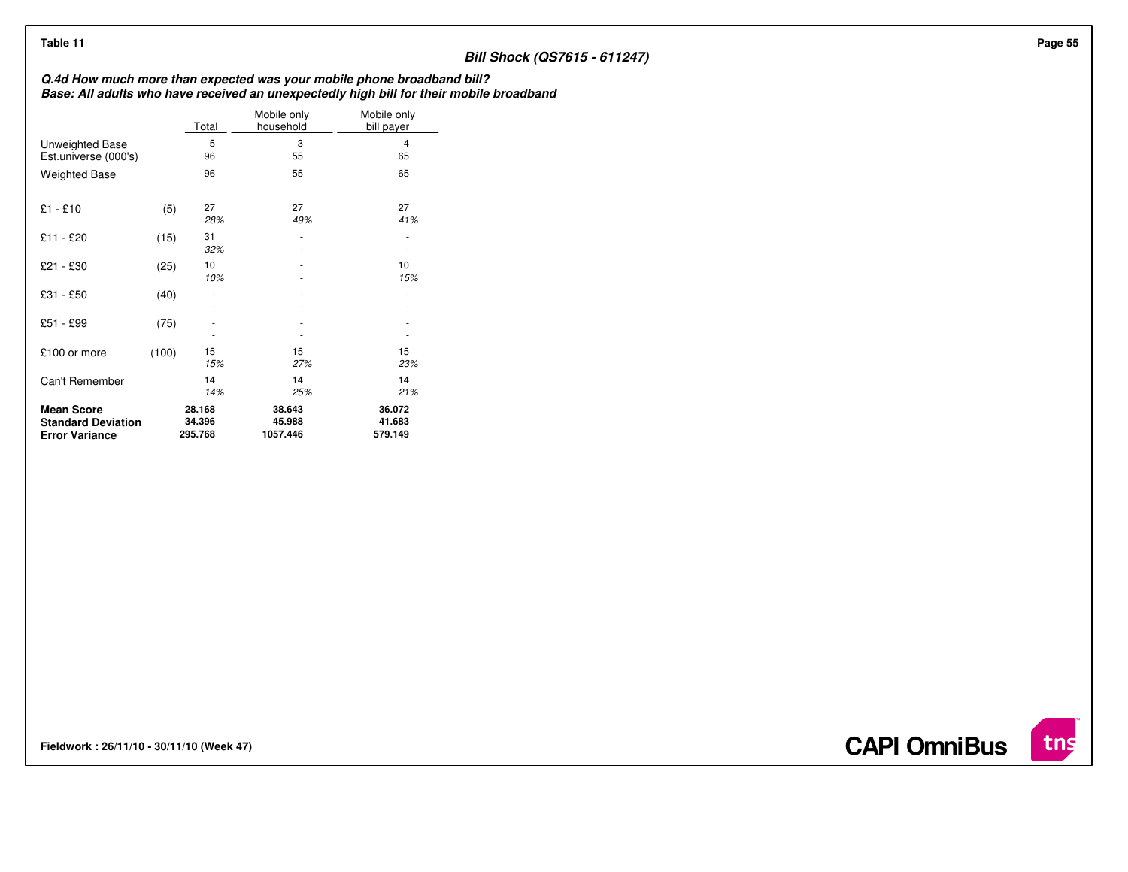## **Bill Shock (QS7615 - 611247)**

**Q.4d How much more than expected was your mobile phone broadband bill? Base: All adults who have received an unexpectedly high bill for their mobile broadband**

|                                                                         |       | Total                       | Mobile only<br>household     | Mobile only<br>bill payer   |
|-------------------------------------------------------------------------|-------|-----------------------------|------------------------------|-----------------------------|
| Unweighted Base<br>Est.universe (000's)                                 |       | 5<br>96                     | 3<br>55                      | 4<br>65                     |
| <b>Weighted Base</b>                                                    |       | 96                          | 55                           | 65                          |
| $£1 - £10$                                                              | (5)   | 27<br>28%                   | 27<br>49%                    | 27<br>41%                   |
| £11 - £20                                                               | (15)  | 31<br>32%                   |                              |                             |
| £21 - £30                                                               | (25)  | 10<br>10%                   |                              | 10<br>15%                   |
| £31 - £50                                                               | (40)  |                             |                              | ٠                           |
| £51 - £99                                                               | (75)  |                             |                              |                             |
| £100 or more                                                            | (100) | 15<br>15%                   | 15<br>27%                    | 15<br>23%                   |
| Can't Remember                                                          |       | 14<br>14%                   | 14<br>25%                    | 14<br>21%                   |
| <b>Mean Score</b><br><b>Standard Deviation</b><br><b>Error Variance</b> |       | 28.168<br>34.396<br>295.768 | 38.643<br>45.988<br>1057.446 | 36.072<br>41.683<br>579.149 |

**Fieldwork : 26/11/10 - 30/11/10 (Week 47)** 

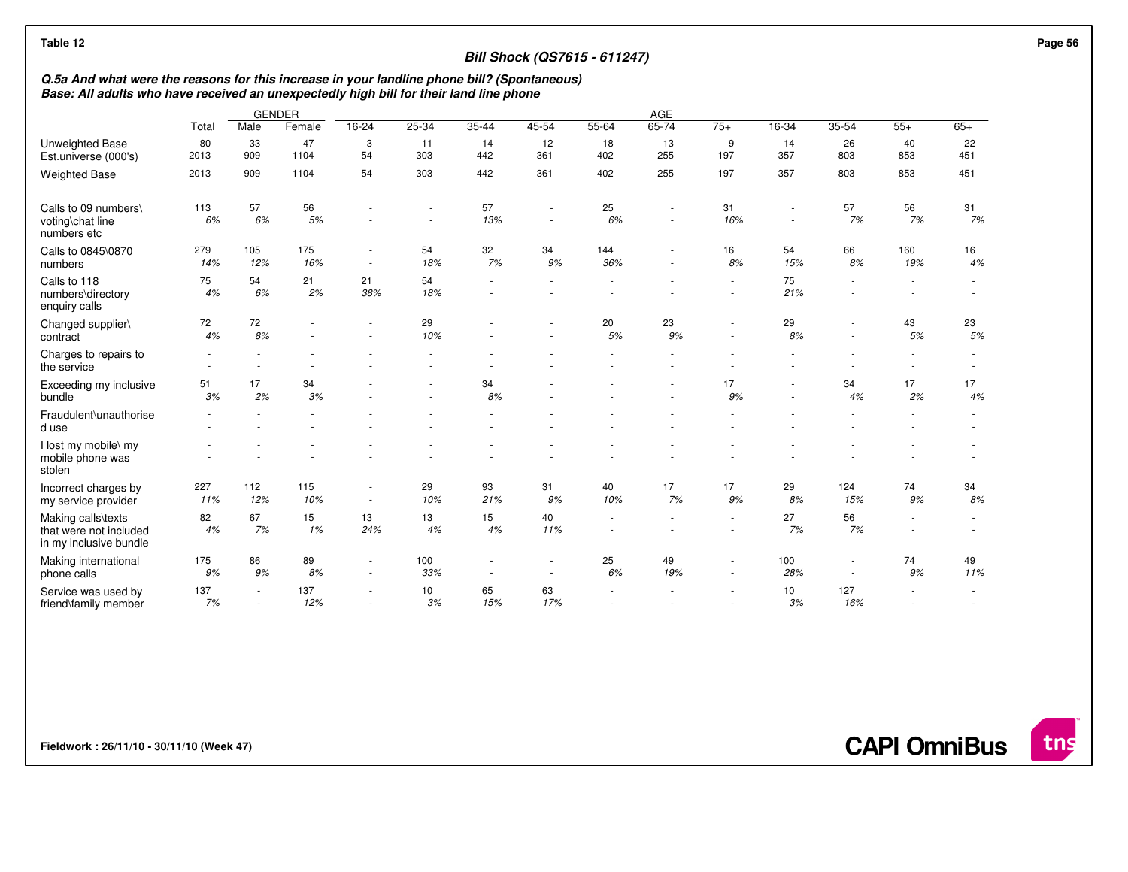| Table 12                                                                                                                                                                              |             |                          |            |                                                      |                          |                          | <b>Bill Shock (QS7615 - 611247)</b> |            |             |                                    |            |                                                      |            |                          |
|---------------------------------------------------------------------------------------------------------------------------------------------------------------------------------------|-------------|--------------------------|------------|------------------------------------------------------|--------------------------|--------------------------|-------------------------------------|------------|-------------|------------------------------------|------------|------------------------------------------------------|------------|--------------------------|
| Q.5a And what were the reasons for this increase in your landline phone bill? (Spontaneous)<br>Base: All adults who have received an unexpectedly high bill for their land line phone |             |                          |            |                                                      |                          |                          |                                     |            |             |                                    |            |                                                      |            |                          |
|                                                                                                                                                                                       |             | <b>GENDER</b>            |            |                                                      |                          |                          |                                     |            | AGE         |                                    |            |                                                      |            |                          |
|                                                                                                                                                                                       | Total       | Male                     | Female     | 16-24                                                | $25 - 34$                | $35 - 44$                | 45-54                               | $55 - 64$  | 65-74       | $75+$                              | $16 - 34$  | $35 - 54$                                            | $55+$      | $65+$                    |
| Unweighted Base<br>Est.universe (000's)                                                                                                                                               | 80<br>2013  | 33<br>909                | 47<br>1104 | 3<br>54                                              | 11<br>303                | 14<br>442                | 12<br>361                           | 18<br>402  | 13<br>255   | 9<br>197                           | 14<br>357  | 26<br>803                                            | 40<br>853  | 22<br>451                |
| <b>Weighted Base</b>                                                                                                                                                                  | 2013        | 909                      | 1104       | 54                                                   | 303                      | 442                      | 361                                 | 402        | 255         | 197                                | 357        | 803                                                  | 853        | 451                      |
| Calls to 09 numbers\<br>voting\chat line<br>numbers etc                                                                                                                               | 113<br>6%   | 57<br>6%                 | 56<br>5%   |                                                      | $\overline{\phantom{a}}$ | 57<br>13%                | $\sim$                              | 25<br>6%   | $\sim$<br>٠ | 31<br>16%                          | $\sim$     | 57<br>7%                                             | 56<br>7%   | 31<br>7%                 |
| Calls to 0845\0870<br>numbers                                                                                                                                                         | 279<br>14%  | 105<br>12%               | 175<br>16% | $\sim$<br>$\sim$                                     | 54<br>18%                | 32<br>7%                 | 34<br>9%                            | 144<br>36% | ٠           | 16<br>8%                           | 54<br>15%  | 66<br>8%                                             | 160<br>19% | 16<br>4%                 |
| Calls to 118<br>numbers\directory<br>enquiry calls                                                                                                                                    | 75<br>4%    | 54<br>6%                 | 21<br>2%   | 21<br>38%                                            | 54<br>18%                | $\overline{\phantom{a}}$ |                                     |            |             |                                    | 75<br>21%  | $\overline{\phantom{a}}$                             |            |                          |
| Changed supplier\<br>contract                                                                                                                                                         | 72<br>4%    | 72<br>8%                 |            |                                                      | 29<br>10%                |                          |                                     | 20<br>5%   | 23<br>9%    |                                    | 29<br>8%   | $\overline{\phantom{a}}$<br>$\blacksquare$           | 43<br>5%   | 23<br>5%                 |
| Charges to repairs to<br>the service                                                                                                                                                  | $\sim$<br>٠ |                          |            |                                                      |                          |                          |                                     |            |             |                                    |            |                                                      |            | $\overline{\phantom{a}}$ |
| Exceeding my inclusive<br>bundle                                                                                                                                                      | 51<br>3%    | 17<br>2%                 | 34<br>3%   |                                                      |                          | 34<br>8%                 |                                     |            | $\sim$      | 17<br>9%                           |            | 34<br>4%                                             | 17<br>2%   | 17<br>4%                 |
| Fraudulent\unauthorise<br>d use                                                                                                                                                       |             |                          |            |                                                      |                          |                          |                                     |            |             |                                    |            |                                                      |            |                          |
| I lost my mobile\ my<br>mobile phone was<br>stolen                                                                                                                                    |             |                          |            |                                                      |                          |                          |                                     |            |             |                                    |            |                                                      |            |                          |
| Incorrect charges by<br>my service provider                                                                                                                                           | 227<br>11%  | 112<br>12%               | 115<br>10% | $\overline{\phantom{a}}$<br>$\sim$                   | 29<br>10%                | 93<br>21%                | 31<br>9%                            | 40<br>10%  | 17<br>7%    | 17<br>9%                           | 29<br>8%   | 124<br>15%                                           | 74<br>9%   | 34<br>8%                 |
| Making calls\texts<br>that were not included<br>in my inclusive bundle                                                                                                                | 82<br>4%    | 67<br>7%                 | 15<br>1%   | 13<br>24%                                            | 13<br>4%                 | 15<br>4%                 | 40<br>11%                           | $\sim$     | $\sim$      | $\sim$<br>$\sim$                   | 27<br>7%   | 56<br>7%                                             | $\sim$     |                          |
| Making international<br>phone calls                                                                                                                                                   | 175<br>9%   | 86<br>9%                 | 89<br>8%   | $\overline{\phantom{a}}$<br>$\sim$                   | 100<br>33%               | $\overline{\phantom{a}}$ | $\sim$                              | 25<br>6%   | 49<br>19%   | $\overline{\phantom{a}}$<br>$\sim$ | 100<br>28% | $\overline{\phantom{a}}$<br>$\overline{\phantom{a}}$ | 74<br>9%   | 49<br>11%                |
| Service was used by<br>friend\family member                                                                                                                                           | 137<br>7%   | $\overline{\phantom{a}}$ | 137<br>12% | $\overline{\phantom{a}}$<br>$\overline{\phantom{a}}$ | 10<br>3%                 | 65<br>15%                | 63<br>17%                           |            |             |                                    | 10<br>3%   | 127<br>16%                                           |            |                          |

**Fieldwork : 26/11/10 - 30/11/10 (Week 47)** 

**CAPI OmniBus**

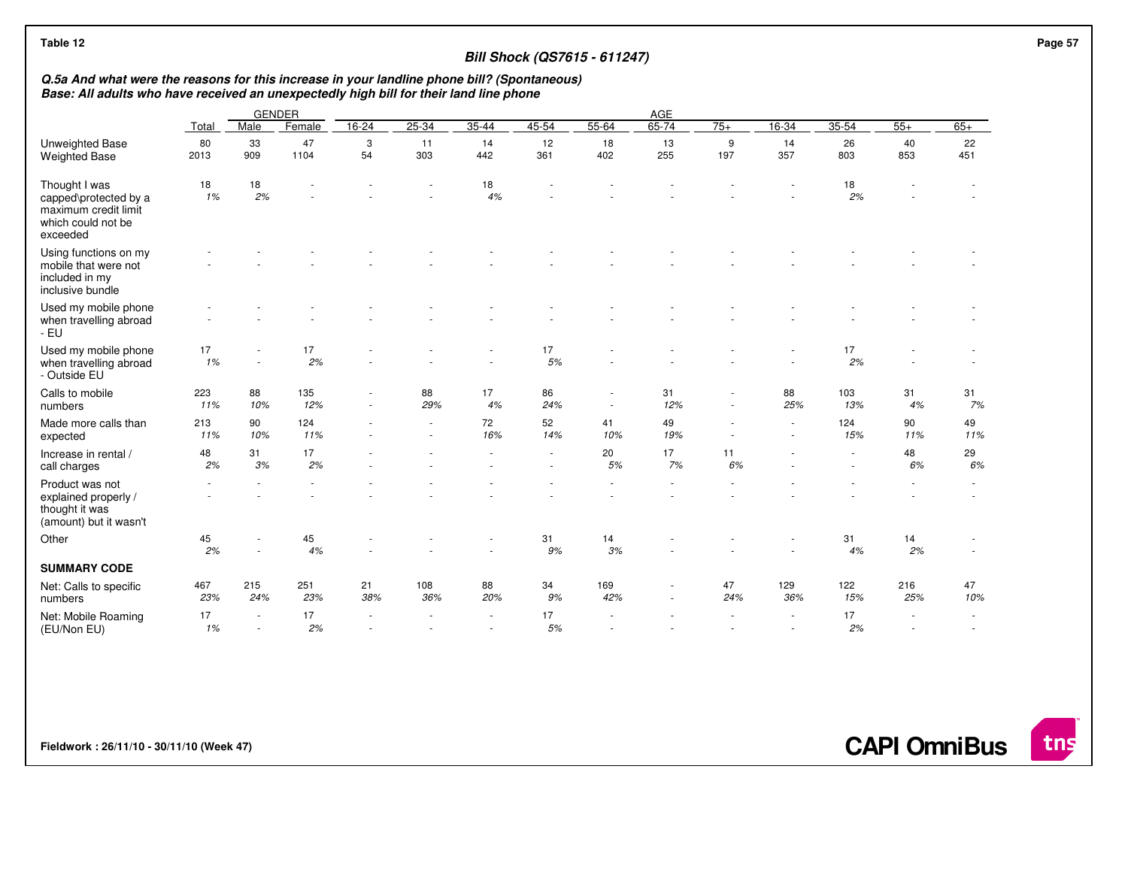| Table 12                                                                                         |                                                                                                                                                                                                        |            |            |           |            |                          | <b>Bill Shock (QS7615 - 611247)</b> |            |           |                |            |            |            |                          |  |
|--------------------------------------------------------------------------------------------------|--------------------------------------------------------------------------------------------------------------------------------------------------------------------------------------------------------|------------|------------|-----------|------------|--------------------------|-------------------------------------|------------|-----------|----------------|------------|------------|------------|--------------------------|--|
|                                                                                                  | Q.5a And what were the reasons for this increase in your landline phone bill? (Spontaneous)<br>Base: All adults who have received an unexpectedly high bill for their land line phone<br><b>GENDER</b> |            |            |           |            |                          |                                     |            |           |                |            |            |            |                          |  |
|                                                                                                  |                                                                                                                                                                                                        |            |            |           |            |                          |                                     |            | AGE       |                |            |            |            |                          |  |
|                                                                                                  | Total                                                                                                                                                                                                  | Male       | Female     | $16 - 24$ | $25 - 34$  | $35 - 44$                | 45-54                               | $55 - 64$  | 65-74     | $75+$          | $16 - 34$  | $35 - 54$  | $55+$      | $65+$                    |  |
| Unweighted Base<br><b>Weighted Base</b>                                                          | 80<br>2013                                                                                                                                                                                             | 33<br>909  | 47<br>1104 | 3<br>54   | 11<br>303  | 14<br>442                | 12<br>361                           | 18<br>402  | 13<br>255 | 9<br>197       | 14<br>357  | 26<br>803  | 40<br>853  | 22<br>451                |  |
| Thought I was<br>capped\protected by a<br>maximum credit limit<br>which could not be<br>exceeded | 18<br>1%                                                                                                                                                                                               | 18<br>2%   |            |           |            | 18<br>4%                 |                                     |            |           |                |            | 18<br>2%   |            |                          |  |
| Using functions on my<br>mobile that were not<br>included in my<br>inclusive bundle              |                                                                                                                                                                                                        |            |            |           |            |                          |                                     |            |           |                |            |            |            |                          |  |
| Used my mobile phone<br>when travelling abroad<br>- EU                                           |                                                                                                                                                                                                        |            |            |           |            |                          |                                     |            |           |                |            |            |            |                          |  |
| Used my mobile phone<br>when travelling abroad<br>- Outside EU                                   | 17<br>1%                                                                                                                                                                                               |            | 17<br>2%   |           |            |                          | 17<br>5%                            |            |           |                |            | 17<br>2%   |            |                          |  |
| Calls to mobile<br>numbers                                                                       | 223<br>11%                                                                                                                                                                                             | 88<br>10%  | 135<br>12% |           | 88<br>29%  | 17<br>4%                 | 86<br>24%                           | $\sim$     | 31<br>12% | $\sim$         | 88<br>25%  | 103<br>13% | 31<br>4%   | 31<br>7%                 |  |
| Made more calls than<br>expected                                                                 | 213<br>11%                                                                                                                                                                                             | 90<br>10%  | 124<br>11% |           |            | 72<br>16%                | 52<br>14%                           | 41<br>10%  | 49<br>19% | $\overline{a}$ |            | 124<br>15% | 90<br>11%  | 49<br>11%                |  |
| Increase in rental /<br>call charges                                                             | 48<br>2%                                                                                                                                                                                               | 31<br>3%   | 17<br>2%   |           |            |                          |                                     | 20<br>5%   | 17<br>7%  | 11<br>6%       |            |            | 48<br>6%   | 29<br>6%                 |  |
| Product was not<br>explained properly /<br>thought it was<br>(amount) but it wasn't              |                                                                                                                                                                                                        |            |            |           |            |                          |                                     |            |           |                |            |            |            |                          |  |
| Other                                                                                            | 45<br>2%                                                                                                                                                                                               | $\sim$     | 45<br>4%   |           |            |                          | 31<br>9%                            | 14<br>3%   |           |                |            | 31<br>4%   | 14<br>2%   |                          |  |
| <b>SUMMARY CODE</b>                                                                              |                                                                                                                                                                                                        |            |            |           |            |                          |                                     |            |           |                |            |            |            |                          |  |
| Net: Calls to specific<br>numbers                                                                | 467<br>23%                                                                                                                                                                                             | 215<br>24% | 251<br>23% | 21<br>38% | 108<br>36% | 88<br>20%                | 34<br>9%                            | 169<br>42% | $\sim$    | 47<br>24%      | 129<br>36% | 122<br>15% | 216<br>25% | 47<br>10%                |  |
| Net: Mobile Roaming<br>(EU/Non EU)                                                               | 17<br>1%                                                                                                                                                                                               | $\sim$     | 17<br>2%   | $\sim$    |            | $\overline{\phantom{a}}$ | 17<br>5%                            |            |           |                | $\sim$     | 17<br>2%   | $\sim$     | $\overline{\phantom{a}}$ |  |

**Fieldwork : 26/11/10 - 30/11/10 (Week 47)** 

**CAPI OmniBus**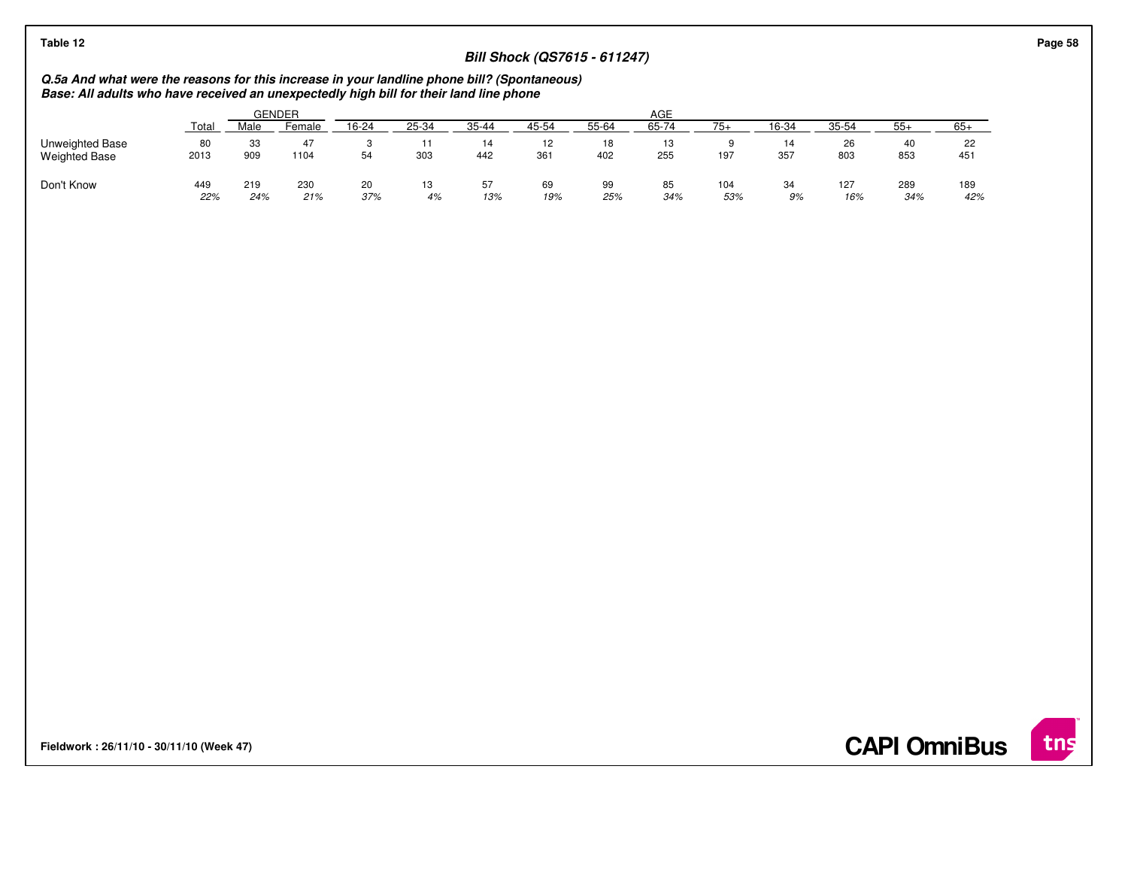## **Bill Shock (QS7615 - 611247)**

# **Q.5a And what were the reasons for this increase in your landline phone bill? (Spontaneous) Base: All adults who have received an unexpectedly high bill for their land line phone**

|                                         |            |            | GENDER     |           | AGE      |           |                     |           |                    |            |           |            |                   |            |
|-----------------------------------------|------------|------------|------------|-----------|----------|-----------|---------------------|-----------|--------------------|------------|-----------|------------|-------------------|------------|
|                                         | Total      | Male       | Female     | 16-24     | 25-34    | $35 - 44$ | 45-54               | 55-64     | 65-74              | $75+$      | 16-34     | 35-54      | $55+$             | $65+$      |
| Unweighted Base<br><b>Weighted Base</b> | 80<br>2013 | 33<br>909  | 47<br>1104 | ت<br>54   | 303      | 14<br>442 | $\sim$<br>12<br>361 | 18<br>402 | -1.0<br>ن ا<br>255 | 197        | 14<br>357 | 26<br>803  | 40<br>853         | 22<br>451  |
| Don't Know                              | 449<br>22% | 219<br>24% | 230<br>21% | 20<br>37% | 13<br>4% | 57<br>13% | 69<br>19%           | 99<br>25% | 85<br>34%          | 104<br>53% | 34<br>9%  | 127<br>16% | <b>289</b><br>34% | 189<br>42% |

**Fieldwork : 26/11/10 - 30/11/10 (Week 47)** 

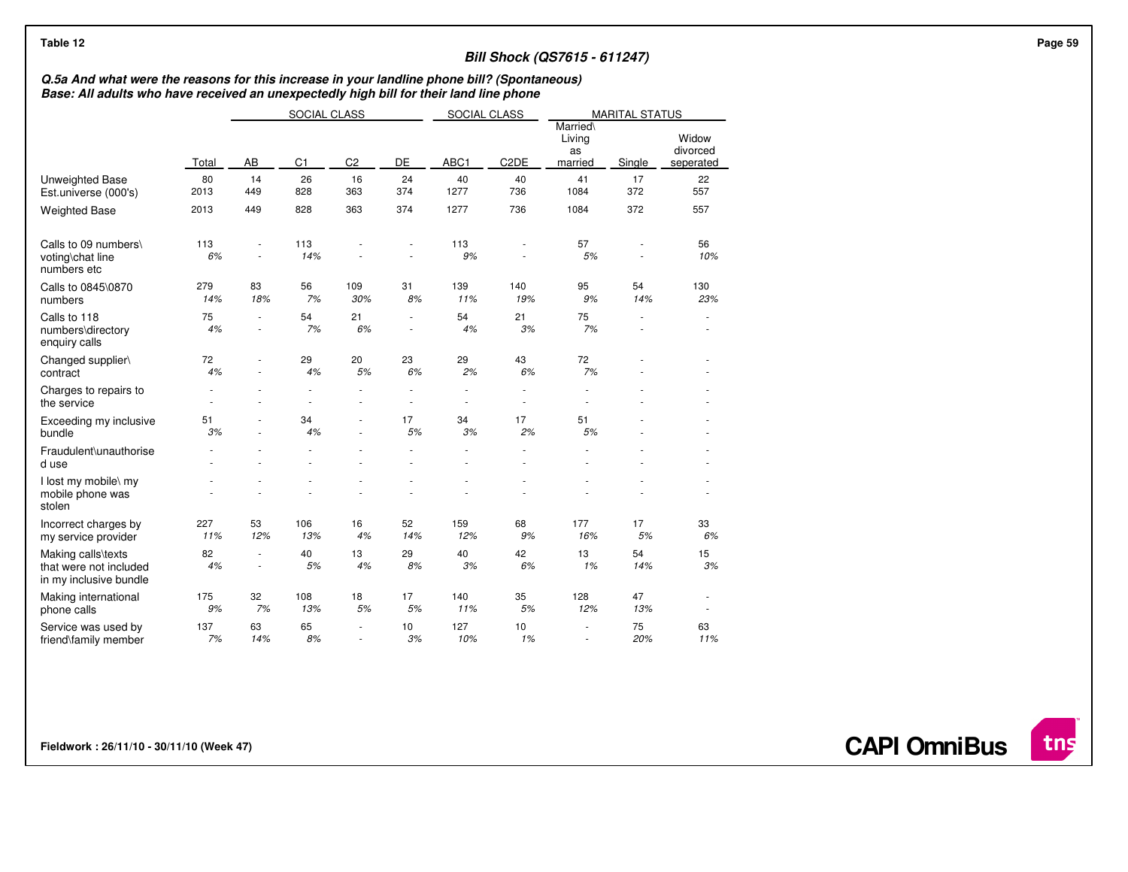## **Bill Shock (QS7615 - 611247)**

## **Q.5a And what were the reasons for this increase in your landline phone bill? (Spontaneous) Base: All adults who have received an unexpectedly high bill for their land line phone**

|                                                                        |            |           | SOCIAL CLASS   |                | SOCIAL CLASS |            |                   | <b>MARITAL STATUS</b>               |                |                                |
|------------------------------------------------------------------------|------------|-----------|----------------|----------------|--------------|------------|-------------------|-------------------------------------|----------------|--------------------------------|
|                                                                        | Total      | AB        | C <sub>1</sub> | C <sub>2</sub> | DE           | ABC1       | C <sub>2</sub> DE | Married\<br>Living<br>as<br>married | Single         | Widow<br>divorced<br>seperated |
| Unweighted Base<br>Est.universe (000's)                                | 80<br>2013 | 14<br>449 | 26<br>828      | 16<br>363      | 24<br>374    | 40<br>1277 | 40<br>736         | 41<br>1084                          | 17<br>372      | 22<br>557                      |
| <b>Weighted Base</b>                                                   | 2013       | 449       | 828            | 363            | 374          | 1277       | 736               | 1084                                | 372            | 557                            |
| Calls to 09 numbers\<br>voting\chat line<br>numbers etc                | 113<br>6%  |           | 113<br>14%     |                |              | 113<br>9%  |                   | 57<br>5%                            |                | 56<br>10%                      |
| Calls to 0845\0870<br>numbers                                          | 279<br>14% | 83<br>18% | 56<br>7%       | 109<br>30%     | 31<br>8%     | 139<br>11% | 140<br>19%        | 95<br>9%                            | 54<br>14%      | 130<br>23%                     |
| Calls to 118<br>numbers\directory<br>enquiry calls                     | 75<br>4%   | ٠<br>ä,   | 54<br>7%       | 21<br>6%       | $\sim$<br>÷. | 54<br>4%   | 21<br>3%          | 75<br>7%                            | $\overline{a}$ | ×                              |
| Changed supplier\<br>contract                                          | 72<br>4%   |           | 29<br>4%       | 20<br>5%       | 23<br>6%     | 29<br>2%   | 43<br>6%          | 72<br>7%                            |                | ä,                             |
| Charges to repairs to<br>the service                                   |            |           | ä,             | ÷.             | $\sim$       | ÷,         | ä,                |                                     |                |                                |
| Exceeding my inclusive<br>bundle                                       | 51<br>3%   |           | 34<br>4%       |                | 17<br>5%     | 34<br>3%   | 17<br>2%          | 51<br>5%                            |                |                                |
| Fraudulent\unauthorise<br>d use                                        |            |           |                |                |              |            |                   |                                     |                |                                |
| I lost my mobile\ my<br>mobile phone was<br>stolen                     |            |           |                |                |              |            |                   |                                     |                |                                |
| Incorrect charges by<br>my service provider                            | 227<br>11% | 53<br>12% | 106<br>13%     | 16<br>4%       | 52<br>14%    | 159<br>12% | 68<br>9%          | 177<br>16%                          | 17<br>5%       | 33<br>6%                       |
| Making calls\texts<br>that were not included<br>in my inclusive bundle | 82<br>4%   | ä,        | 40<br>5%       | 13<br>4%       | 29<br>8%     | 40<br>3%   | 42<br>6%          | 13<br>1%                            | 54<br>14%      | 15<br>3%                       |
| Making international<br>phone calls                                    | 175<br>9%  | 32<br>7%  | 108<br>13%     | 18<br>5%       | 17<br>5%     | 140<br>11% | 35<br>5%          | 128<br>12%                          | 47<br>13%      | ٠<br>٠                         |
| Service was used by<br>friend\family member                            | 137<br>7%  | 63<br>14% | 65<br>8%       | ä,<br>÷.       | 10<br>3%     | 127<br>10% | 10<br>1%          |                                     | 75<br>20%      | 63<br>11%                      |

**Fieldwork : 26/11/10 - 30/11/10 (Week 47)** 

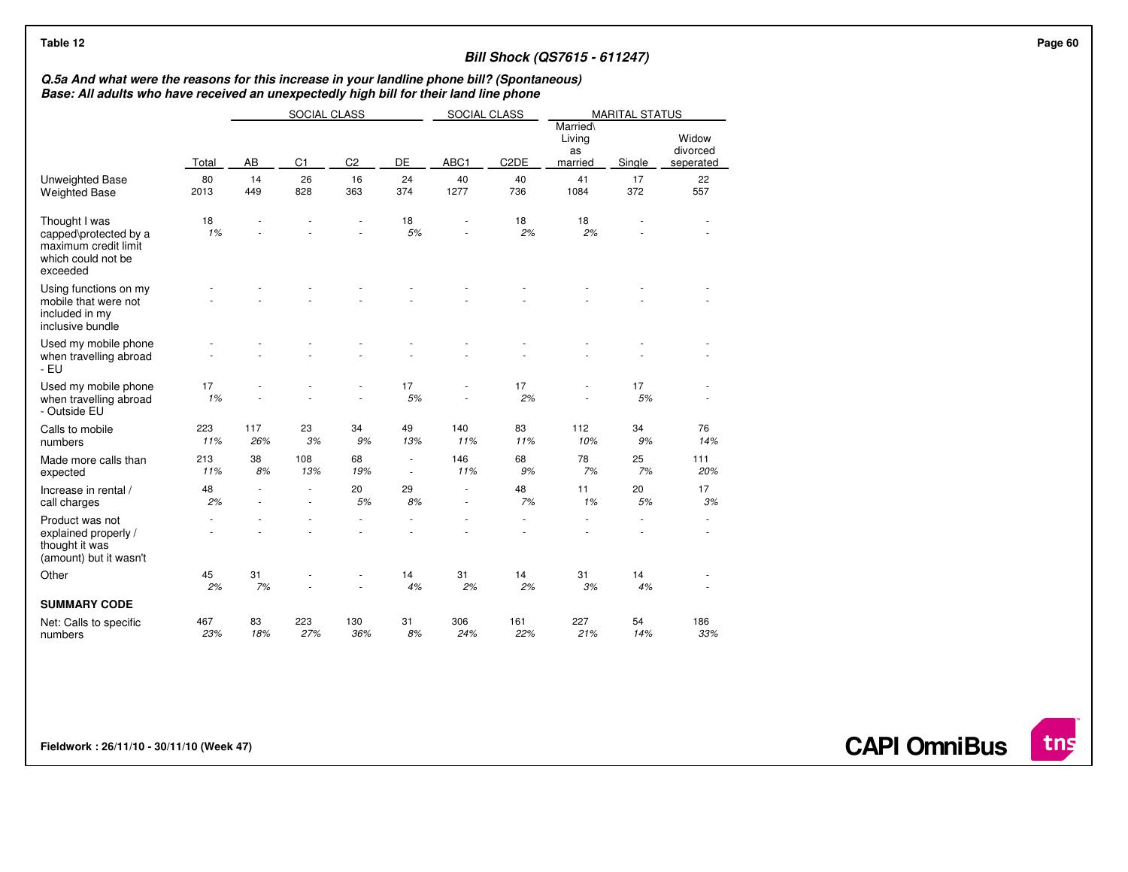## **Bill Shock (QS7615 - 611247)**

# **Q.5a And what were the reasons for this increase in your landline phone bill? (Spontaneous) Base: All adults who have received an unexpectedly high bill for their land line phone**

|                                                                                                  |            |            | SOCIAL CLASS   |                |                          | SOCIAL CLASS |                   |                                     | <b>MARITAL STATUS</b> |                                |
|--------------------------------------------------------------------------------------------------|------------|------------|----------------|----------------|--------------------------|--------------|-------------------|-------------------------------------|-----------------------|--------------------------------|
|                                                                                                  | Total      | AB         | C <sub>1</sub> | C <sub>2</sub> | DE                       | ABC1         | C <sub>2</sub> DE | Married\<br>Living<br>as<br>married | Single                | Widow<br>divorced<br>seperated |
| <b>Unweighted Base</b><br><b>Weighted Base</b>                                                   | 80<br>2013 | 14<br>449  | 26<br>828      | 16<br>363      | 24<br>374                | 40<br>1277   | 40<br>736         | 41<br>1084                          | 17<br>372             | 22<br>557                      |
| Thought I was<br>capped\protected by a<br>maximum credit limit<br>which could not be<br>exceeded | 18<br>1%   |            |                |                | 18<br>5%                 |              | 18<br>2%          | 18<br>2%                            |                       |                                |
| Using functions on my<br>mobile that were not<br>included in my<br>inclusive bundle              |            |            |                |                |                          |              |                   |                                     |                       |                                |
| Used my mobile phone<br>when travelling abroad<br>$-EU$                                          |            |            |                |                |                          |              |                   |                                     |                       |                                |
| Used my mobile phone<br>when travelling abroad<br>- Outside EU                                   | 17<br>1%   |            |                |                | 17<br>5%                 |              | 17<br>2%          |                                     | 17<br>5%              |                                |
| Calls to mobile<br>numbers                                                                       | 223<br>11% | 117<br>26% | 23<br>3%       | 34<br>9%       | 49<br>13%                | 140<br>11%   | 83<br>11%         | 112<br>10%                          | 34<br>9%              | 76<br>14%                      |
| Made more calls than<br>expected                                                                 | 213<br>11% | 38<br>8%   | 108<br>13%     | 68<br>19%      | $\overline{\phantom{a}}$ | 146<br>11%   | 68<br>9%          | 78<br>7%                            | 25<br>7%              | 111<br>20%                     |
| Increase in rental /<br>call charges                                                             | 48<br>2%   |            |                | 20<br>5%       | 29<br>8%                 |              | 48<br>7%          | 11<br>1%                            | 20<br>5%              | 17<br>3%                       |
| Product was not<br>explained properly /<br>thought it was<br>(amount) but it wasn't              |            |            |                |                |                          |              |                   |                                     |                       |                                |
| Other                                                                                            | 45<br>2%   | 31<br>7%   |                |                | 14<br>4%                 | 31<br>2%     | 14<br>2%          | 31<br>3%                            | 14<br>4%              |                                |
| <b>SUMMARY CODE</b>                                                                              |            |            |                |                |                          |              |                   |                                     |                       |                                |
| Net: Calls to specific<br>numbers                                                                | 467<br>23% | 83<br>18%  | 223<br>27%     | 130<br>36%     | 31<br>8%                 | 306<br>24%   | 161<br>22%        | 227<br>21%                          | 54<br>14%             | 186<br>33%                     |

**Fieldwork : 26/11/10 - 30/11/10 (Week 47)** 

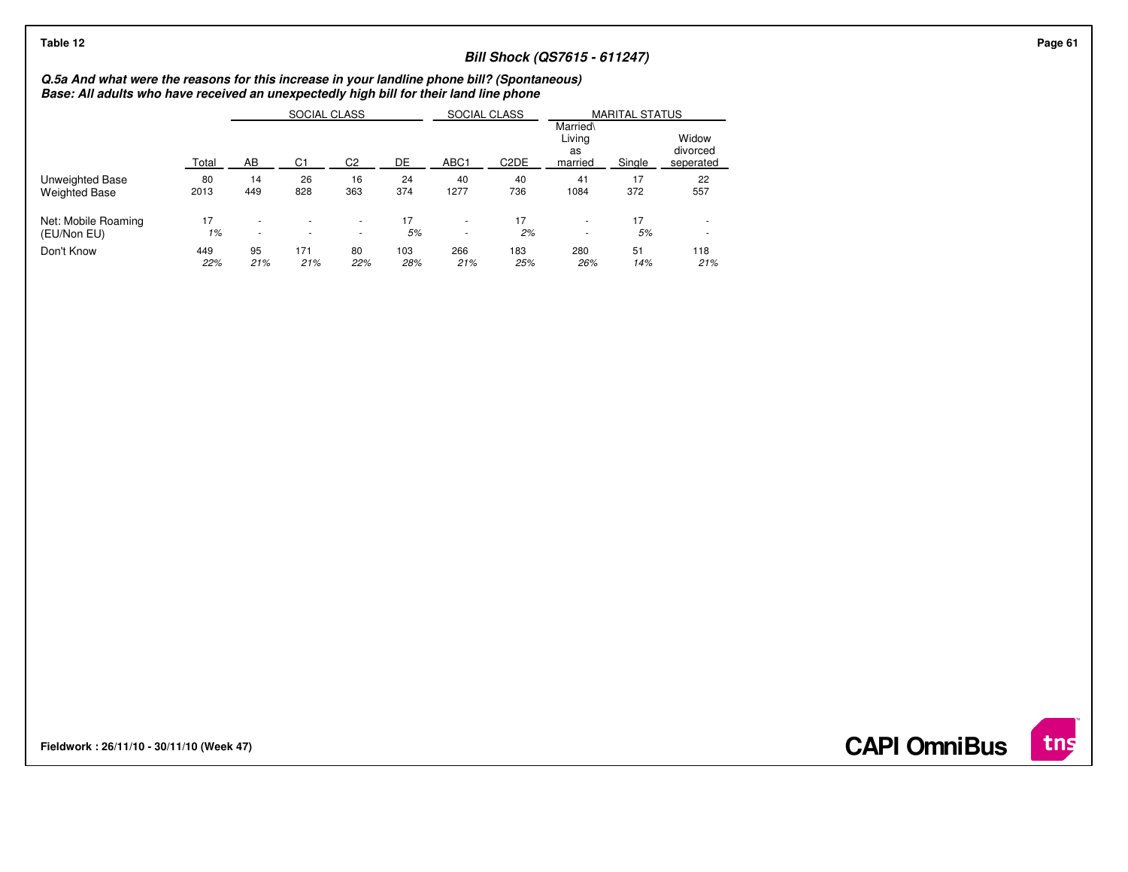## **Bill Shock (QS7615 - 611247)**

**Q.5a And what were the reasons for this increase in your landline phone bill? (Spontaneous) Base: All adults who have received an unexpectedly high bill for their land line phone**

|                      |       |                          | SOCIAL CLASS |                          |     | SOCIAL CLASS             |                   |                                     | <b>MARITAL STATUS</b> |                                |
|----------------------|-------|--------------------------|--------------|--------------------------|-----|--------------------------|-------------------|-------------------------------------|-----------------------|--------------------------------|
|                      | Total | AB                       | C1           | C2                       | DE  | ABC <sub>1</sub>         | C <sub>2</sub> DE | Married\<br>Livina<br>as<br>married | Single                | Widow<br>divorced<br>seperated |
| Unweighted Base      | 80    | 14                       | 26           | 16                       | 24  | 40                       | 40                | 41                                  | 17                    | 22                             |
| <b>Weighted Base</b> | 2013  | 449                      | 828          | 363                      | 374 | 1277                     | 736               | 1084                                | 372                   | 557                            |
| Net: Mobile Roaming  | 17    | $\overline{\phantom{a}}$ |              | $\overline{\phantom{a}}$ | 17  | $\overline{\phantom{a}}$ | 17                | $\overline{\phantom{a}}$            | 17                    |                                |
| (EU/Non EU)          | 1%    | $\overline{\phantom{a}}$ |              | $\overline{\phantom{a}}$ | 5%  | $\overline{\phantom{a}}$ | 2%                | $\overline{\phantom{a}}$            | 5%                    | $\overline{\phantom{a}}$       |
| Don't Know           | 449   | 95                       | 171          | 80                       | 103 | 266                      | 183               | 280                                 | 51                    | 118                            |
|                      | 22%   | 21%                      | 21%          | 22%                      | 28% | 21%                      | 25%               | 26%                                 | 14%                   | 21%                            |

**Fieldwork : 26/11/10 - 30/11/10 (Week 47)** 

**CAPI OmniBus**

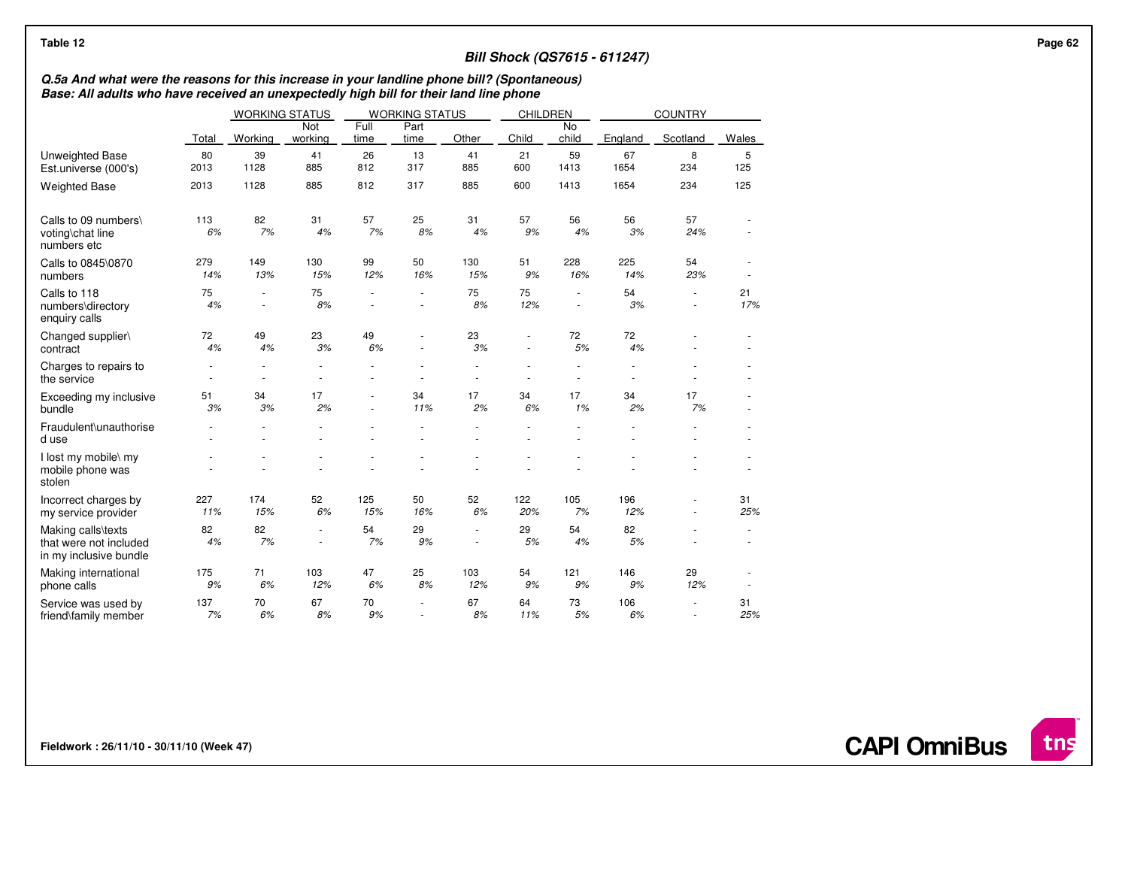## **Bill Shock (QS7615 - 611247)**

# **Q.5a And what were the reasons for this increase in your landline phone bill? (Spontaneous) Base: All adults who have received an unexpectedly high bill for their land line phone**

|                                                                        |            | <b>WORKING STATUS</b> |                |              | <b>WORKING STATUS</b> |                | <b>CHILDREN</b>          |                    |            | <b>COUNTRY</b> |           |
|------------------------------------------------------------------------|------------|-----------------------|----------------|--------------|-----------------------|----------------|--------------------------|--------------------|------------|----------------|-----------|
|                                                                        | Total      | Working               | Not<br>working | Full<br>time | Part<br>time          | Other          | Child                    | <b>No</b><br>child | England    | Scotland       | Wales     |
| <b>Unweighted Base</b><br>Est.universe (000's)                         | 80<br>2013 | 39<br>1128            | 41<br>885      | 26<br>812    | 13<br>317             | 41<br>885      | 21<br>600                | 59<br>1413         | 67<br>1654 | 8<br>234       | 5<br>125  |
| <b>Weighted Base</b>                                                   | 2013       | 1128                  | 885            | 812          | 317                   | 885            | 600                      | 1413               | 1654       | 234            | 125       |
| Calls to 09 numbers\<br>voting\chat line<br>numbers etc                | 113<br>6%  | 82<br>7%              | 31<br>4%       | 57<br>7%     | 25<br>8%              | 31<br>4%       | 57<br>9%                 | 56<br>4%           | 56<br>3%   | 57<br>24%      |           |
| Calls to 0845\0870<br>numbers                                          | 279<br>14% | 149<br>13%            | 130<br>15%     | 99<br>12%    | 50<br>16%             | 130<br>15%     | 51<br>9%                 | 228<br>16%         | 225<br>14% | 54<br>23%      |           |
| Calls to 118<br>numbers\directory<br>enquiry calls                     | 75<br>4%   | ÷,                    | 75<br>8%       | ٠            | $\sim$                | 75<br>8%       | 75<br>12%                | ä,                 | 54<br>3%   | ٠              | 21<br>17% |
| Changed supplier\<br>contract                                          | 72<br>4%   | 49<br>4%              | 23<br>3%       | 49<br>6%     | ÷.                    | 23<br>3%       | $\overline{\phantom{a}}$ | 72<br>5%           | 72<br>4%   |                |           |
| Charges to repairs to<br>the service                                   |            | ×.                    |                |              |                       |                |                          |                    |            |                |           |
| Exceeding my inclusive<br>bundle                                       | 51<br>3%   | 34<br>3%              | 17<br>2%       | ×,           | 34<br>11%             | 17<br>2%       | 34<br>6%                 | 17<br>1%           | 34<br>2%   | 17<br>7%       |           |
| Fraudulent\unauthorise<br>d use                                        |            |                       | ÷,             | ä,           | ÷.                    | $\overline{a}$ |                          | ä,                 | ä,         |                |           |
| I lost my mobile\ my<br>mobile phone was<br>stolen                     |            |                       |                |              |                       |                |                          |                    |            |                |           |
| Incorrect charges by<br>my service provider                            | 227<br>11% | 174<br>15%            | 52<br>6%       | 125<br>15%   | 50<br>16%             | 52<br>6%       | 122<br>20%               | 105<br>7%          | 196<br>12% | ä,             | 31<br>25% |
| Making calls\texts<br>that were not included<br>in my inclusive bundle | 82<br>4%   | 82<br>7%              | ×,<br>٠        | 54<br>7%     | 29<br>9%              | ÷<br>ä,        | 29<br>5%                 | 54<br>4%           | 82<br>5%   |                |           |
| Making international<br>phone calls                                    | 175<br>9%  | 71<br>6%              | 103<br>12%     | 47<br>6%     | 25<br>8%              | 103<br>12%     | 54<br>9%                 | 121<br>9%          | 146<br>9%  | 29<br>12%      |           |
| Service was used by<br>friend\family member                            | 137<br>7%  | 70<br>6%              | 67<br>8%       | 70<br>9%     |                       | 67<br>8%       | 64<br>11%                | 73<br>5%           | 106<br>6%  |                | 31<br>25% |

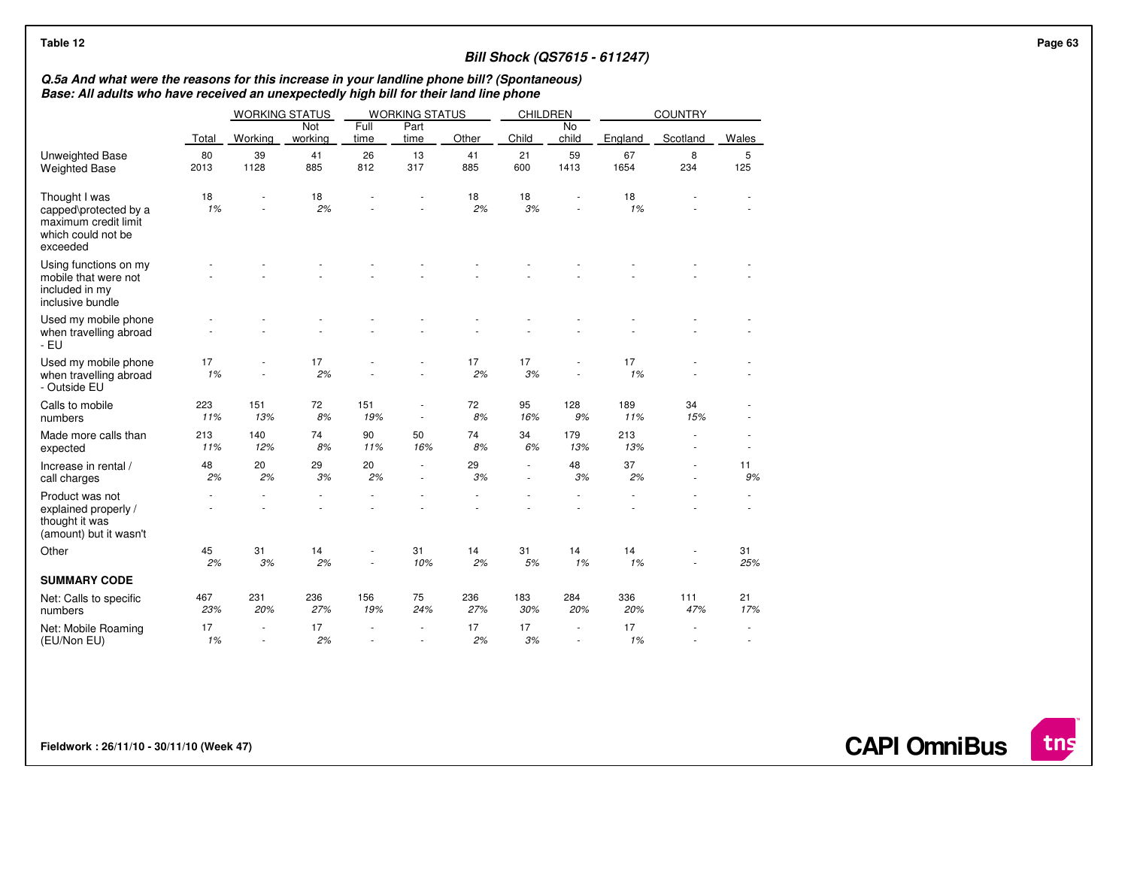| Table 12                                                                                                                                                                              |            |                          |                       |              |                                    |            |                                                      |             | <b>Bill Shock (QS7615 - 611247)</b> |            |                   | Page 63 |
|---------------------------------------------------------------------------------------------------------------------------------------------------------------------------------------|------------|--------------------------|-----------------------|--------------|------------------------------------|------------|------------------------------------------------------|-------------|-------------------------------------|------------|-------------------|---------|
| Q.5a And what were the reasons for this increase in your landline phone bill? (Spontaneous)<br>Base: All adults who have received an unexpectedly high bill for their land line phone |            |                          |                       |              |                                    |            |                                                      |             |                                     |            |                   |         |
|                                                                                                                                                                                       |            |                          | <b>WORKING STATUS</b> |              | <b>WORKING STATUS</b>              |            | <b>CHILDREN</b>                                      |             |                                     | COUNTRY    |                   |         |
|                                                                                                                                                                                       | Total      | Working                  | Not<br>working        | Full<br>time | Part<br>time                       | Other      | Child                                                | No<br>child | England                             | Scotland   | Wales             |         |
| <b>Unweighted Base</b><br><b>Weighted Base</b>                                                                                                                                        | 80<br>2013 | 39<br>1128               | 41<br>885             | 26<br>812    | 13<br>317                          | 41<br>885  | 21<br>600                                            | 59<br>1413  | 67<br>1654                          | 8<br>234   | $\sqrt{5}$<br>125 |         |
| Thought I was<br>capped\protected by a<br>maximum credit limit<br>which could not be<br>exceeded                                                                                      | 18<br>1%   | ÷,                       | 18<br>2%              |              |                                    | 18<br>2%   | 18<br>3%                                             |             | 18<br>1%                            |            |                   |         |
| Using functions on my<br>mobile that were not<br>included in my<br>inclusive bundle                                                                                                   |            |                          |                       |              |                                    |            |                                                      |             |                                     |            |                   |         |
| Used my mobile phone<br>when travelling abroad<br>- EU                                                                                                                                |            |                          |                       |              |                                    |            |                                                      |             |                                     |            |                   |         |
| Used my mobile phone<br>when travelling abroad<br>- Outside EU                                                                                                                        | 17<br>1%   | $\overline{\phantom{a}}$ | 17<br>2%              |              |                                    | 17<br>2%   | 17<br>3%                                             |             | 17<br>1%                            |            |                   |         |
| Calls to mobile<br>numbers                                                                                                                                                            | 223<br>11% | 151<br>13%               | 72<br>$8%$            | 151<br>19%   | $\sim$                             | 72<br>8%   | 95<br>16%                                            | 128<br>9%   | 189<br>11%                          | 34<br>15%  |                   |         |
| Made more calls than<br>expected                                                                                                                                                      | 213<br>11% | 140<br>12%               | 74<br>8%              | 90<br>11%    | 50<br>16%                          | 74<br>8%   | 34<br>6%                                             | 179<br>13%  | 213<br>13%                          | ×.         |                   |         |
| Increase in rental /<br>call charges                                                                                                                                                  | 48<br>2%   | 20<br>2%                 | 29<br>3%              | 20<br>2%     | $\sim$<br>$\overline{\phantom{a}}$ | 29<br>3%   | $\overline{\phantom{a}}$<br>$\overline{\phantom{a}}$ | 48<br>3%    | 37<br>2%                            |            | 11<br>9%          |         |
| Product was not<br>explained properly /<br>thought it was<br>(amount) but it wasn't                                                                                                   |            |                          |                       |              |                                    |            |                                                      |             |                                     |            |                   |         |
| Other                                                                                                                                                                                 | 45<br>2%   | 31<br>3%                 | 14<br>2%              |              | 31<br>10%                          | 14<br>2%   | 31<br>$5%$                                           | 14<br>1%    | 14<br>1%                            |            | 31<br>25%         |         |
| <b>SUMMARY CODE</b>                                                                                                                                                                   |            |                          |                       |              |                                    |            |                                                      |             |                                     |            |                   |         |
| Net: Calls to specific<br>numbers                                                                                                                                                     | 467<br>23% | 231<br>20%               | 236<br>27%            | 156<br>19%   | 75<br>24%                          | 236<br>27% | 183<br>30%                                           | 284<br>20%  | 336<br>20%                          | 111<br>47% | 21<br>17%         |         |
| Net: Mobile Roaming<br>(EU/Non EU)                                                                                                                                                    | 17<br>1%   | ٠<br>÷.                  | 17<br>2%              |              | $\sim$                             | 17<br>2%   | 17<br>3%                                             | $\sim$      | 17<br>1%                            | $\sim$     | ٠<br>$\sim$       |         |

**Fieldwork : 26/11/10 - 30/11/10 (Week 47)** 

**CAPI OmniBus**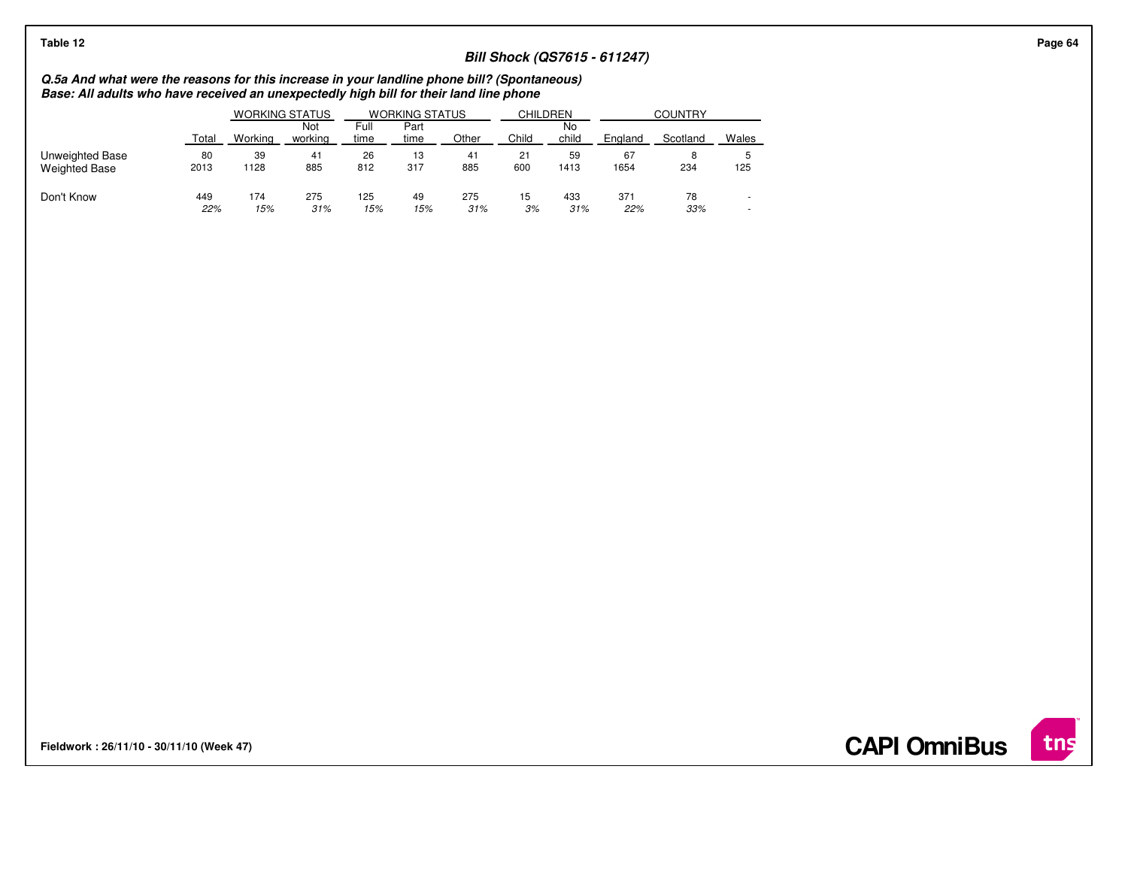| Table 12             |                                                                                                                                                                                       |         |                |              |              |       |       |             |                                     |          |                          |  |  |
|----------------------|---------------------------------------------------------------------------------------------------------------------------------------------------------------------------------------|---------|----------------|--------------|--------------|-------|-------|-------------|-------------------------------------|----------|--------------------------|--|--|
|                      |                                                                                                                                                                                       |         |                |              |              |       |       |             | <b>Bill Shock (QS7615 - 611247)</b> |          |                          |  |  |
|                      | Q.5a And what were the reasons for this increase in your landline phone bill? (Spontaneous)<br>Base: All adults who have received an unexpectedly high bill for their land line phone |         |                |              |              |       |       |             |                                     |          |                          |  |  |
|                      | <b>COUNTRY</b><br><b>CHILDREN</b><br><b>WORKING STATUS</b><br><b>WORKING STATUS</b>                                                                                                   |         |                |              |              |       |       |             |                                     |          |                          |  |  |
|                      | Total                                                                                                                                                                                 | Workina | Not<br>workina | Full<br>time | Part<br>time | Other | Child | No<br>child | England                             | Scotland | Wales                    |  |  |
| Unweighted Base      | 80                                                                                                                                                                                    | 39      | 41             | 26           | 13           | 41    | 21    | 59          | 67                                  | 8        |                          |  |  |
| <b>Weighted Base</b> | 2013                                                                                                                                                                                  | 1128    | 885            | 812          | 317          | 885   | 600   | 1413        | 1654                                | 234      | 125                      |  |  |
| Don't Know           | 449                                                                                                                                                                                   | 174     | 275            | 125          | 49           | 275   | 15    | 433         | 371                                 | 78       | $\overline{\phantom{a}}$ |  |  |
|                      | 22%                                                                                                                                                                                   | 15%     | 31%            | 15%          | 15%          | 31%   | 3%    | 31%         | 22%                                 | 33%      | $\overline{\phantom{a}}$ |  |  |

**Fieldwork : 26/11/10 - 30/11/10 (Week 47)** 

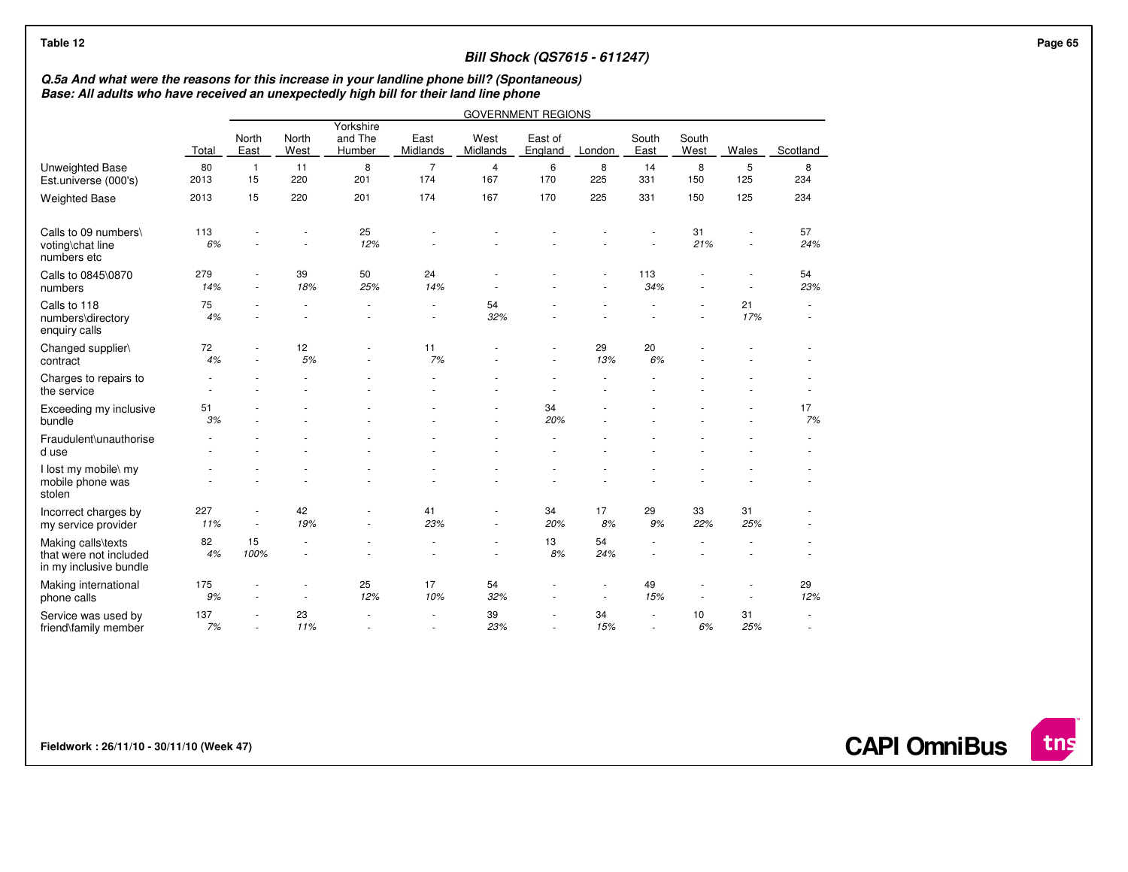| Q.5a And what were the reasons for this increase in your landline phone bill? (Spontaneous) |              |                                                      |                     |                   |                                    |                  |                           |           |                                                      |                          |           |                  |  |
|---------------------------------------------------------------------------------------------|--------------|------------------------------------------------------|---------------------|-------------------|------------------------------------|------------------|---------------------------|-----------|------------------------------------------------------|--------------------------|-----------|------------------|--|
| Base: All adults who have received an unexpectedly high bill for their land line phone      |              |                                                      |                     |                   |                                    |                  |                           |           |                                                      |                          |           |                  |  |
|                                                                                             |              |                                                      |                     | Yorkshire         |                                    |                  | <b>GOVERNMENT REGIONS</b> |           |                                                      |                          |           |                  |  |
|                                                                                             | <b>Total</b> | North<br>East                                        | North<br>West       | and The<br>Humber | East<br>Midlands                   | West<br>Midlands | East of<br>England        | London    | South<br>East                                        | South<br>West            | Wales     | Scotland         |  |
| <b>Unweighted Base</b><br>Est.universe (000's)                                              | 80<br>2013   | $\mathbf{1}$<br>15                                   | 11<br>220           | 8<br>201          | $\overline{7}$<br>174              | 4<br>167         | 6<br>170                  | 8<br>225  | 14<br>331                                            | 8<br>150                 | 5<br>125  | 8<br>234         |  |
| <b>Weighted Base</b>                                                                        | 2013         | 15                                                   | 220                 | 201               | 174                                | 167              | 170                       | 225       | 331                                                  | 150                      | 125       | 234              |  |
| Calls to 09 numbers\<br>voting\chat line<br>numbers etc                                     | 113<br>6%    |                                                      |                     | 25<br>12%         |                                    |                  |                           |           |                                                      | 31<br>21%                |           | 57<br>24%        |  |
| Calls to 0845\0870<br>numbers                                                               | 279<br>14%   | $\overline{\phantom{m}}$<br>÷.                       | 39<br>18%           | 50<br>25%         | 24<br>14%                          |                  |                           |           | 113<br>34%                                           |                          |           | 54<br>23%        |  |
| Calls to 118<br>numbers\directory<br>enquiry calls                                          | 75<br>4%     |                                                      |                     |                   | $\overline{\phantom{a}}$           | 54<br>32%        |                           |           |                                                      |                          | 21<br>17% | $\sim$           |  |
| Changed supplier\<br>contract                                                               | 72<br>4%     |                                                      | 12<br>5%            |                   | 11<br>7%                           |                  |                           | 29<br>13% | 20<br>6%                                             |                          |           |                  |  |
| Charges to repairs to<br>the service                                                        |              |                                                      |                     |                   |                                    |                  |                           |           |                                                      |                          |           |                  |  |
| Exceeding my inclusive<br>bundle                                                            | 51<br>3%     |                                                      |                     |                   |                                    |                  | 34<br>20%                 |           |                                                      |                          |           | 17<br>7%         |  |
| Fraudulent\unauthorise<br>d use                                                             |              |                                                      |                     |                   |                                    |                  |                           |           |                                                      |                          |           |                  |  |
| I lost my mobile\ my<br>mobile phone was<br>stolen                                          |              |                                                      |                     |                   |                                    |                  |                           |           |                                                      |                          |           |                  |  |
| Incorrect charges by<br>my service provider                                                 | 227<br>11%   | $\overline{\phantom{a}}$<br>$\overline{\phantom{a}}$ | 42<br>19%           | ٠                 | 41<br>23%                          |                  | 34<br>20%                 | 17<br>8%  | 29<br>9%                                             | 33<br>22%                | 31<br>25% |                  |  |
| Making calls\texts<br>that were not included<br>in my inclusive bundle                      | 82<br>4%     | 15<br>100%                                           | $\sim$<br>$\sim$    |                   | $\overline{\phantom{a}}$           |                  | 13<br>8%                  | 54<br>24% | $\overline{\phantom{a}}$<br>$\overline{\phantom{a}}$ |                          |           |                  |  |
| Making international<br>phone calls                                                         | 175<br>9%    | ÷,                                                   | ٠<br>$\overline{a}$ | 25<br>12%         | 17<br>10%                          | 54<br>32%        |                           |           | 49<br>15%                                            | $\overline{\phantom{a}}$ |           | 29<br>12%        |  |
| Service was used by<br>friend\family member                                                 | 137<br>7%    | ÷.                                                   | 23<br>11%           | ٠<br>$\sim$       | $\overline{\phantom{a}}$<br>$\sim$ | 39<br>23%        | ٠                         | 34<br>15% | $\sim$<br>$\overline{\phantom{a}}$                   | 10<br>6%                 | 31<br>25% | $\sim$<br>$\sim$ |  |

**Fieldwork : 26/11/10 - 30/11/10 (Week 47)** 

**CAPI OmniBus**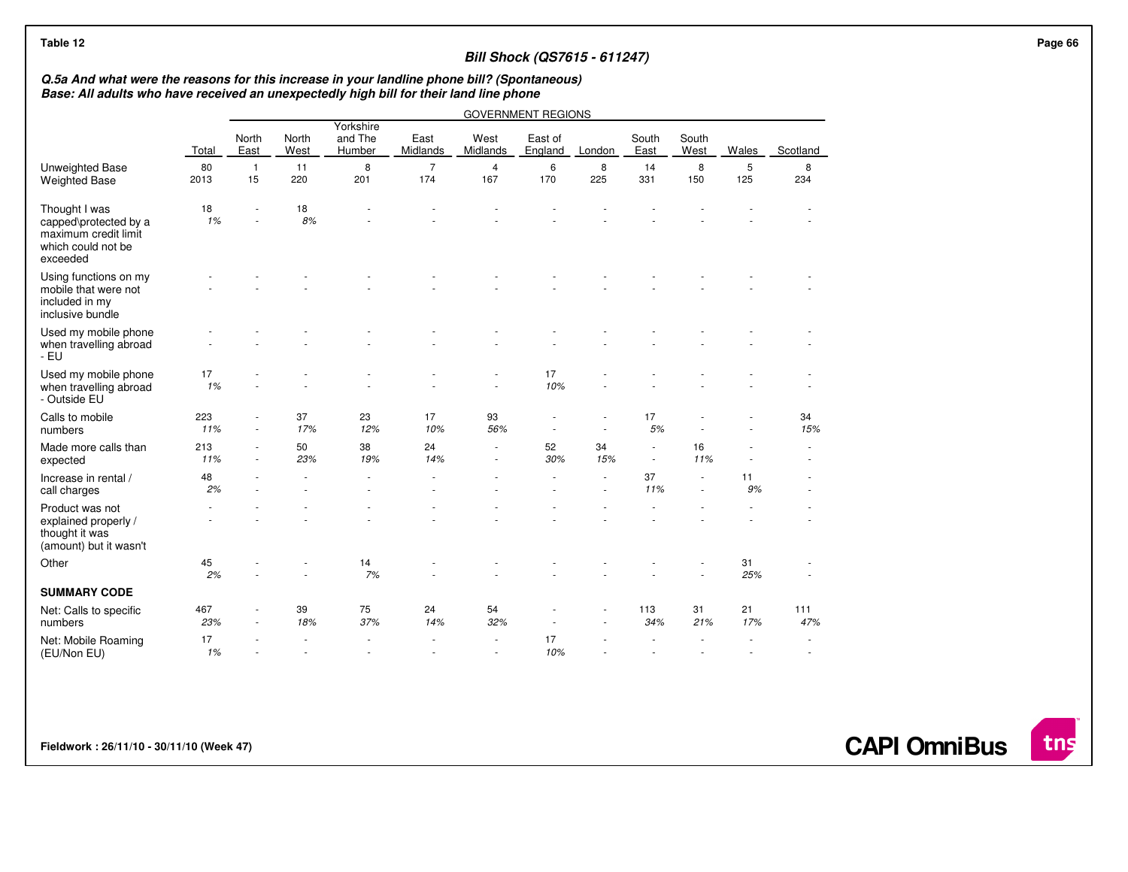| Table 12                                                                                                                                                                              |            |                      |               |                                |                          |                  | <b>Bill Shock (QS7615 - 611247)</b> |           |                  |               |           |              | Page 66 |
|---------------------------------------------------------------------------------------------------------------------------------------------------------------------------------------|------------|----------------------|---------------|--------------------------------|--------------------------|------------------|-------------------------------------|-----------|------------------|---------------|-----------|--------------|---------|
| Q.5a And what were the reasons for this increase in your landline phone bill? (Spontaneous)<br>Base: All adults who have received an unexpectedly high bill for their land line phone |            |                      |               |                                |                          |                  |                                     |           |                  |               |           |              |         |
|                                                                                                                                                                                       |            |                      |               |                                |                          |                  | <b>GOVERNMENT REGIONS</b>           |           |                  |               |           |              |         |
|                                                                                                                                                                                       | Total      | North<br>East        | North<br>West | Yorkshire<br>and The<br>Humber | East<br>Midlands         | West<br>Midlands | East of<br>England                  | London    | South<br>East    | South<br>West | Wales     | Scotland     |         |
| Unweighted Base<br><b>Weighted Base</b>                                                                                                                                               | 80<br>2013 | $\overline{1}$<br>15 | 11<br>220     | 8<br>201                       | $\overline{7}$<br>174    | 4<br>167         | 6<br>170                            | 8<br>225  | 14<br>331        | 8<br>150      | 5<br>125  | 8<br>234     |         |
| Thought I was<br>capped\protected by a<br>maximum credit limit<br>which could not be<br>exceeded                                                                                      | 18<br>1%   |                      | 18<br>$8\%$   |                                |                          |                  |                                     |           |                  |               |           |              |         |
| Using functions on my<br>mobile that were not<br>included in my<br>inclusive bundle                                                                                                   |            |                      |               |                                |                          |                  |                                     |           |                  |               |           |              |         |
| Used my mobile phone<br>when travelling abroad<br>- EU                                                                                                                                |            |                      |               |                                |                          |                  |                                     |           |                  |               |           |              |         |
| Used my mobile phone<br>when travelling abroad<br>- Outside EU                                                                                                                        | 17<br>1%   |                      |               |                                |                          |                  | 17<br>10%                           |           |                  |               |           |              |         |
| Calls to mobile<br>numbers                                                                                                                                                            | 223<br>11% | $\sim$               | 37<br>17%     | 23<br>12%                      | 17<br>10%                | 93<br>56%        |                                     |           | 17<br>5%         |               |           | 34<br>15%    |         |
| Made more calls than<br>expected                                                                                                                                                      | 213<br>11% |                      | 50<br>23%     | 38<br>19%                      | 24<br>14%                | $\sim$           | 52<br>30%                           | 34<br>15% | $\sim$<br>$\sim$ | 16<br>11%     |           |              |         |
| Increase in rental /<br>call charges                                                                                                                                                  | 48<br>2%   |                      |               |                                |                          |                  |                                     |           | 37<br>11%        |               | 11<br>9%  |              |         |
| Product was not<br>explained properly /<br>thought it was<br>(amount) but it wasn't                                                                                                   |            |                      |               |                                |                          |                  |                                     |           |                  |               |           |              |         |
| Other                                                                                                                                                                                 | 45<br>2%   |                      |               | 14<br>$7%$                     |                          |                  |                                     |           |                  |               | 31<br>25% |              |         |
| <b>SUMMARY CODE</b>                                                                                                                                                                   |            |                      |               |                                |                          |                  |                                     |           |                  |               |           |              |         |
| Net: Calls to specific<br>numbers                                                                                                                                                     | 467<br>23% |                      | 39<br>18%     | 75<br>37%                      | 24<br>14%                | 54<br>32%        |                                     |           | 113<br>34%       | 31<br>21%     | 21<br>17% | 111<br>47%   |         |
| Net: Mobile Roaming<br>(EU/Non EU)                                                                                                                                                    | 17<br>1%   |                      |               |                                | $\overline{\phantom{a}}$ | $\sim$           | 17<br>10%                           |           |                  |               |           | $\sim$<br>×. |         |

**Fieldwork : 26/11/10 - 30/11/10 (Week 47)** 

**CAPI OmniBus**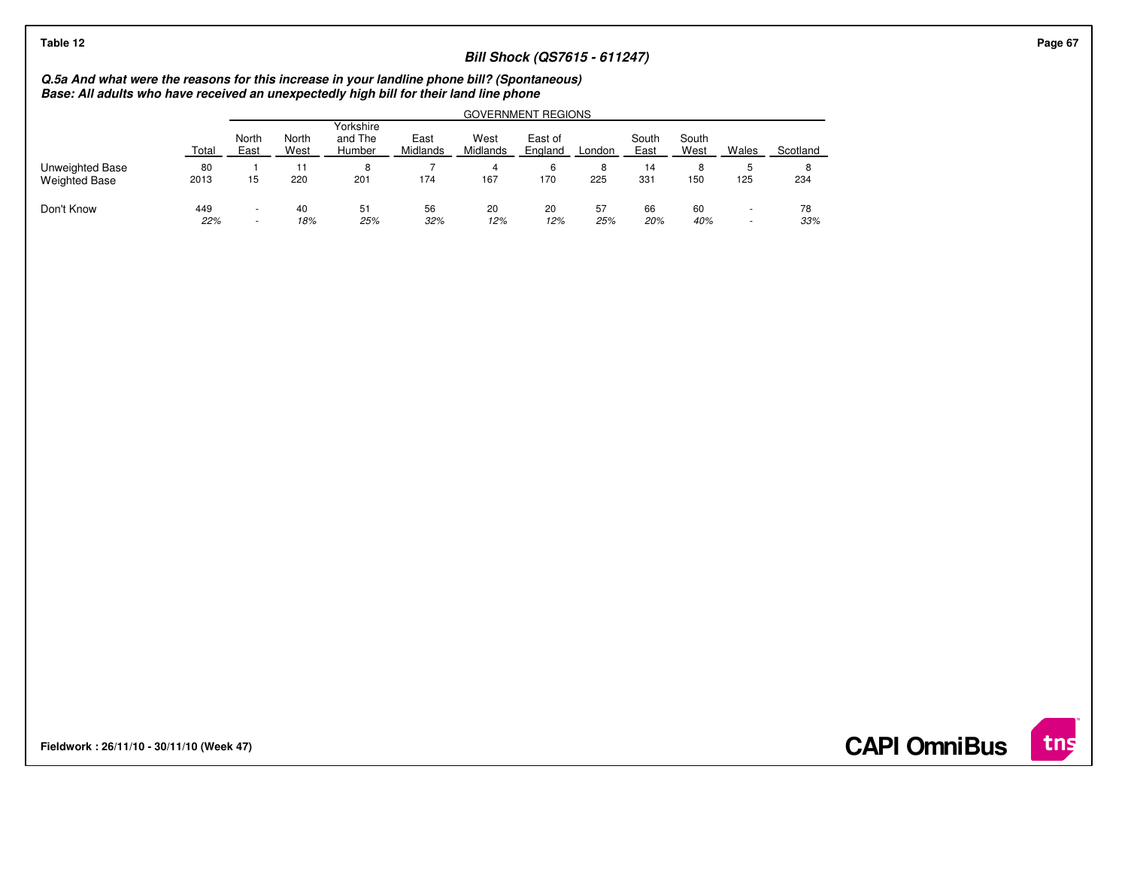## **Bill Shock (QS7615 - 611247)**

# **Q.5a And what were the reasons for this increase in your landline phone bill? (Spontaneous) Base: All adults who have received an unexpectedly high bill for their land line phone**

|                                         |            | GOVERNMENT REGIONS |               |                                |                  |                         |                    |           |               |               |                          |           |  |  |
|-----------------------------------------|------------|--------------------|---------------|--------------------------------|------------------|-------------------------|--------------------|-----------|---------------|---------------|--------------------------|-----------|--|--|
|                                         | Total      | North<br>East      | North<br>West | Yorkshire<br>and The<br>Humber | East<br>Midlands | West<br><b>Midlands</b> | East of<br>England | ∟ondon    | South<br>East | South<br>West | Wales                    | Scotland  |  |  |
| Unweighted Base<br><b>Weighted Base</b> | 80<br>2013 | 15                 | 11<br>220     | 8<br>201                       | 174              | 4<br>167                | 6<br>170           | 8<br>225  | 14<br>331     | 8<br>150      | 125                      | 8<br>234  |  |  |
| Don't Know                              | 449<br>22% | ۰<br>$\sim$        | 40<br>18%     | 51<br>25%                      | 56<br>32%        | 20<br>12%               | 20<br>12%          | 57<br>25% | 66<br>20%     | 60<br>40%     | $\overline{\phantom{a}}$ | 78<br>33% |  |  |

**Fieldwork : 26/11/10 - 30/11/10 (Week 47)** 

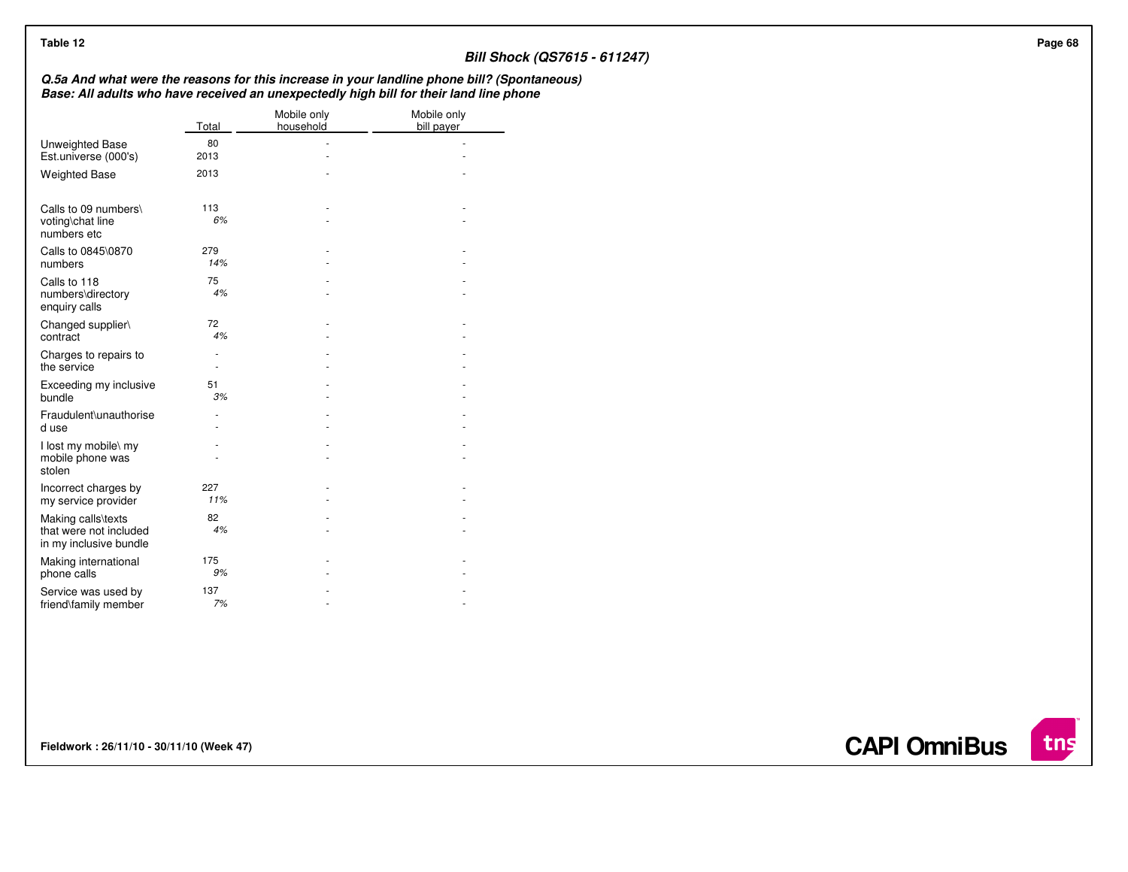| Table 12                                       |                                    |                          | <b>Bill Shock (QS7615 - 611247)</b>                                                                                                                                                   |
|------------------------------------------------|------------------------------------|--------------------------|---------------------------------------------------------------------------------------------------------------------------------------------------------------------------------------|
|                                                |                                    |                          | Q.5a And what were the reasons for this increase in your landline phone bill? (Spontaneous)<br>Base: All adults who have received an unexpectedly high bill for their land line phone |
|                                                | Total                              | Mobile only<br>household | Mobile only<br>bill payer                                                                                                                                                             |
| Unweighted Base<br>Est.universe (000's)        | 80<br>2013                         | ٠                        | $\sim$                                                                                                                                                                                |
| <b>Weighted Base</b>                           | 2013                               |                          |                                                                                                                                                                                       |
| Calls to 09 numbers\                           | 113                                |                          |                                                                                                                                                                                       |
| voting\chat line<br>numbers etc                | $6\%$                              |                          |                                                                                                                                                                                       |
| Calls to 0845\0870<br>numbers                  | 279<br>14%                         |                          |                                                                                                                                                                                       |
| Calls to 118<br>numbers\directory              | 75<br>4%                           |                          |                                                                                                                                                                                       |
| enquiry calls<br>Changed supplier\             | 72                                 |                          |                                                                                                                                                                                       |
| contract                                       | 4%                                 |                          |                                                                                                                                                                                       |
| Charges to repairs to<br>the service           | ٠<br>$\sim$                        |                          |                                                                                                                                                                                       |
| Exceeding my inclusive<br>bundle               | 51<br>3%                           |                          |                                                                                                                                                                                       |
| Fraudulent\unauthorise<br>d use                | $\overline{\phantom{a}}$<br>$\sim$ |                          |                                                                                                                                                                                       |
| I lost my mobile\ my                           |                                    |                          |                                                                                                                                                                                       |
| mobile phone was<br>stolen                     |                                    |                          |                                                                                                                                                                                       |
| Incorrect charges by<br>my service provider    | 227<br>11%                         |                          |                                                                                                                                                                                       |
| Making calls\texts<br>that were not included   | 82<br>4%                           |                          |                                                                                                                                                                                       |
| in my inclusive bundle<br>Making international | 175                                |                          |                                                                                                                                                                                       |
| phone calls<br>Service was used by             | 9%<br>137                          |                          |                                                                                                                                                                                       |
| friend\family member                           | 7%                                 | ÷,                       |                                                                                                                                                                                       |

**Fieldwork : 26/11/10 - 30/11/10 (Week 47)** 

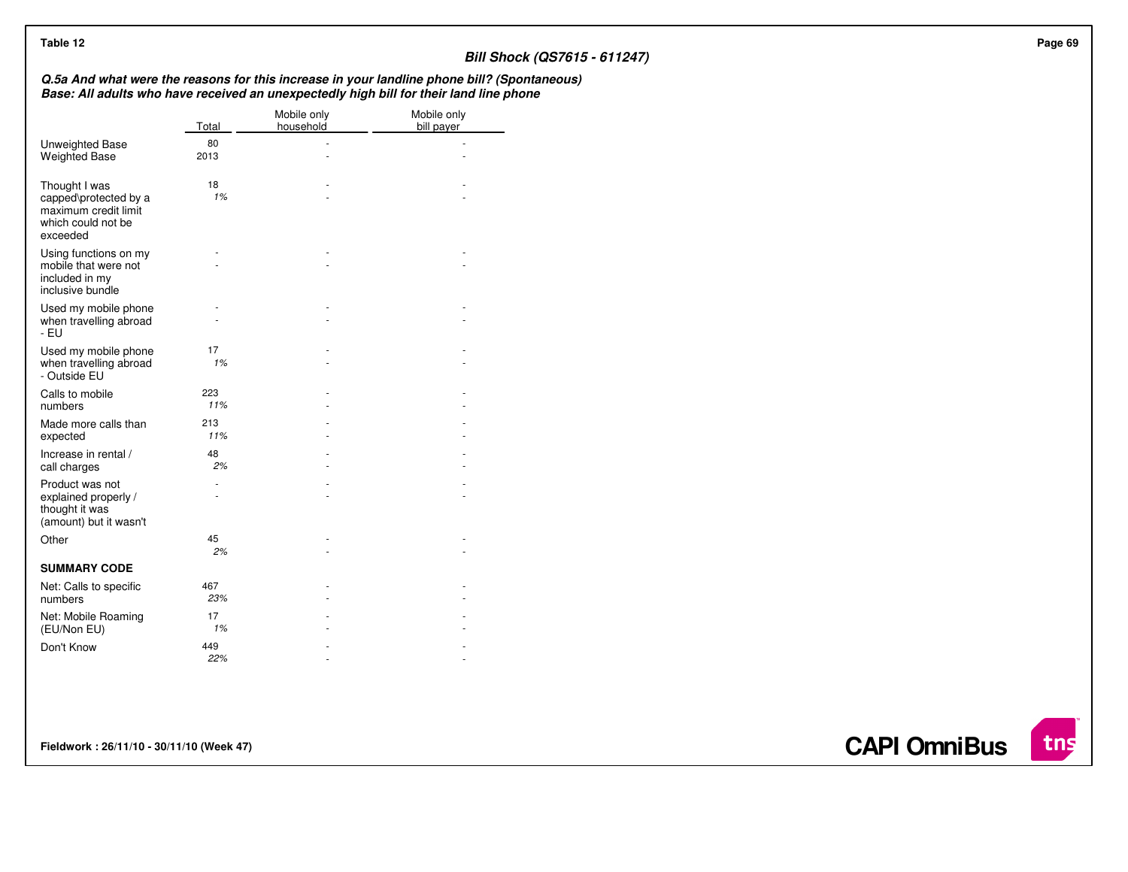| Table 12                                                                                         |            |                                |                                                                                                                                                                                       | <b>Bill Shock (QS7615 - 611247)</b> |
|--------------------------------------------------------------------------------------------------|------------|--------------------------------|---------------------------------------------------------------------------------------------------------------------------------------------------------------------------------------|-------------------------------------|
|                                                                                                  |            |                                | Q.5a And what were the reasons for this increase in your landline phone bill? (Spontaneous)<br>Base: All adults who have received an unexpectedly high bill for their land line phone |                                     |
|                                                                                                  | Total      | Mobile only<br>household       | Mobile only<br>bill payer                                                                                                                                                             |                                     |
| Unweighted Base<br>Weighted Base                                                                 | 80<br>2013 | $\overline{\phantom{a}}$<br>÷. | $\overline{a}$<br>$\sim$                                                                                                                                                              |                                     |
| Thought I was<br>capped\protected by a<br>maximum credit limit<br>which could not be<br>exceeded | 18<br>1%   |                                |                                                                                                                                                                                       |                                     |
| Using functions on my<br>mobile that were not<br>included in my<br>inclusive bundle              |            |                                |                                                                                                                                                                                       |                                     |
| Used my mobile phone<br>when travelling abroad<br>$-EU$                                          |            |                                |                                                                                                                                                                                       |                                     |
| Used my mobile phone<br>when travelling abroad<br>- Outside EU                                   | 17<br>1%   |                                |                                                                                                                                                                                       |                                     |
| Calls to mobile<br>numbers                                                                       | 223<br>11% |                                |                                                                                                                                                                                       |                                     |
| Made more calls than<br>expected                                                                 | 213<br>11% |                                |                                                                                                                                                                                       |                                     |
| Increase in rental /<br>call charges                                                             | 48<br>2%   |                                |                                                                                                                                                                                       |                                     |
| Product was not<br>explained properly /<br>thought it was<br>(amount) but it wasn't              | $\sim$     |                                |                                                                                                                                                                                       |                                     |
| Other                                                                                            | 45<br>2%   |                                |                                                                                                                                                                                       |                                     |
| <b>SUMMARY CODE</b>                                                                              |            |                                |                                                                                                                                                                                       |                                     |
| Net: Calls to specific<br>numbers                                                                | 467<br>23% |                                |                                                                                                                                                                                       |                                     |
| Net: Mobile Roaming<br>(EU/Non EU)                                                               | 17<br>1%   |                                |                                                                                                                                                                                       |                                     |
| Don't Know                                                                                       | 449<br>22% |                                |                                                                                                                                                                                       |                                     |

**Fieldwork : 26/11/10 - 30/11/10 (Week 47)** 

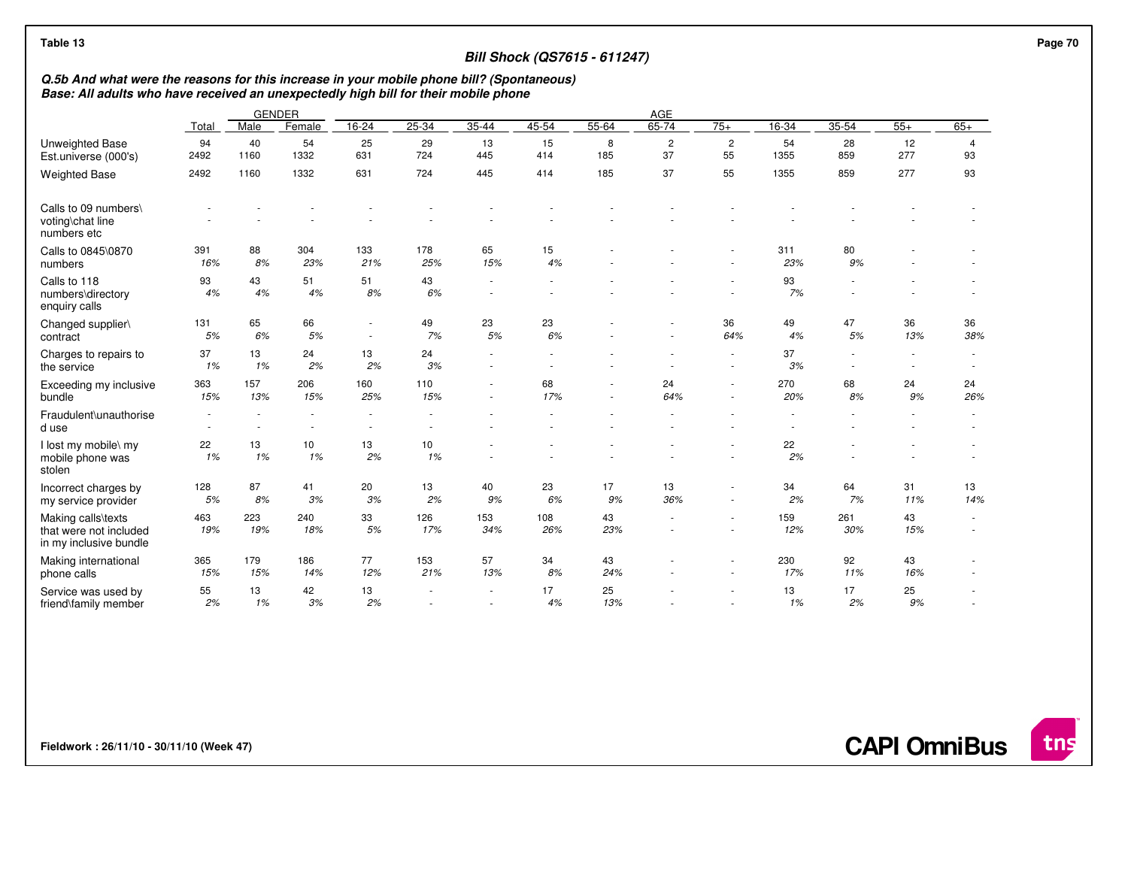| Table 13                                                               |                                                                                                                                                                                                   |                  |                          |                                                      |               |                | <b>Bill Shock (QS7615 - 611247)</b> |           |                      |                                    |            |                                    |                          |                          |
|------------------------------------------------------------------------|---------------------------------------------------------------------------------------------------------------------------------------------------------------------------------------------------|------------------|--------------------------|------------------------------------------------------|---------------|----------------|-------------------------------------|-----------|----------------------|------------------------------------|------------|------------------------------------|--------------------------|--------------------------|
|                                                                        | Q.5b And what were the reasons for this increase in your mobile phone bill? (Spontaneous)<br>Base: All adults who have received an unexpectedly high bill for their mobile phone<br><b>GENDER</b> |                  |                          |                                                      |               |                |                                     |           |                      |                                    |            |                                    |                          |                          |
|                                                                        |                                                                                                                                                                                                   |                  |                          |                                                      |               |                |                                     |           | AGE                  |                                    |            |                                    |                          |                          |
|                                                                        | Total                                                                                                                                                                                             | Male             | Female                   | 16-24                                                | 25-34         | $35 - 44$      | 45-54                               | 55-64     | 65-74                | $75+$                              | $16 - 34$  | $35 - 54$                          | $55+$                    | $65+$                    |
| Unweighted Base<br>Est.universe (000's)                                | 94<br>2492                                                                                                                                                                                        | 40<br>1160       | 54<br>1332               | 25<br>631                                            | 29<br>724     | 13<br>445      | 15<br>414                           | 8<br>185  | $\overline{c}$<br>37 | $\overline{c}$<br>55               | 54<br>1355 | 28<br>859                          | 12<br>277                | $\overline{4}$<br>93     |
| <b>Weighted Base</b>                                                   | 2492                                                                                                                                                                                              | 1160             | 1332                     | 631                                                  | 724           | 445            | 414                                 | 185       | 37                   | 55                                 | 1355       | 859                                | 277                      | 93                       |
| Calls to 09 numbers\<br>voting\chat line<br>numbers etc                |                                                                                                                                                                                                   |                  |                          |                                                      |               |                |                                     |           |                      |                                    |            |                                    |                          |                          |
| Calls to 0845\0870<br>numbers                                          | 391<br>16%                                                                                                                                                                                        | 88<br>8%         | 304<br>23%               | 133<br>21%                                           | 178<br>25%    | 65<br>15%      | 15<br>4%                            |           |                      |                                    | 311<br>23% | 80<br>9%                           |                          |                          |
| Calls to 118<br>numbers\directory<br>enquiry calls                     | 93<br>4%                                                                                                                                                                                          | 43<br>4%         | 51<br>4%                 | 51<br>8%                                             | 43<br>6%      | ٠              |                                     |           |                      |                                    | 93<br>7%   |                                    |                          |                          |
| Changed supplier\<br>contract                                          | 131<br>5%                                                                                                                                                                                         | 65<br>6%         | 66<br>5%                 | $\overline{\phantom{a}}$<br>$\sim$                   | 49<br>7%      | 23<br>5%       | 23<br>6%                            |           |                      | 36<br>64%                          | 49<br>4%   | 47<br>5%                           | 36<br>13%                | 36<br>38%                |
| Charges to repairs to<br>the service                                   | 37<br>1%                                                                                                                                                                                          | 13<br>1%         | 24<br>2%                 | 13<br>2%                                             | 24<br>3%      | $\sim$         |                                     |           |                      | $\sim$<br>$\sim$                   | 37<br>3%   | $\sim$<br>$\overline{\phantom{a}}$ | $\overline{\phantom{a}}$ | $\overline{\phantom{a}}$ |
| Exceeding my inclusive<br>bundle                                       | 363<br>15%                                                                                                                                                                                        | 157<br>13%       | 206<br>15%               | 160<br>25%                                           | 110<br>15%    | ٠<br>٠         | 68<br>17%                           | ٠         | 24<br>64%            | $\overline{\phantom{a}}$<br>$\sim$ | 270<br>20% | 68<br>8%                           | 24<br>9%                 | 24<br>26%                |
| Fraudulent\unauthorise<br>d use                                        | $\sim$<br>$\overline{\phantom{a}}$                                                                                                                                                                | $\sim$<br>$\sim$ | $\overline{\phantom{a}}$ | $\overline{\phantom{a}}$<br>$\overline{\phantom{a}}$ |               |                |                                     |           |                      |                                    |            |                                    |                          |                          |
| I lost my mobile\ my<br>mobile phone was<br>stolen                     | 22<br>1%                                                                                                                                                                                          | 13<br>1%         | 10<br>1%                 | 13<br>2%                                             | 10<br>1%      |                |                                     |           |                      |                                    | 22<br>2%   |                                    |                          |                          |
| Incorrect charges by<br>my service provider                            | 128<br>5%                                                                                                                                                                                         | 87<br>8%         | 41<br>3%                 | 20<br>3%                                             | 13<br>2%      | 40<br>9%       | 23<br>6%                            | 17<br>9%  | 13<br>36%            | $\sim$<br>÷.                       | 34<br>2%   | 64<br>7%                           | 31<br>11%                | 13<br>14%                |
| Making calls\texts<br>that were not included<br>in my inclusive bundle | 463<br>19%                                                                                                                                                                                        | 223<br>19%       | 240<br>18%               | 33<br>$5%$                                           | 126<br>17%    | 153<br>34%     | 108<br>26%                          | 43<br>23% | $\sim$               | $\sim$<br>$\sim$                   | 159<br>12% | 261<br>30%                         | 43<br>15%                | $\overline{\phantom{a}}$ |
| Making international<br>phone calls                                    | 365<br>15%                                                                                                                                                                                        | 179<br>15%       | 186<br>14%               | 77<br>12%                                            | 153<br>21%    | 57<br>13%      | 34<br>8%                            | 43<br>24% |                      | ٠                                  | 230<br>17% | 92<br>11%                          | 43<br>16%                |                          |
| Service was used by<br>friend\family member                            | 55<br>2%                                                                                                                                                                                          | 13<br>1%         | 42<br>3%                 | 13<br>2%                                             | $\frac{1}{2}$ | $\overline{a}$ | 17<br>4%                            | 25<br>13% |                      | $\overline{\phantom{a}}$           | 13<br>1%   | 17<br>2%                           | 25<br>9%                 |                          |

**Fieldwork : 26/11/10 - 30/11/10 (Week 47)** 

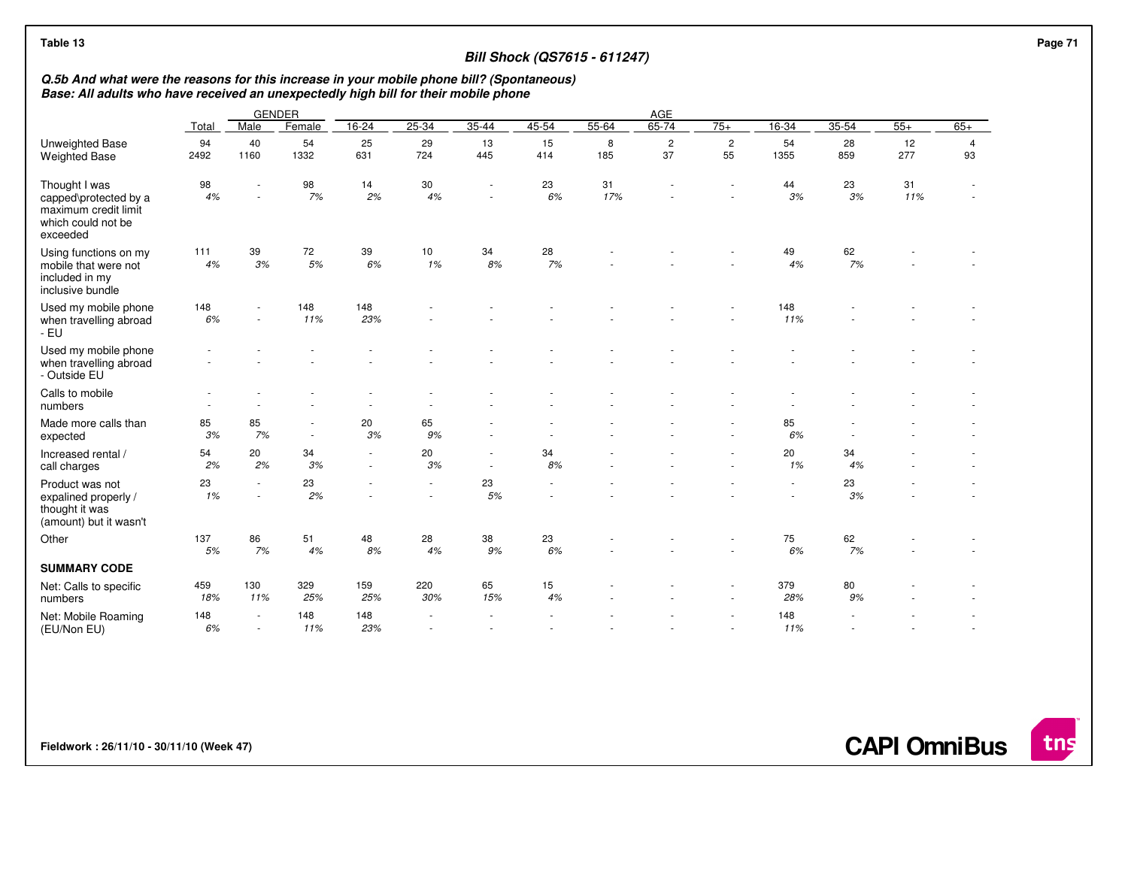| Table 13<br><b>Bill Shock (QS7615 - 611247)</b>                                                                                                                                  |            |                                |            |            |                                    |           |           |           |                      |                    |                  |           |           | Page 71              |  |
|----------------------------------------------------------------------------------------------------------------------------------------------------------------------------------|------------|--------------------------------|------------|------------|------------------------------------|-----------|-----------|-----------|----------------------|--------------------|------------------|-----------|-----------|----------------------|--|
| Q.5b And what were the reasons for this increase in your mobile phone bill? (Spontaneous)<br>Base: All adults who have received an unexpectedly high bill for their mobile phone |            |                                |            |            |                                    |           |           |           |                      |                    |                  |           |           |                      |  |
|                                                                                                                                                                                  |            | <b>GENDER</b>                  |            |            |                                    |           |           |           | AGE                  |                    |                  |           |           |                      |  |
|                                                                                                                                                                                  | Total      | Male                           | Female     | $16 - 24$  | $25 - 34$                          | $35 - 44$ | 45-54     | 55-64     | 65-74                | $75+$              | 16-34            | $35 - 54$ | $55+$     | $65+$                |  |
| Unweighted Base<br><b>Weighted Base</b>                                                                                                                                          | 94<br>2492 | 40<br>1160                     | 54<br>1332 | 25<br>631  | 29<br>724                          | 13<br>445 | 15<br>414 | 8<br>185  | $\overline{c}$<br>37 | $\mathbf{2}$<br>55 | 54<br>1355       | 28<br>859 | 12<br>277 | $\overline{4}$<br>93 |  |
| Thought I was<br>capped\protected by a<br>maximum credit limit<br>which could not be<br>exceeded                                                                                 | 98<br>4%   |                                | 98<br>7%   | 14<br>2%   | 30<br>4%                           | ÷,        | 23<br>6%  | 31<br>17% |                      |                    | 44<br>3%         | 23<br>3%  | 31<br>11% | ٠                    |  |
| Using functions on my<br>mobile that were not<br>included in my<br>inclusive bundle                                                                                              | 111<br>4%  | 39<br>3%                       | 72<br>5%   | 39<br>6%   | 10<br>1%                           | 34<br>8%  | 28<br>7%  |           |                      |                    | 49<br>4%         | 62<br>7%  |           |                      |  |
| Used my mobile phone<br>when travelling abroad<br>- EU                                                                                                                           | 148<br>6%  | $\sim$                         | 148<br>11% | 148<br>23% |                                    |           |           |           |                      |                    | 148<br>11%       |           |           |                      |  |
| Used my mobile phone<br>when travelling abroad<br>- Outside EU                                                                                                                   |            |                                |            |            |                                    |           |           |           |                      |                    |                  |           |           |                      |  |
| Calls to mobile<br>numbers                                                                                                                                                       |            |                                |            |            |                                    |           |           |           |                      |                    |                  |           |           |                      |  |
| Made more calls than<br>expected                                                                                                                                                 | 85<br>3%   | 85<br>7%                       | $\sim$     | 20<br>3%   | 65<br>9%                           |           |           |           |                      |                    | 85<br>6%         |           |           |                      |  |
| Increased rental /<br>call charges                                                                                                                                               | 54<br>2%   | 20<br>2%                       | 34<br>3%   | $\sim$     | 20<br>3%                           |           | 34<br>8%  |           |                      |                    | 20<br>1%         | 34<br>4%  |           |                      |  |
| Product was not<br>expalined properly /<br>thought it was<br>(amount) but it wasn't                                                                                              | 23<br>1%   | $\overline{\phantom{a}}$<br>÷. | 23<br>2%   |            | $\overline{\phantom{a}}$<br>$\sim$ | 23<br>5%  |           |           |                      |                    | $\sim$<br>$\sim$ | 23<br>3%  |           |                      |  |
| Other                                                                                                                                                                            | 137<br>5%  | 86<br>7%                       | 51<br>4%   | 48<br>8%   | 28<br>4%                           | 38<br>9%  | 23<br>6%  |           |                      |                    | 75<br>6%         | 62<br>7%  |           |                      |  |
| <b>SUMMARY CODE</b>                                                                                                                                                              |            |                                |            |            |                                    |           |           |           |                      |                    |                  |           |           |                      |  |
| Net: Calls to specific<br>numbers                                                                                                                                                | 459<br>18% | 130<br>11%                     | 329<br>25% | 159<br>25% | 220<br>30%                         | 65<br>15% | 15<br>4%  |           |                      |                    | 379<br>28%       | 80<br>9%  |           |                      |  |
| Net: Mobile Roaming<br>(EU/Non EU)                                                                                                                                               | 148<br>6%  | $\sim$                         | 148<br>11% | 148<br>23% | $\overline{\phantom{a}}$           |           |           |           |                      | $\sim$             | 148<br>11%       |           |           | ÷,                   |  |

**Fieldwork : 26/11/10 - 30/11/10 (Week 47)** 

**CAPI OmniBus**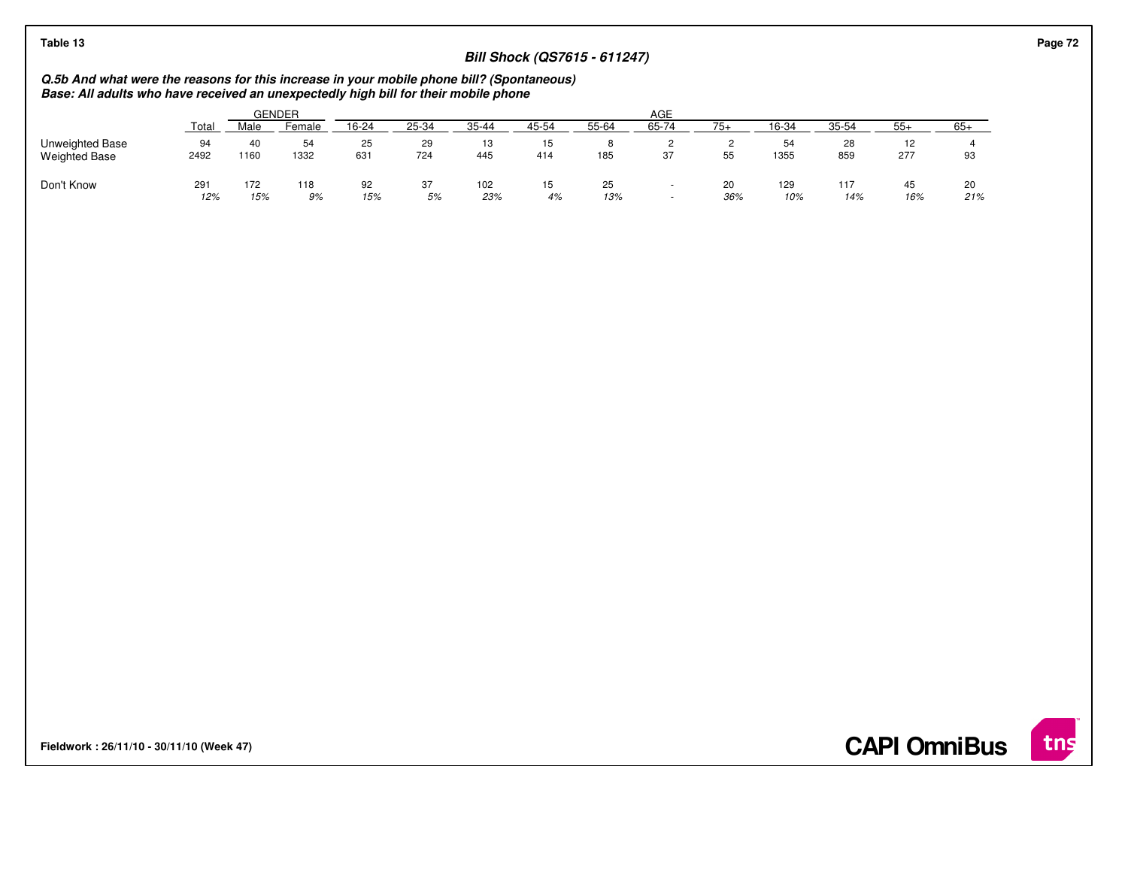## **Bill Shock (QS7615 - 611247)**

# **Q.5b And what were the reasons for this increase in your mobile phone bill? (Spontaneous) Base: All adults who have received an unexpectedly high bill for their mobile phone**

|                                         |            |            | <b>GENDER</b> |           |           |            |           |           | AGE   |           |            |            |            |           |
|-----------------------------------------|------------|------------|---------------|-----------|-----------|------------|-----------|-----------|-------|-----------|------------|------------|------------|-----------|
|                                         | Tota.      | Male       | Female        | 16-24     | 25-34     | 35-44      | 45-54     | 55-64     | 65-74 | $75+$     | 16-34      | $35 - 54$  | $55+$      | $65+$     |
| Unweighted Base<br><b>Weighted Base</b> | 94<br>2492 | 40<br>1160 | 54<br>1332    | 25<br>631 | 29<br>724 | 13<br>445  | 15<br>414 | 185       | 37    | 55        | 54<br>1355 | 28<br>859  | ے ا<br>277 | 93        |
| Don't Know                              | 291<br>12% | 172<br>15% | 118<br>9%     | 92<br>15% | 37<br>5%  | 102<br>23% | 15<br>4%  | 25<br>13% | . .   | 20<br>36% | 129<br>10% | 117<br>14% | 45<br>16%  | 20<br>21% |

**Fieldwork : 26/11/10 - 30/11/10 (Week 47)** 

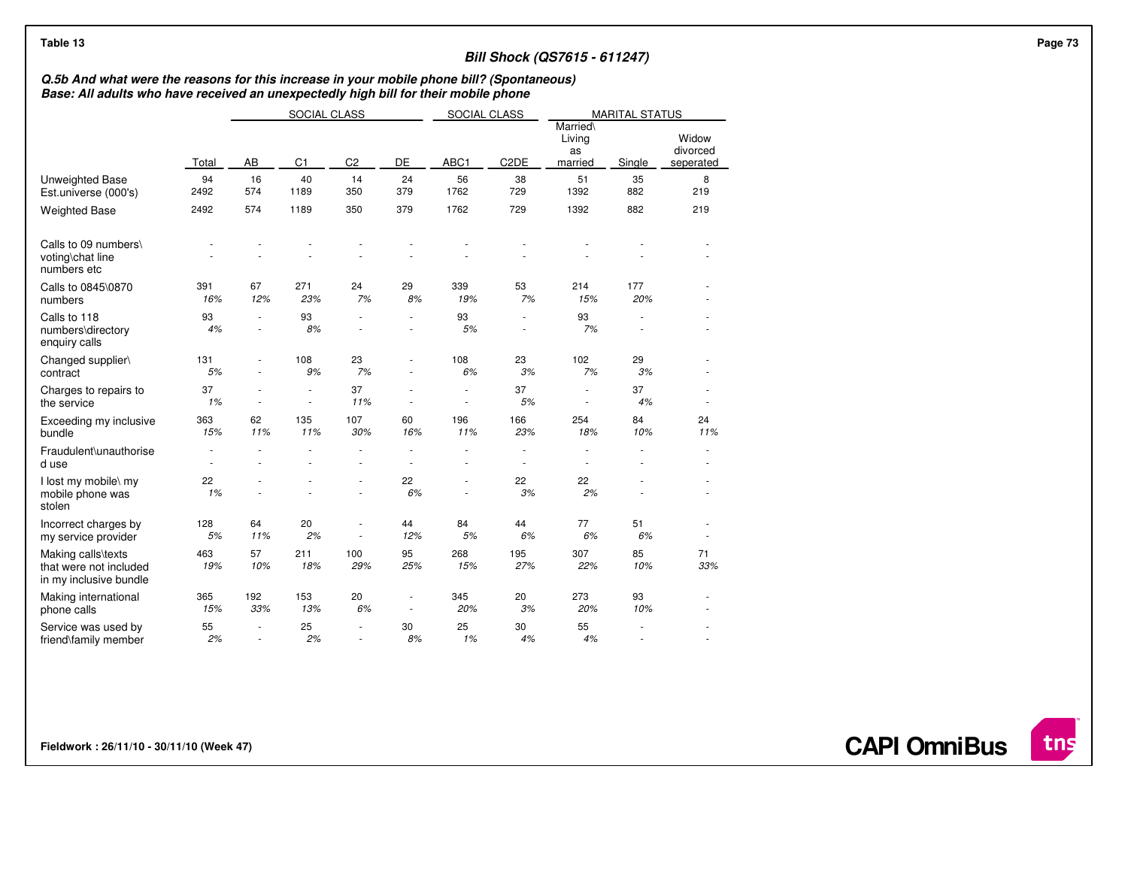| Table 13                                                                                                                                                                         |                                    |                  |                     |                                                      |                                                      |                  |                                    | <b>Bill Shock (QS7615 - 611247)</b> |                       |                                |  |
|----------------------------------------------------------------------------------------------------------------------------------------------------------------------------------|------------------------------------|------------------|---------------------|------------------------------------------------------|------------------------------------------------------|------------------|------------------------------------|-------------------------------------|-----------------------|--------------------------------|--|
| Q.5b And what were the reasons for this increase in your mobile phone bill? (Spontaneous)<br>Base: All adults who have received an unexpectedly high bill for their mobile phone |                                    |                  |                     |                                                      |                                                      |                  |                                    |                                     |                       |                                |  |
|                                                                                                                                                                                  |                                    |                  | <b>SOCIAL CLASS</b> |                                                      |                                                      | SOCIAL CLASS     |                                    |                                     | <b>MARITAL STATUS</b> |                                |  |
|                                                                                                                                                                                  | Total                              | AB               | C <sub>1</sub>      | C <sub>2</sub>                                       | DE                                                   | ABC1             | C <sub>2</sub> DE                  | Married\<br>Living<br>as<br>married | Single                | Widow<br>divorced<br>seperated |  |
| <b>Unweighted Base</b><br>Est.universe (000's)                                                                                                                                   | 94<br>2492                         | 16<br>574        | 40<br>1189          | 14<br>350                                            | 24<br>379                                            | 56<br>1762       | 38<br>729                          | 51<br>1392                          | 35<br>882             | 8<br>219                       |  |
| <b>Weighted Base</b>                                                                                                                                                             | 2492                               | 574              | 1189                | 350                                                  | 379                                                  | 1762             | 729                                | 1392                                | 882                   | 219                            |  |
| Calls to 09 numbers\<br>voting\chat line<br>numbers etc                                                                                                                          |                                    |                  |                     |                                                      |                                                      |                  |                                    |                                     |                       |                                |  |
| Calls to 0845\0870<br>numbers                                                                                                                                                    | 391<br>16%                         | 67<br>12%        | 271<br>23%          | 24<br>7%                                             | 29<br>8%                                             | 339<br>19%       | 53<br>7%                           | 214<br>15%                          | 177<br>20%            |                                |  |
| Calls to 118<br>numbers\directory<br>enquiry calls                                                                                                                               | 93<br>4%                           | $\sim$<br>$\sim$ | 93<br>8%            | $\overline{\phantom{a}}$<br>$\overline{\phantom{a}}$ | $\overline{\phantom{a}}$                             | 93<br>5%         | $\overline{\phantom{a}}$<br>$\sim$ | 93<br>7%                            | $\sim$                |                                |  |
| Changed supplier\<br>contract                                                                                                                                                    | 131<br>5%                          |                  | 108<br>9%           | 23<br>7%                                             |                                                      | 108<br>6%        | 23<br>3%                           | 102<br>7%                           | 29<br>3%              |                                |  |
| Charges to repairs to<br>the service                                                                                                                                             | 37<br>1%                           | $\sim$           | $\sim$<br>$\sim$    | 37<br>11%                                            | $\overline{\phantom{a}}$                             | $\sim$<br>$\sim$ | 37<br>5%                           | $\sim$<br>$\overline{\phantom{a}}$  | 37<br>4%              | ٠                              |  |
| Exceeding my inclusive<br>bundle                                                                                                                                                 | 363<br>15%                         | 62<br>11%        | 135<br>11%          | 107<br>30%                                           | 60<br>16%                                            | 196<br>11%       | 166<br>23%                         | 254<br>18%                          | 84<br>10%             | 24<br>11%                      |  |
| Fraudulent\unauthorise<br>d use                                                                                                                                                  | $\overline{\phantom{a}}$<br>$\sim$ |                  |                     |                                                      | ä,                                                   |                  | $\sim$<br>$\sim$                   | $\overline{\phantom{a}}$            |                       | $\overline{\phantom{m}}$       |  |
| I lost my mobile\ my<br>mobile phone was<br>stolen                                                                                                                               | 22<br>1%                           |                  |                     |                                                      | 22<br>6%                                             | ٠                | 22<br>3%                           | 22<br>2%                            |                       | ٠                              |  |
| Incorrect charges by<br>my service provider                                                                                                                                      | 128<br>5%                          | 64<br>11%        | 20<br>2%            | $\sim$<br>$\overline{\phantom{a}}$                   | 44<br>12%                                            | 84<br>5%         | 44<br>6%                           | 77<br>6%                            | 51<br>6%              | ٠                              |  |
| Making calls\texts<br>that were not included<br>in my inclusive bundle                                                                                                           | 463<br>19%                         | 57<br>10%        | 211<br>18%          | 100<br>29%                                           | 95<br>25%                                            | 268<br>15%       | 195<br>27%                         | 307<br>22%                          | 85<br>10%             | 71<br>33%                      |  |
| Making international<br>phone calls                                                                                                                                              | 365<br>15%                         | 192<br>33%       | 153<br>13%          | 20<br>6%                                             | $\overline{\phantom{a}}$<br>$\overline{\phantom{a}}$ | 345<br>20%       | 20<br>3%                           | 273<br>20%                          | 93<br>10%             | ٠                              |  |
| Service was used by<br>friend\family member                                                                                                                                      | 55<br>2%                           | $\sim$           | 25<br>2%            | $\sim$<br>$\sim$                                     | 30<br>8%                                             | 25<br>1%         | 30<br>4%                           | 55<br>4%                            |                       |                                |  |

**CAPI OmniBus**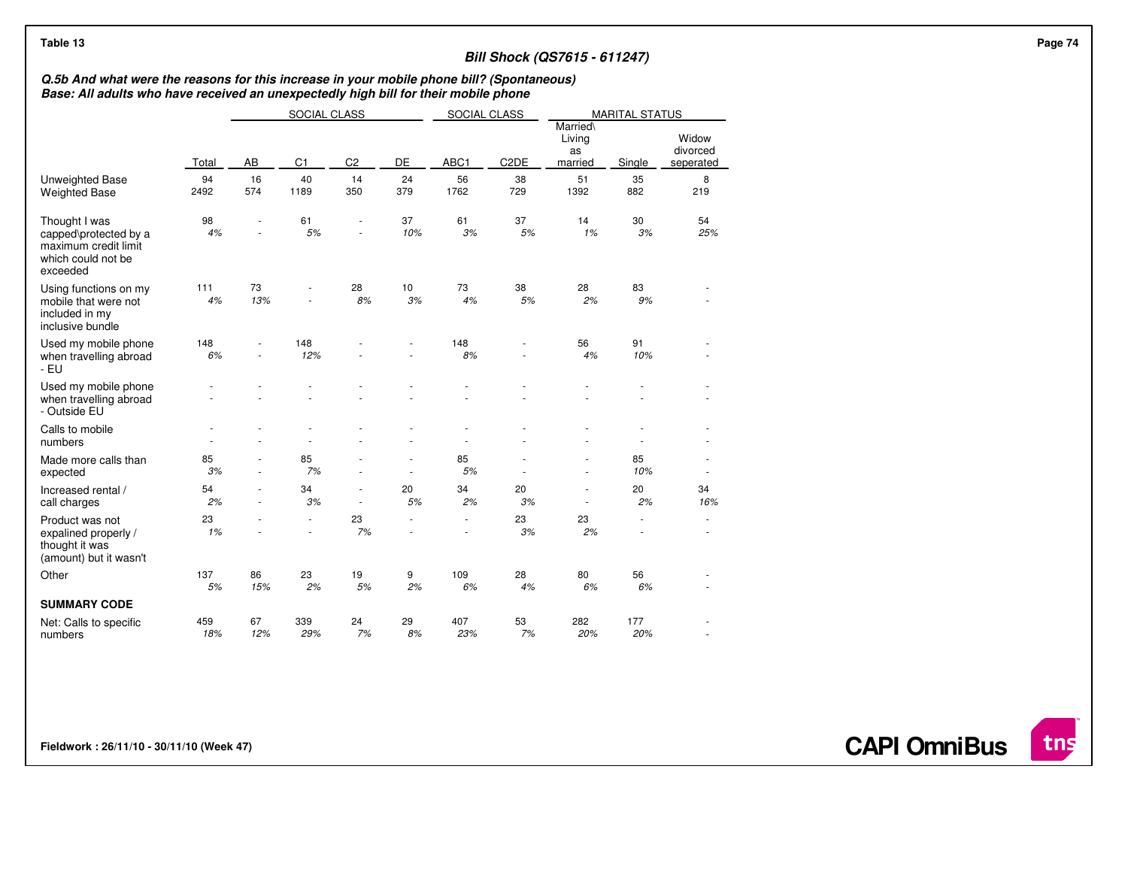| Table 13                                                                                                                                                                         |            |           |                               |                |                |                               |                   | <b>Bill Shock (QS7615 - 611247)</b> |                       |                                |
|----------------------------------------------------------------------------------------------------------------------------------------------------------------------------------|------------|-----------|-------------------------------|----------------|----------------|-------------------------------|-------------------|-------------------------------------|-----------------------|--------------------------------|
| Q.5b And what were the reasons for this increase in your mobile phone bill? (Spontaneous)<br>Base: All adults who have received an unexpectedly high bill for their mobile phone |            |           |                               |                |                |                               |                   |                                     |                       |                                |
|                                                                                                                                                                                  |            |           | SOCIAL CLASS                  |                |                | SOCIAL CLASS                  |                   |                                     | <b>MARITAL STATUS</b> |                                |
|                                                                                                                                                                                  | Total      | AB        | C1                            | C <sub>2</sub> | DE             | ABC1                          | C <sub>2</sub> DE | Married\<br>Living<br>as<br>married | Single                | Widow<br>divorced<br>seperated |
| Unweighted Base<br><b>Weighted Base</b>                                                                                                                                          | 94<br>2492 | 16<br>574 | 40<br>1189                    | 14<br>350      | 24<br>379      | 56<br>1762                    | 38<br>729         | 51<br>1392                          | 35<br>882             | 8<br>219                       |
| Thought I was<br>capped\protected by a<br>maximum credit limit<br>which could not be<br>exceeded                                                                                 | 98<br>4%   |           | 61<br>$5\%$                   |                | 37<br>10%      | 61<br>3%                      | 37<br>$5%$        | 14<br>1%                            | 30<br>3%              | 54<br>25%                      |
| Using functions on my<br>mobile that were not<br>included in my<br>inclusive bundle                                                                                              | 111<br>4%  | 73<br>13% |                               | 28<br>$8%$     | 10<br>3%       | 73<br>4%                      | 38<br>$5%$        | 28<br>2%                            | 83<br>9%              |                                |
| Used my mobile phone<br>when travelling abroad<br>- EU                                                                                                                           | 148<br>6%  |           | 148<br>12%                    |                |                | 148<br>8%                     |                   | 56<br>4%                            | 91<br>10%             |                                |
| Used my mobile phone<br>when travelling abroad<br>- Outside EU                                                                                                                   |            |           |                               |                |                |                               |                   |                                     |                       |                                |
| Calls to mobile<br>numbers                                                                                                                                                       |            |           |                               |                |                |                               |                   |                                     |                       |                                |
| Made more calls than<br>expected                                                                                                                                                 | 85<br>3%   |           | 85<br>7%                      |                | ä,             | 85<br>5%                      |                   | $\overline{\phantom{a}}$            | 85<br>10%             | $\overline{\phantom{a}}$       |
| Increased rental /<br>call charges                                                                                                                                               | 54<br>2%   |           | 34<br>3%                      |                | 20<br>5%       | 34<br>2%                      | 20<br>3%          | $\overline{\phantom{a}}$            | 20<br>2%              | 34<br>16%                      |
| Product was not<br>expalined properly /<br>thought it was<br>(amount) but it wasn't                                                                                              | 23<br>1%   |           | $\overline{\phantom{a}}$<br>٠ | 23<br>7%       | $\overline{a}$ | $\overline{\phantom{m}}$<br>٠ | 23<br>3%          | 23<br>2%                            | $\sim$                | ٠<br>٠                         |
| Other                                                                                                                                                                            | 137<br>5%  | 86<br>15% | 23<br>2%                      | 19<br>5%       | 9<br>2%        | 109<br>6%                     | 28<br>4%          | 80<br>6%                            | 56<br>$6\%$           | $\sim$                         |
| <b>SUMMARY CODE</b>                                                                                                                                                              |            |           |                               |                |                |                               |                   |                                     |                       |                                |
| Net: Calls to specific<br>numbers                                                                                                                                                | 459<br>18% | 67<br>12% | 339<br>29%                    | 24<br>7%       | 29<br>8%       | 407<br>23%                    | 53<br>7%          | 282<br>20%                          | 177<br>20%            | $\overline{\phantom{a}}$       |

**CAPI OmniBus**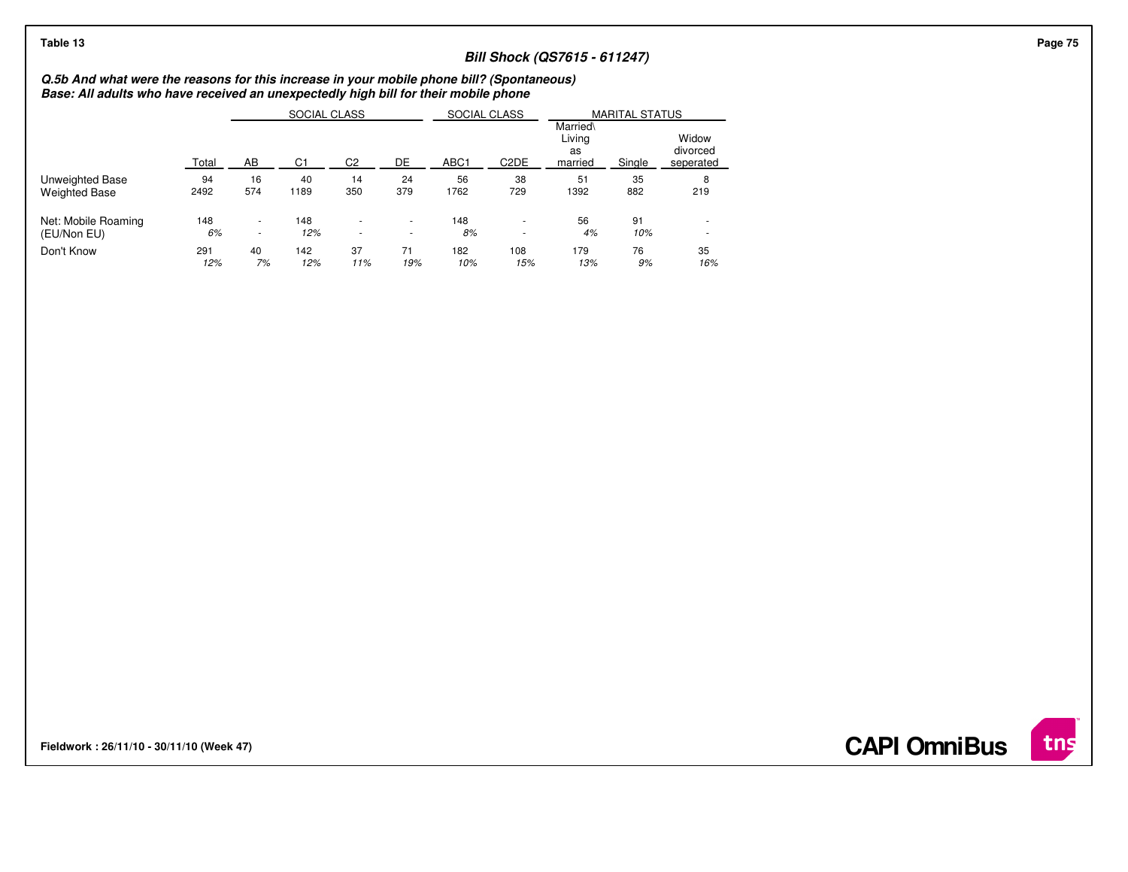## **Bill Shock (QS7615 - 611247)**

**Q.5b And what were the reasons for this increase in your mobile phone bill? (Spontaneous) Base: All adults who have received an unexpectedly high bill for their mobile phone**

|                      |       |                          | SOCIAL CLASS   |                          |                          | SOCIAL CLASS     |                   |                                     | <b>MARITAL STATUS</b> |                                |
|----------------------|-------|--------------------------|----------------|--------------------------|--------------------------|------------------|-------------------|-------------------------------------|-----------------------|--------------------------------|
|                      | Total | AB                       | C <sub>1</sub> | C <sub>2</sub>           | DE                       | ABC <sub>1</sub> | C <sub>2</sub> DE | Married\<br>Livina<br>as<br>married | Single                | Widow<br>divorced<br>seperated |
| Unweighted Base      | 94    | 16                       | 40             | 14                       | 24                       | 56               | 38                | 51                                  | 35                    | 8                              |
| <b>Weighted Base</b> | 2492  | 574                      | 1189           | 350                      | 379                      | 1762             | 729               | 1392                                | 882                   | 219                            |
| Net: Mobile Roaming  | 148   | $\overline{\phantom{a}}$ | 148            | $\overline{\phantom{a}}$ | $\overline{\phantom{a}}$ | 148              |                   | 56                                  | 91                    |                                |
| (EU/Non EU)          | 6%    | $\sim$                   | 12%            | $\overline{\phantom{a}}$ | $\overline{\phantom{a}}$ | 8%               |                   | 4%                                  | 10%                   | $\overline{\phantom{a}}$       |
| Don't Know           | 291   | 40                       | 142            | 37                       | 71                       | 182              | 108               | 179                                 | 76                    | 35                             |
|                      | 12%   | 7%                       | 12%            | 11%                      | 19%                      | 10%              | 15%               | 13%                                 | 9%                    | 16%                            |

**Fieldwork : 26/11/10 - 30/11/10 (Week 47)** 

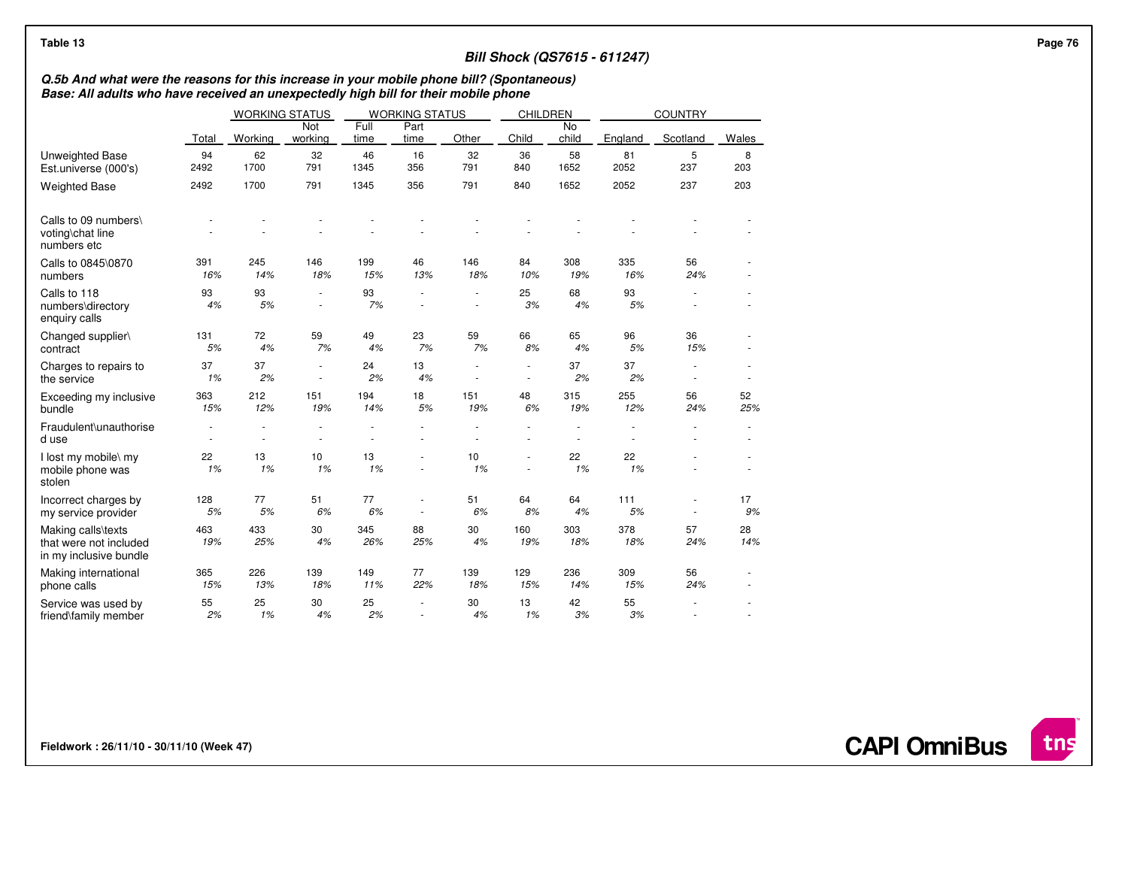| Table 13                                                                                                                                                                         |                |                       |                  |              |                          |                          |                 |             | <b>Bill Shock (QS7615 - 611247)</b> |                |           |  |
|----------------------------------------------------------------------------------------------------------------------------------------------------------------------------------|----------------|-----------------------|------------------|--------------|--------------------------|--------------------------|-----------------|-------------|-------------------------------------|----------------|-----------|--|
| Q.5b And what were the reasons for this increase in your mobile phone bill? (Spontaneous)<br>Base: All adults who have received an unexpectedly high bill for their mobile phone |                |                       |                  |              |                          |                          |                 |             |                                     |                |           |  |
|                                                                                                                                                                                  |                | <b>WORKING STATUS</b> |                  |              | <b>WORKING STATUS</b>    |                          | <b>CHILDREN</b> |             |                                     | <b>COUNTRY</b> |           |  |
|                                                                                                                                                                                  | Total          | Working               | Not<br>working   | Full<br>time | Part<br>time             | Other                    | Child           | No<br>child | England                             | Scotland       | Wales     |  |
| Unweighted Base<br>Est.universe (000's)                                                                                                                                          | 94<br>2492     | 62<br>1700            | 32<br>791        | 46<br>1345   | 16<br>356                | 32<br>791                | 36<br>840       | 58<br>1652  | 81<br>2052                          | 5<br>237       | 8<br>203  |  |
| <b>Weighted Base</b>                                                                                                                                                             | 2492           | 1700                  | 791              | 1345         | 356                      | 791                      | 840             | 1652        | 2052                                | 237            | 203       |  |
| Calls to 09 numbers\<br>voting\chat line<br>numbers etc                                                                                                                          |                |                       |                  |              |                          |                          |                 |             |                                     |                |           |  |
| Calls to 0845\0870<br>numbers                                                                                                                                                    | 391<br>16%     | 245<br>14%            | 146<br>18%       | 199<br>15%   | 46<br>13%                | 146<br>18%               | 84<br>10%       | 308<br>19%  | 335<br>16%                          | 56<br>24%      |           |  |
| Calls to 118<br>numbers\directory<br>enquiry calls                                                                                                                               | 93<br>4%       | 93<br>5%              | $\sim$<br>$\sim$ | 93<br>7%     | $\sim$<br>٠              | $\overline{\phantom{a}}$ | 25<br>3%        | 68<br>4%    | 93<br>5%                            |                |           |  |
| Changed supplier\<br>contract                                                                                                                                                    | 131<br>5%      | 72<br>4%              | 59<br>7%         | 49<br>4%     | 23<br>7%                 | 59<br>7%                 | 66<br>8%        | 65<br>4%    | 96<br>5%                            | 36<br>15%      |           |  |
| Charges to repairs to<br>the service                                                                                                                                             | 37<br>1%       | 37<br>2%              | ÷.               | 24<br>2%     | 13<br>4%                 |                          |                 | 37<br>2%    | 37<br>2%                            |                |           |  |
| Exceeding my inclusive<br>bundle                                                                                                                                                 | 363<br>15%     | 212<br>12%            | 151<br>19%       | 194<br>14%   | 18<br>5%                 | 151<br>19%               | 48<br>6%        | 315<br>19%  | 255<br>12%                          | 56<br>24%      | 52<br>25% |  |
| Fraudulent\unauthorise<br>d use                                                                                                                                                  | $\overline{a}$ |                       |                  |              |                          |                          |                 |             |                                     |                |           |  |
| I lost my mobile\ my<br>mobile phone was<br>stolen                                                                                                                               | 22<br>1%       | 13<br>1%              | 10<br>1%         | 13<br>1%     | ٠                        | 10<br>1%                 |                 | 22<br>1%    | 22<br>1%                            |                |           |  |
| Incorrect charges by<br>my service provider                                                                                                                                      | 128<br>$5%$    | 77<br>5%              | 51<br>6%         | 77<br>6%     | $\overline{a}$<br>$\sim$ | 51<br>6%                 | 64<br>8%        | 64<br>4%    | 111<br>5%                           | $\sim$         | 17<br>9%  |  |
| Making calls\texts<br>that were not included<br>in my inclusive bundle                                                                                                           | 463<br>19%     | 433<br>25%            | 30<br>4%         | 345<br>26%   | 88<br>25%                | 30<br>4%                 | 160<br>19%      | 303<br>18%  | 378<br>18%                          | 57<br>24%      | 28<br>14% |  |
| Making international<br>phone calls                                                                                                                                              | 365<br>15%     | 226<br>13%            | 139<br>18%       | 149<br>11%   | 77<br>22%                | 139<br>18%               | 129<br>15%      | 236<br>14%  | 309<br>15%                          | 56<br>24%      |           |  |
| Service was used by<br>friend\family member                                                                                                                                      | 55<br>2%       | 25<br>1%              | 30<br>4%         | 25<br>2%     | ٠<br>٠                   | 30<br>4%                 | 13<br>1%        | 42<br>3%    | 55<br>3%                            |                |           |  |

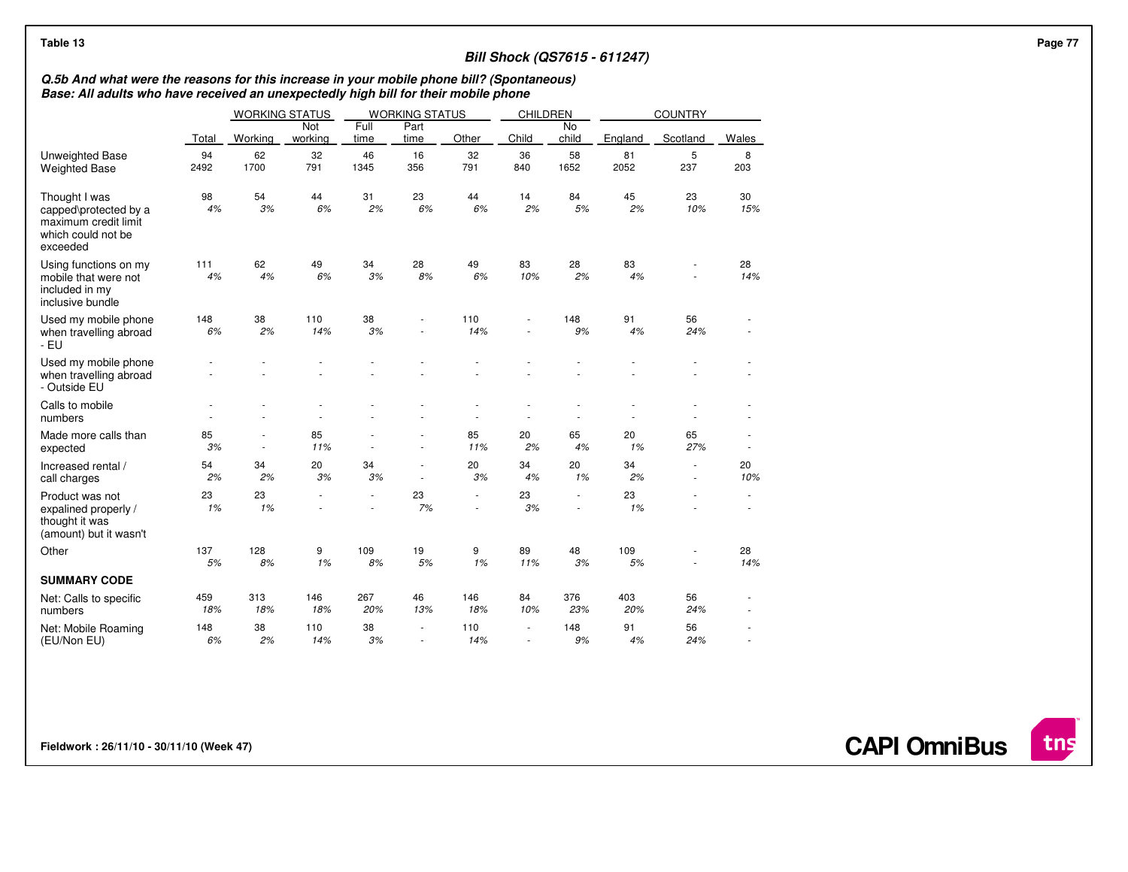| Table 13                                                                                                                                                                         |            |                  |                       |              |                                    |             |                                    |                                | <b>Bill Shock (QS7615 - 611247)</b> |                  |           | Page 77 |
|----------------------------------------------------------------------------------------------------------------------------------------------------------------------------------|------------|------------------|-----------------------|--------------|------------------------------------|-------------|------------------------------------|--------------------------------|-------------------------------------|------------------|-----------|---------|
| Q.5b And what were the reasons for this increase in your mobile phone bill? (Spontaneous)<br>Base: All adults who have received an unexpectedly high bill for their mobile phone |            |                  |                       |              |                                    |             |                                    |                                |                                     |                  |           |         |
|                                                                                                                                                                                  |            |                  | <b>WORKING STATUS</b> |              | <b>WORKING STATUS</b>              |             | CHILDREN                           |                                |                                     | <b>COUNTRY</b>   |           |         |
|                                                                                                                                                                                  | Total      | Working          | Not<br>working        | Full<br>time | Part<br>time                       | Other       | Child                              | No<br>child                    | England                             | Scotland         | Wales     |         |
| <b>Unweighted Base</b><br><b>Weighted Base</b>                                                                                                                                   | 94<br>2492 | 62<br>1700       | 32<br>791             | 46<br>1345   | 16<br>356                          | 32<br>791   | 36<br>840                          | 58<br>1652                     | 81<br>2052                          | 5<br>237         | 8<br>203  |         |
| Thought I was<br>capped\protected by a<br>maximum credit limit<br>which could not be<br>exceeded                                                                                 | 98<br>4%   | 54<br>3%         | 44<br>6%              | 31<br>2%     | 23<br>6%                           | 44<br>6%    | 14<br>2%                           | 84<br>5%                       | 45<br>2%                            | 23<br>10%        | 30<br>15% |         |
| Using functions on my<br>mobile that were not<br>included in my<br>inclusive bundle                                                                                              | 111<br>4%  | 62<br>4%         | 49<br>6%              | 34<br>3%     | 28<br>8%                           | 49<br>6%    | 83<br>10%                          | 28<br>2%                       | 83<br>4%                            |                  | 28<br>14% |         |
| Used my mobile phone<br>when travelling abroad<br>- EU                                                                                                                           | 148<br>6%  | 38<br>2%         | 110<br>14%            | 38<br>3%     | ÷.                                 | 110<br>14%  |                                    | 148<br>9%                      | 91<br>4%                            | 56<br>24%        | ٠         |         |
| Used my mobile phone<br>when travelling abroad<br>- Outside EU                                                                                                                   |            |                  |                       |              |                                    |             |                                    |                                |                                     |                  |           |         |
| Calls to mobile<br>numbers                                                                                                                                                       |            |                  |                       |              |                                    |             |                                    |                                |                                     |                  |           |         |
| Made more calls than<br>expected                                                                                                                                                 | 85<br>3%   | $\sim$<br>$\sim$ | 85<br>11%             | $\sim$       | $\overline{\phantom{a}}$           | 85<br>11%   | 20<br>2%                           | 65<br>4%                       | 20<br>1%                            | 65<br>27%        | ÷,        |         |
| Increased rental /<br>call charges                                                                                                                                               | 54<br>2%   | 34<br>2%         | 20<br>3%              | 34<br>3%     | $\sim$<br>$\overline{\phantom{a}}$ | 20<br>3%    | 34<br>4%                           | 20<br>1%                       | 34<br>2%                            | $\sim$<br>$\sim$ | 20<br>10% |         |
| Product was not<br>expalined properly /<br>thought it was<br>(amount) but it wasn't                                                                                              | 23<br>1%   | 23<br>1%         | ÷                     |              | 23<br>7%                           | $\sim$<br>٠ | 23<br>3%                           | $\frac{1}{2}$<br>$\frac{1}{2}$ | 23<br>1%                            |                  |           |         |
| Other                                                                                                                                                                            | 137<br>5%  | 128<br>8%        | 9<br>1%               | 109<br>8%    | 19<br>5%                           | 9<br>1%     | 89<br>11%                          | 48<br>3%                       | 109<br>$5%$                         |                  | 28<br>14% |         |
| <b>SUMMARY CODE</b>                                                                                                                                                              |            |                  |                       |              |                                    |             |                                    |                                |                                     |                  |           |         |
| Net: Calls to specific<br>numbers                                                                                                                                                | 459<br>18% | 313<br>18%       | 146<br>18%            | 267<br>20%   | 46<br>13%                          | 146<br>18%  | 84<br>10%                          | 376<br>23%                     | 403<br>20%                          | 56<br>24%        |           |         |
| Net: Mobile Roaming<br>(EU/Non EU)                                                                                                                                               | 148<br>6%  | 38<br>2%         | 110<br>14%            | 38<br>3%     | $\sim$<br>×.                       | 110<br>14%  | $\overline{\phantom{a}}$<br>$\sim$ | 148<br>9%                      | 91<br>4%                            | 56<br>24%        | ä,        |         |

**CAPI OmniBus**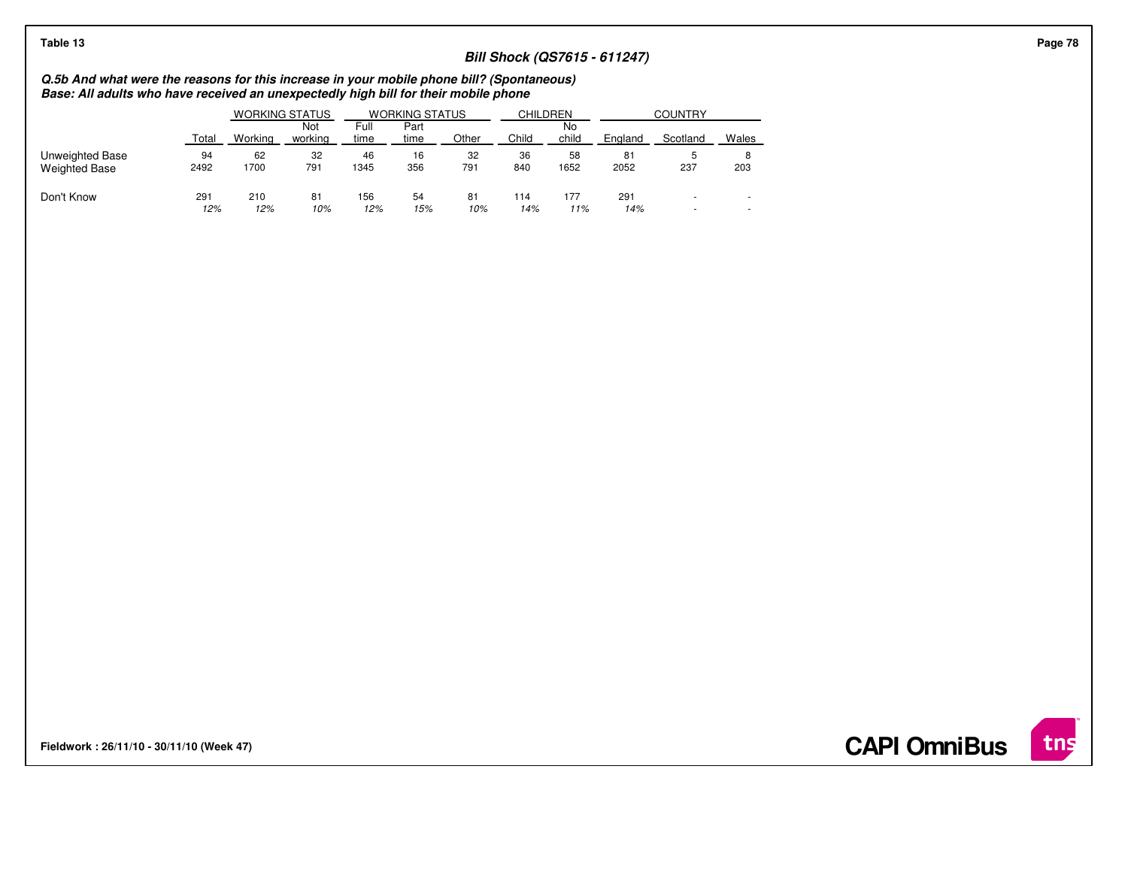| Table 13                                                                                                                                                                         |       |         |                       |              |                       |       |       |                 |                                     |                |                          |
|----------------------------------------------------------------------------------------------------------------------------------------------------------------------------------|-------|---------|-----------------------|--------------|-----------------------|-------|-------|-----------------|-------------------------------------|----------------|--------------------------|
|                                                                                                                                                                                  |       |         |                       |              |                       |       |       |                 | <b>Bill Shock (QS7615 - 611247)</b> |                |                          |
| Q.5b And what were the reasons for this increase in your mobile phone bill? (Spontaneous)<br>Base: All adults who have received an unexpectedly high bill for their mobile phone |       |         |                       |              |                       |       |       |                 |                                     |                |                          |
|                                                                                                                                                                                  |       |         | <b>WORKING STATUS</b> |              | <b>WORKING STATUS</b> |       |       | <b>CHILDREN</b> |                                     | <b>COUNTRY</b> |                          |
|                                                                                                                                                                                  | Total | Workina | Not<br>workina        | Full<br>time | Part<br>time          | Other | Child | No.<br>child    | England                             | Scotland       | Wales                    |
| Unweighted Base                                                                                                                                                                  | 94    | 62      | 32                    | 46           | 16                    | 32    | 36    | 58              | 81                                  |                |                          |
| <b>Weighted Base</b>                                                                                                                                                             | 2492  | 1700    | 791                   | 1345         | 356                   | 791   | 840   | 1652            | 2052                                | 237            | 203                      |
| Don't Know                                                                                                                                                                       | 291   | 210     | 81                    | 156          | 54                    | 81    | 114   | 177             | 291                                 |                |                          |
|                                                                                                                                                                                  | 12%   | 12%     | 10%                   | 12%          | 15%                   | 10%   | 14%   | 11%             | 14%                                 |                | $\overline{\phantom{a}}$ |

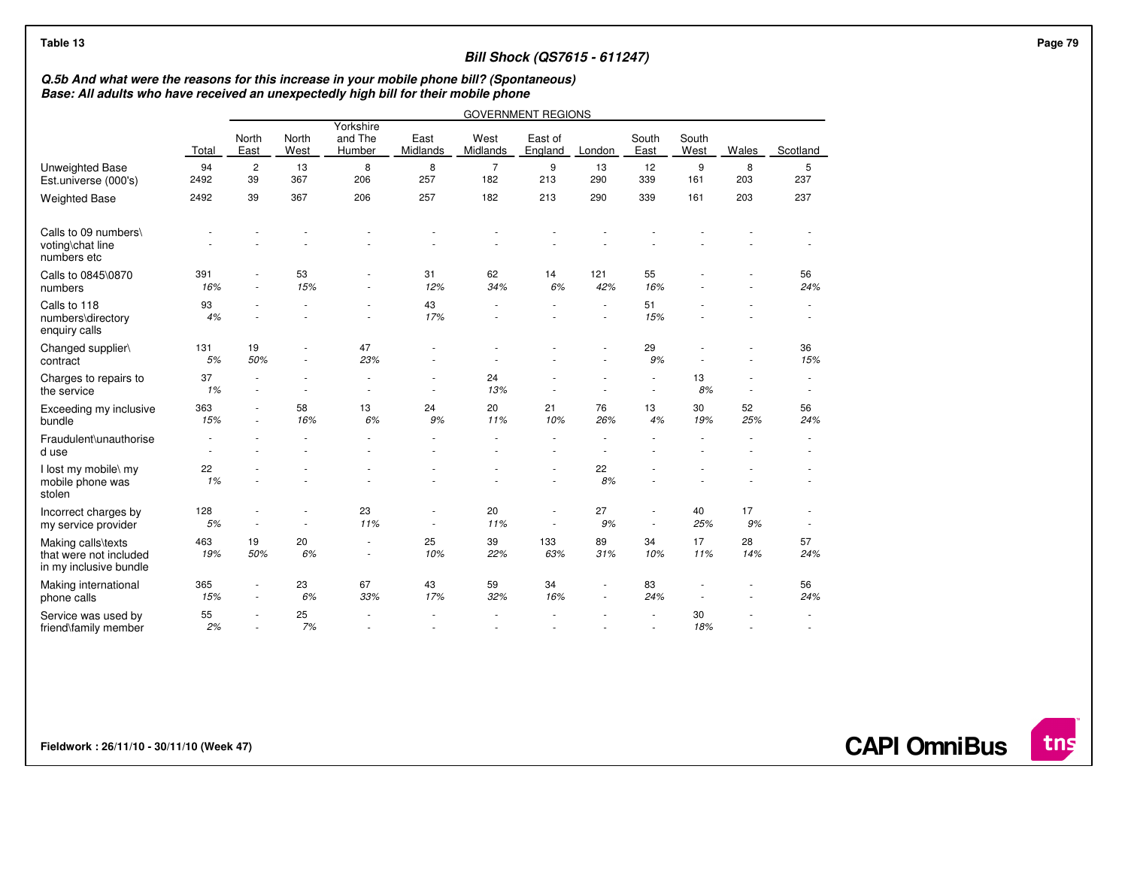| Q.5b And what were the reasons for this increase in your mobile phone bill? (Spontaneous) |              |                               |                                    |                                                      |                                                      |                       | <b>Bill Shock (QS7615 - 611247)</b>                  |            |                                    |               |           |                  |  |
|-------------------------------------------------------------------------------------------|--------------|-------------------------------|------------------------------------|------------------------------------------------------|------------------------------------------------------|-----------------------|------------------------------------------------------|------------|------------------------------------|---------------|-----------|------------------|--|
| Base: All adults who have received an unexpectedly high bill for their mobile phone       |              |                               |                                    |                                                      |                                                      |                       |                                                      |            |                                    |               |           |                  |  |
|                                                                                           |              |                               |                                    |                                                      |                                                      |                       | <b>GOVERNMENT REGIONS</b>                            |            |                                    |               |           |                  |  |
|                                                                                           | <b>Total</b> | North<br>East                 | North<br>West                      | Yorkshire<br>and The<br>Humber                       | East<br>Midlands                                     | West<br>Midlands      | East of<br>England                                   | London     | South<br>East                      | South<br>West | Wales     | Scotland         |  |
| Unweighted Base<br>Est.universe (000's)                                                   | 94<br>2492   | $\overline{c}$<br>39          | 13<br>367                          | 8<br>206                                             | 8<br>257                                             | $\overline{7}$<br>182 | 9<br>213                                             | 13<br>290  | 12<br>339                          | 9<br>161      | 8<br>203  | 5<br>237         |  |
| <b>Weighted Base</b>                                                                      | 2492         | 39                            | 367                                | 206                                                  | 257                                                  | 182                   | 213                                                  | 290        | 339                                | 161           | 203       | 237              |  |
| Calls to 09 numbers\<br>voting\chat line<br>numbers etc                                   |              |                               |                                    |                                                      |                                                      |                       |                                                      |            |                                    |               |           |                  |  |
| Calls to 0845\0870<br>numbers                                                             | 391<br>16%   | $\overline{\phantom{a}}$<br>٠ | 53<br>15%                          | $\overline{\phantom{a}}$<br>٠                        | 31<br>12%                                            | 62<br>34%             | 14<br>6%                                             | 121<br>42% | 55<br>16%                          |               |           | 56<br>24%        |  |
| Calls to 118<br>numbers\directory<br>enquiry calls                                        | 93<br>4%     |                               |                                    | $\overline{\phantom{a}}$                             | 43<br>17%                                            |                       |                                                      |            | 51<br>15%                          |               |           | $\sim$           |  |
| Changed supplier\<br>contract                                                             | 131<br>5%    | 19<br>50%                     | $\sim$<br>$\sim$                   | 47<br>23%                                            |                                                      |                       |                                                      |            | 29<br>9%                           |               |           | 36<br>15%        |  |
| Charges to repairs to<br>the service                                                      | 37<br>1%     | $\overline{\phantom{a}}$      | $\sim$                             | $\sim$                                               | $\overline{\phantom{a}}$<br>$\sim$                   | 24<br>13%             | $\sim$                                               |            | $\overline{\phantom{a}}$           | 13<br>8%      | $\sim$    | $\sim$           |  |
| Exceeding my inclusive<br>bundle                                                          | 363<br>15%   |                               | 58<br>16%                          | 13<br>6%                                             | 24<br>9%                                             | 20<br>11%             | 21<br>10%                                            | 76<br>26%  | 13<br>4%                           | 30<br>19%     | 52<br>25% | 56<br>24%        |  |
| Fraudulent\unauthorise<br>d use                                                           |              |                               |                                    |                                                      |                                                      |                       |                                                      |            |                                    |               |           |                  |  |
| I lost my mobile\ my<br>mobile phone was<br>stolen                                        | 22<br>1%     |                               |                                    |                                                      |                                                      |                       |                                                      | 22<br>8%   |                                    |               |           |                  |  |
| Incorrect charges by<br>my service provider                                               | 128<br>5%    | $\overline{\phantom{a}}$      | $\overline{\phantom{a}}$<br>$\sim$ | 23<br>11%                                            | $\overline{\phantom{a}}$<br>$\overline{\phantom{a}}$ | 20<br>11%             | $\overline{\phantom{a}}$<br>$\overline{\phantom{a}}$ | 27<br>9%   | $\overline{\phantom{a}}$<br>$\sim$ | 40<br>25%     | 17<br>9%  | $\sim$<br>$\sim$ |  |
| Making calls\texts<br>that were not included<br>in my inclusive bundle                    | 463<br>19%   | 19<br>50%                     | 20<br>6%                           | $\overline{\phantom{a}}$<br>$\overline{\phantom{a}}$ | 25<br>10%                                            | 39<br>22%             | 133<br>63%                                           | 89<br>31%  | 34<br>10%                          | 17<br>11%     | 28<br>14% | 57<br>24%        |  |
| Making international<br>phone calls                                                       | 365<br>15%   | $\sim$                        | 23<br>6%                           | 67<br>33%                                            | 43<br>17%                                            | 59<br>32%             | 34<br>16%                                            |            | 83<br>24%                          |               |           | 56<br>24%        |  |
| Service was used by<br>friend\family member                                               | 55<br>2%     | ٠<br>$\blacksquare$           | 25<br>7%                           | ٠                                                    |                                                      |                       |                                                      |            | $\sim$                             | 30<br>18%     |           | $\sim$<br>$\sim$ |  |

**Fieldwork : 26/11/10 - 30/11/10 (Week 47)** 

**CAPI OmniBus**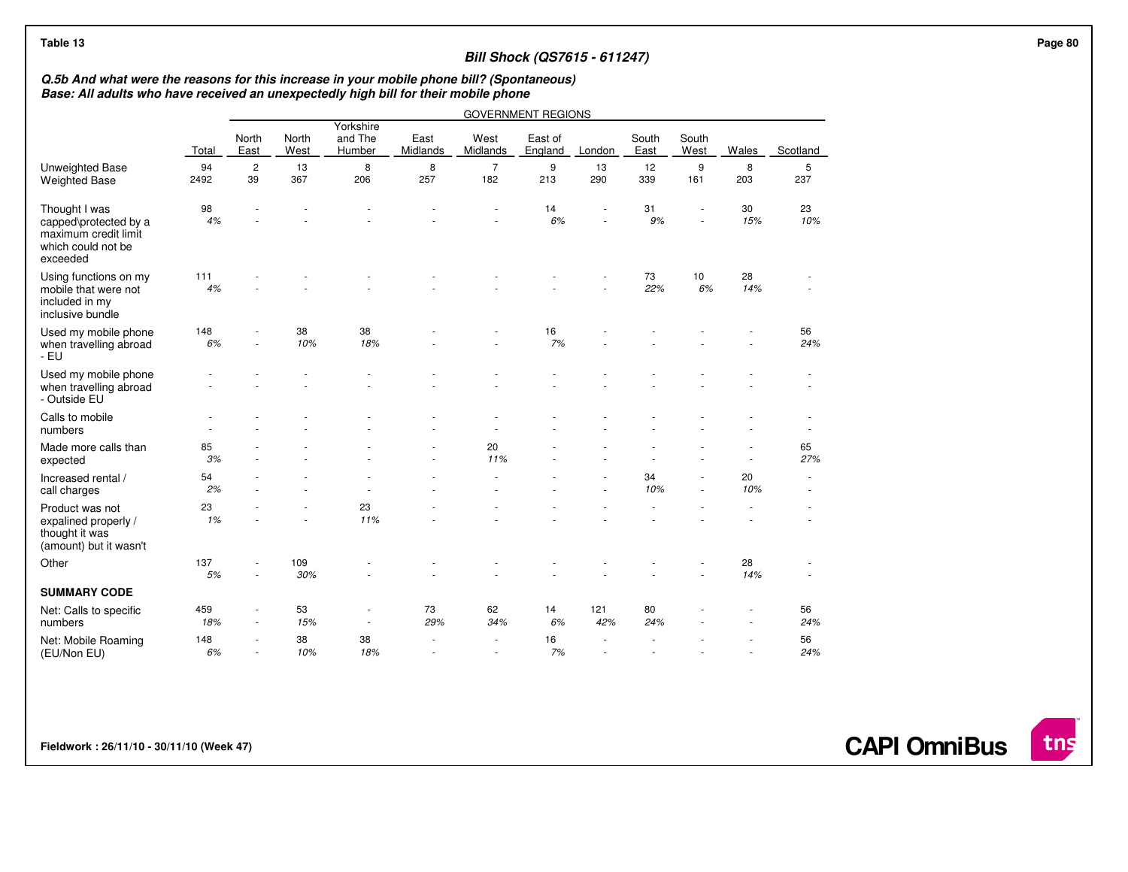## **Bill Shock (QS7615 - 611247)**

## **Q.5b And what were the reasons for this increase in your mobile phone bill? (Spontaneous) Base: All adults who have received an unexpectedly high bill for their mobile phone**

|                                                                                                  |            |                          |               |                                |                  |                       | <b>GOVERNMENT REGIONS</b> |            |               |               |           |           |
|--------------------------------------------------------------------------------------------------|------------|--------------------------|---------------|--------------------------------|------------------|-----------------------|---------------------------|------------|---------------|---------------|-----------|-----------|
|                                                                                                  | Total      | North<br>East            | North<br>West | Yorkshire<br>and The<br>Humber | East<br>Midlands | West<br>Midlands      | East of<br>England        | London     | South<br>East | South<br>West | Wales     | Scotland  |
| Unweighted Base<br><b>Weighted Base</b>                                                          | 94<br>2492 | $\overline{c}$<br>39     | 13<br>367     | 8<br>206                       | 8<br>257         | $\overline{7}$<br>182 | 9<br>213                  | 13<br>290  | 12<br>339     | 9<br>161      | 8<br>203  | 5<br>237  |
| Thought I was<br>capped\protected by a<br>maximum credit limit<br>which could not be<br>exceeded | 98<br>4%   |                          |               |                                |                  |                       | 14<br>6%                  |            | 31<br>9%      |               | 30<br>15% | 23<br>10% |
| Using functions on my<br>mobile that were not<br>included in my<br>inclusive bundle              | 111<br>4%  |                          |               |                                |                  |                       |                           |            | 73<br>22%     | 10<br>6%      | 28<br>14% |           |
| Used my mobile phone<br>when travelling abroad<br>- EU                                           | 148<br>6%  | ä,                       | 38<br>10%     | 38<br>18%                      |                  |                       | 16<br>7%                  |            |               |               |           | 56<br>24% |
| Used my mobile phone<br>when travelling abroad<br>- Outside EU                                   |            |                          |               |                                |                  |                       |                           |            |               |               |           |           |
| Calls to mobile<br>numbers                                                                       |            |                          |               |                                |                  |                       |                           |            |               |               |           | $\sim$    |
| Made more calls than<br>expected                                                                 | 85<br>3%   |                          |               |                                | ä,               | 20<br>11%             |                           |            |               |               | ÷.        | 65<br>27% |
| Increased rental /<br>call charges                                                               | 54<br>2%   |                          |               |                                |                  |                       |                           |            | 34<br>10%     | $\sim$        | 20<br>10% | ×.<br>٠   |
| Product was not<br>expalined properly /<br>thought it was<br>(amount) but it wasn't              | 23<br>1%   |                          |               | 23<br>11%                      |                  |                       |                           |            |               |               |           |           |
| Other                                                                                            | 137<br>5%  |                          | 109<br>30%    |                                |                  |                       |                           |            |               |               | 28<br>14% |           |
| <b>SUMMARY CODE</b>                                                                              |            |                          |               |                                |                  |                       |                           |            |               |               |           |           |
| Net: Calls to specific<br>numbers                                                                | 459<br>18% | $\overline{\phantom{a}}$ | 53<br>15%     | $\blacksquare$                 | 73<br>29%        | 62<br>34%             | 14<br>6%                  | 121<br>42% | 80<br>24%     |               |           | 56<br>24% |
| Net: Mobile Roaming<br>(EU/Non EU)                                                               | 148<br>6%  | ٠                        | 38<br>10%     | 38<br>18%                      | $\overline{a}$   |                       | 16<br>7%                  |            |               |               |           | 56<br>24% |

**Fieldwork : 26/11/10 - 30/11/10 (Week 47)** 

**CAPI OmniBus**

tns

 **Page 80**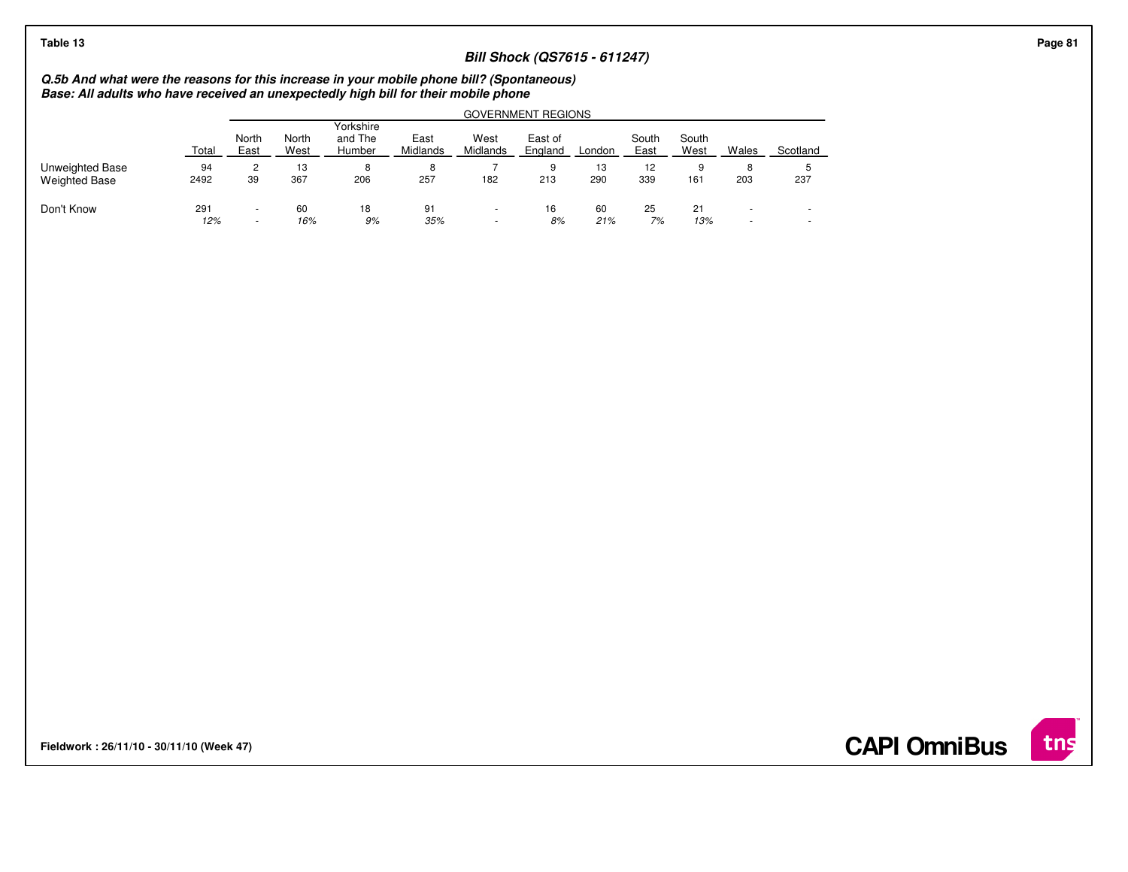| Total      | North<br>East            | North<br>West | Yorkshire<br>and The<br>Humber | East<br>Midlands | West<br>Midlands | East of<br>England | London                                                                              | South<br>East                                                                                                          | South<br>West                       | Wales                    | Scotland                        |
|------------|--------------------------|---------------|--------------------------------|------------------|------------------|--------------------|-------------------------------------------------------------------------------------|------------------------------------------------------------------------------------------------------------------------|-------------------------------------|--------------------------|---------------------------------|
| 94         | 2                        | 13            | 8                              | 8                |                  | 9                  | 13                                                                                  | 12                                                                                                                     | 9                                   | 8                        |                                 |
| 2492       | 39                       | 367           | 206                            | 257              | 182              | 213                | 290                                                                                 | 339                                                                                                                    | 161                                 | 203                      | 237                             |
| 291<br>12% | $\overline{\phantom{a}}$ | 60            | 18                             | 91               |                  | 16<br>8%           | 60<br>21%                                                                           | 25<br>7%                                                                                                               | 21                                  | $\overline{\phantom{a}}$ | $\overline{\phantom{a}}$<br>. . |
|            |                          |               |                                |                  |                  |                    | Base: All adults who have received an unexpectedly high bill for their mobile phone | Q.5b And what were the reasons for this increase in your mobile phone bill? (Spontaneous)<br><b>GOVERNMENT REGIONS</b> | <b>Bill Shock (QS7615 - 611247)</b> | 9%<br>16%<br>35%<br>13%  |                                 |

**Fieldwork : 26/11/10 - 30/11/10 (Week 47)** 

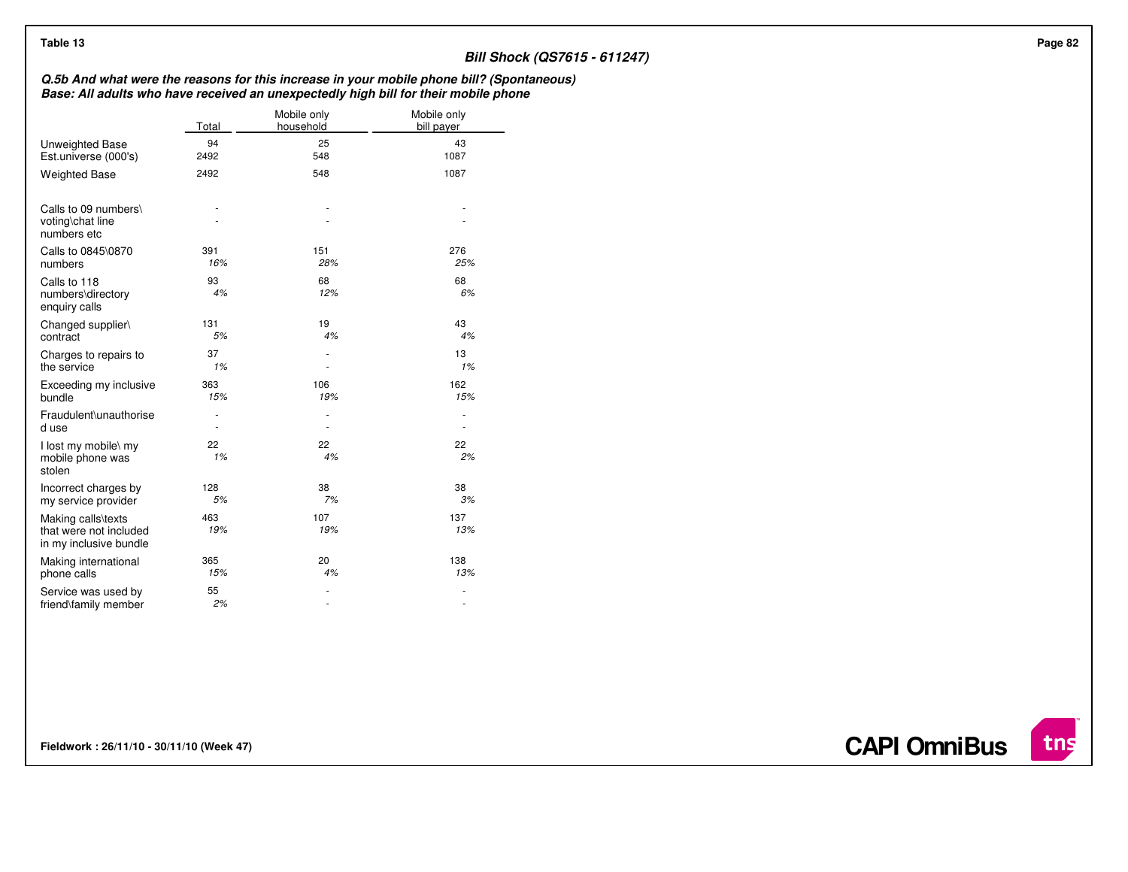| Table 13                                                               |                          |                          | <b>Bill Shock (QS7615 - 611247)</b>                                                                                                                                              |
|------------------------------------------------------------------------|--------------------------|--------------------------|----------------------------------------------------------------------------------------------------------------------------------------------------------------------------------|
|                                                                        |                          |                          | Q.5b And what were the reasons for this increase in your mobile phone bill? (Spontaneous)<br>Base: All adults who have received an unexpectedly high bill for their mobile phone |
|                                                                        | Total                    | Mobile only<br>household | Mobile only<br>bill payer                                                                                                                                                        |
| Unweighted Base                                                        | 94                       | 25                       | 43                                                                                                                                                                               |
| Est.universe (000's)                                                   | 2492                     | 548                      | 1087                                                                                                                                                                             |
| <b>Weighted Base</b>                                                   | 2492                     | 548                      | 1087                                                                                                                                                                             |
| Calls to 09 numbers\<br>voting\chat line<br>numbers etc                | ٠                        |                          | $\overline{\phantom{a}}$<br>$\overline{\phantom{a}}$                                                                                                                             |
| Calls to 0845\0870                                                     | 391                      | 151                      | 276                                                                                                                                                                              |
| numbers                                                                | 16%                      | 28%                      | 25%                                                                                                                                                                              |
| Calls to 118<br>numbers\directory<br>enquiry calls                     | 93<br>4%                 | 68<br>12%                | 68<br>6%                                                                                                                                                                         |
| Changed supplier\                                                      | 131                      | 19                       | 43                                                                                                                                                                               |
| contract                                                               | 5%                       | 4%                       | 4%                                                                                                                                                                               |
| Charges to repairs to                                                  | 37                       | $\sim$                   | 13                                                                                                                                                                               |
| the service                                                            | 1%                       | ٠                        | 1%                                                                                                                                                                               |
| Exceeding my inclusive                                                 | 363                      | 106                      | 162                                                                                                                                                                              |
| bundle                                                                 | 15%                      | 19%                      | 15%                                                                                                                                                                              |
| Fraudulent\unauthorise                                                 | $\overline{\phantom{a}}$ | $\sim$                   | $\overline{\phantom{a}}$                                                                                                                                                         |
| d use                                                                  | $\overline{\phantom{a}}$ | $\sim$                   | $\overline{\phantom{a}}$                                                                                                                                                         |
| I lost my mobile\ my<br>mobile phone was<br>stolen                     | 22<br>1%                 | 22<br>4%                 | 22<br>2%                                                                                                                                                                         |
| Incorrect charges by                                                   | 128                      | 38                       | 38                                                                                                                                                                               |
| my service provider                                                    | $5\%$                    | 7%                       | 3%                                                                                                                                                                               |
| Making calls\texts<br>that were not included<br>in my inclusive bundle | 463<br>19%               | 107<br>19%               | 137<br>13%                                                                                                                                                                       |
| Making international                                                   | 365                      | 20                       | 138                                                                                                                                                                              |
| phone calls                                                            | 15%                      | 4%                       | 13%                                                                                                                                                                              |
| Service was used by                                                    | 55                       | ٠                        | $\overline{\phantom{a}}$                                                                                                                                                         |
| friend\family member                                                   | 2%                       | $\overline{\phantom{a}}$ | $\overline{\phantom{a}}$                                                                                                                                                         |

**Fieldwork : 26/11/10 - 30/11/10 (Week 47)** 

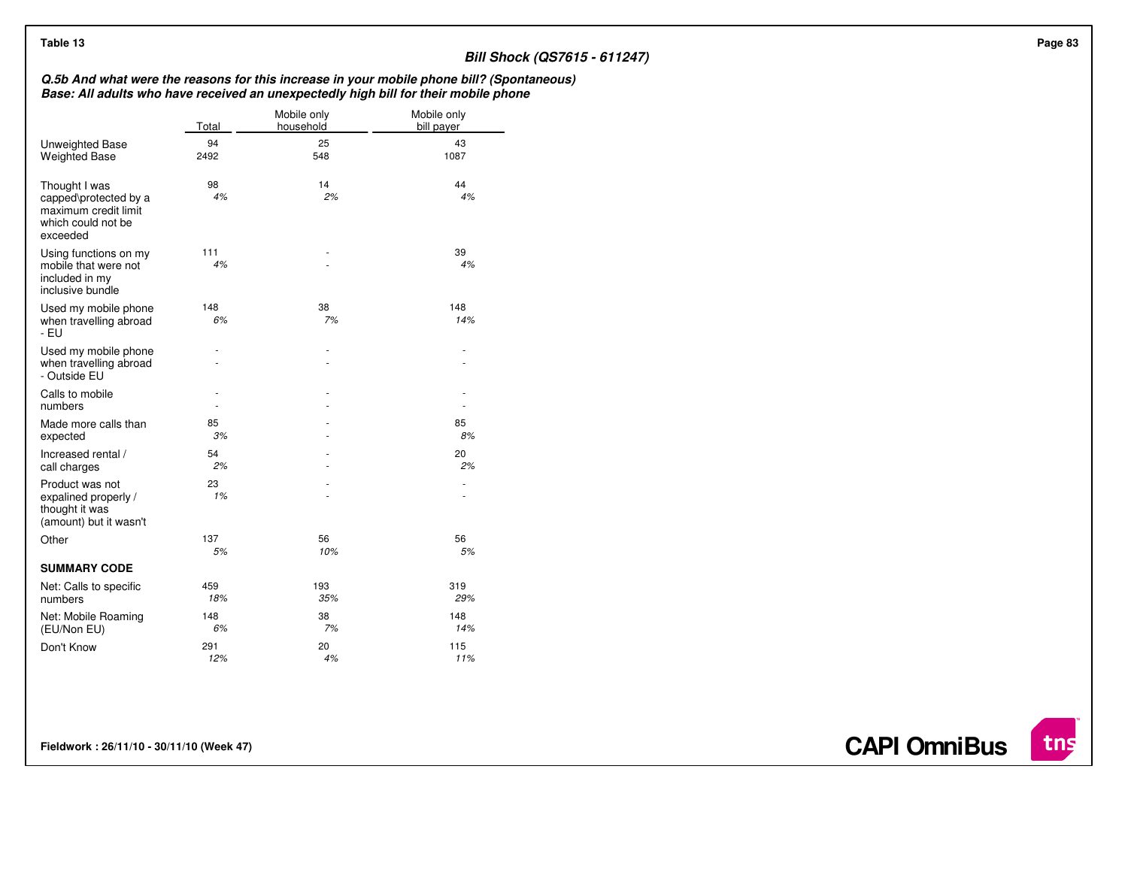## **Bill Shock (QS7615 - 611247)**

## **Q.5b And what were the reasons for this increase in your mobile phone bill? (Spontaneous) Base: All adults who have received an unexpectedly high bill for their mobile phone**

|                                                                                                  | Total      | Mobile only<br>household | Mobile only<br>bill payer |
|--------------------------------------------------------------------------------------------------|------------|--------------------------|---------------------------|
| Unweighted Base<br><b>Weighted Base</b>                                                          | 94<br>2492 | 25<br>548                | 43<br>1087                |
| Thought I was<br>capped\protected by a<br>maximum credit limit<br>which could not be<br>exceeded | 98<br>4%   | 14<br>2%                 | 44<br>4%                  |
| Using functions on my<br>mobile that were not<br>included in my<br>inclusive bundle              | 111<br>4%  |                          | 39<br>4%                  |
| Used my mobile phone<br>when travelling abroad<br>- EU                                           | 148<br>6%  | 38<br>7%                 | 148<br>14%                |
| Used my mobile phone<br>when travelling abroad<br>- Outside EU                                   |            |                          | ٠                         |
| Calls to mobile<br>numbers                                                                       |            |                          |                           |
| Made more calls than<br>expected                                                                 | 85<br>3%   |                          | 85<br>8%                  |
| Increased rental /<br>call charges                                                               | 54<br>2%   |                          | 20<br>2%                  |
| Product was not<br>expalined properly /<br>thought it was<br>(amount) but it wasn't              | 23<br>1%   |                          |                           |
| Other                                                                                            | 137<br>5%  | 56<br>10%                | 56<br>5%                  |
| <b>SUMMARY CODE</b>                                                                              |            |                          |                           |
| Net: Calls to specific<br>numbers                                                                | 459<br>18% | 193<br>35%               | 319<br>29%                |
| Net: Mobile Roaming<br>(EU/Non EU)                                                               | 148<br>6%  | 38<br>7%                 | 148<br>14%                |
| Don't Know                                                                                       | 291<br>12% | 20<br>4%                 | 115<br>11%                |

**Fieldwork : 26/11/10 - 30/11/10 (Week 47)** 

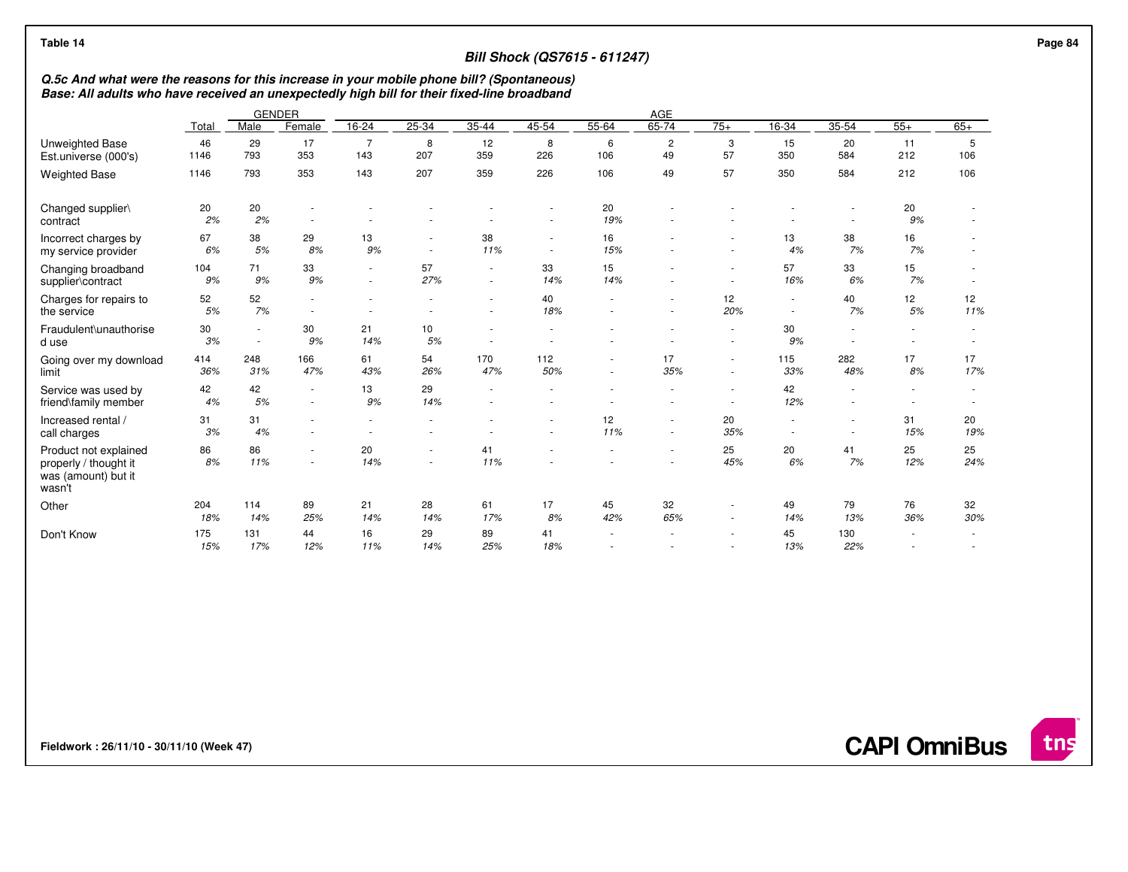| Table 14                                                                                                                                                                                 |            |                  |                          |                                                      |                                                      |                                    |                  | <b>Bill Shock (QS7615 - 611247)</b> |                          |                  |                                    |                                                      |                |                          |
|------------------------------------------------------------------------------------------------------------------------------------------------------------------------------------------|------------|------------------|--------------------------|------------------------------------------------------|------------------------------------------------------|------------------------------------|------------------|-------------------------------------|--------------------------|------------------|------------------------------------|------------------------------------------------------|----------------|--------------------------|
| Q.5c And what were the reasons for this increase in your mobile phone bill? (Spontaneous)<br>Base: All adults who have received an unexpectedly high bill for their fixed-line broadband |            |                  |                          |                                                      |                                                      |                                    |                  |                                     |                          |                  |                                    |                                                      |                |                          |
|                                                                                                                                                                                          |            |                  | <b>GENDER</b>            |                                                      |                                                      |                                    |                  |                                     | AGE                      |                  |                                    |                                                      |                |                          |
|                                                                                                                                                                                          | Total      | Male             | Female                   | 16-24                                                | 25-34                                                | 35-44                              | 45-54            | 55-64                               | 65-74                    | $75+$            | 16-34                              | 35-54                                                | $55+$          | $65+$                    |
| <b>Unweighted Base</b><br>Est.universe (000's)                                                                                                                                           | 46<br>1146 | 29<br>793        | 17<br>353                | $\overline{7}$<br>143                                | 8<br>207                                             | 12<br>359                          | 8<br>226         | 6<br>106                            | $\overline{c}$<br>49     | 3<br>57          | 15<br>350                          | 20<br>584                                            | 11<br>212      | 5<br>106                 |
| <b>Weighted Base</b>                                                                                                                                                                     | 1146       | 793              | 353                      | 143                                                  | 207                                                  | 359                                | 226              | 106                                 | 49                       | 57               | 350                                | 584                                                  | 212            | 106                      |
| Changed supplier\<br>contract                                                                                                                                                            | 20<br>2%   | 20<br>2%         |                          |                                                      |                                                      |                                    |                  | 20<br>19%                           |                          |                  |                                    | $\overline{\phantom{a}}$<br>$\overline{\phantom{a}}$ | 20<br>9%       |                          |
| Incorrect charges by<br>my service provider                                                                                                                                              | 67<br>6%   | 38<br>5%         | 29<br>8%                 | 13<br>9%                                             | $\overline{\phantom{a}}$<br>$\overline{\phantom{a}}$ | 38<br>11%                          | $\sim$<br>$\sim$ | 16<br>15%                           |                          |                  | 13<br>4%                           | 38<br>7%                                             | 16<br>7%       |                          |
| Changing broadband<br>supplier\contract                                                                                                                                                  | 104<br>9%  | 71<br>9%         | 33<br>9%                 | $\overline{\phantom{a}}$<br>$\sim$                   | 57<br>27%                                            | $\sim$<br>$\overline{\phantom{a}}$ | 33<br>14%        | 15<br>14%                           |                          | $\sim$           | 57<br>16%                          | 33<br>6%                                             | 15<br>7%       |                          |
| Charges for repairs to<br>the service                                                                                                                                                    | 52<br>5%   | 52<br>7%         |                          |                                                      |                                                      | $\sim$                             | 40<br>18%        |                                     |                          | 12<br>20%        | $\sim$<br>$\sim$                   | 40<br>7%                                             | 12<br>5%       | 12<br>11%                |
| Fraudulent\unauthorise<br>d use                                                                                                                                                          | 30<br>3%   | $\sim$<br>$\sim$ | 30<br>9%                 | 21<br>14%                                            | 10<br>5%                                             | ÷<br>$\overline{\phantom{a}}$      |                  |                                     |                          | $\sim$<br>$\sim$ | 30<br>9%                           | ٠<br>$\sim$                                          | $\blacksquare$ |                          |
| Going over my download<br>limit                                                                                                                                                          | 414<br>36% | 248<br>31%       | 166<br>47%               | 61<br>43%                                            | 54<br>26%                                            | 170<br>47%                         | 112<br>50%       | $\sim$<br>$\sim$                    | 17<br>35%                | $\sim$           | 115<br>33%                         | 282<br>48%                                           | 17<br>8%       | 17<br>17%                |
| Service was used by<br>friend\family member                                                                                                                                              | 42<br>4%   | 42<br>5%         | $\overline{\phantom{a}}$ | 13<br>9%                                             | 29<br>14%                                            | $\overline{\phantom{a}}$           | $\sim$           |                                     | $\overline{\phantom{a}}$ | $\sim$           | 42<br>12%                          | $\overline{\phantom{a}}$<br>$\blacksquare$           | $\sim$         | $\overline{\phantom{a}}$ |
| Increased rental /<br>call charges                                                                                                                                                       | 31<br>3%   | 31<br>4%         | $\overline{\phantom{a}}$ | $\overline{\phantom{a}}$<br>$\overline{\phantom{a}}$ | $\overline{\phantom{a}}$                             |                                    | $\sim$           | 12<br>11%                           | $\sim$<br>٠              | 20<br>35%        | $\sim$<br>$\overline{\phantom{a}}$ | $\sim$<br>$\overline{\phantom{a}}$                   | 31<br>15%      | 20<br>19%                |
| Product not explained<br>properly / thought it<br>was (amount) but it<br>wasn't                                                                                                          | 86<br>8%   | 86<br>11%        |                          | 20<br>14%                                            | $\sim$                                               | 41<br>11%                          |                  |                                     | ٠                        | 25<br>45%        | 20<br>6%                           | 41<br>7%                                             | 25<br>12%      | 25<br>24%                |
| Other                                                                                                                                                                                    | 204<br>18% | 114<br>14%       | 89<br>25%                | 21<br>14%                                            | 28<br>14%                                            | 61<br>17%                          | 17<br>8%         | 45<br>42%                           | 32<br>65%                | $\sim$<br>$\sim$ | 49<br>14%                          | 79<br>13%                                            | 76<br>36%      | 32<br>30%                |
| Don't Know                                                                                                                                                                               | 175<br>15% | 131<br>17%       | 44<br>12%                | 16<br>11%                                            | 29<br>14%                                            | 89<br>25%                          | 41<br>18%        |                                     |                          |                  | 45<br>13%                          | 130<br>22%                                           |                |                          |

**CAPI OmniBus**

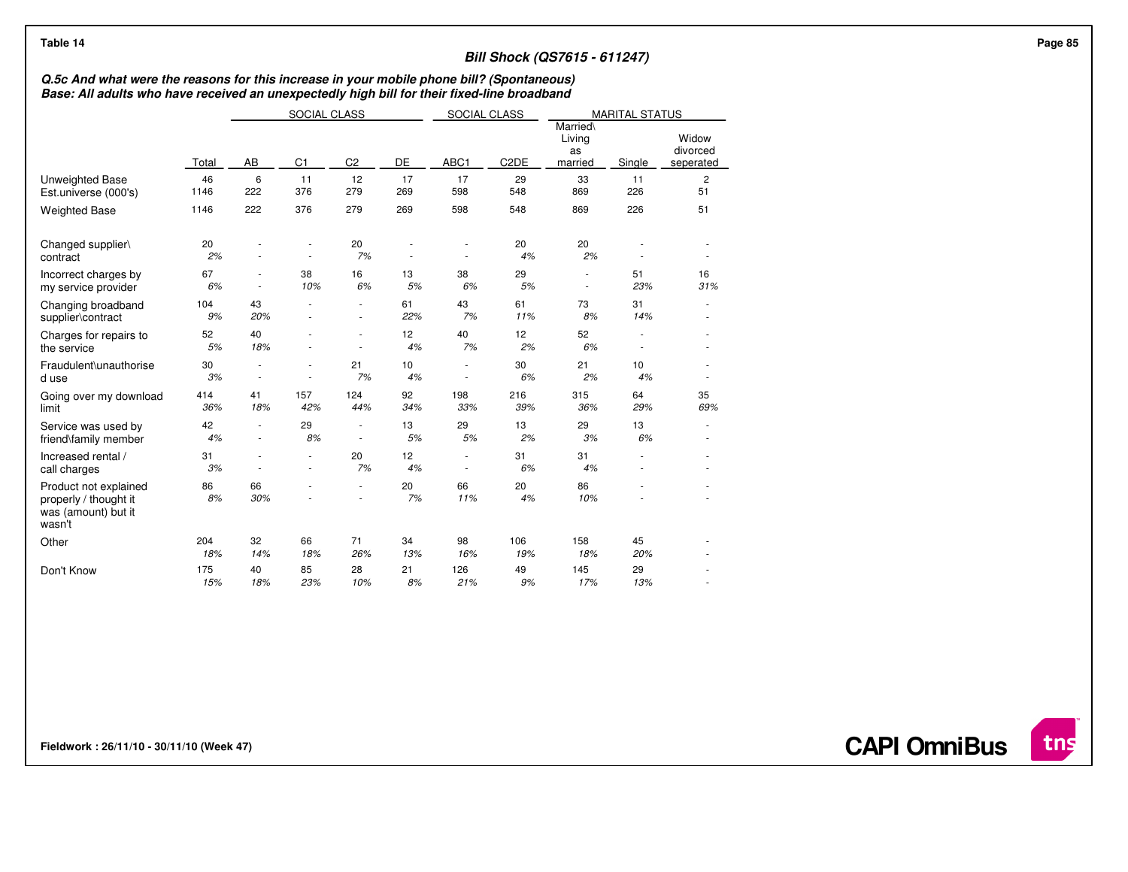| Table 14                                                                                                                                                                                 |              |                          |                |                                                      |           |                  |                   | <b>Bill Shock (QS7615 - 611247)</b> |                       |                                |
|------------------------------------------------------------------------------------------------------------------------------------------------------------------------------------------|--------------|--------------------------|----------------|------------------------------------------------------|-----------|------------------|-------------------|-------------------------------------|-----------------------|--------------------------------|
| Q.5c And what were the reasons for this increase in your mobile phone bill? (Spontaneous)<br>Base: All adults who have received an unexpectedly high bill for their fixed-line broadband |              |                          |                |                                                      |           |                  |                   |                                     |                       |                                |
|                                                                                                                                                                                          |              |                          | SOCIAL CLASS   |                                                      |           | SOCIAL CLASS     |                   |                                     | <b>MARITAL STATUS</b> |                                |
|                                                                                                                                                                                          | Total        | AB                       | C <sub>1</sub> | C <sub>2</sub>                                       | DE        | ABC1             | C <sub>2</sub> DE | Married\<br>Living<br>as<br>married | Single                | Widow<br>divorced<br>seperated |
| <b>Unweighted Base</b><br>Est.universe (000's)                                                                                                                                           | 46<br>1146   | 6<br>222                 | 11<br>376      | 12<br>279                                            | 17<br>269 | 17<br>598        | 29<br>548         | 33<br>869                           | 11<br>226             | $\overline{c}$<br>51           |
| <b>Weighted Base</b>                                                                                                                                                                     | 1146         | 222                      | 376            | 279                                                  | 269       | 598              | 548               | 869                                 | 226                   | 51                             |
| Changed supplier\<br>contract                                                                                                                                                            | 20<br>2%     |                          |                | 20<br>7%                                             |           |                  | 20<br>4%          | 20<br>2%                            |                       |                                |
| Incorrect charges by<br>my service provider                                                                                                                                              | 67<br>6%     | $\overline{\phantom{a}}$ | 38<br>10%      | 16<br>6%                                             | 13<br>5%  | 38<br>6%         | 29<br>5%          | $\overline{\phantom{a}}$            | 51<br>23%             | 16<br>31%                      |
| Changing broadband<br>supplier\contract                                                                                                                                                  | 104<br>9%    | 43<br>20%                | $\sim$         | $\overline{\phantom{a}}$<br>$\overline{\phantom{a}}$ | 61<br>22% | 43<br>7%         | 61<br>11%         | 73<br>8%                            | 31<br>14%             | ٠                              |
| Charges for repairs to<br>the service                                                                                                                                                    | 52<br>5%     | 40<br>18%                |                | $\blacksquare$<br>$\overline{\phantom{a}}$           | 12<br>4%  | 40<br>7%         | 12<br>2%          | 52<br>6%                            | ä,<br>$\sim$          |                                |
| Fraudulent\unauthorise<br>d use                                                                                                                                                          | $30\,$<br>3% | ٠<br>$\sim$              | $\sim$         | 21<br>7%                                             | 10<br>4%  | $\sim$<br>$\sim$ | 30<br>6%          | 21<br>2%                            | 10<br>4%              | ٠<br>×                         |
| Going over my download<br>limit                                                                                                                                                          | 414<br>36%   | 41<br>18%                | 157<br>42%     | 124<br>44%                                           | 92<br>34% | 198<br>33%       | 216<br>39%        | 315<br>36%                          | 64<br>29%             | 35<br>69%                      |
| Service was used by<br>friend\family member                                                                                                                                              | 42<br>4%     | $\sim$                   | 29<br>8%       | $\overline{\phantom{a}}$<br>$\sim$                   | 13<br>5%  | 29<br>5%         | 13<br>2%          | 29<br>3%                            | 13<br>6%              | ٠<br>$\sim$                    |
| Increased rental /<br>call charges                                                                                                                                                       | 31<br>3%     | ٠                        | $\sim$         | 20<br>7%                                             | 12<br>4%  | $\sim$           | 31<br>6%          | 31<br>4%                            |                       |                                |
| Product not explained<br>properly / thought it<br>was (amount) but it<br>wasn't                                                                                                          | 86<br>8%     | 66<br>30%                |                | $\sim$                                               | 20<br>7%  | 66<br>11%        | 20<br>4%          | 86<br>10%                           |                       |                                |
| Other                                                                                                                                                                                    | 204<br>18%   | 32<br>14%                | 66<br>18%      | 71<br>26%                                            | 34<br>13% | 98<br>16%        | 106<br>19%        | 158<br>18%                          | 45<br>20%             |                                |
| Don't Know                                                                                                                                                                               | 175<br>15%   | 40<br>18%                | 85<br>23%      | 28<br>10%                                            | 21<br>8%  | 126<br>21%       | 49<br>9%          | 145<br>17%                          | 29<br>13%             |                                |

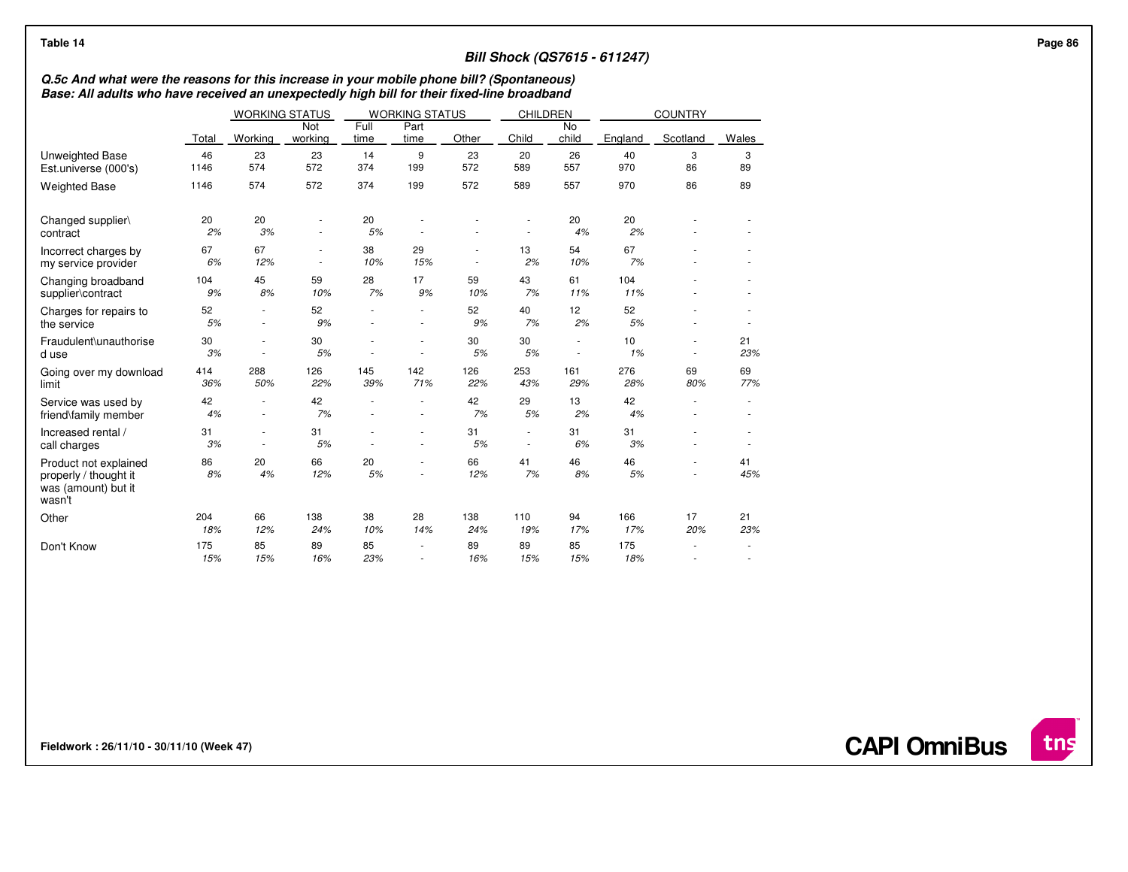| Table 14                                                                        |                                                                                                                                                                                                                                                                          |                               |                |              |                          |            |                                    |                          | <b>Bill Shock (QS7615 - 611247)</b> |                  |           |  |  |  |  |
|---------------------------------------------------------------------------------|--------------------------------------------------------------------------------------------------------------------------------------------------------------------------------------------------------------------------------------------------------------------------|-------------------------------|----------------|--------------|--------------------------|------------|------------------------------------|--------------------------|-------------------------------------|------------------|-----------|--|--|--|--|
|                                                                                 | Q.5c And what were the reasons for this increase in your mobile phone bill? (Spontaneous)<br>Base: All adults who have received an unexpectedly high bill for their fixed-line broadband<br><b>WORKING STATUS</b><br>CHILDREN<br><b>COUNTRY</b><br><b>WORKING STATUS</b> |                               |                |              |                          |            |                                    |                          |                                     |                  |           |  |  |  |  |
|                                                                                 |                                                                                                                                                                                                                                                                          |                               |                |              |                          |            |                                    |                          |                                     |                  |           |  |  |  |  |
|                                                                                 | Total                                                                                                                                                                                                                                                                    | Working                       | Not<br>working | Full<br>time | Part<br>time             | Other      | Child                              | No<br>child              | England                             | Scotland         | Wales     |  |  |  |  |
| <b>Unweighted Base</b><br>Est.universe (000's)                                  | 46<br>1146                                                                                                                                                                                                                                                               | 23<br>574                     | 23<br>572      | 14<br>374    | 9<br>199                 | 23<br>572  | 20<br>589                          | 26<br>557                | 40<br>970                           | 3<br>86          | 3<br>89   |  |  |  |  |
| <b>Weighted Base</b>                                                            | 1146                                                                                                                                                                                                                                                                     | 574                           | 572            | 374          | 199                      | 572        | 589                                | 557                      | 970                                 | 86               | 89        |  |  |  |  |
| Changed supplier\<br>contract                                                   | 20<br>2%                                                                                                                                                                                                                                                                 | 20<br>3%                      | $\sim$         | 20<br>5%     |                          |            |                                    | 20<br>4%                 | 20<br>2%                            |                  |           |  |  |  |  |
| Incorrect charges by<br>my service provider                                     | 67<br>6%                                                                                                                                                                                                                                                                 | 67<br>12%                     | $\sim$         | 38<br>10%    | 29<br>15%                | $\sim$     | 13<br>2%                           | 54<br>10%                | 67<br>7%                            |                  |           |  |  |  |  |
| Changing broadband<br>supplier\contract                                         | 104<br>9%                                                                                                                                                                                                                                                                | 45<br>8%                      | 59<br>10%      | 28<br>7%     | 17<br>9%                 | 59<br>10%  | 43<br>7%                           | 61<br>11%                | 104<br>11%                          |                  |           |  |  |  |  |
| Charges for repairs to<br>the service                                           | 52<br>5%                                                                                                                                                                                                                                                                 | $\sim$<br>$\sim$              | 52<br>9%       |              |                          | 52<br>9%   | 40<br>7%                           | 12<br>2%                 | 52<br>5%                            |                  |           |  |  |  |  |
| Fraudulent\unauthorise<br>d use                                                 | 30<br>3%                                                                                                                                                                                                                                                                 | ٠<br>$\overline{\phantom{a}}$ | 30<br>5%       | $\sim$       | $\overline{\phantom{a}}$ | 30<br>5%   | 30<br>5%                           | $\overline{\phantom{a}}$ | 10<br>1%                            | $\sim$<br>$\sim$ | 21<br>23% |  |  |  |  |
| Going over my download<br>limit                                                 | 414<br>36%                                                                                                                                                                                                                                                               | 288<br>50%                    | 126<br>22%     | 145<br>39%   | 142<br>71%               | 126<br>22% | 253<br>43%                         | 161<br>29%               | 276<br>28%                          | 69<br>80%        | 69<br>77% |  |  |  |  |
| Service was used by<br>friend\family member                                     | 42<br>4%                                                                                                                                                                                                                                                                 | ٠<br>$\sim$                   | 42<br>7%       |              | $\overline{\phantom{a}}$ | 42<br>7%   | 29<br>5%                           | 13<br>2%                 | 42<br>4%                            |                  |           |  |  |  |  |
| Increased rental /<br>call charges                                              | 31<br>3%                                                                                                                                                                                                                                                                 | $\sim$<br>$\sim$              | 31<br>5%       |              |                          | 31<br>5%   | $\sim$<br>$\overline{\phantom{a}}$ | 31<br>6%                 | 31<br>3%                            |                  |           |  |  |  |  |
| Product not explained<br>properly / thought it<br>was (amount) but it<br>wasn't | 86<br>8%                                                                                                                                                                                                                                                                 | 20<br>4%                      | 66<br>12%      | 20<br>5%     |                          | 66<br>12%  | 41<br>7%                           | 46<br>8%                 | 46<br>5%                            | $\sim$           | 41<br>45% |  |  |  |  |
| Other                                                                           | 204<br>18%                                                                                                                                                                                                                                                               | 66<br>12%                     | 138<br>24%     | 38<br>10%    | 28<br>14%                | 138<br>24% | 110<br>19%                         | 94<br>17%                | 166<br>17%                          | 17<br>20%        | 21<br>23% |  |  |  |  |
| Don't Know                                                                      | 175<br>15%                                                                                                                                                                                                                                                               | 85<br>15%                     | 89<br>16%      | 85<br>23%    |                          | 89<br>16%  | 89<br>15%                          | 85<br>15%                | 175<br>18%                          |                  |           |  |  |  |  |

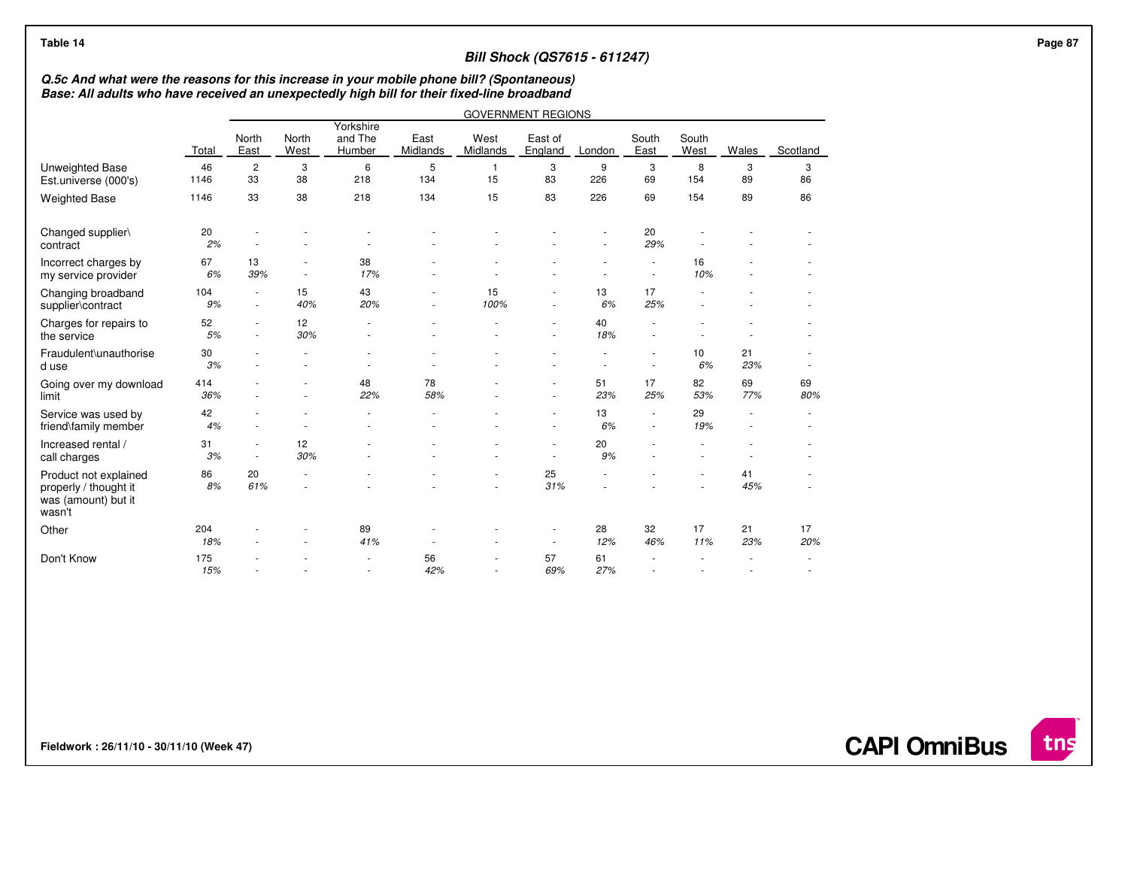|                                                                                 | Base: All adults who have received an unexpectedly high bill for their fixed-line broadband<br><b>GOVERNMENT REGIONS</b> |                                    |                                                      |                                                      |                  |                    |                    |           |                                                      |               |                                    |           |  |  |  |
|---------------------------------------------------------------------------------|--------------------------------------------------------------------------------------------------------------------------|------------------------------------|------------------------------------------------------|------------------------------------------------------|------------------|--------------------|--------------------|-----------|------------------------------------------------------|---------------|------------------------------------|-----------|--|--|--|
|                                                                                 | Total                                                                                                                    | North<br>East                      | North<br>West                                        | Yorkshire<br>and The<br>Humber                       | East<br>Midlands | West<br>Midlands   | East of<br>England | London    | South<br>East                                        | South<br>West | Wales                              | Scotland  |  |  |  |
| Unweighted Base<br>Est.universe (000's)                                         | 46<br>1146                                                                                                               | $\overline{c}$<br>33               | 3<br>38                                              | 6<br>218                                             | 5<br>134         | $\mathbf{1}$<br>15 | 3<br>83            | 9<br>226  | 3<br>69                                              | 8<br>154      | 3<br>89                            | 3<br>86   |  |  |  |
| <b>Weighted Base</b>                                                            | 1146                                                                                                                     | 33                                 | 38                                                   | 218                                                  | 134              | 15                 | 83                 | 226       | 69                                                   | 154           | 89                                 | 86        |  |  |  |
| Changed supplier\<br>contract                                                   | 20<br>2%                                                                                                                 |                                    |                                                      |                                                      |                  |                    |                    |           | 20<br>29%                                            |               |                                    |           |  |  |  |
| Incorrect charges by<br>my service provider                                     | 67<br>6%                                                                                                                 | 13<br>39%                          | $\overline{\phantom{a}}$<br>$\overline{\phantom{a}}$ | 38<br>17%                                            |                  |                    |                    |           | $\overline{\phantom{a}}$<br>$\overline{\phantom{a}}$ | 16<br>10%     |                                    |           |  |  |  |
| Changing broadband<br>supplier\contract                                         | 104<br>9%                                                                                                                | $\overline{\phantom{a}}$<br>$\sim$ | 15<br>40%                                            | 43<br>20%                                            |                  | 15<br>100%         | $\sim$<br>$\sim$   | 13<br>6%  | 17<br>25%                                            |               |                                    |           |  |  |  |
| Charges for repairs to<br>the service                                           | 52<br>5%                                                                                                                 | ٠<br>$\sim$                        | 12<br>30%                                            |                                                      |                  |                    | $\sim$             | 40<br>18% | ٠<br>$\overline{\phantom{a}}$                        |               |                                    |           |  |  |  |
| Fraudulent\unauthorise<br>d use                                                 | 30<br>3%                                                                                                                 |                                    |                                                      |                                                      |                  |                    |                    |           | $\overline{\phantom{a}}$<br>$\overline{\phantom{a}}$ | 10<br>6%      | 21<br>23%                          |           |  |  |  |
| Going over my download<br>limit                                                 | 414<br>36%                                                                                                               |                                    | ä,                                                   | 48<br>22%                                            | 78<br>58%        |                    |                    | 51<br>23% | 17<br>25%                                            | 82<br>53%     | 69<br>77%                          | 69<br>80% |  |  |  |
| Service was used by<br>friend\family member                                     | 42<br>4%                                                                                                                 | ٠                                  | $\overline{\phantom{a}}$                             |                                                      |                  |                    |                    | 13<br>6%  | $\overline{\phantom{a}}$<br>$\overline{\phantom{a}}$ | 29<br>19%     | $\sim$<br>$\overline{\phantom{a}}$ |           |  |  |  |
| Increased rental /<br>call charges                                              | 31<br>3%                                                                                                                 | ٠<br>$\sim$                        | 12<br>30%                                            |                                                      |                  |                    | $\sim$             | 20<br>9%  | ä,                                                   |               |                                    |           |  |  |  |
| Product not explained<br>properly / thought it<br>was (amount) but it<br>wasn't | 86<br>8%                                                                                                                 | 20<br>61%                          |                                                      |                                                      |                  |                    | 25<br>31%          |           |                                                      |               | 41<br>45%                          |           |  |  |  |
| Other                                                                           | 204<br>18%                                                                                                               |                                    |                                                      | 89<br>41%                                            |                  |                    | $\sim$             | 28<br>12% | 32<br>46%                                            | 17<br>11%     | 21<br>23%                          | 17<br>20% |  |  |  |
| Don't Know                                                                      | 175<br>15%                                                                                                               |                                    |                                                      | $\overline{\phantom{a}}$<br>$\overline{\phantom{a}}$ | 56<br>42%        |                    | 57<br>69%          | 61<br>27% |                                                      |               |                                    |           |  |  |  |

**Fieldwork : 26/11/10 - 30/11/10 (Week 47)** 

**CAPI OmniBus**

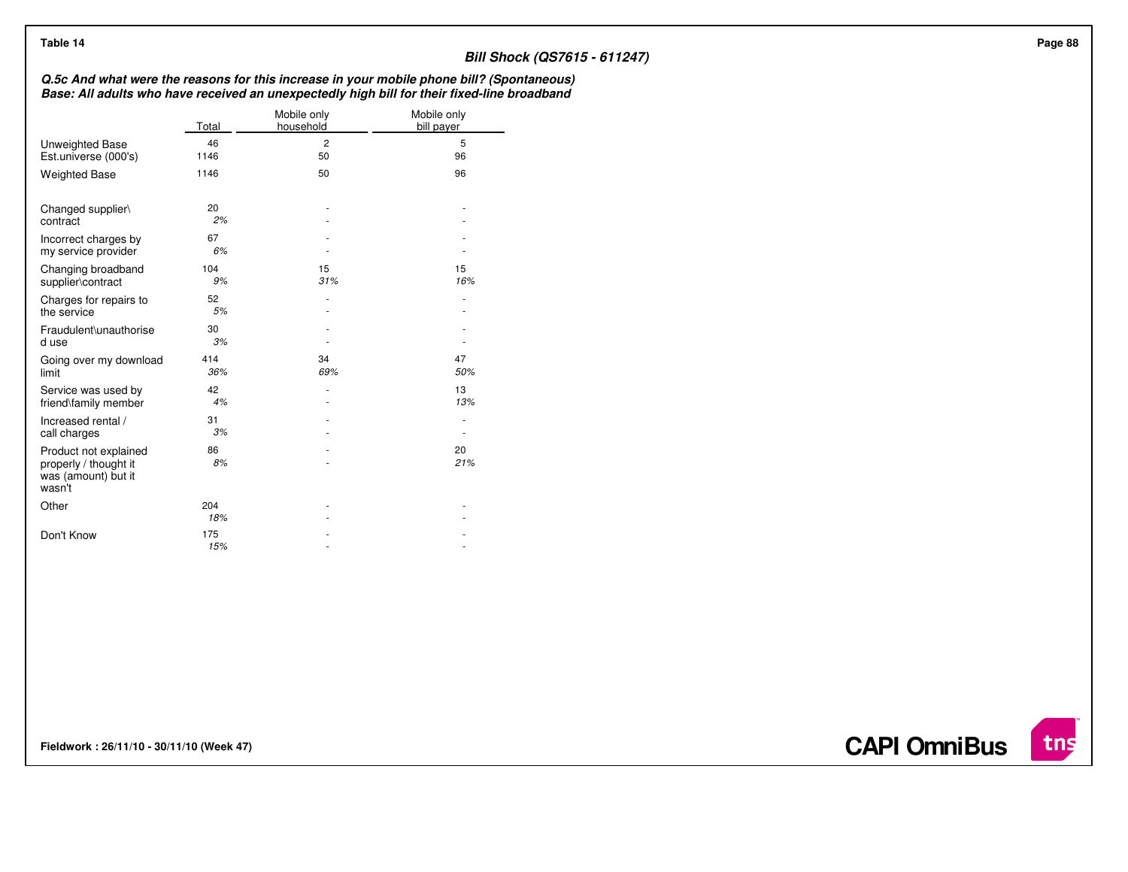| Table 14                                                                                                                                                                                 |             |                          | <b>Bill Shock (QS7615 - 611247)</b> |
|------------------------------------------------------------------------------------------------------------------------------------------------------------------------------------------|-------------|--------------------------|-------------------------------------|
| Q.5c And what were the reasons for this increase in your mobile phone bill? (Spontaneous)<br>Base: All adults who have received an unexpectedly high bill for their fixed-line broadband |             |                          |                                     |
|                                                                                                                                                                                          | Total       | Mobile only<br>household | Mobile only<br>bill payer           |
| Unweighted Base<br>Est.universe (000's)                                                                                                                                                  | 46<br>1146  | $\overline{c}$<br>50     | 5<br>96                             |
| <b>Weighted Base</b>                                                                                                                                                                     | 1146        | 50                       | 96                                  |
| Changed supplier\<br>contract                                                                                                                                                            | 20<br>2%    |                          |                                     |
| Incorrect charges by<br>my service provider                                                                                                                                              | 67<br>6%    | ٠                        |                                     |
| Changing broadband<br>supplier\contract                                                                                                                                                  | 104<br>9%   | 15<br>31%                | 15<br>16%                           |
| Charges for repairs to<br>the service                                                                                                                                                    | 52<br>5%    | $\sim$                   | $\sim$                              |
| Fraudulent\unauthorise<br>d use                                                                                                                                                          | 30<br>3%    | ٠                        | $\blacksquare$                      |
| Going over my download<br>limit                                                                                                                                                          | 414<br>36%  | 34<br>69%                | 47<br>50%                           |
| Service was used by<br>friend\family member                                                                                                                                              | 42<br>4%    | ٠<br>٠                   | 13<br>13%                           |
| Increased rental /<br>call charges                                                                                                                                                       | 31<br>3%    |                          | $\sim$<br>$\blacksquare$            |
| Product not explained<br>properly / thought it<br>was (amount) but it<br>wasn't                                                                                                          | 86<br>$8\%$ |                          | 20<br>21%                           |
| Other                                                                                                                                                                                    | 204<br>18%  |                          |                                     |
| Don't Know                                                                                                                                                                               | 175<br>15%  |                          |                                     |

**Fieldwork : 26/11/10 - 30/11/10 (Week 47)** 

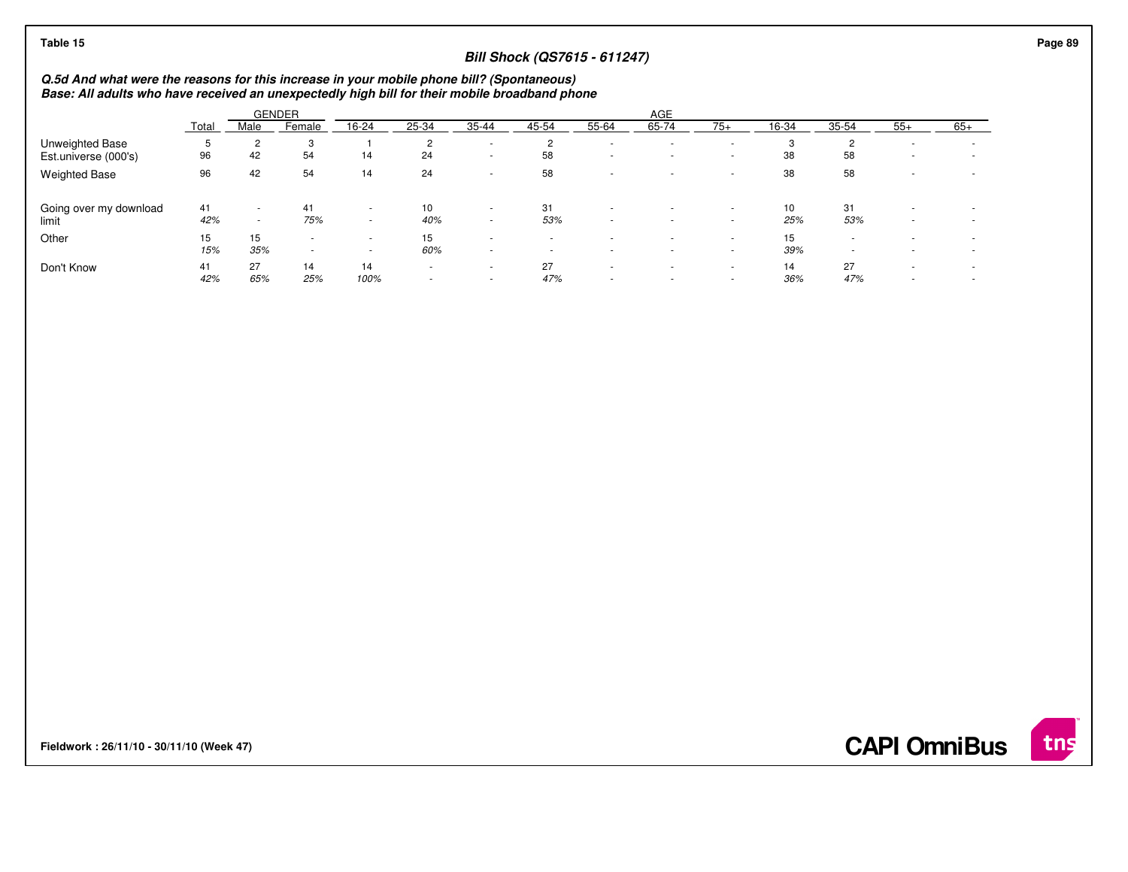| Table 15               |                                                                                                                                                                                            |        |               |                          |                |                          | <b>Bill Shock (QS7615 - 611247)</b> |        |            |                          |       |                          |                          |                          |  |
|------------------------|--------------------------------------------------------------------------------------------------------------------------------------------------------------------------------------------|--------|---------------|--------------------------|----------------|--------------------------|-------------------------------------|--------|------------|--------------------------|-------|--------------------------|--------------------------|--------------------------|--|
|                        | Q.5d And what were the reasons for this increase in your mobile phone bill? (Spontaneous)<br>Base: All adults who have received an unexpectedly high bill for their mobile broadband phone |        |               |                          |                |                          |                                     |        |            |                          |       |                          |                          |                          |  |
|                        |                                                                                                                                                                                            |        | <b>GENDER</b> |                          |                |                          |                                     |        | <b>AGE</b> |                          |       |                          |                          |                          |  |
|                        | Total                                                                                                                                                                                      | Male   | Female        | 16-24                    | 25-34          | 35-44                    | 45-54                               | 55-64  | 65-74      | $75+$                    | 16-34 | 35-54                    | $55+$                    | $65+$                    |  |
| Unweighted Base        | .5                                                                                                                                                                                         | 2      | 3             |                          | 2              | $\sim$                   | $\overline{2}$                      | $\sim$ | $\sim$     | . .                      | 3     | $\overline{2}$           | $\overline{\phantom{a}}$ |                          |  |
| Est.universe (000's)   | 96                                                                                                                                                                                         | 42     | 54            | 14                       | 24             | $\sim$                   | 58                                  | ٠      | $\sim$     | $\sim$                   | 38    | 58                       | $\overline{\phantom{a}}$ |                          |  |
| <b>Weighted Base</b>   | 96                                                                                                                                                                                         | 42     | 54            | 14                       | 24             | $\sim$                   | 58                                  | ۰      |            | . .                      | 38    | 58                       |                          | $\overline{\phantom{a}}$ |  |
| Going over my download | 41                                                                                                                                                                                         | $\sim$ | 41            | ۰                        | 10             | $\overline{\phantom{a}}$ | 31                                  | $\sim$ |            | $\overline{\phantom{a}}$ | 10    | 31                       |                          |                          |  |
| limit                  | 42%                                                                                                                                                                                        | $\sim$ | 75%           | $\sim$                   | 40%            | $\sim$                   | 53%                                 | ٠      | $\sim$     | $\sim$                   | 25%   | 53%                      | $\overline{\phantom{a}}$ | $\overline{\phantom{a}}$ |  |
| Other                  | 15                                                                                                                                                                                         | 15     | $\sim$        | $\overline{\phantom{a}}$ | 15             | $\overline{a}$           | $\sim$                              | ٠      | $\sim$     | $\sim$                   | 15    | $\overline{\phantom{a}}$ |                          | $\overline{\phantom{a}}$ |  |
|                        | 15%                                                                                                                                                                                        | 35%    | ۰             | $\overline{\phantom{a}}$ | 60%            | $\overline{\phantom{a}}$ |                                     | $\sim$ | $\sim$     | $\sim$                   | 39%   | $\overline{\phantom{a}}$ |                          | $\overline{\phantom{a}}$ |  |
| Don't Know             | 41                                                                                                                                                                                         | 27     | 14            | 14                       | $\sim$         |                          | 27                                  | ٠      | $\sim$     | $\sim$                   | 14    | 27                       |                          | $\overline{\phantom{a}}$ |  |
|                        | 42%                                                                                                                                                                                        | 65%    | 25%           | 100%                     | $\blacksquare$ |                          | 47%                                 | $\sim$ | $\sim$     | $\sim$                   | 36%   | 47%                      |                          | $\overline{\phantom{a}}$ |  |

**Fieldwork : 26/11/10 - 30/11/10 (Week 47)** 



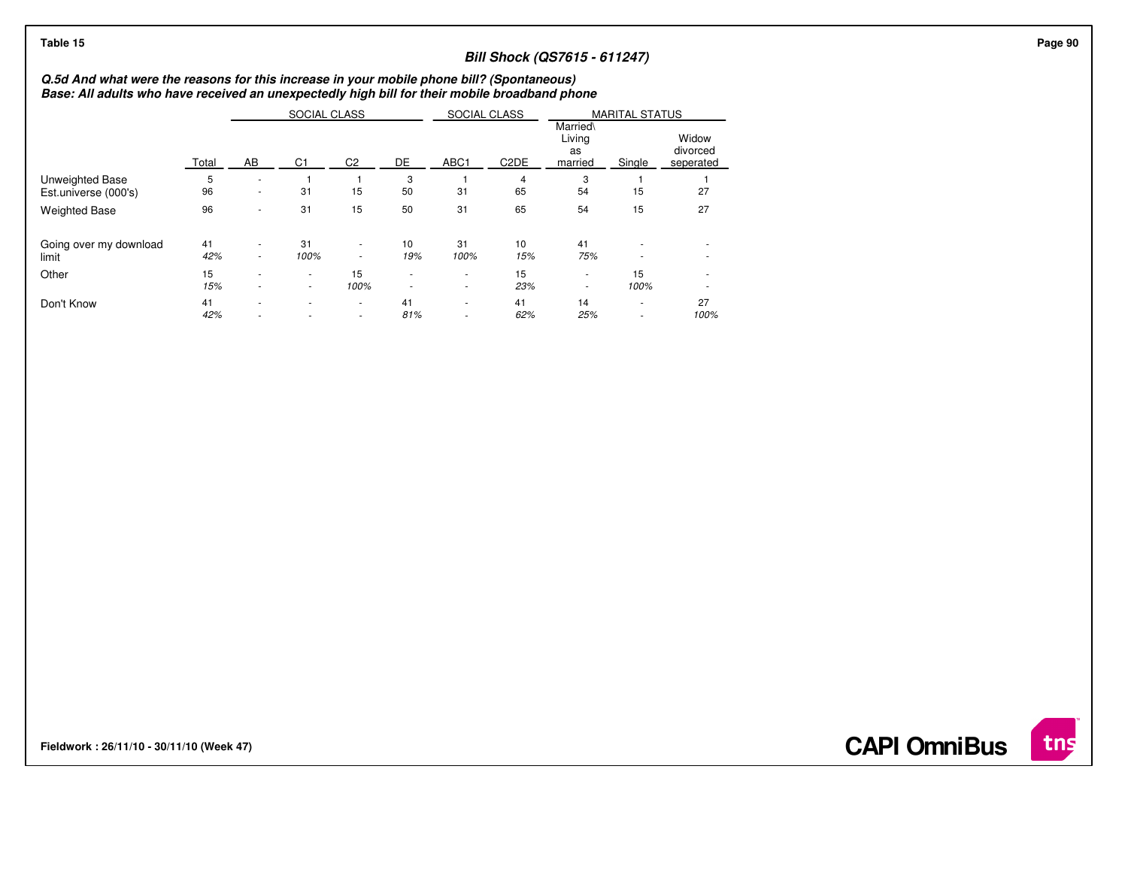## **Bill Shock (QS7615 - 611247)**

## **Q.5d And what were the reasons for this increase in your mobile phone bill? (Spontaneous) Base: All adults who have received an unexpectedly high bill for their mobile broadband phone**

|                        |       |    | SOCIAL CLASS             |                          |                          | SOCIAL CLASS |                   | <b>MARITAL STATUS</b>               |                          |                                |  |
|------------------------|-------|----|--------------------------|--------------------------|--------------------------|--------------|-------------------|-------------------------------------|--------------------------|--------------------------------|--|
|                        | Total | AB | C <sub>1</sub>           | C <sub>2</sub>           | DE                       | ABC1         | C <sub>2</sub> DE | Married\<br>Living<br>as<br>married | Single                   | Widow<br>divorced<br>seperated |  |
| Unweighted Base        | 5     | ٠  |                          |                          | 3                        |              | 4                 | 3                                   |                          |                                |  |
| Est.universe (000's)   | 96    | ۰  | 31                       | 15                       | 50                       | 31           | 65                | 54                                  | 15                       | 27                             |  |
| <b>Weighted Base</b>   | 96    | ٠  | 31                       | 15                       | 50                       | 31           | 65                | 54                                  | 15                       | 27                             |  |
| Going over my download | 41    | ٠  | 31                       | $\overline{\phantom{a}}$ | 10                       | 31           | 10                | 41                                  | ٠                        | ٠                              |  |
| limit                  | 42%   | ۰. | 100%                     | $\sim$                   | 19%                      | 100%         | 15%               | 75%                                 | $\overline{\phantom{a}}$ |                                |  |
| Other                  | 15    | ٠  | ٠                        | 15                       | $\overline{\phantom{a}}$ | ٠            | 15                | ٠                                   | 15                       |                                |  |
|                        | 15%   | ٠  | ٠                        | 100%                     | ۰                        | ۰            | 23%               | ٠                                   | 100%                     |                                |  |
| Don't Know             | 41    | ۰  | $\overline{\phantom{a}}$ | $\sim$                   | 41                       | ٠            | 41                | 14                                  | $\overline{\phantom{a}}$ | 27                             |  |
|                        | 42%   | ۰  |                          | $\overline{\phantom{a}}$ | 81%                      | ٠            | 62%               | 25%                                 | $\overline{\phantom{a}}$ | 100%                           |  |

**Fieldwork : 26/11/10 - 30/11/10 (Week 47)** 

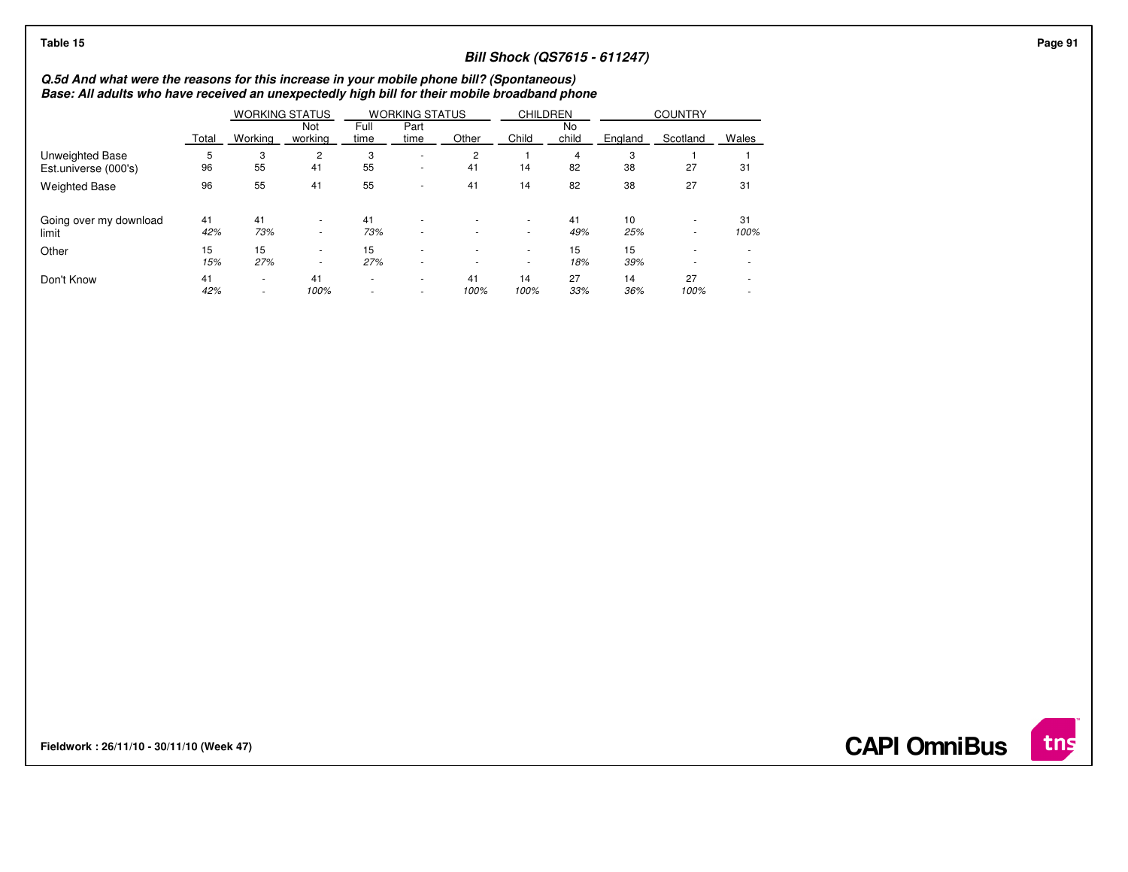| Table 15                                                                                                                                                                                   |           |                                    |                      |              |                                                      |                          |                                    |             |                                     |                  |                          |  |
|--------------------------------------------------------------------------------------------------------------------------------------------------------------------------------------------|-----------|------------------------------------|----------------------|--------------|------------------------------------------------------|--------------------------|------------------------------------|-------------|-------------------------------------|------------------|--------------------------|--|
|                                                                                                                                                                                            |           |                                    |                      |              |                                                      |                          |                                    |             | <b>Bill Shock (QS7615 - 611247)</b> |                  |                          |  |
| Q.5d And what were the reasons for this increase in your mobile phone bill? (Spontaneous)<br>Base: All adults who have received an unexpectedly high bill for their mobile broadband phone |           |                                    |                      |              |                                                      |                          |                                    |             |                                     |                  |                          |  |
|                                                                                                                                                                                            |           |                                    |                      |              |                                                      |                          |                                    |             |                                     |                  |                          |  |
|                                                                                                                                                                                            | Total     | Not<br>working<br>Working          |                      | Full<br>time | Part<br>time                                         | Other                    | Child                              | No<br>child | England                             | Scotland         | Wales                    |  |
| Unweighted Base<br>Est.universe (000's)                                                                                                                                                    | 96        | 3<br>55                            | $\overline{2}$<br>41 | 3<br>55      | ٠<br>٠                                               | 2<br>41                  | 14                                 | 82          | 3<br>38                             | 27               | 31                       |  |
| <b>Weighted Base</b>                                                                                                                                                                       | 96        | 55                                 | 41                   | 55           | ٠                                                    | 41                       | 14                                 | 82          | 38                                  | 27               | 31                       |  |
| Going over my download<br>limit                                                                                                                                                            | 41<br>42% | 41<br>73%                          | $\sim$<br>$\sim$     | 41<br>73%    |                                                      |                          | $\sim$<br>$\sim$                   | 41<br>49%   | 10<br>25%                           | $\sim$<br>$\sim$ | 31<br>100%               |  |
| Other                                                                                                                                                                                      | 15<br>15% | 15<br>27%                          | $\sim$<br>$\sim$     | 15<br>27%    | ٠                                                    | $\overline{\phantom{a}}$ | $\overline{\phantom{a}}$<br>$\sim$ | 15<br>18%   | 15<br>39%                           |                  |                          |  |
| Don't Know                                                                                                                                                                                 | 41<br>42% | $\overline{\phantom{a}}$<br>$\sim$ | 41<br>100%           | $\sim$<br>٠  | $\overline{\phantom{a}}$<br>$\overline{\phantom{a}}$ | 41<br>100%               | 14<br>100%                         | 27<br>33%   | 14<br>36%                           | 27<br>100%       | $\overline{\phantom{a}}$ |  |

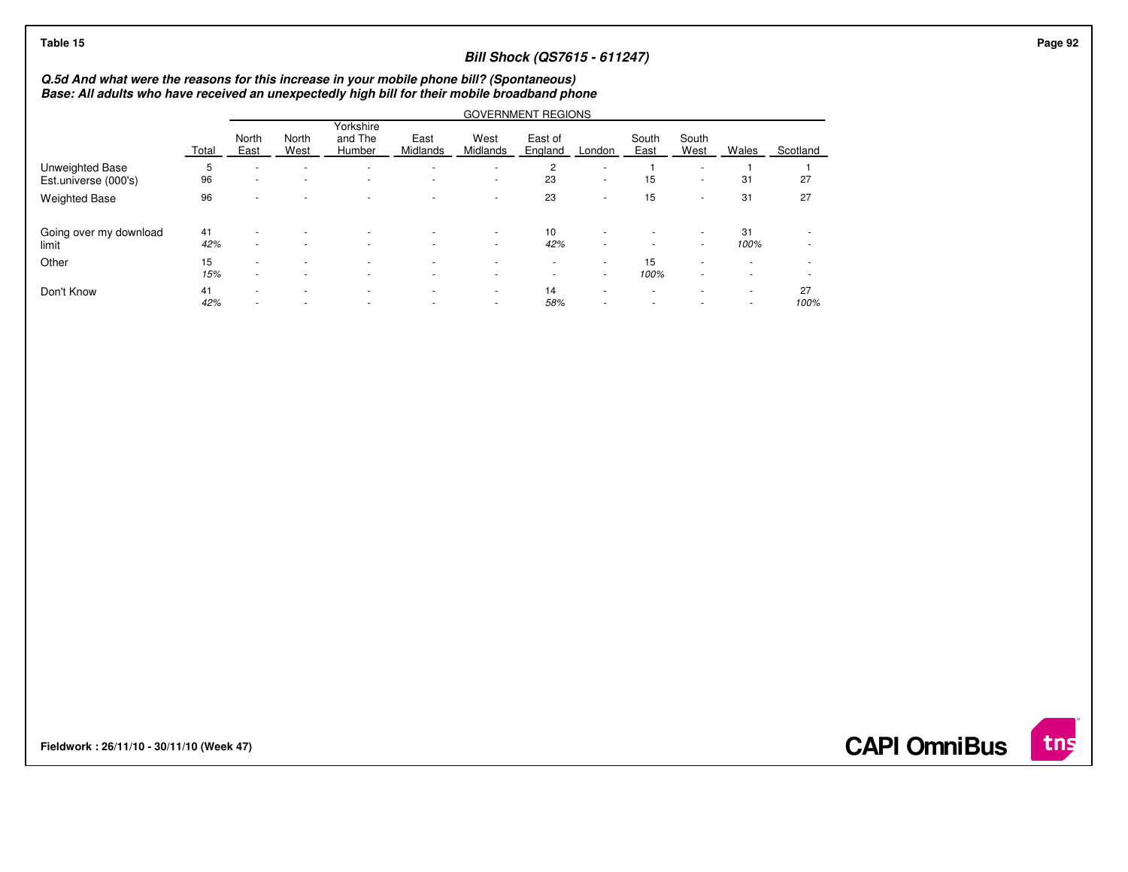## **Bill Shock (QS7615 - 611247)**

## **Q.5d And what were the reasons for this increase in your mobile phone bill? (Spontaneous) Base: All adults who have received an unexpectedly high bill for their mobile broadband phone**

|                        |       | <b>GOVERNMENT REGIONS</b> |                          |                                |                          |                          |                    |        |                          |                          |                          |          |  |  |
|------------------------|-------|---------------------------|--------------------------|--------------------------------|--------------------------|--------------------------|--------------------|--------|--------------------------|--------------------------|--------------------------|----------|--|--|
|                        | Total | North<br>East             | North<br>West            | Yorkshire<br>and The<br>Humber | East<br>Midlands         | West<br>Midlands         | East of<br>England | London | South<br>East            | South<br>West            | Wales                    | Scotland |  |  |
| Unweighted Base        | 5     | ۰                         | $\overline{\phantom{a}}$ | $\overline{a}$                 | $\overline{\phantom{a}}$ | ۰.                       | $\overline{c}$     |        |                          | $\sim$                   |                          |          |  |  |
| Est.universe (000's)   | 96    | ٠                         | $\overline{\phantom{a}}$ | $\overline{a}$                 | $\overline{\phantom{a}}$ | ۰.                       | 23                 |        | 15                       | $\sim$                   | 31                       | 27       |  |  |
| <b>Weighted Base</b>   | 96    | ۰                         |                          | $\overline{\phantom{a}}$       | $\overline{\phantom{a}}$ | $\overline{\phantom{a}}$ | 23                 |        | 15                       | $\overline{\phantom{a}}$ | 31                       | 27       |  |  |
| Going over my download | 41    | $\sim$                    |                          | $\overline{a}$                 | $\overline{\phantom{a}}$ | ۰.                       | 10                 |        | $\overline{a}$           |                          | 31                       |          |  |  |
| limit                  | 42%   | ۰                         |                          | $\overline{\phantom{a}}$       | $\overline{\phantom{a}}$ | $\overline{\phantom{a}}$ | 42%                | ۰      | $\overline{\phantom{a}}$ | ۰                        | 100%                     |          |  |  |
| Other                  | 15    |                           |                          | $\overline{a}$                 | $\overline{\phantom{a}}$ |                          | $\sim$             | ۰.     | 15                       | ۰                        | $\overline{\phantom{a}}$ |          |  |  |
|                        | 15%   |                           |                          | $\overline{\phantom{a}}$       | $\overline{\phantom{a}}$ | $\overline{\phantom{a}}$ |                    | ۰.     | 100%                     | $\overline{\phantom{a}}$ | $\overline{\phantom{a}}$ |          |  |  |
| Don't Know             | 41    | ۰                         |                          | $\overline{\phantom{a}}$       | $\overline{\phantom{a}}$ | $\overline{\phantom{a}}$ | 14                 | ۰      | $\overline{\phantom{a}}$ | ۰                        | $\overline{\phantom{a}}$ | 27       |  |  |
|                        | 42%   | $\sim$                    | $\overline{\phantom{a}}$ | $\overline{a}$                 | $\overline{\phantom{a}}$ | $\sim$                   | 58%                |        | $\sim$                   | $\sim$                   | ٠                        | 100%     |  |  |

**Fieldwork : 26/11/10 - 30/11/10 (Week 47)** 

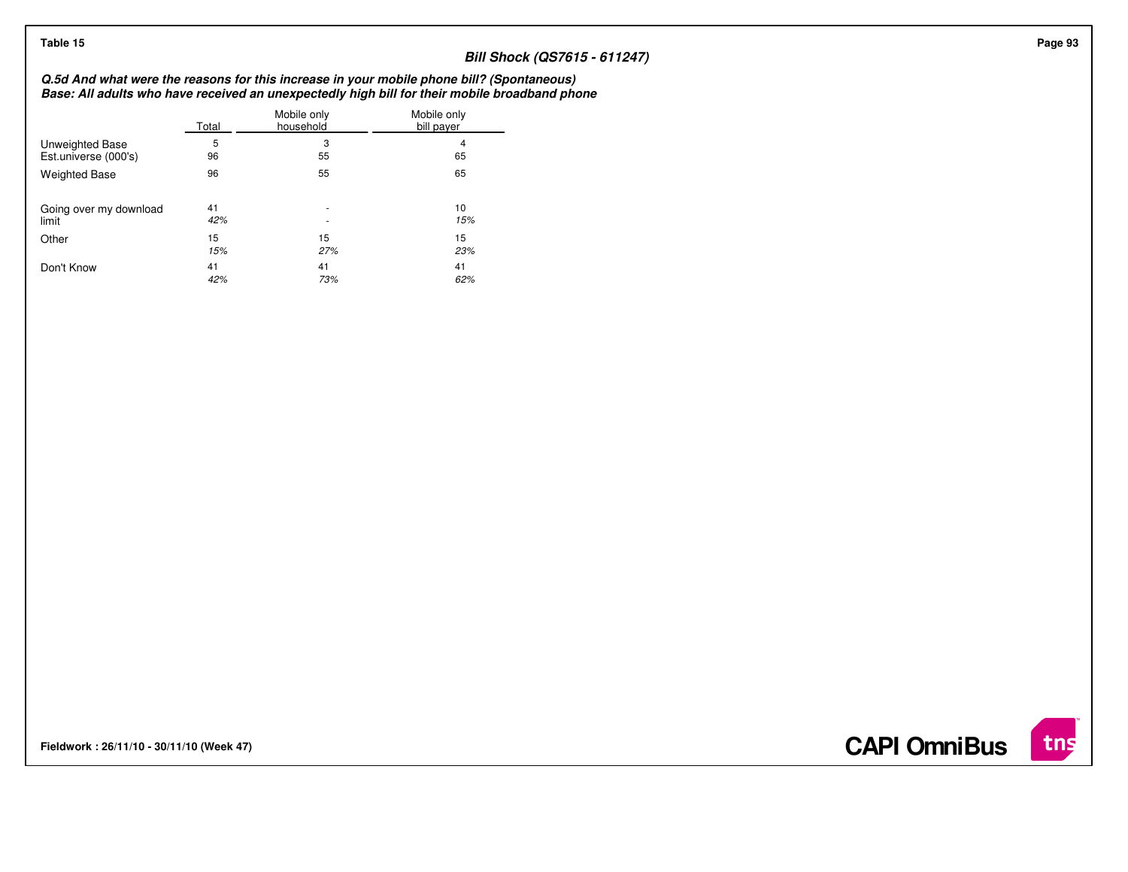## **Bill Shock (QS7615 - 611247)**

## **Q.5d And what were the reasons for this increase in your mobile phone bill? (Spontaneous) Base: All adults who have received an unexpectedly high bill for their mobile broadband phone**

|                        | Total | Mobile only<br>household | Mobile only<br>bill payer |
|------------------------|-------|--------------------------|---------------------------|
| Unweighted Base        | 5     | 3                        | 4                         |
| Est.universe (000's)   | 96    | 55                       | 65                        |
| <b>Weighted Base</b>   | 96    | 55                       | 65                        |
| Going over my download | 41    | ٠                        | 10                        |
| limit                  | 42%   | ٠                        | 15%                       |
| Other                  | 15    | 15                       | 15                        |
|                        | 15%   | 27%                      | 23%                       |
| Don't Know             | 41    | 41                       | 41                        |
|                        | 42%   | 73%                      | 62%                       |

**Fieldwork : 26/11/10 - 30/11/10 (Week 47)** 

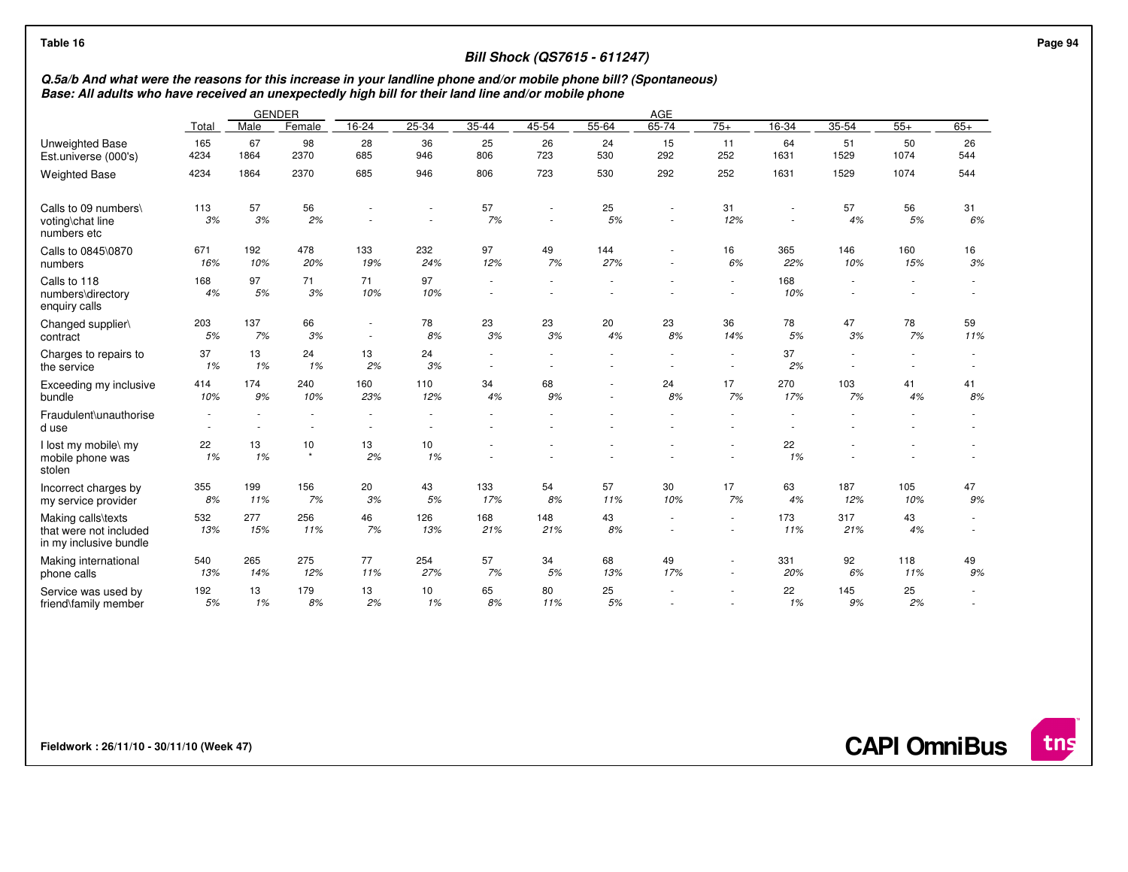| Table 16                                                                                                                                                                                                                                          |                  |            |                                    |                          |                                    |                | <b>Bill Shock (QS7615 - 611247)</b> |            |                  |                          |            |                                    |            |                          |
|---------------------------------------------------------------------------------------------------------------------------------------------------------------------------------------------------------------------------------------------------|------------------|------------|------------------------------------|--------------------------|------------------------------------|----------------|-------------------------------------|------------|------------------|--------------------------|------------|------------------------------------|------------|--------------------------|
| Q.5a/b And what were the reasons for this increase in your landline phone and/or mobile phone bill? (Spontaneous)<br>Base: All adults who have received an unexpectedly high bill for their land line and/or mobile phone<br><b>GENDER</b><br>AGE |                  |            |                                    |                          |                                    |                |                                     |            |                  |                          |            |                                    |            |                          |
|                                                                                                                                                                                                                                                   |                  |            |                                    |                          |                                    |                |                                     |            |                  |                          |            |                                    |            |                          |
|                                                                                                                                                                                                                                                   | Total            | Male       | Female                             | 16-24                    | 25-34                              | 35-44          | 45-54                               | $55 - 64$  | 65-74            | $75+$                    | $16-34$    | $35 - 54$                          | $55+$      | $65+$                    |
| <b>Unweighted Base</b><br>Est.universe (000's)                                                                                                                                                                                                    | 165<br>4234      | 67<br>1864 | 98<br>2370                         | 28<br>685                | 36<br>946                          | 25<br>806      | 26<br>723                           | 24<br>530  | 15<br>292        | 11<br>252                | 64<br>1631 | 51<br>1529                         | 50<br>1074 | 26<br>544                |
| <b>Weighted Base</b>                                                                                                                                                                                                                              | 4234             | 1864       | 2370                               | 685                      | 946                                | 806            | 723                                 | 530        | 292              | 252                      | 1631       | 1529                               | 1074       | 544                      |
| Calls to 09 numbers\<br>voting\chat line<br>numbers etc                                                                                                                                                                                           | 113<br>3%        | 57<br>3%   | 56<br>2%                           |                          | $\sim$                             | 57<br>7%       | $\sim$                              | 25<br>5%   | $\sim$<br>$\sim$ | 31<br>12%                | $\sim$     | 57<br>4%                           | 56<br>5%   | 31<br>6%                 |
| Calls to 0845\0870<br>numbers                                                                                                                                                                                                                     | 671<br>16%       | 192<br>10% | 478<br>20%                         | 133<br>19%               | 232<br>24%                         | 97<br>12%      | 49<br>7%                            | 144<br>27% | $\sim$           | 16<br>6%                 | 365<br>22% | 146<br>10%                         | 160<br>15% | 16<br>3%                 |
| Calls to 118<br>numbers\directory<br>enquiry calls                                                                                                                                                                                                | 168<br>4%        | 97<br>5%   | 71<br>3%                           | 71<br>10%                | 97<br>10%                          |                |                                     |            |                  |                          | 168<br>10% | $\overline{\phantom{a}}$           |            |                          |
| Changed supplier\<br>contract                                                                                                                                                                                                                     | 203<br>5%        | 137<br>7%  | 66<br>3%                           | $\overline{\phantom{a}}$ | 78<br>8%                           | 23<br>3%       | 23<br>3%                            | 20<br>4%   | 23<br>8%         | 36<br>14%                | 78<br>5%   | 47<br>3%                           | 78<br>7%   | 59<br>11%                |
| Charges to repairs to<br>the service                                                                                                                                                                                                              | 37<br>1%         | 13<br>1%   | 24<br>1%                           | 13<br>2%                 | 24<br>3%                           | $\blacksquare$ |                                     |            |                  | $\sim$<br>$\sim$         | 37<br>2%   | $\sim$<br>$\overline{\phantom{a}}$ | $\sim$     | $\overline{\phantom{a}}$ |
| Exceeding my inclusive<br>bundle                                                                                                                                                                                                                  | 414<br>10%       | 174<br>9%  | 240<br>10%                         | 160<br>23%               | 110<br>12%                         | 34<br>4%       | 68<br>9%                            | $\sim$     | 24<br>8%         | 17<br>7%                 | 270<br>17% | 103<br>7%                          | 41<br>4%   | 41<br>8%                 |
| Fraudulent\unauthorise<br>d use                                                                                                                                                                                                                   | $\sim$<br>$\sim$ | $\sim$     | $\sim$<br>$\overline{\phantom{a}}$ | $\overline{\phantom{a}}$ | $\sim$<br>$\overline{\phantom{a}}$ |                |                                     |            |                  | $\sim$                   |            |                                    |            |                          |
| I lost my mobile\ my<br>mobile phone was<br>stolen                                                                                                                                                                                                | 22<br>1%         | 13<br>1%   | 10<br>$\star$                      | 13<br>2%                 | 10<br>1%                           |                |                                     |            |                  | $\overline{\phantom{a}}$ | 22<br>1%   |                                    |            |                          |
| Incorrect charges by<br>my service provider                                                                                                                                                                                                       | 355<br>8%        | 199<br>11% | 156<br>7%                          | 20<br>3%                 | 43<br>5%                           | 133<br>17%     | 54<br>8%                            | 57<br>11%  | 30<br>10%        | 17<br>7%                 | 63<br>4%   | 187<br>12%                         | 105<br>10% | 47<br>9%                 |
| Making calls\texts<br>that were not included<br>in my inclusive bundle                                                                                                                                                                            | 532<br>13%       | 277<br>15% | 256<br>11%                         | 46<br>7%                 | 126<br>13%                         | 168<br>21%     | 148<br>21%                          | 43<br>8%   | $\sim$           | $\sim$<br>$\sim$         | 173<br>11% | 317<br>21%                         | 43<br>4%   | $\overline{\phantom{a}}$ |
| Making international<br>phone calls                                                                                                                                                                                                               | 540<br>13%       | 265<br>14% | 275<br>12%                         | 77<br>11%                | 254<br>27%                         | 57<br>7%       | 34<br>$5\%$                         | 68<br>13%  | 49<br>17%        | $\sim$<br>$\sim$         | 331<br>20% | 92<br>6%                           | 118<br>11% | 49<br>9%                 |
| Service was used by<br>friend\family member                                                                                                                                                                                                       | 192<br>$5\%$     | 13<br>1%   | 179<br>8%                          | 13<br>2%                 | 10<br>1%                           | 65<br>8%       | 80<br>11%                           | 25<br>5%   |                  | $\sim$                   | 22<br>1%   | 145<br>9%                          | 25<br>2%   |                          |

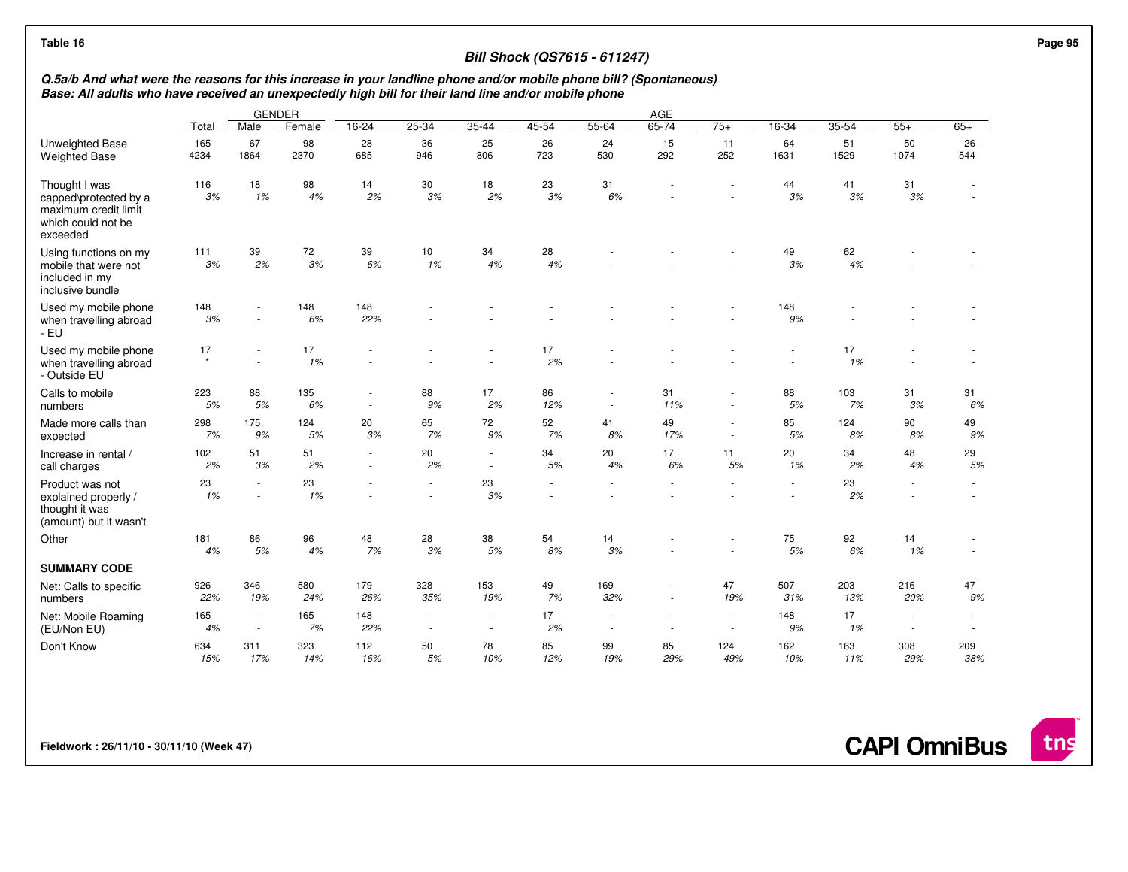## **Bill Shock (QS7615 - 611247)**

## Q.5a/b And what were the reasons for this increase in your landline phone and/or mobile phone bill? (Spontaneous)<br>Base: All adults who have received an unexpectedly high bill for their land line and/or mobile phone

|                                                                                                  |               |                                | <b>GENDER</b> | AGE          |               |                |           |                          |           |                  |            |            |            |             |  |
|--------------------------------------------------------------------------------------------------|---------------|--------------------------------|---------------|--------------|---------------|----------------|-----------|--------------------------|-----------|------------------|------------|------------|------------|-------------|--|
|                                                                                                  | Total         | Male                           | Female        | 16-24        | $25 - 34$     | $35 - 44$      | $45 - 54$ | $55 - 64$                | $65 - 74$ | $75+$            | $16 - 34$  | $35 - 54$  | $55+$      | $65+$       |  |
| Unweighted Base<br><b>Weighted Base</b>                                                          | 165<br>4234   | 67<br>1864                     | 98<br>2370    | 28<br>685    | 36<br>946     | 25<br>806      | 26<br>723 | 24<br>530                | 15<br>292 | 11<br>252        | 64<br>1631 | 51<br>1529 | 50<br>1074 | 26<br>544   |  |
| Thought I was<br>capped\protected by a<br>maximum credit limit<br>which could not be<br>exceeded | 116<br>3%     | 18<br>1%                       | 98<br>4%      | 14<br>2%     | 30<br>3%      | 18<br>2%       | 23<br>3%  | 31<br>6%                 |           |                  | 44<br>3%   | 41<br>3%   | 31<br>3%   |             |  |
| Using functions on my<br>mobile that were not<br>included in my<br>inclusive bundle              | 111<br>3%     | 39<br>2%                       | 72<br>3%      | 39<br>6%     | 10<br>1%      | 34<br>4%       | 28<br>4%  |                          |           |                  | 49<br>3%   | 62<br>4%   |            |             |  |
| Used my mobile phone<br>when travelling abroad<br>- EU                                           | 148<br>3%     | $\sim$                         | 148<br>6%     | 148<br>22%   |               |                |           |                          |           |                  | 148<br>9%  |            |            |             |  |
| Used my mobile phone<br>when travelling abroad<br>- Outside EU                                   | 17<br>$\star$ | $\sim$                         | 17<br>1%      |              |               |                | 17<br>2%  |                          |           |                  |            | 17<br>1%   |            |             |  |
| Calls to mobile<br>numbers                                                                       | 223<br>5%     | 88<br>5%                       | 135<br>6%     | $\sim$       | 88<br>9%      | 17<br>2%       | 86<br>12% | $\sim$                   | 31<br>11% | $\sim$           | 88<br>5%   | 103<br>7%  | 31<br>3%   | 31<br>6%    |  |
| Made more calls than<br>expected                                                                 | 298<br>7%     | 175<br>9%                      | 124<br>5%     | 20<br>3%     | 65<br>7%      | 72<br>9%       | 52<br>7%  | 41<br>8%                 | 49<br>17% | $\sim$<br>$\sim$ | 85<br>5%   | 124<br>8%  | 90<br>8%   | 49<br>9%    |  |
| Increase in rental /<br>call charges                                                             | 102<br>2%     | 51<br>3%                       | 51<br>2%      | $\sim$<br>×. | 20<br>2%      | $\sim$<br>÷.   | 34<br>5%  | 20<br>4%                 | 17<br>6%  | 11<br>5%         | 20<br>1%   | 34<br>2%   | 48<br>4%   | 29<br>$5\%$ |  |
| Product was not<br>explained properly /<br>thought it was<br>(amount) but it wasn't              | 23<br>1%      | ×.<br>×.                       | 23<br>1%      |              | ä,            | 23<br>3%       |           |                          |           |                  |            | 23<br>2%   |            |             |  |
| Other                                                                                            | 181<br>4%     | 86<br>5%                       | 96<br>4%      | 48<br>7%     | 28<br>3%      | 38<br>5%       | 54<br>8%  | 14<br>3%                 |           |                  | 75<br>5%   | 92<br>6%   | 14<br>1%   |             |  |
| <b>SUMMARY CODE</b>                                                                              |               |                                |               |              |               |                |           |                          |           |                  |            |            |            |             |  |
| Net: Calls to specific<br>numbers                                                                | 926<br>22%    | 346<br>19%                     | 580<br>24%    | 179<br>26%   | 328<br>35%    | 153<br>19%     | 49<br>7%  | 169<br>32%               |           | 47<br>19%        | 507<br>31% | 203<br>13% | 216<br>20% | 47<br>9%    |  |
| Net: Mobile Roaming<br>(EU/Non EU)                                                               | 165<br>4%     | ×,<br>$\overline{\phantom{a}}$ | 165<br>7%     | 148<br>22%   | $\frac{1}{2}$ | $\overline{a}$ | 17<br>2%  | $\overline{\phantom{a}}$ |           |                  | 148<br>9%  | 17<br>1%   |            |             |  |
| Don't Know                                                                                       | 634<br>15%    | 311<br>17%                     | 323<br>14%    | 112<br>16%   | 50<br>5%      | 78<br>10%      | 85<br>12% | 99<br>19%                | 85<br>29% | 124<br>49%       | 162<br>10% | 163<br>11% | 308<br>29% | 209<br>38%  |  |

**Fieldwork : 26/11/10 - 30/11/10 (Week 47)** 

**CAPI OmniBus**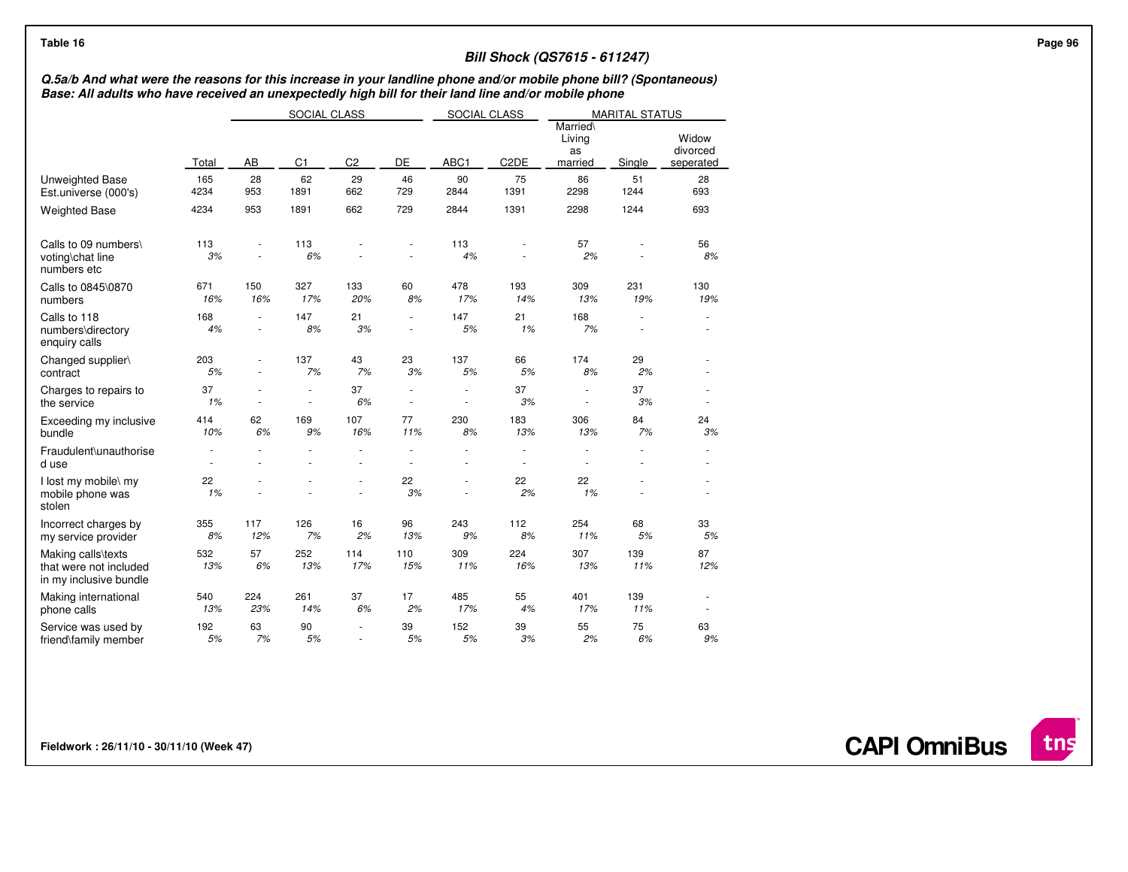## **Bill Shock (QS7615 - 611247)**

## Q.5a/b And what were the reasons for this increase in your landline phone and/or mobile phone bill? (Spontaneous)<br>Base: All adults who have received an unexpectedly high bill for their land line and/or mobile phone

|                                                                        |             | SOCIAL CLASS |                |                |                | SOCIAL CLASS |                   |                                     | <b>MARITAL STATUS</b> |                                |
|------------------------------------------------------------------------|-------------|--------------|----------------|----------------|----------------|--------------|-------------------|-------------------------------------|-----------------------|--------------------------------|
|                                                                        | Total       | AB           | C <sub>1</sub> | C <sub>2</sub> | DE             | ABC1         | C <sub>2</sub> DE | Married\<br>Living<br>as<br>married | Single                | Widow<br>divorced<br>seperated |
| Unweighted Base<br>Est.universe (000's)                                | 165<br>4234 | 28<br>953    | 62<br>1891     | 29<br>662      | 46<br>729      | 90<br>2844   | 75<br>1391        | 86<br>2298                          | 51<br>1244            | 28<br>693                      |
| <b>Weighted Base</b>                                                   | 4234        | 953          | 1891           | 662            | 729            | 2844         | 1391              | 2298                                | 1244                  | 693                            |
| Calls to 09 numbers\<br>voting\chat line<br>numbers etc                | 113<br>3%   |              | 113<br>6%      |                |                | 113<br>4%    |                   | 57<br>2%                            |                       | 56<br>8%                       |
| Calls to 0845\0870<br>numbers                                          | 671<br>16%  | 150<br>16%   | 327<br>17%     | 133<br>20%     | 60<br>8%       | 478<br>17%   | 193<br>14%        | 309<br>13%                          | 231<br>19%            | 130<br>19%                     |
| Calls to 118<br>numbers\directory<br>enquiry calls                     | 168<br>4%   |              | 147<br>8%      | 21<br>3%       | ٠              | 147<br>5%    | 21<br>1%          | 168<br>7%                           |                       |                                |
| Changed supplier\<br>contract                                          | 203<br>5%   |              | 137<br>7%      | 43<br>7%       | 23<br>3%       | 137<br>5%    | 66<br>5%          | 174<br>8%                           | 29<br>2%              |                                |
| Charges to repairs to<br>the service                                   | 37<br>1%    |              | ×              | 37<br>6%       | $\overline{a}$ |              | 37<br>3%          | $\overline{a}$                      | 37<br>3%              |                                |
| Exceeding my inclusive<br>bundle                                       | 414<br>10%  | 62<br>6%     | 169<br>9%      | 107<br>16%     | 77<br>11%      | 230<br>8%    | 183<br>13%        | 306<br>13%                          | 84<br>7%              | 24<br>3%                       |
| Fraudulent\unauthorise<br>d use                                        |             |              |                | $\overline{a}$ |                |              | $\sim$<br>÷.      |                                     |                       |                                |
| I lost my mobile\ my<br>mobile phone was<br>stolen                     | 22<br>1%    |              |                | ä,             | 22<br>3%       |              | 22<br>2%          | 22<br>1%                            |                       | ä,                             |
| Incorrect charges by<br>my service provider                            | 355<br>8%   | 117<br>12%   | 126<br>7%      | 16<br>2%       | 96<br>13%      | 243<br>9%    | 112<br>8%         | 254<br>11%                          | 68<br>5%              | 33<br>5%                       |
| Making calls\texts<br>that were not included<br>in my inclusive bundle | 532<br>13%  | 57<br>6%     | 252<br>13%     | 114<br>17%     | 110<br>15%     | 309<br>11%   | 224<br>16%        | 307<br>13%                          | 139<br>11%            | 87<br>12%                      |
| Making international<br>phone calls                                    | 540<br>13%  | 224<br>23%   | 261<br>14%     | 37<br>6%       | 17<br>2%       | 485<br>17%   | 55<br>4%          | 401<br>17%                          | 139<br>11%            |                                |
| Service was used by<br>friend\family member                            | 192<br>5%   | 63<br>7%     | 90<br>5%       | $\mathbf{r}$   | 39<br>5%       | 152<br>5%    | 39<br>3%          | 55<br>2%                            | 75<br>6%              | 63<br>9%                       |

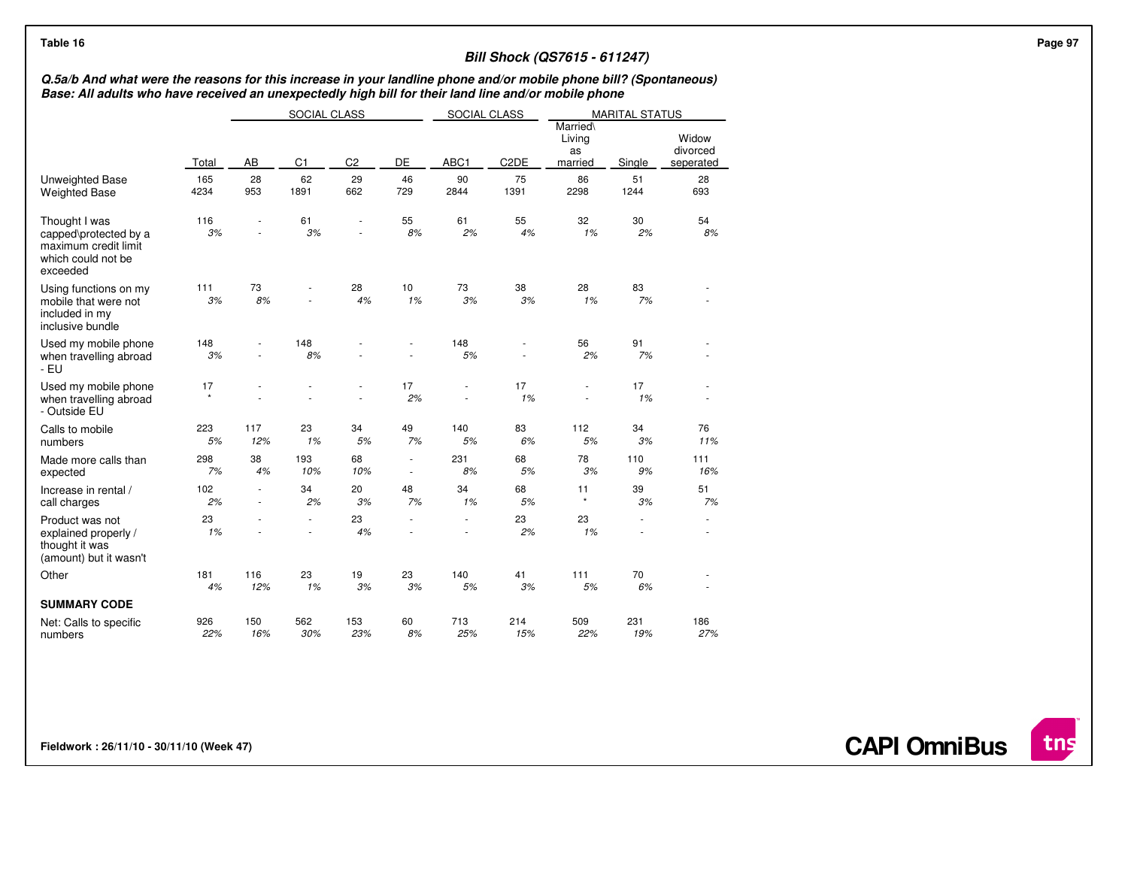## **Bill Shock (QS7615 - 611247)**

## Q.5a/b And what were the reasons for this increase in your landline phone and/or mobile phone bill? (Spontaneous)<br>Base: All adults who have received an unexpectedly high bill for their land line and/or mobile phone

|                                                                                                  |             | SOCIAL CLASS |                |                |                                | SOCIAL CLASS |                   | <b>MARITAL STATUS</b>               |            |                                |
|--------------------------------------------------------------------------------------------------|-------------|--------------|----------------|----------------|--------------------------------|--------------|-------------------|-------------------------------------|------------|--------------------------------|
|                                                                                                  | Total       | AB           | C <sub>1</sub> | C <sub>2</sub> | DE                             | ABC1         | C <sub>2</sub> DE | Married\<br>Living<br>as<br>married | Single     | Widow<br>divorced<br>seperated |
| Unweighted Base<br><b>Weighted Base</b>                                                          | 165<br>4234 | 28<br>953    | 62<br>1891     | 29<br>662      | 46<br>729                      | 90<br>2844   | 75<br>1391        | 86<br>2298                          | 51<br>1244 | 28<br>693                      |
| Thought I was<br>capped\protected by a<br>maximum credit limit<br>which could not be<br>exceeded | 116<br>3%   |              | 61<br>3%       | ä,             | 55<br>8%                       | 61<br>2%     | 55<br>4%          | 32<br>1%                            | 30<br>2%   | 54<br>8%                       |
| Using functions on my<br>mobile that were not<br>included in my<br>inclusive bundle              | 111<br>3%   | 73<br>8%     |                | 28<br>4%       | 10<br>1%                       | 73<br>3%     | 38<br>3%          | 28<br>1%                            | 83<br>7%   |                                |
| Used my mobile phone<br>when travelling abroad<br>- EU                                           | 148<br>3%   |              | 148<br>8%      |                |                                | 148<br>5%    |                   | 56<br>2%                            | 91<br>7%   |                                |
| Used my mobile phone<br>when travelling abroad<br>- Outside EU                                   | 17          |              |                |                | 17<br>2%                       |              | 17<br>1%          |                                     | 17<br>1%   |                                |
| Calls to mobile<br>numbers                                                                       | 223<br>5%   | 117<br>12%   | 23<br>1%       | 34<br>5%       | 49<br>7%                       | 140<br>5%    | 83<br>6%          | 112<br>5%                           | 34<br>3%   | 76<br>11%                      |
| Made more calls than<br>expected                                                                 | 298<br>7%   | 38<br>4%     | 193<br>10%     | 68<br>10%      | ä,<br>$\overline{\phantom{a}}$ | 231<br>8%    | 68<br>5%          | 78<br>3%                            | 110<br>9%  | 111<br>16%                     |
| Increase in rental /<br>call charges                                                             | 102<br>2%   |              | 34<br>2%       | 20<br>3%       | 48<br>7%                       | 34<br>1%     | 68<br>5%          | 11<br>$\star$                       | 39<br>3%   | 51<br>7%                       |
| Product was not<br>explained properly /<br>thought it was<br>(amount) but it wasn't              | 23<br>1%    |              | ÷,             | 23<br>4%       |                                | ä,           | 23<br>2%          | 23<br>1%                            |            |                                |
| Other                                                                                            | 181<br>4%   | 116<br>12%   | 23<br>1%       | 19<br>3%       | 23<br>3%                       | 140<br>5%    | 41<br>3%          | 111<br>5%                           | 70<br>6%   |                                |
| <b>SUMMARY CODE</b>                                                                              |             |              |                |                |                                |              |                   |                                     |            |                                |
| Net: Calls to specific<br>numbers                                                                | 926<br>22%  | 150<br>16%   | 562<br>30%     | 153<br>23%     | 60<br>8%                       | 713<br>25%   | 214<br>15%        | 509<br>22%                          | 231<br>19% | 186<br>27%                     |

**Fieldwork : 26/11/10 - 30/11/10 (Week 47)** 

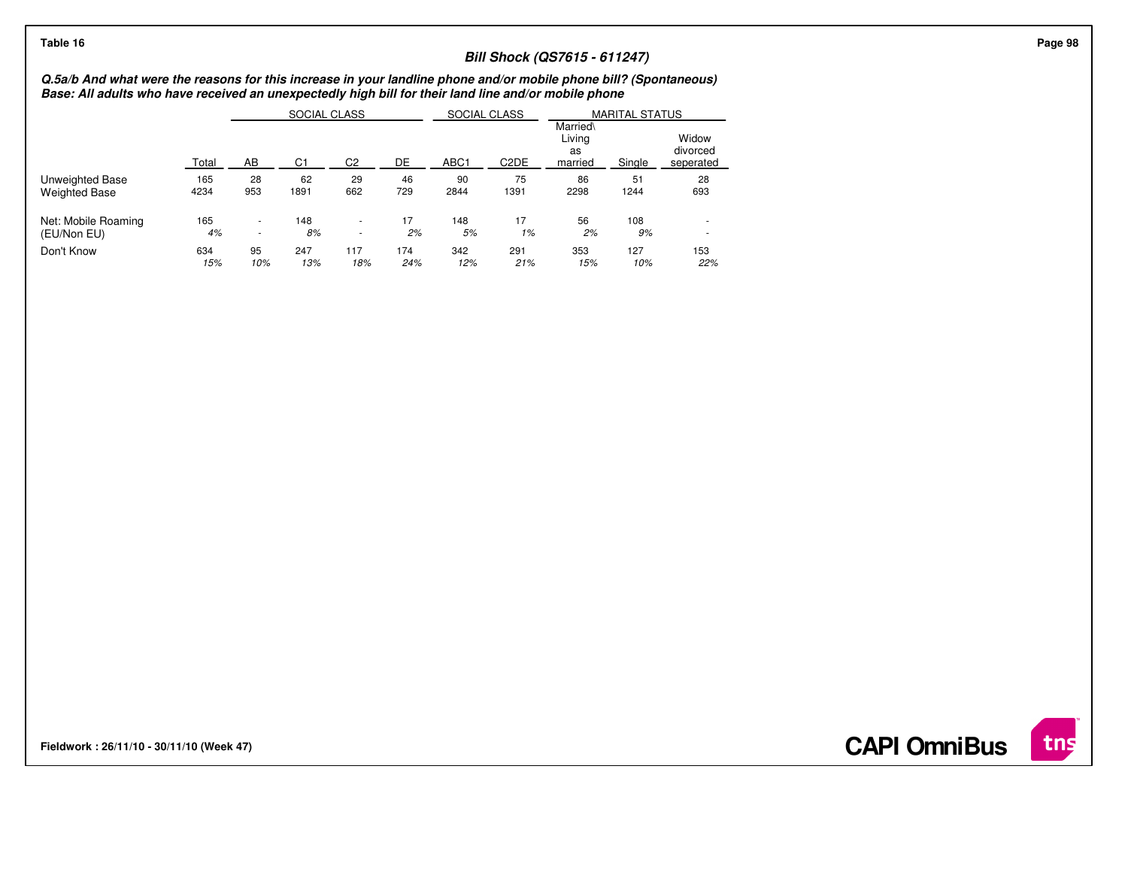## **Bill Shock (QS7615 - 611247)**

Q.5a/b And what were the reasons for this increase in your landline phone and/or mobile phone bill? (Spontaneous)<br>Base: All adults who have received an unexpectedly high bill for their land line and/or mobile phone

|                      |       |                          | SOCIAL CLASS |                          |     | SOCIAL CLASS     |                   | <b>MARITAL STATUS</b>               |        |                                |  |
|----------------------|-------|--------------------------|--------------|--------------------------|-----|------------------|-------------------|-------------------------------------|--------|--------------------------------|--|
|                      | Total | AB                       | C1           | C2                       | DE  | ABC <sub>1</sub> | C <sub>2</sub> DE | Married\<br>Livina<br>as<br>married | Single | Widow<br>divorced<br>seperated |  |
| Unweighted Base      | 165   | 28                       | 62           | 29                       | 46  | 90               | 75                | 86                                  | 51     | 28                             |  |
| <b>Weighted Base</b> | 4234  | 953                      | 1891         | 662                      | 729 | 2844             | 1391              | 2298                                | 1244   | 693                            |  |
| Net: Mobile Roaming  | 165   | ۰                        | 148          | $\overline{\phantom{a}}$ | 17  | 148              | 17                | 56                                  | 108    | ۰                              |  |
| (EU/Non EU)          | 4%    | $\overline{\phantom{a}}$ | 8%           | $\overline{\phantom{a}}$ | 2%  | 5%               | 1%                | 2%                                  | 9%     | ۰                              |  |
| Don't Know           | 634   | 95                       | 247          | 117                      | 174 | 342              | 291               | 353                                 | 127    | 153                            |  |
|                      | 15%   | 10%                      | 13%          | 18%                      | 24% | 12%              | 21%               | 15%                                 | 10%    | 22%                            |  |

**Fieldwork : 26/11/10 - 30/11/10 (Week 47)** 

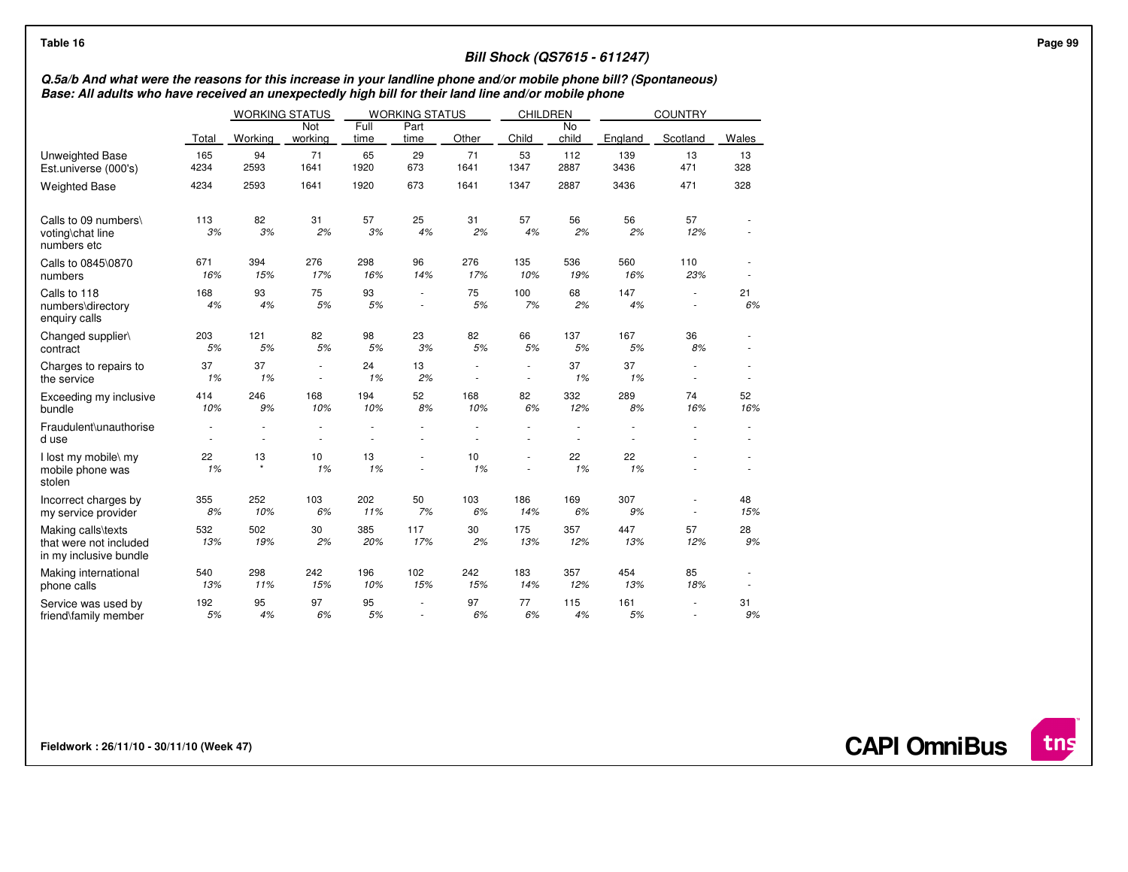## **Bill Shock (QS7615 - 611247)**

## Q.5a/b And what were the reasons for this increase in your landline phone and/or mobile phone bill? (Spontaneous)<br>Base: All adults who have received an unexpectedly high bill for their land line and/or mobile phone

|                                                                        |             | <b>WORKING STATUS</b> |                       |              | <b>WORKING STATUS</b> |            | <b>CHILDREN</b> |                                  |             | <b>COUNTRY</b> |           |
|------------------------------------------------------------------------|-------------|-----------------------|-----------------------|--------------|-----------------------|------------|-----------------|----------------------------------|-------------|----------------|-----------|
|                                                                        | Total       | Working               | <b>Not</b><br>working | Full<br>time | Part<br>time          | Other      | Child           | <b>No</b><br>child               | England     | Scotland       | Wales     |
| <b>Unweighted Base</b><br>Est.universe (000's)                         | 165<br>4234 | 94<br>2593            | 71<br>1641            | 65<br>1920   | 29<br>673             | 71<br>1641 | 53<br>1347      | 112<br>2887                      | 139<br>3436 | 13<br>471      | 13<br>328 |
| <b>Weighted Base</b>                                                   | 4234        | 2593                  | 1641                  | 1920         | 673                   | 1641       | 1347            | 2887                             | 3436        | 471            | 328       |
| Calls to 09 numbers\<br>voting\chat line<br>numbers etc                | 113<br>3%   | 82<br>3%              | 31<br>2%              | 57<br>3%     | 25<br>4%              | 31<br>2%   | 57<br>4%        | 56<br>2%                         | 56<br>2%    | 57<br>12%      |           |
| Calls to 0845\0870<br>numbers                                          | 671<br>16%  | 394<br>15%            | 276<br>17%            | 298<br>16%   | 96<br>14%             | 276<br>17% | 135<br>10%      | 536<br>19%                       | 560<br>16%  | 110<br>23%     | ×         |
| Calls to 118<br>numbers\directory<br>enquiry calls                     | 168<br>4%   | 93<br>4%              | 75<br>5%              | 93<br>5%     | ÷<br>÷.               | 75<br>5%   | 100<br>7%       | 68<br>2%                         | 147<br>4%   | ÷,             | 21<br>6%  |
| Changed supplier\<br>contract                                          | 203<br>5%   | 121<br>5%             | 82<br>5%              | 98<br>5%     | 23<br>$3\%$           | 82<br>5%   | 66<br>5%        | 137<br>5%                        | 167<br>5%   | 36<br>8%       |           |
| Charges to repairs to<br>the service                                   | 37<br>1%    | 37<br>1%              | ×,                    | 24<br>1%     | 13<br>2%              | ä,         | ä,              | 37<br>1%                         | 37<br>1%    |                |           |
| Exceeding my inclusive<br>bundle                                       | 414<br>10%  | 246<br>9%             | 168<br>10%            | 194<br>10%   | 52<br>8%              | 168<br>10% | 82<br>6%        | 332<br>12%                       | 289<br>8%   | 74<br>16%      | 52<br>16% |
| Fraudulent\unauthorise<br>d use                                        |             | ÷.<br>÷,              | ÷.<br>÷.              | ä,           | ÷.                    | ÷.<br>÷.   | ä,              | $\overline{a}$<br>$\overline{a}$ | $\sim$      | ÷,             | ×.<br>×.  |
| I lost my mobile\ my<br>mobile phone was<br>stolen                     | 22<br>1%    | 13<br>$\star$         | 10<br>1%              | 13<br>1%     | ÷,                    | 10<br>1%   | ä,              | 22<br>1%                         | 22<br>1%    |                |           |
| Incorrect charges by<br>my service provider                            | 355<br>8%   | 252<br>10%            | 103<br>6%             | 202<br>11%   | 50<br>7%              | 103<br>6%  | 186<br>14%      | 169<br>6%                        | 307<br>9%   |                | 48<br>15% |
| Making calls\texts<br>that were not included<br>in my inclusive bundle | 532<br>13%  | 502<br>19%            | 30<br>2%              | 385<br>20%   | 117<br>17%            | 30<br>2%   | 175<br>13%      | 357<br>12%                       | 447<br>13%  | 57<br>12%      | 28<br>9%  |
| Making international<br>phone calls                                    | 540<br>13%  | 298<br>11%            | 242<br>15%            | 196<br>10%   | 102<br>15%            | 242<br>15% | 183<br>14%      | 357<br>12%                       | 454<br>13%  | 85<br>18%      | ٠         |
| Service was used by<br>friend\family member                            | 192<br>5%   | 95<br>4%              | 97<br>6%              | 95<br>5%     |                       | 97<br>6%   | 77<br>6%        | 115<br>4%                        | 161<br>5%   |                | 31<br>9%  |

**Fieldwork : 26/11/10 - 30/11/10 (Week 47)** 

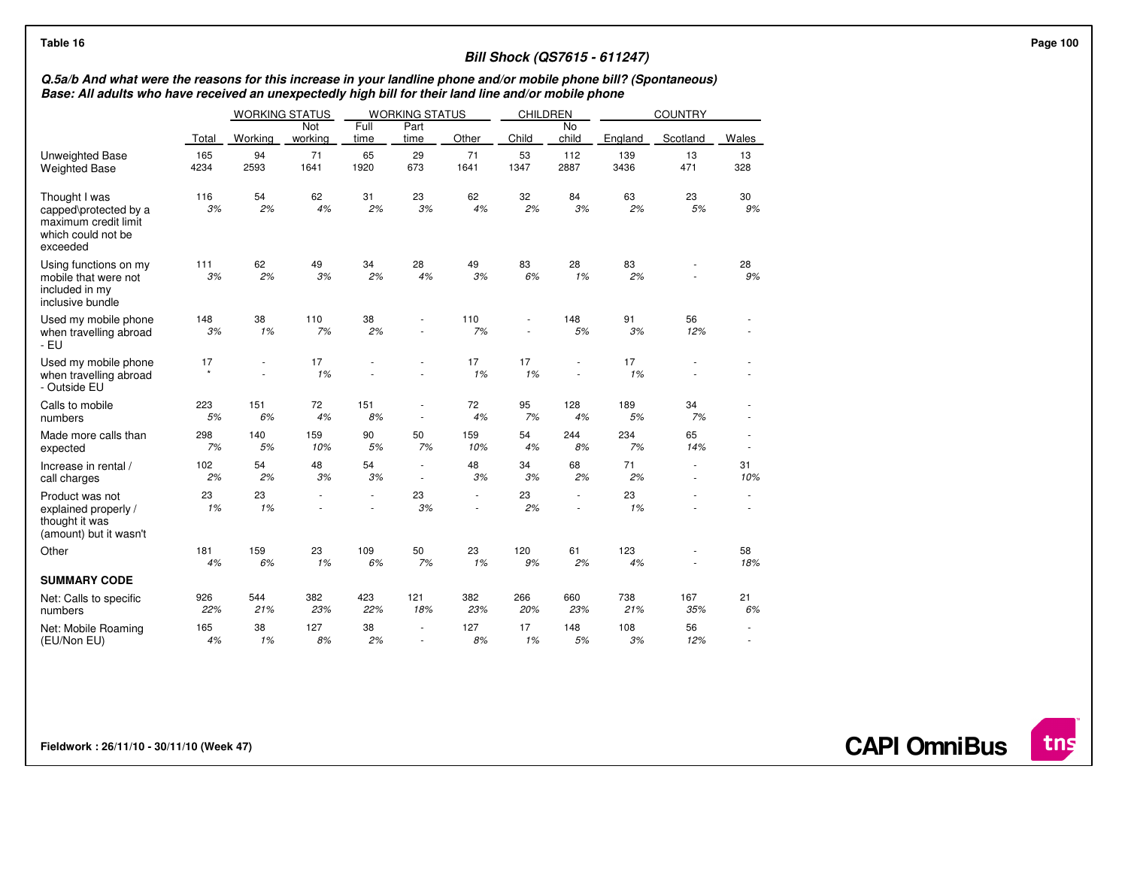| Table 16                                                                                                                                                                                                                  |              |                  |                       |              |                                    |            |            |                          | <b>Bill Shock (QS7615 - 611247)</b> |                  |           |  |
|---------------------------------------------------------------------------------------------------------------------------------------------------------------------------------------------------------------------------|--------------|------------------|-----------------------|--------------|------------------------------------|------------|------------|--------------------------|-------------------------------------|------------------|-----------|--|
| Q.5a/b And what were the reasons for this increase in your landline phone and/or mobile phone bill? (Spontaneous)<br>Base: All adults who have received an unexpectedly high bill for their land line and/or mobile phone |              |                  |                       |              |                                    |            |            |                          |                                     |                  |           |  |
|                                                                                                                                                                                                                           |              |                  | <b>WORKING STATUS</b> |              | <b>WORKING STATUS</b>              |            | CHILDREN   |                          |                                     | <b>COUNTRY</b>   |           |  |
|                                                                                                                                                                                                                           | Total        | Working          | Not<br>working        | Full<br>time | Part<br>time                       | Other      | Child      | No<br>child              | England                             | Scotland         | Wales     |  |
| Unweighted Base<br><b>Weighted Base</b>                                                                                                                                                                                   | 165<br>4234  | 94<br>2593       | 71<br>1641            | 65<br>1920   | 29<br>673                          | 71<br>1641 | 53<br>1347 | 112<br>2887              | 139<br>3436                         | 13<br>471        | 13<br>328 |  |
| Thought I was<br>capped\protected by a<br>maximum credit limit<br>which could not be<br>exceeded                                                                                                                          | 116<br>3%    | 54<br>2%         | 62<br>4%              | 31<br>2%     | 23<br>3%                           | 62<br>4%   | 32<br>2%   | 84<br>3%                 | 63<br>2%                            | 23<br>5%         | 30<br>9%  |  |
| Using functions on my<br>mobile that were not<br>included in my<br>inclusive bundle                                                                                                                                       | 111<br>3%    | 62<br>2%         | 49<br>3%              | 34<br>2%     | 28<br>4%                           | 49<br>3%   | 83<br>6%   | 28<br>1%                 | 83<br>2%                            |                  | 28<br>9%  |  |
| Used my mobile phone<br>when travelling abroad<br>- EU                                                                                                                                                                    | 148<br>$3\%$ | 38<br>1%         | 110<br>7%             | 38<br>2%     | ×.                                 | 110<br>7%  |            | 148<br>5%                | 91<br>3%                            | 56<br>12%        |           |  |
| Used my mobile phone<br>when travelling abroad<br>- Outside EU                                                                                                                                                            | 17           | $\sim$<br>$\sim$ | 17<br>1%              |              | $\overline{a}$                     | 17<br>1%   | 17<br>1%   | ä,<br>×,                 | 17<br>1%                            |                  |           |  |
| Calls to mobile<br>numbers                                                                                                                                                                                                | 223<br>5%    | 151<br>6%        | 72<br>4%              | 151<br>8%    | $\overline{\phantom{a}}$<br>$\sim$ | 72<br>4%   | 95<br>7%   | 128<br>4%                | 189<br>5%                           | 34<br>7%         |           |  |
| Made more calls than<br>expected                                                                                                                                                                                          | 298<br>7%    | 140<br>5%        | 159<br>10%            | 90<br>5%     | 50<br>7%                           | 159<br>10% | 54<br>4%   | 244<br>8%                | 234<br>7%                           | 65<br>14%        | ×,        |  |
| Increase in rental /<br>call charges                                                                                                                                                                                      | 102<br>2%    | 54<br>2%         | 48<br>3%              | 54<br>3%     | $\sim$<br>$\overline{\phantom{a}}$ | 48<br>3%   | 34<br>3%   | 68<br>2%                 | 71<br>2%                            | $\sim$<br>$\sim$ | 31<br>10% |  |
| Product was not<br>explained properly /<br>thought it was<br>(amount) but it wasn't                                                                                                                                       | 23<br>1%     | 23<br>1%         |                       |              | 23<br>3%                           |            | 23<br>2%   | $\overline{\phantom{0}}$ | 23<br>1%                            |                  |           |  |
| Other                                                                                                                                                                                                                     | 181<br>4%    | 159<br>6%        | 23<br>1%              | 109<br>6%    | 50<br>7%                           | 23<br>1%   | 120<br>9%  | 61<br>2%                 | 123<br>4%                           |                  | 58<br>18% |  |
| <b>SUMMARY CODE</b>                                                                                                                                                                                                       |              |                  |                       |              |                                    |            |            |                          |                                     |                  |           |  |
| Net: Calls to specific<br>numbers                                                                                                                                                                                         | 926<br>22%   | 544<br>21%       | 382<br>23%            | 423<br>22%   | 121<br>18%                         | 382<br>23% | 266<br>20% | 660<br>23%               | 738<br>21%                          | 167<br>35%       | 21<br>6%  |  |
| Net: Mobile Roaming<br>(EU/Non EU)                                                                                                                                                                                        | 165<br>4%    | 38<br>1%         | 127<br>8%             | 38<br>2%     | ٠<br>×.                            | 127<br>8%  | 17<br>1%   | 148<br>5%                | 108<br>3%                           | 56<br>12%        | ٠<br>٠    |  |

**CAPI OmniBus**

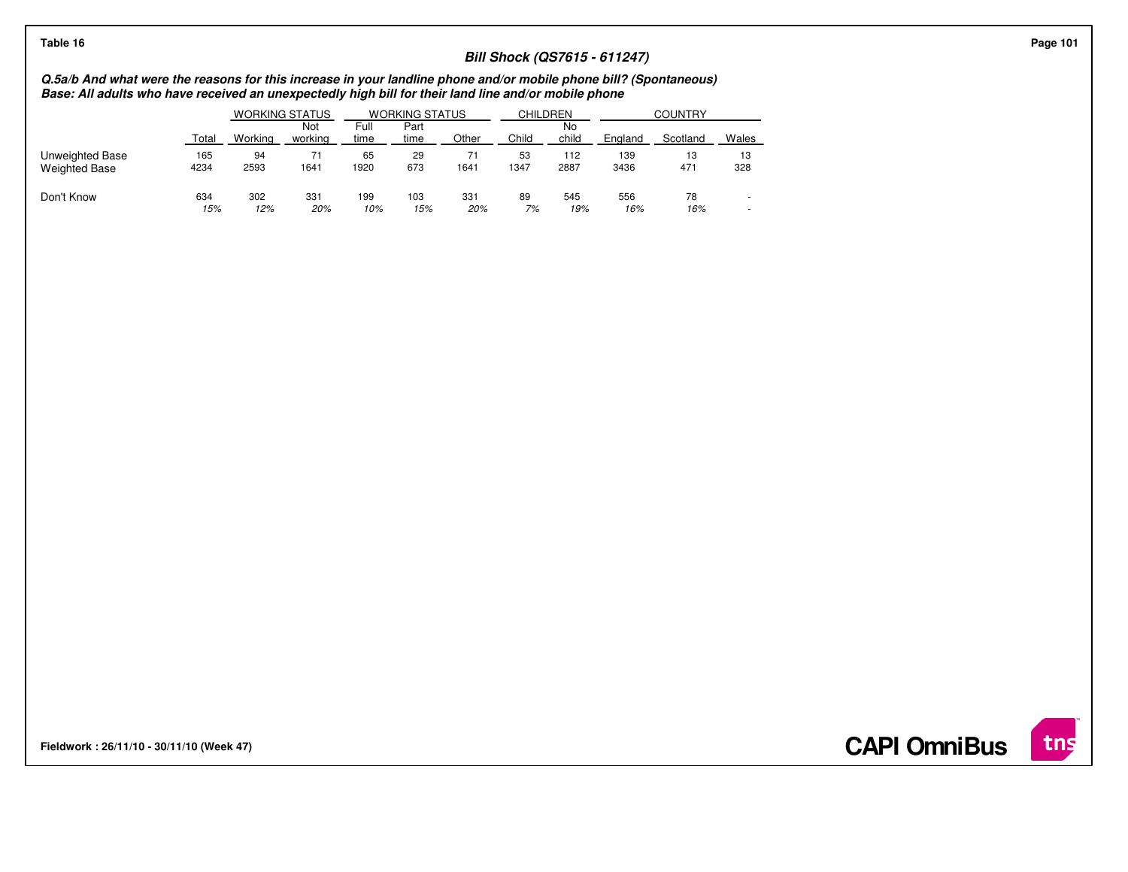# Page 101<br>Bill Shock (QS7615 - 611247)<br>Bill Shock (QS7615 - 611247)<br>Base: All adults who have received an unexpectedly high bill for their land line and/or mobile phone bill? (Spontaneous)

|                                         |             | <b>WORKING STATUS</b> |                | <b>WORKING STATUS</b> |              |            | CHILDREN   |             | <b>COUNTRY</b> |           |           |  |
|-----------------------------------------|-------------|-----------------------|----------------|-----------------------|--------------|------------|------------|-------------|----------------|-----------|-----------|--|
|                                         | Total       | Workina               | Not<br>working | Full<br>time          | Part<br>time | Other      | Child      | No<br>child | England        | Scotland  | Wales     |  |
| Unweighted Base<br><b>Weighted Base</b> | 165<br>4234 | 94<br>2593            | 1641           | 65<br>1920            | 29<br>673    | 1641       | 53<br>1347 | 112<br>2887 | 139<br>3436    | 13<br>471 | 13<br>328 |  |
| Don't Know                              | 634<br>15%  | 302<br>12%            | 331<br>20%     | 199<br>10%            | 103<br>15%   | 331<br>20% | 89<br>7%   | 545<br>19%  | 556<br>16%     | 78<br>16% |           |  |

**Fieldwork : 26/11/10 - 30/11/10 (Week 47)** 

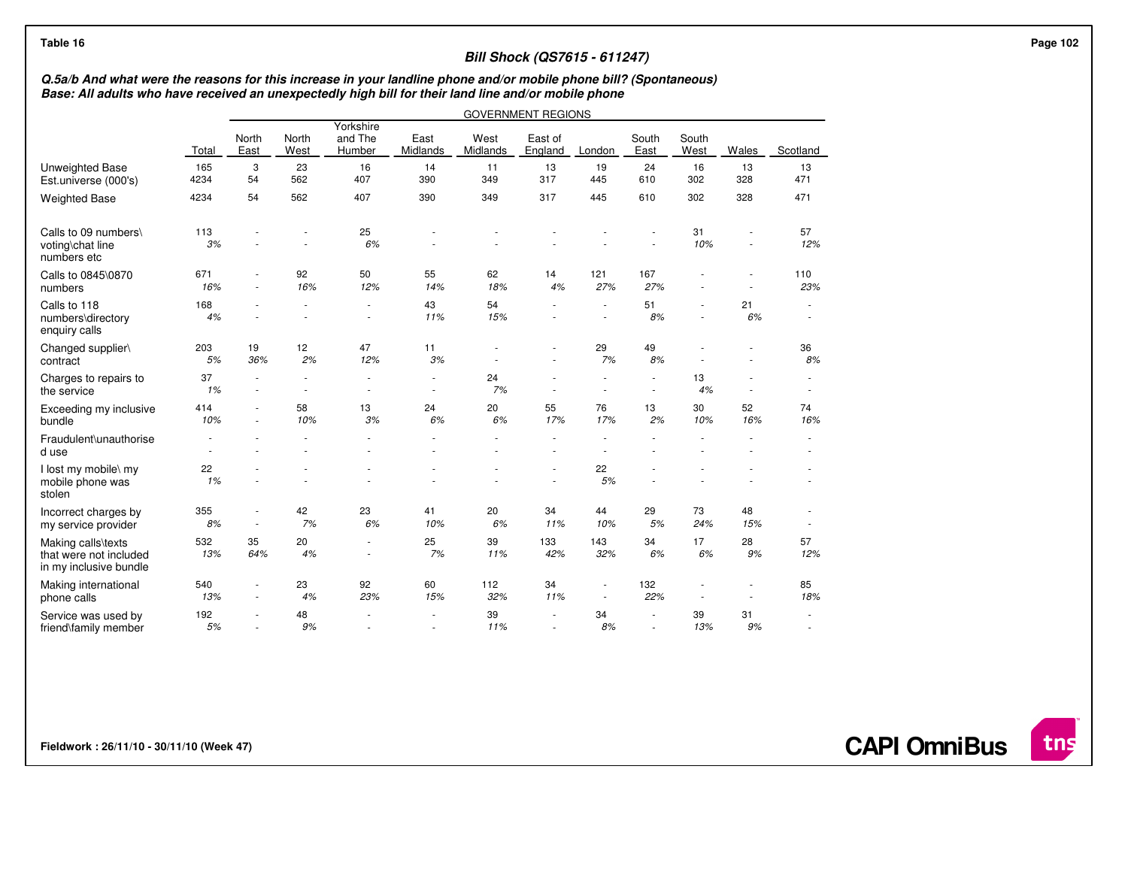| Q.5a/b And what were the reasons for this increase in your landline phone and/or mobile phone bill? (Spontaneous)<br>Base: All adults who have received an unexpectedly high bill for their land line and/or mobile phone |              |                                                      |               |                                                      |                                    |                  |                           |            |                                                      |               |           |                  |  |
|---------------------------------------------------------------------------------------------------------------------------------------------------------------------------------------------------------------------------|--------------|------------------------------------------------------|---------------|------------------------------------------------------|------------------------------------|------------------|---------------------------|------------|------------------------------------------------------|---------------|-----------|------------------|--|
|                                                                                                                                                                                                                           |              |                                                      |               |                                                      |                                    |                  | <b>GOVERNMENT REGIONS</b> |            |                                                      |               |           |                  |  |
|                                                                                                                                                                                                                           | <b>Total</b> | North<br>East                                        | North<br>West | Yorkshire<br>and The<br>Humber                       | East<br>Midlands                   | West<br>Midlands | East of<br>England        | London     | South<br>East                                        | South<br>West | Wales     | Scotland         |  |
| <b>Unweighted Base</b><br>Est.universe (000's)                                                                                                                                                                            | 165<br>4234  | 3<br>54                                              | 23<br>562     | 16<br>407                                            | 14<br>390                          | 11<br>349        | 13<br>317                 | 19<br>445  | 24<br>610                                            | 16<br>302     | 13<br>328 | 13<br>471        |  |
| <b>Weighted Base</b>                                                                                                                                                                                                      | 4234         | 54                                                   | 562           | 407                                                  | 390                                | 349              | 317                       | 445        | 610                                                  | 302           | 328       | 471              |  |
| Calls to 09 numbers\<br>voting\chat line<br>numbers etc                                                                                                                                                                   | 113<br>3%    |                                                      | ٠             | 25<br>6%                                             |                                    |                  |                           |            |                                                      | 31<br>10%     | $\sim$    | 57<br>12%        |  |
| Calls to 0845\0870<br>numbers                                                                                                                                                                                             | 671<br>16%   | ٠<br>٠                                               | 92<br>16%     | 50<br>12%                                            | 55<br>14%                          | 62<br>18%        | 14<br>4%                  | 121<br>27% | 167<br>27%                                           |               |           | 110<br>23%       |  |
| Calls to 118<br>numbers\directory<br>enquiry calls                                                                                                                                                                        | 168<br>4%    |                                                      |               | $\frac{1}{2}$                                        | 43<br>11%                          | 54<br>15%        |                           |            | 51<br>8%                                             |               | 21<br>6%  | $\sim$           |  |
| Changed supplier\<br>contract                                                                                                                                                                                             | 203<br>5%    | 19<br>36%                                            | 12<br>2%      | 47<br>12%                                            | 11<br>3%                           |                  |                           | 29<br>7%   | 49<br>8%                                             |               | $\sim$    | 36<br>8%         |  |
| Charges to repairs to<br>the service                                                                                                                                                                                      | 37<br>1%     | ٠<br>٠                                               | $\sim$        | $\overline{\phantom{a}}$<br>$\sim$                   | $\overline{\phantom{a}}$<br>$\sim$ | 24<br>7%         | $\sim$                    | $\sim$     | $\overline{\phantom{a}}$<br>$\overline{\phantom{a}}$ | 13<br>4%      | $\sim$    | $\sim$           |  |
| Exceeding my inclusive<br>bundle                                                                                                                                                                                          | 414<br>10%   | ٠                                                    | 58<br>10%     | 13<br>3%                                             | 24<br>6%                           | 20<br>6%         | 55<br>17%                 | 76<br>17%  | 13<br>2%                                             | 30<br>10%     | 52<br>16% | 74<br>16%        |  |
| Fraudulent\unauthorise<br>d use                                                                                                                                                                                           |              |                                                      |               |                                                      |                                    |                  |                           |            |                                                      |               |           |                  |  |
| I lost my mobile\ my<br>mobile phone was<br>stolen                                                                                                                                                                        | 22<br>1%     |                                                      |               |                                                      |                                    |                  |                           | 22<br>5%   |                                                      |               |           |                  |  |
| Incorrect charges by<br>my service provider                                                                                                                                                                               | 355<br>8%    | $\overline{\phantom{a}}$<br>$\overline{\phantom{a}}$ | 42<br>7%      | 23<br>6%                                             | 41<br>10%                          | 20<br>6%         | 34<br>11%                 | 44<br>10%  | 29<br>5%                                             | 73<br>24%     | 48<br>15% | $\sim$<br>$\sim$ |  |
| Making calls\texts<br>that were not included<br>in my inclusive bundle                                                                                                                                                    | 532<br>13%   | 35<br>64%                                            | 20<br>4%      | $\overline{\phantom{a}}$<br>$\overline{\phantom{a}}$ | 25<br>7%                           | 39<br>11%        | 133<br>42%                | 143<br>32% | 34<br>6%                                             | 17<br>6%      | 28<br>9%  | 57<br>12%        |  |
| Making international<br>phone calls                                                                                                                                                                                       | 540<br>13%   | $\overline{\phantom{a}}$                             | 23<br>4%      | 92<br>23%                                            | 60<br>15%                          | 112<br>32%       | 34<br>11%                 |            | 132<br>22%                                           |               |           | 85<br>18%        |  |
| Service was used by<br>friend\family member                                                                                                                                                                               | 192<br>$5%$  | $\blacksquare$                                       | 48<br>9%      | ٠                                                    | $\overline{\phantom{a}}$<br>$\sim$ | 39<br>11%        | ٠<br>$\blacksquare$       | 34<br>8%   | $\sim$<br>$\sim$                                     | 39<br>13%     | 31<br>9%  | $\sim$<br>$\sim$ |  |

**Fieldwork : 26/11/10 - 30/11/10 (Week 47)** 

tns

**CAPI OmniBus**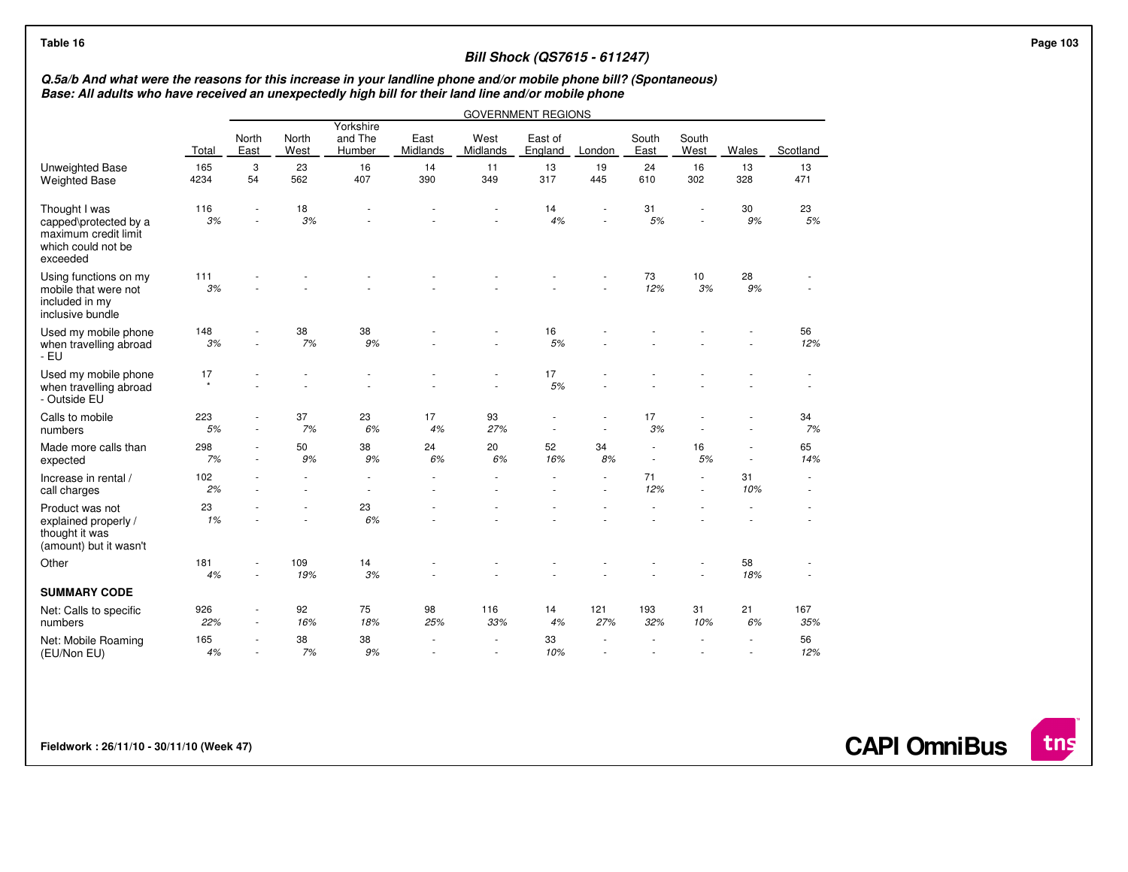## **Bill Shock (QS7615 - 611247)**

## Q.5a/b And what were the reasons for this increase in your landline phone and/or mobile phone bill? (Spontaneous)<br>Base: All adults who have received an unexpectedly high bill for their land line and/or mobile phone

|                                                                                                  |               |               |               |                                |                      |                  | <b>GOVERNMENT REGIONS</b> |            |                  |               |           |             |
|--------------------------------------------------------------------------------------------------|---------------|---------------|---------------|--------------------------------|----------------------|------------------|---------------------------|------------|------------------|---------------|-----------|-------------|
|                                                                                                  | Total         | North<br>East | North<br>West | Yorkshire<br>and The<br>Humber | East<br>Midlands     | West<br>Midlands | East of<br>England        | London     | South<br>East    | South<br>West | Wales     | Scotland    |
| Unweighted Base<br><b>Weighted Base</b>                                                          | 165<br>4234   | 3<br>54       | 23<br>562     | 16<br>407                      | 14<br>390            | 11<br>349        | 13<br>317                 | 19<br>445  | 24<br>610        | 16<br>302     | 13<br>328 | 13<br>471   |
| Thought I was<br>capped\protected by a<br>maximum credit limit<br>which could not be<br>exceeded | 116<br>3%     |               | 18<br>3%      |                                |                      |                  | 14<br>4%                  |            | 31<br>5%         |               | 30<br>9%  | 23<br>5%    |
| Using functions on my<br>mobile that were not<br>included in my<br>inclusive bundle              | 111<br>3%     |               |               |                                |                      |                  |                           |            | 73<br>12%        | 10<br>3%      | 28<br>9%  |             |
| Used my mobile phone<br>when travelling abroad<br>- EU                                           | 148<br>3%     | ä,            | 38<br>7%      | 38<br>9%                       |                      |                  | 16<br>5%                  |            |                  |               |           | 56<br>12%   |
| Used my mobile phone<br>when travelling abroad<br>- Outside EU                                   | 17<br>$\star$ |               |               |                                |                      |                  | 17<br>5%                  |            |                  |               |           |             |
| Calls to mobile<br>numbers                                                                       | 223<br>5%     | $\sim$        | 37<br>7%      | 23<br>6%                       | 17<br>4%             | 93<br>27%        | ٠                         |            | 17<br>3%         |               |           | 34<br>7%    |
| Made more calls than<br>expected                                                                 | 298<br>7%     | $\sim$        | 50<br>9%      | 38<br>9%                       | 24<br>$6\%$          | 20<br>6%         | 52<br>16%                 | 34<br>8%   | $\sim$<br>$\sim$ | 16<br>5%      | $\sim$    | 65<br>14%   |
| Increase in rental /<br>call charges                                                             | 102<br>2%     |               |               | $\sim$                         | ÷,<br>$\overline{a}$ |                  |                           |            | 71<br>12%        | $\sim$        | 31<br>10% | $\sim$<br>٠ |
| Product was not<br>explained properly /<br>thought it was<br>(amount) but it wasn't              | 23<br>1%      |               |               | 23<br>6%                       |                      |                  |                           |            |                  |               |           |             |
| Other                                                                                            | 181<br>4%     |               | 109<br>19%    | 14<br>3%                       |                      |                  |                           |            |                  |               | 58<br>18% |             |
| <b>SUMMARY CODE</b>                                                                              |               |               |               |                                |                      |                  |                           |            |                  |               |           |             |
| Net: Calls to specific<br>numbers                                                                | 926<br>22%    | ÷<br>٠        | 92<br>16%     | 75<br>18%                      | 98<br>25%            | 116<br>33%       | 14<br>4%                  | 121<br>27% | 193<br>32%       | 31<br>10%     | 21<br>6%  | 167<br>35%  |
| Net: Mobile Roaming<br>(EU/Non EU)                                                               | 165<br>4%     | ٠             | 38<br>7%      | 38<br>9%                       |                      |                  | 33<br>10%                 |            |                  |               |           | 56<br>12%   |

**Fieldwork : 26/11/10 - 30/11/10 (Week 47)** 

**CAPI OmniBus**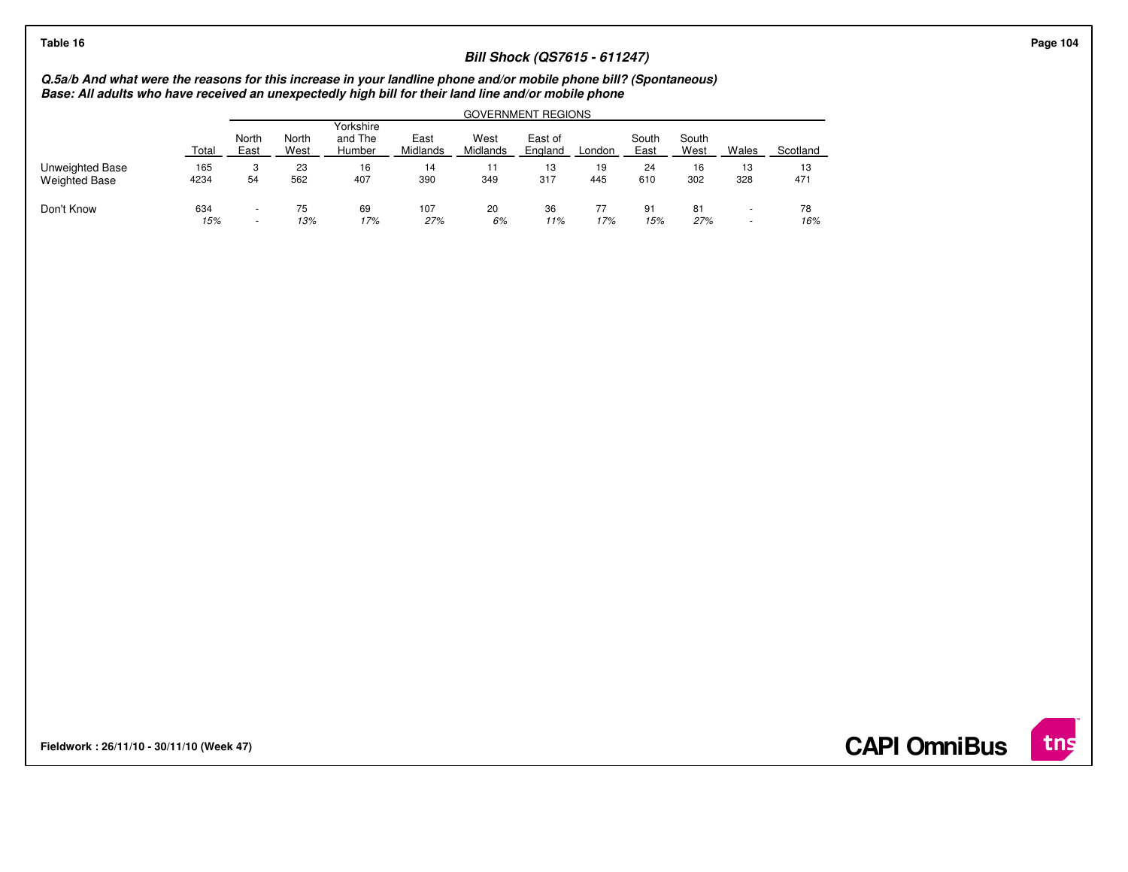## **Bill Shock (QS7615 - 611247)**

## Q.5a/b And what were the reasons for this increase in your landline phone and/or mobile phone bill? (Spontaneous)<br>Base: All adults who have received an unexpectedly high bill for their land line and/or mobile phone

|                                         |             | GOVERNMENT REGIONS                 |               |                                |                  |                  |                    |           |               |               |           |           |  |
|-----------------------------------------|-------------|------------------------------------|---------------|--------------------------------|------------------|------------------|--------------------|-----------|---------------|---------------|-----------|-----------|--|
|                                         | Total       | North<br>East                      | North<br>West | Yorkshire<br>and The<br>Humber | East<br>Midlands | West<br>Midlands | East of<br>England | London    | South<br>East | South<br>West | Wales     | Scotland  |  |
| Unweighted Base<br><b>Weighted Base</b> | 165<br>4234 | 3<br>54                            | 23<br>562     | 16<br>407                      | 14<br>390        | 11<br>349        | 13<br>317          | 19<br>445 | 24<br>610     | 16<br>302     | 13<br>328 | 13<br>471 |  |
| Don't Know                              | 634<br>15%  | $\overline{\phantom{a}}$<br>$\sim$ | 75<br>13%     | 69<br>17%                      | 107<br>27%       | 20<br>6%         | 36<br>11%          | 77<br>17% | 91<br>15%     | 81<br>27%     | $\sim$    | 78<br>16% |  |

**Fieldwork : 26/11/10 - 30/11/10 (Week 47)** 

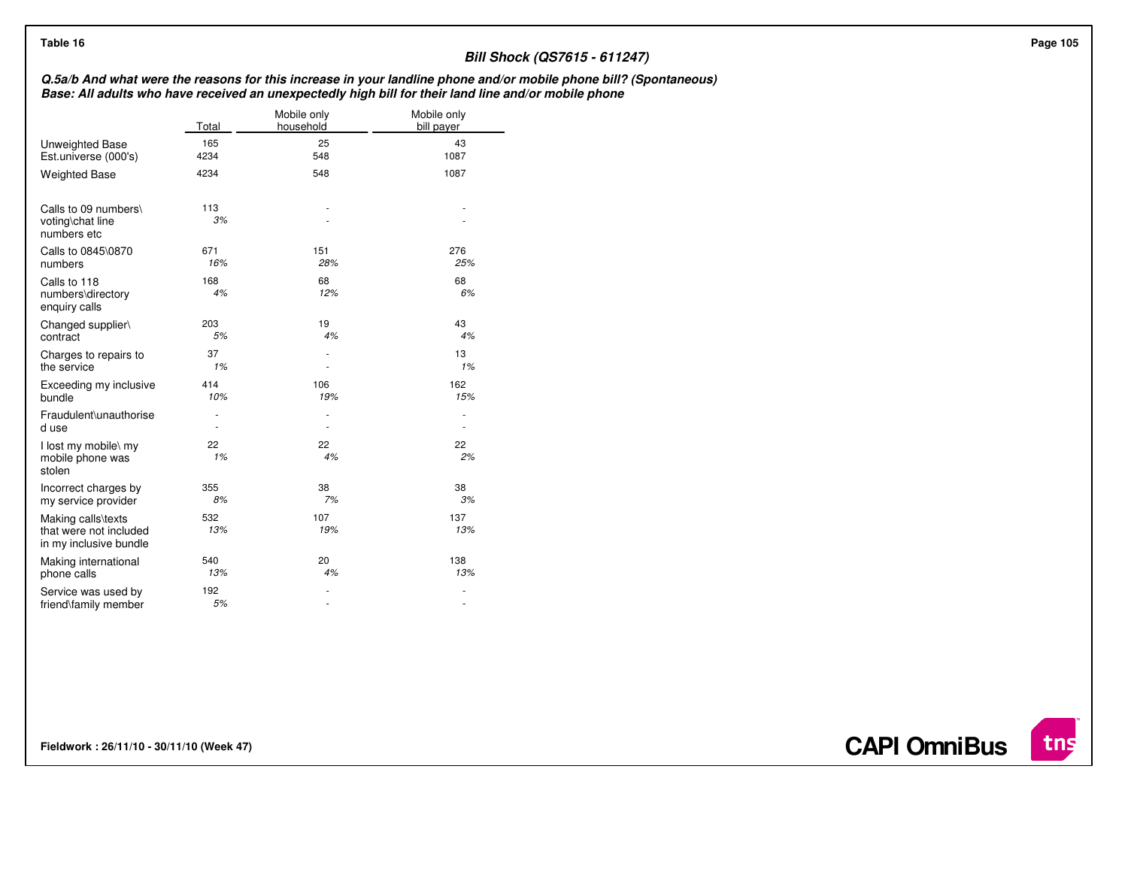| Table 16                                                               |                          |                          | <b>Bill Shock (QS7615 - 611247)</b>                                                                                                                                                                                       |
|------------------------------------------------------------------------|--------------------------|--------------------------|---------------------------------------------------------------------------------------------------------------------------------------------------------------------------------------------------------------------------|
|                                                                        |                          |                          | Q.5a/b And what were the reasons for this increase in your landline phone and/or mobile phone bill? (Spontaneous)<br>Base: All adults who have received an unexpectedly high bill for their land line and/or mobile phone |
|                                                                        | Total                    | Mobile only<br>household | Mobile only<br>bill payer                                                                                                                                                                                                 |
| Unweighted Base                                                        | 165                      | 25                       | 43                                                                                                                                                                                                                        |
| Est.universe (000's)                                                   | 4234                     | 548                      | 1087                                                                                                                                                                                                                      |
| <b>Weighted Base</b>                                                   | 4234                     | 548                      | 1087                                                                                                                                                                                                                      |
| Calls to 09 numbers\<br>voting\chat line<br>numbers etc                | 113<br>3%                |                          | $\overline{\phantom{a}}$<br>$\overline{\phantom{a}}$                                                                                                                                                                      |
| Calls to 0845\0870                                                     | 671                      | 151                      | 276                                                                                                                                                                                                                       |
| numbers                                                                | 16%                      | 28%                      | 25%                                                                                                                                                                                                                       |
| Calls to 118<br>numbers\directory<br>enquiry calls                     | 168<br>4%                | 68<br>12%                | 68<br>6%                                                                                                                                                                                                                  |
| Changed supplier\                                                      | 203                      | 19                       | 43                                                                                                                                                                                                                        |
| contract                                                               | 5%                       | 4%                       | 4%                                                                                                                                                                                                                        |
| Charges to repairs to                                                  | 37                       | ٠                        | 13                                                                                                                                                                                                                        |
| the service                                                            | 1%                       |                          | 1%                                                                                                                                                                                                                        |
| Exceeding my inclusive                                                 | 414                      | 106                      | 162                                                                                                                                                                                                                       |
| bundle                                                                 | 10%                      | 19%                      | 15%                                                                                                                                                                                                                       |
| Fraudulent\unauthorise                                                 | $\overline{\phantom{a}}$ | $\sim$                   | $\overline{\phantom{a}}$                                                                                                                                                                                                  |
| d use                                                                  | $\overline{\phantom{a}}$ | $\sim$                   | $\overline{\phantom{a}}$                                                                                                                                                                                                  |
| I lost my mobile\ my<br>mobile phone was<br>stolen                     | 22<br>1%                 | 22<br>4%                 | 22<br>2%                                                                                                                                                                                                                  |
| Incorrect charges by                                                   | 355                      | 38                       | 38                                                                                                                                                                                                                        |
| my service provider                                                    | 8%                       | 7%                       | 3%                                                                                                                                                                                                                        |
| Making calls\texts<br>that were not included<br>in my inclusive bundle | 532<br>13%               | 107<br>19%               | 137<br>13%                                                                                                                                                                                                                |
| Making international                                                   | 540                      | 20                       | 138                                                                                                                                                                                                                       |
| phone calls                                                            | 13%                      | 4%                       | 13%                                                                                                                                                                                                                       |
| Service was used by                                                    | 192                      | ٠                        | $\overline{\phantom{a}}$                                                                                                                                                                                                  |
| friend\family member                                                   | 5%                       | $\overline{\phantom{a}}$ | $\overline{\phantom{a}}$                                                                                                                                                                                                  |

**Fieldwork : 26/11/10 - 30/11/10 (Week 47)** 

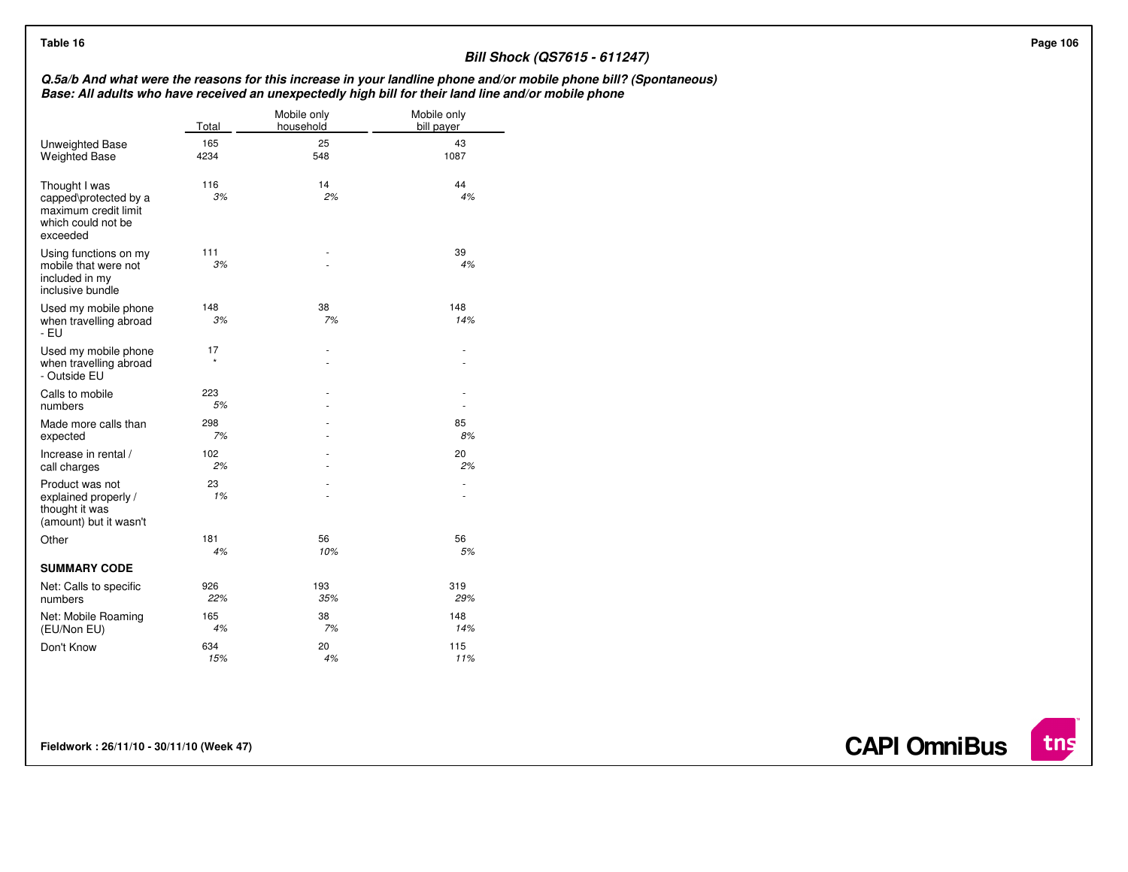## **Bill Shock (QS7615 - 611247)**

## Q.5a/b And what were the reasons for this increase in your landline phone and/or mobile phone bill? (Spontaneous)<br>Base: All adults who have received an unexpectedly high bill for their land line and/or mobile phone

|                                                                                                  | Total         | Mobile only<br>household | Mobile only<br>bill payer |
|--------------------------------------------------------------------------------------------------|---------------|--------------------------|---------------------------|
| Unweighted Base<br><b>Weighted Base</b>                                                          | 165<br>4234   | 25<br>548                | 43<br>1087                |
| Thought I was<br>capped\protected by a<br>maximum credit limit<br>which could not be<br>exceeded | 116<br>3%     | 14<br>2%                 | 44<br>4%                  |
| Using functions on my<br>mobile that were not<br>included in my<br>inclusive bundle              | 111<br>3%     |                          | 39<br>4%                  |
| Used my mobile phone<br>when travelling abroad<br>- EU                                           | 148<br>3%     | 38<br>7%                 | 148<br>14%                |
| Used my mobile phone<br>when travelling abroad<br>- Outside EU                                   | 17<br>$\star$ |                          |                           |
| Calls to mobile<br>numbers                                                                       | 223<br>5%     |                          |                           |
| Made more calls than<br>expected                                                                 | 298<br>7%     |                          | 85<br>8%                  |
| Increase in rental /<br>call charges                                                             | 102<br>2%     |                          | 20<br>2%                  |
| Product was not<br>explained properly /<br>thought it was<br>(amount) but it wasn't              | 23<br>1%      |                          |                           |
| Other                                                                                            | 181<br>4%     | 56<br>10%                | 56<br>5%                  |
| <b>SUMMARY CODE</b>                                                                              |               |                          |                           |
| Net: Calls to specific<br>numbers                                                                | 926<br>22%    | 193<br>35%               | 319<br>29%                |
| Net: Mobile Roaming<br>(EU/Non EU)                                                               | 165<br>4%     | 38<br>7%                 | 148<br>14%                |
| Don't Know                                                                                       | 634<br>15%    | 20<br>4%                 | 115<br>11%                |

**Fieldwork : 26/11/10 - 30/11/10 (Week 47)** 

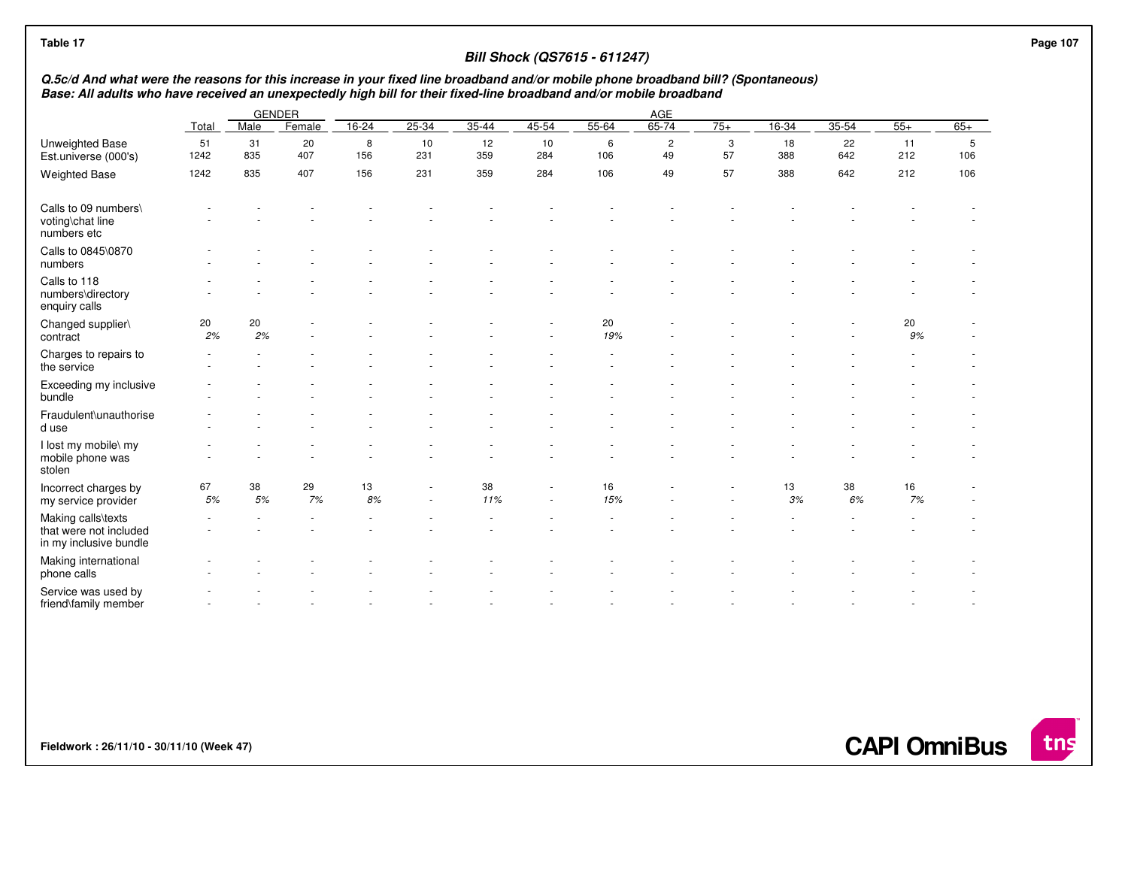| Q.5c/d And what were the reasons for this increase in your fixed line broadband and/or mobile phone broadband bill? (Spontaneous)<br>Base: All adults who have received an unexpectedly high bill for their fixed-line broadband and/or mobile broadband |            |           |               |          |           |           |           |           |                      |         |           |           |           |          |
|----------------------------------------------------------------------------------------------------------------------------------------------------------------------------------------------------------------------------------------------------------|------------|-----------|---------------|----------|-----------|-----------|-----------|-----------|----------------------|---------|-----------|-----------|-----------|----------|
|                                                                                                                                                                                                                                                          |            |           | <b>GENDER</b> |          |           |           |           |           | AGE                  |         |           |           |           |          |
|                                                                                                                                                                                                                                                          | Total      | Male      | Female        | $16-24$  | 25-34     | $35 - 44$ | 45-54     | 55-64     | $65 - 74$            | $75+$   | 16-34     | $35 - 54$ | $55+$     | $65+$    |
| Unweighted Base<br>Est.universe (000's)                                                                                                                                                                                                                  | 51<br>1242 | 31<br>835 | 20<br>407     | 8<br>156 | 10<br>231 | 12<br>359 | 10<br>284 | 6<br>106  | $\overline{c}$<br>49 | 3<br>57 | 18<br>388 | 22<br>642 | 11<br>212 | 5<br>106 |
| <b>Weighted Base</b>                                                                                                                                                                                                                                     | 1242       | 835       | 407           | 156      | 231       | 359       | 284       | 106       | 49                   | 57      | 388       | 642       | 212       | 106      |
| Calls to 09 numbers\<br>voting\chat line<br>numbers etc                                                                                                                                                                                                  |            |           |               |          |           |           |           |           |                      |         |           |           |           |          |
| Calls to 0845\0870<br>numbers                                                                                                                                                                                                                            |            |           |               |          |           |           |           |           |                      |         |           |           |           |          |
| Calls to 118<br>numbers\directory<br>enquiry calls                                                                                                                                                                                                       |            |           |               |          |           |           |           |           |                      |         |           |           |           |          |
| Changed supplier\<br>contract                                                                                                                                                                                                                            | 20<br>2%   | 20<br>2%  |               |          |           |           |           | 20<br>19% |                      |         |           |           | 20<br>9%  |          |
| Charges to repairs to<br>the service                                                                                                                                                                                                                     |            |           |               |          |           |           |           |           |                      |         |           |           |           |          |
| Exceeding my inclusive<br>bundle                                                                                                                                                                                                                         |            |           |               |          |           |           |           |           |                      |         |           |           |           |          |
| Fraudulent\unauthorise<br>d use                                                                                                                                                                                                                          |            |           |               |          |           |           |           |           |                      |         |           |           |           |          |
| I lost my mobile\ my<br>mobile phone was<br>stolen                                                                                                                                                                                                       |            |           |               |          |           |           |           |           |                      |         |           |           |           |          |
| Incorrect charges by<br>my service provider                                                                                                                                                                                                              | 67<br>5%   | 38<br>5%  | 29<br>7%      | 13<br>8% |           | 38<br>11% |           | 16<br>15% |                      |         | 13<br>3%  | 38<br>6%  | 16<br>7%  |          |
| Making calls\texts<br>that were not included<br>in my inclusive bundle                                                                                                                                                                                   |            |           |               |          |           |           |           |           |                      |         |           |           |           |          |
| Making international<br>phone calls                                                                                                                                                                                                                      |            |           |               |          |           |           |           |           |                      |         |           |           |           |          |
| Service was used by<br>friend\family member                                                                                                                                                                                                              |            |           |               |          |           |           |           |           |                      |         |           |           |           |          |

**Fieldwork : 26/11/10 - 30/11/10 (Week 47)** 

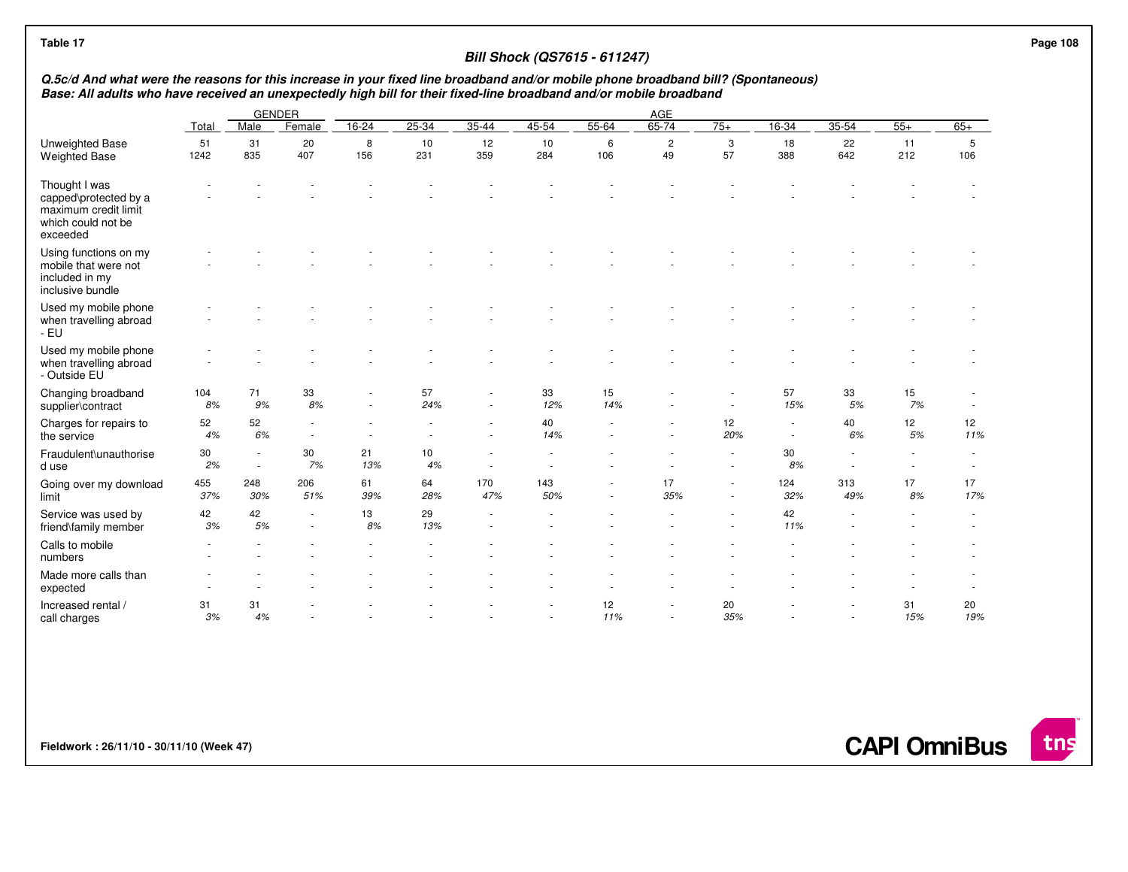## **Bill Shock (QS7615 - 611247)**

## Q.5c/d And what were the reasons for this increase in your fixed line broadband and/or mobile phone broadband bill? (Spontaneous)<br>Base: All adults who have received an unexpectedly high bill for their fixed-line broadband

|                                                                                                  | <b>GENDER</b><br>AGE |             |            |           |           |            |            |           |                      |           |            |            |           |           |
|--------------------------------------------------------------------------------------------------|----------------------|-------------|------------|-----------|-----------|------------|------------|-----------|----------------------|-----------|------------|------------|-----------|-----------|
|                                                                                                  | Total                | Male        | Female     | $16 - 24$ | $25 - 34$ | $35 - 44$  | $45 - 54$  | 55-64     | $65 - 74$            | $75+$     | $16 - 34$  | $35 - 54$  | $55+$     | $65+$     |
| Unweighted Base<br><b>Weighted Base</b>                                                          | 51<br>1242           | 31<br>835   | 20<br>407  | 8<br>156  | 10<br>231 | 12<br>359  | 10<br>284  | 6<br>106  | $\overline{c}$<br>49 | 3<br>57   | 18<br>388  | 22<br>642  | 11<br>212 | 5<br>106  |
| Thought I was<br>capped\protected by a<br>maximum credit limit<br>which could not be<br>exceeded |                      |             |            |           |           |            |            |           |                      |           |            |            |           |           |
| Using functions on my<br>mobile that were not<br>included in my<br>inclusive bundle              |                      |             |            |           |           |            |            |           |                      |           |            |            |           |           |
| Used my mobile phone<br>when travelling abroad<br>- EU                                           |                      |             |            |           |           |            |            |           |                      |           |            |            |           |           |
| Used my mobile phone<br>when travelling abroad<br>- Outside EU                                   |                      |             |            |           |           |            |            |           |                      |           |            |            |           |           |
| Changing broadband<br>supplier\contract                                                          | 104<br>8%            | 71<br>9%    | 33<br>8%   |           | 57<br>24% |            | 33<br>12%  | 15<br>14% |                      |           | 57<br>15%  | 33<br>5%   | 15<br>7%  |           |
| Charges for repairs to<br>the service                                                            | 52<br>4%             | 52<br>6%    |            |           |           |            | 40<br>14%  |           |                      | 12<br>20% |            | 40<br>6%   | 12<br>5%  | 12<br>11% |
| Fraudulent\unauthorise<br>d use                                                                  | 30<br>2%             | $\sim$<br>٠ | 30<br>7%   | 21<br>13% | 10<br>4%  |            |            |           |                      |           | 30<br>8%   |            |           |           |
| Going over my download<br>limit                                                                  | 455<br>37%           | 248<br>30%  | 206<br>51% | 61<br>39% | 64<br>28% | 170<br>47% | 143<br>50% |           | 17<br>35%            | ٠<br>٠    | 124<br>32% | 313<br>49% | 17<br>8%  | 17<br>17% |
| Service was used by<br>friend\family member                                                      | 42<br>3%             | 42<br>5%    |            | 13<br>8%  | 29<br>13% |            |            |           |                      |           | 42<br>11%  |            |           |           |
| Calls to mobile<br>numbers                                                                       |                      |             |            |           |           |            |            |           |                      |           |            |            |           |           |
| Made more calls than<br>expected                                                                 |                      |             |            |           |           |            |            |           |                      |           |            |            |           |           |
| Increased rental /<br>call charges                                                               | 31<br>3%             | 31<br>4%    |            |           |           |            |            | 12<br>11% |                      | 20<br>35% |            |            | 31<br>15% | 20<br>19% |

**Fieldwork : 26/11/10 - 30/11/10 (Week 47)** 

**CAPI OmniBus**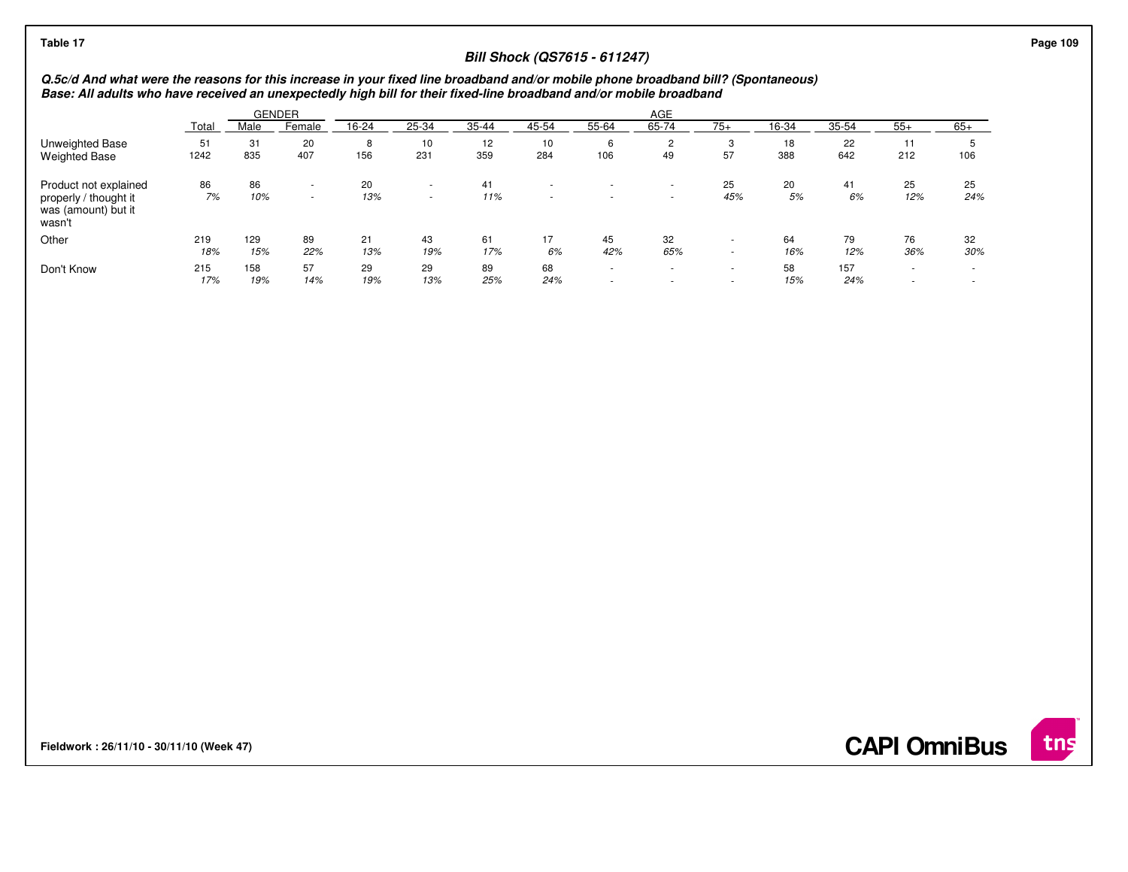| Table 17                                                                                                                                                                                                                                                 |            |            |                  |           |                                                      |           | <b>Bill Shock (QS7615 - 611247)</b> |                  |                                    |              |           |            |           |                          |
|----------------------------------------------------------------------------------------------------------------------------------------------------------------------------------------------------------------------------------------------------------|------------|------------|------------------|-----------|------------------------------------------------------|-----------|-------------------------------------|------------------|------------------------------------|--------------|-----------|------------|-----------|--------------------------|
| Q.5c/d And what were the reasons for this increase in your fixed line broadband and/or mobile phone broadband bill? (Spontaneous)<br>Base: All adults who have received an unexpectedly high bill for their fixed-line broadband and/or mobile broadband |            |            |                  |           |                                                      |           |                                     |                  |                                    |              |           |            |           |                          |
| AGE<br><b>GENDER</b>                                                                                                                                                                                                                                     |            |            |                  |           |                                                      |           |                                     |                  |                                    |              |           |            |           |                          |
|                                                                                                                                                                                                                                                          | Total      | Male       | Female           | 16-24     | 25-34                                                | 35-44     | 45-54                               | 55-64            | 65-74                              | $75+$        | 16-34     | 35-54      | $55+$     | $65+$                    |
| Unweighted Base<br><b>Weighted Base</b>                                                                                                                                                                                                                  | 51<br>1242 | 31<br>835  | 20<br>407        | 8<br>156  | 10<br>231                                            | 12<br>359 | 10<br>284                           | 6<br>106         | $\overline{2}$<br>49               | 3<br>57      | 18<br>388 | 22<br>642  | 11<br>212 | ≎<br>106                 |
| Product not explained<br>properly / thought it<br>was (amount) but it<br>wasn't                                                                                                                                                                          | 86<br>7%   | 86<br>10%  | $\sim$<br>$\sim$ | 20<br>13% | $\overline{\phantom{a}}$<br>$\overline{\phantom{a}}$ | 41<br>11% | $\sim$                              |                  | $\overline{\phantom{a}}$<br>. .    | 25<br>45%    | 20<br>5%  | 41<br>6%   | 25<br>12% | 25<br>24%                |
| Other                                                                                                                                                                                                                                                    | 219<br>18% | 129<br>15% | 89<br>22%        | 21<br>13% | 43<br>19%                                            | 61<br>17% | 17<br>6%                            | 45<br>42%        | 32<br>65%                          | <b>м.</b>    | 64<br>16% | 79<br>12%  | 76<br>36% | 32<br>30%                |
| Don't Know                                                                                                                                                                                                                                               | 215<br>17% | 158<br>19% | 57<br>14%        | 29<br>19% | 29<br>13%                                            | 89<br>25% | 68<br>24%                           | $\sim$<br>$\sim$ | $\overline{\phantom{a}}$<br>$\sim$ | $\sim$<br>۰. | 58<br>15% | 157<br>24% |           | $\overline{\phantom{a}}$ |

**Fieldwork : 26/11/10 - 30/11/10 (Week 47)** 

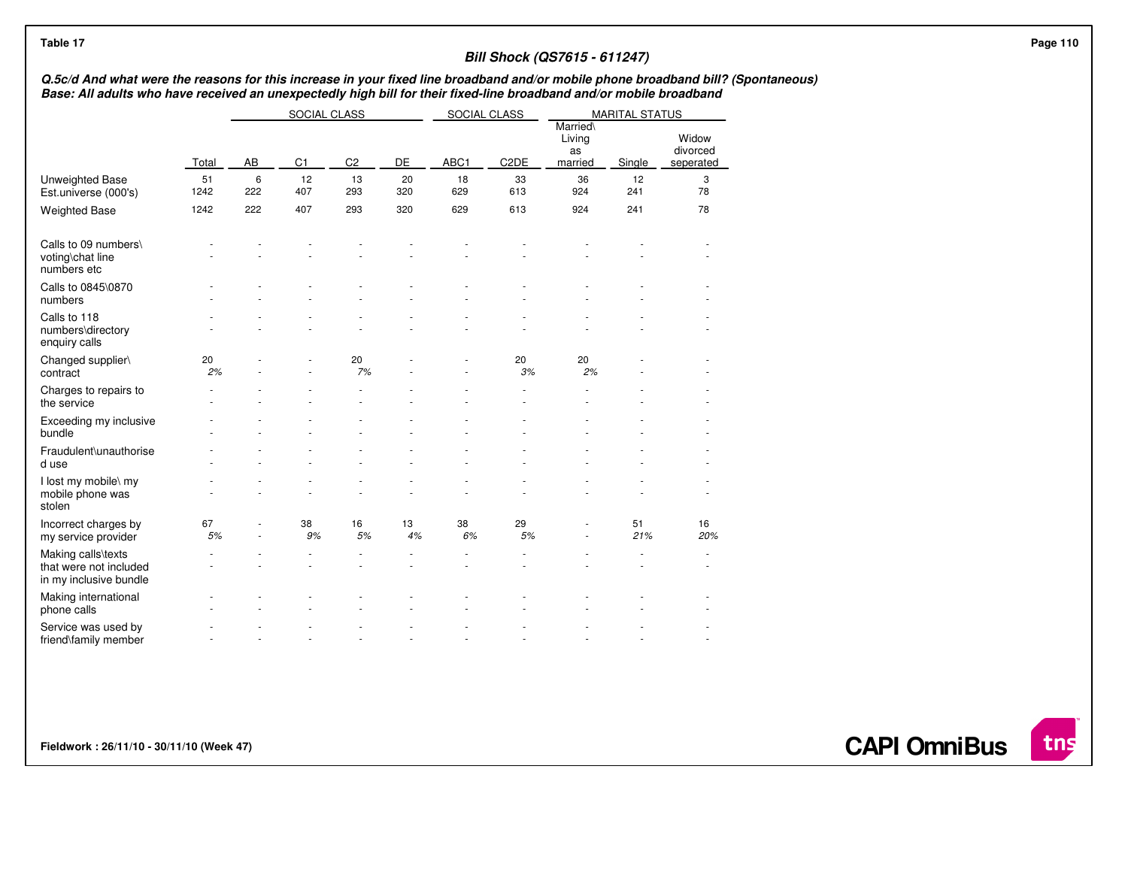| Table 17                                                                                                                                                                                                                                                 |            |          |                |                |           |              |                   | <b>Bill Shock (QS7615 - 611247)</b>       |                       |                                |  | Page 110 |
|----------------------------------------------------------------------------------------------------------------------------------------------------------------------------------------------------------------------------------------------------------|------------|----------|----------------|----------------|-----------|--------------|-------------------|-------------------------------------------|-----------------------|--------------------------------|--|----------|
| Q.5c/d And what were the reasons for this increase in your fixed line broadband and/or mobile phone broadband bill? (Spontaneous)<br>Base: All adults who have received an unexpectedly high bill for their fixed-line broadband and/or mobile broadband |            |          |                |                |           |              |                   |                                           |                       |                                |  |          |
|                                                                                                                                                                                                                                                          |            |          | SOCIAL CLASS   |                |           | SOCIAL CLASS |                   |                                           | <b>MARITAL STATUS</b> |                                |  |          |
|                                                                                                                                                                                                                                                          | Total      | AB       | C <sub>1</sub> | C <sub>2</sub> | DE        | ABC1         | C <sub>2</sub> DE | <b>Married</b><br>Living<br>as<br>married | Single                | Widow<br>divorced<br>seperated |  |          |
| Unweighted Base<br>Est.universe (000's)                                                                                                                                                                                                                  | 51<br>1242 | 6<br>222 | 12<br>407      | 13<br>293      | 20<br>320 | 18<br>629    | 33<br>613         | 36<br>924                                 | 12<br>241             | 3<br>78                        |  |          |
| <b>Weighted Base</b>                                                                                                                                                                                                                                     | 1242       | 222      | 407            | 293            | 320       | 629          | 613               | 924                                       | 241                   | 78                             |  |          |
| Calls to 09 numbers\<br>voting\chat line<br>numbers etc                                                                                                                                                                                                  |            |          |                |                |           |              |                   |                                           |                       |                                |  |          |
| Calls to 0845\0870<br>numbers                                                                                                                                                                                                                            |            |          |                |                |           |              |                   |                                           |                       |                                |  |          |
| Calls to 118<br>numbers\directory<br>enquiry calls                                                                                                                                                                                                       |            |          |                |                |           |              |                   |                                           |                       |                                |  |          |
| Changed supplier\<br>contract                                                                                                                                                                                                                            | 20<br>2%   |          |                | 20<br>7%       |           |              | 20<br>3%          | 20<br>2%                                  |                       |                                |  |          |
| Charges to repairs to<br>the service                                                                                                                                                                                                                     |            |          |                |                |           |              |                   |                                           |                       |                                |  |          |
| Exceeding my inclusive<br>bundle                                                                                                                                                                                                                         |            |          |                |                |           |              |                   |                                           |                       |                                |  |          |
| Fraudulent\unauthorise<br>d use                                                                                                                                                                                                                          |            |          |                |                |           |              |                   |                                           |                       |                                |  |          |
| I lost my mobile\ my<br>mobile phone was<br>stolen                                                                                                                                                                                                       |            |          |                |                |           |              |                   |                                           |                       |                                |  |          |
| Incorrect charges by<br>my service provider                                                                                                                                                                                                              | 67<br>5%   |          | 38<br>9%       | 16<br>5%       | 13<br>4%  | 38<br>6%     | 29<br>5%          |                                           | 51<br>21%             | 16<br>20%                      |  |          |
| Making calls\texts<br>that were not included<br>in my inclusive bundle                                                                                                                                                                                   |            |          |                |                |           |              |                   |                                           |                       |                                |  |          |
| Making international<br>phone calls                                                                                                                                                                                                                      |            |          |                |                |           |              |                   |                                           |                       |                                |  |          |
| Service was used by<br>friend\family member                                                                                                                                                                                                              |            |          |                |                |           |              |                   |                                           |                       |                                |  |          |

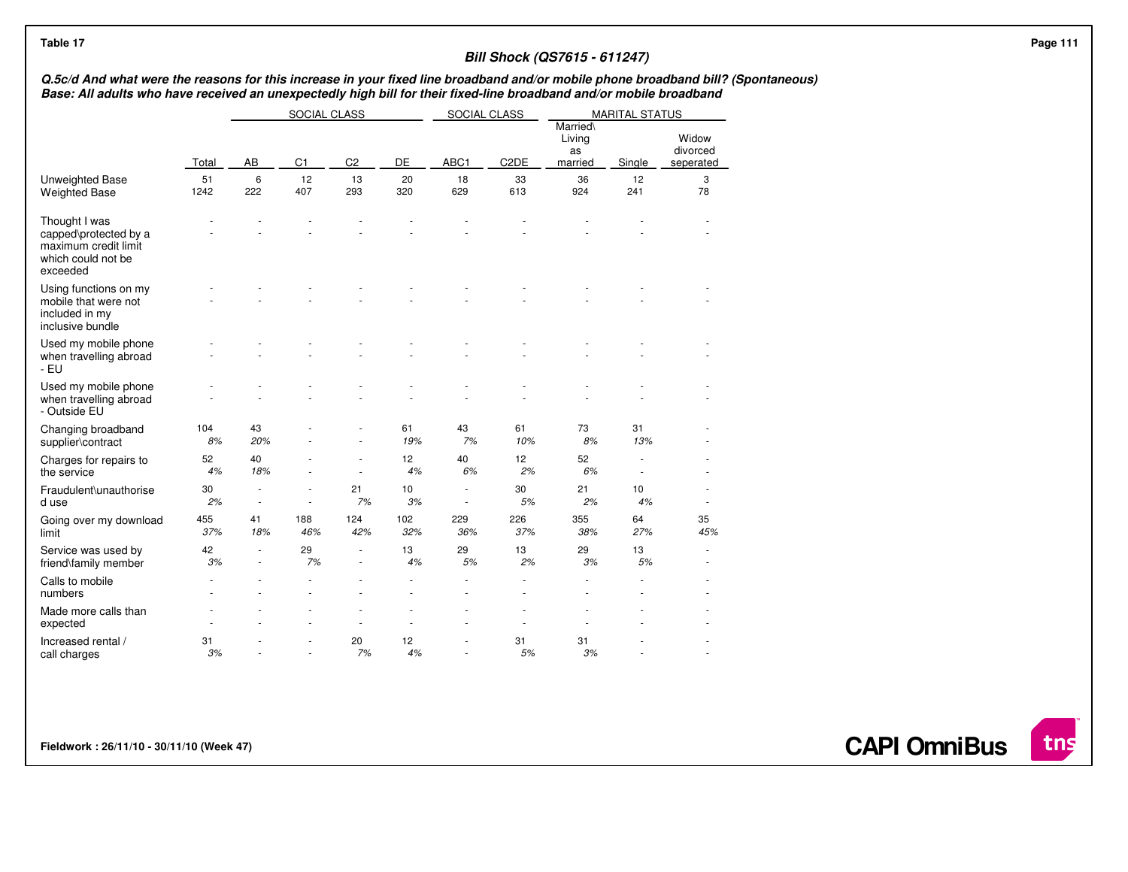| Table 17                                                                                                                                                                                                                                                 |            |                                    |                |                |            |              |                       | <b>Bill Shock (QS7615 - 611247)</b>       |                       |                                |  |
|----------------------------------------------------------------------------------------------------------------------------------------------------------------------------------------------------------------------------------------------------------|------------|------------------------------------|----------------|----------------|------------|--------------|-----------------------|-------------------------------------------|-----------------------|--------------------------------|--|
| Q.5c/d And what were the reasons for this increase in your fixed line broadband and/or mobile phone broadband bill? (Spontaneous)<br>Base: All adults who have received an unexpectedly high bill for their fixed-line broadband and/or mobile broadband |            |                                    |                |                |            |              |                       |                                           |                       |                                |  |
|                                                                                                                                                                                                                                                          |            |                                    | SOCIAL CLASS   |                |            | SOCIAL CLASS |                       |                                           | <b>MARITAL STATUS</b> |                                |  |
|                                                                                                                                                                                                                                                          | Total      | AB                                 | C <sub>1</sub> | C <sub>2</sub> | DE         | ABC1         | C <sub>2</sub> DE     | <b>Married</b><br>Living<br>as<br>married | Single                | Widow<br>divorced<br>seperated |  |
| Unweighted Base<br><b>Weighted Base</b>                                                                                                                                                                                                                  | 51<br>1242 | 6<br>222                           | 12<br>407      | 13<br>293      | 20<br>320  | 18<br>629    | 33<br>613             | 36<br>924                                 | 12<br>241             | 3<br>78                        |  |
| Thought I was<br>capped\protected by a<br>maximum credit limit<br>which could not be<br>exceeded                                                                                                                                                         |            |                                    |                |                |            |              |                       |                                           |                       |                                |  |
| Using functions on my<br>mobile that were not<br>included in my<br>inclusive bundle                                                                                                                                                                      |            |                                    |                |                |            |              |                       |                                           |                       |                                |  |
| Used my mobile phone<br>when travelling abroad<br>- EU                                                                                                                                                                                                   |            |                                    |                |                |            |              |                       |                                           |                       |                                |  |
| Used my mobile phone<br>when travelling abroad<br>- Outside EU                                                                                                                                                                                           |            |                                    |                |                |            |              |                       |                                           |                       |                                |  |
| Changing broadband<br>supplier\contract                                                                                                                                                                                                                  | 104<br>8%  | 43<br>20%                          |                |                | 61<br>19%  | 43<br>7%     | 61<br>10%             | 73<br>8%                                  | 31<br>13%             |                                |  |
| Charges for repairs to<br>the service                                                                                                                                                                                                                    | 52<br>4%   | 40<br>18%                          |                |                | 12<br>4%   | 40<br>6%     | 12 <sub>2</sub><br>2% | 52<br>6%                                  | $\sim$                |                                |  |
| Fraudulent\unauthorise<br>d use                                                                                                                                                                                                                          | 30<br>2%   | $\sim$<br>$\overline{\phantom{a}}$ | $\sim$         | 21<br>7%       | 10<br>3%   | $\sim$       | 30<br>5%              | 21<br>2%                                  | 10<br>4%              | ×,                             |  |
| Going over my download<br>limit                                                                                                                                                                                                                          | 455<br>37% | 41<br>18%                          | 188<br>46%     | 124<br>42%     | 102<br>32% | 229<br>36%   | 226<br>37%            | 355<br>38%                                | 64<br>27%             | 35<br>45%                      |  |
| Service was used by<br>friend\family member                                                                                                                                                                                                              | 42<br>3%   |                                    | 29<br>7%       |                | 13<br>4%   | 29<br>5%     | 13<br>2%              | 29<br>3%                                  | 13<br>5%              |                                |  |
| Calls to mobile<br>numbers                                                                                                                                                                                                                               |            |                                    |                |                |            |              |                       |                                           |                       |                                |  |
| Made more calls than<br>expected                                                                                                                                                                                                                         |            |                                    |                |                |            |              |                       |                                           |                       |                                |  |
| Increased rental /<br>call charges                                                                                                                                                                                                                       | 31<br>3%   |                                    |                | 20<br>7%       | 12<br>4%   | ٠            | 31<br>5%              | 31<br>3%                                  |                       |                                |  |

**Fieldwork : 26/11/10 - 30/11/10 (Week 47)** 

**CAPI OmniBus**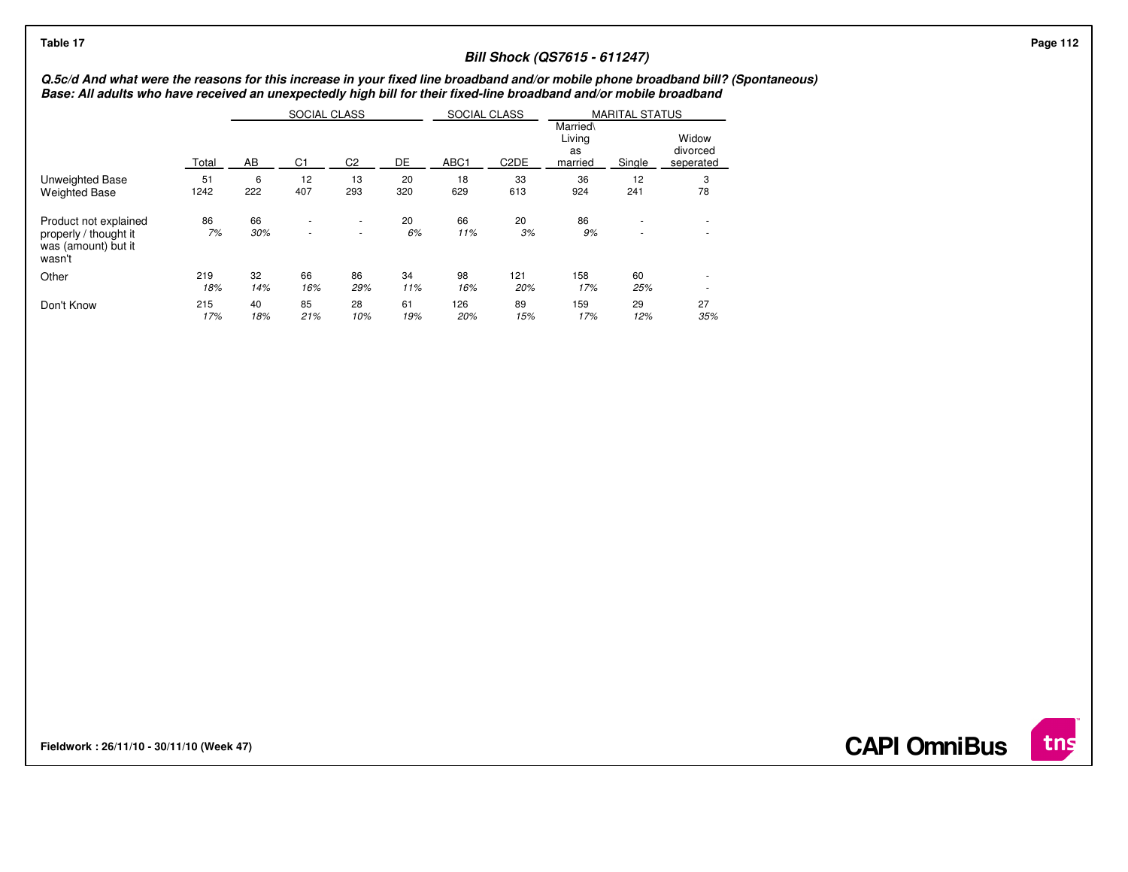# **Bill Shock (QS7615 - 611247)**

### **Q.5c/d And what were the reasons for this increase in your fixed line broadband and/or mobile phone broadband bill? (Spontaneous)Base: All adults who have received an unexpectedly high bill for their fixed-line broadband and/or mobile broadband**

|                                                                                 |            |           | <b>SOCIAL CLASS</b> |                |           | SOCIAL CLASS |                   |                                     | <b>MARITAL STATUS</b>                                |                                |
|---------------------------------------------------------------------------------|------------|-----------|---------------------|----------------|-----------|--------------|-------------------|-------------------------------------|------------------------------------------------------|--------------------------------|
|                                                                                 | Total      | AB        | C <sub>1</sub>      | C <sub>2</sub> | DE        | ABC1         | C <sub>2</sub> DE | Married\<br>Living<br>as<br>married | Single                                               | Widow<br>divorced<br>seperated |
| Unweighted Base                                                                 | 51         | 6         | 12                  | 13             | 20        | 18           | 33                | 36                                  | 12                                                   | 3                              |
| <b>Weighted Base</b>                                                            | 1242       | 222       | 407                 | 293            | 320       | 629          | 613               | 924                                 | 241                                                  | 78                             |
| Product not explained<br>properly / thought it<br>was (amount) but it<br>wasn't | 86<br>7%   | 66<br>30% | ٠<br>×              | ٠<br>٠         | 20<br>6%  | 66<br>11%    | 20<br>3%          | 86<br>9%                            | $\overline{\phantom{a}}$<br>$\overline{\phantom{a}}$ | ۰<br>$\sim$                    |
| Other                                                                           | 219<br>18% | 32<br>14% | 66<br>16%           | 86<br>29%      | 34<br>11% | 98<br>16%    | 121<br>20%        | 158<br>17%                          | 60<br>25%                                            |                                |
| Don't Know                                                                      | 215<br>17% | 40<br>18% | 85<br>21%           | 28<br>10%      | 61<br>19% | 126<br>20%   | 89<br>15%         | 159<br>17%                          | 29<br>12%                                            | 27<br>35%                      |

**Fieldwork : 26/11/10 - 30/11/10 (Week 47)** 

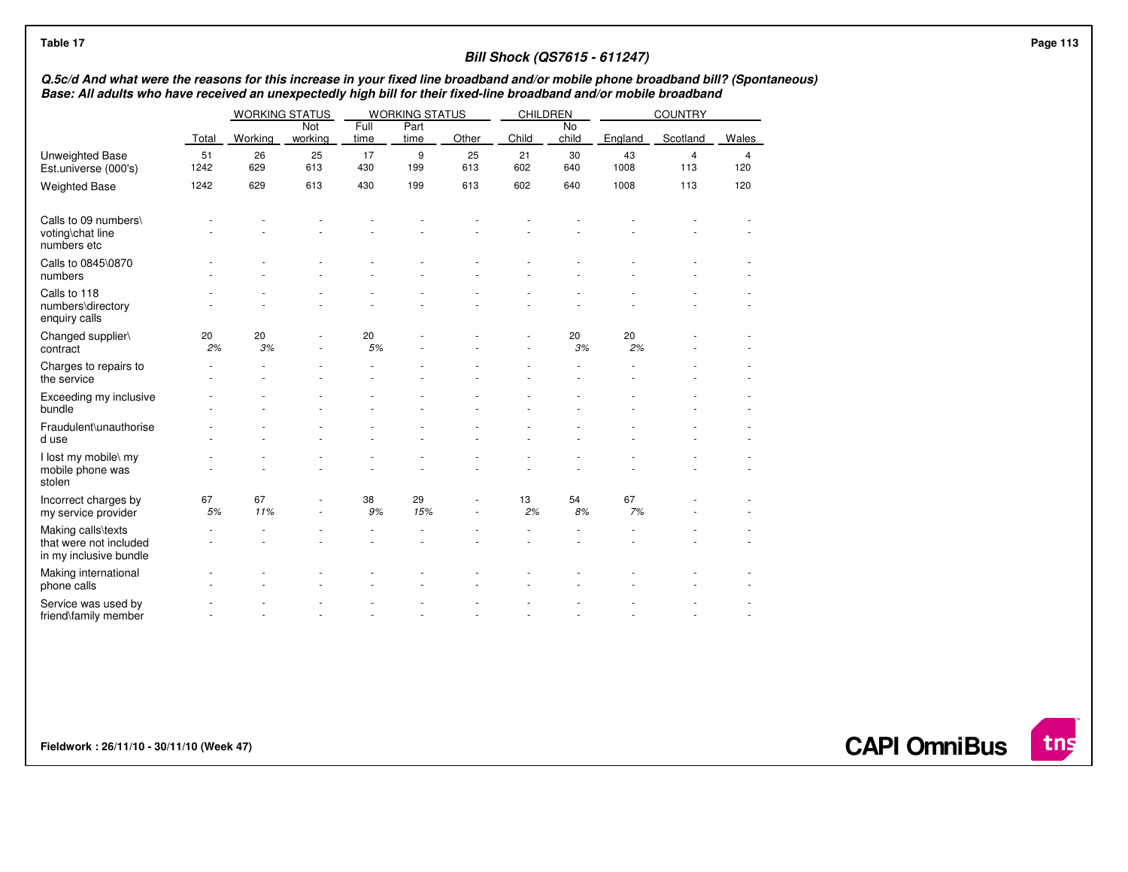| Table 17                                                                                                                                                                                                                                                 |            |                       |                |              |                       |           |           |             | <b>Bill Shock (QS7615 - 611247)</b> |                       |          | Page 113 |
|----------------------------------------------------------------------------------------------------------------------------------------------------------------------------------------------------------------------------------------------------------|------------|-----------------------|----------------|--------------|-----------------------|-----------|-----------|-------------|-------------------------------------|-----------------------|----------|----------|
| Q.5c/d And what were the reasons for this increase in your fixed line broadband and/or mobile phone broadband bill? (Spontaneous)<br>Base: All adults who have received an unexpectedly high bill for their fixed-line broadband and/or mobile broadband |            |                       |                |              |                       |           |           |             |                                     |                       |          |          |
|                                                                                                                                                                                                                                                          |            | <b>WORKING STATUS</b> |                |              | <b>WORKING STATUS</b> |           | CHILDREN  |             |                                     | <b>COUNTRY</b>        |          |          |
|                                                                                                                                                                                                                                                          | Total      | Working               | Not<br>working | Full<br>time | Part<br>time          | Other     | Child     | No<br>child | England                             | Scotland              | Wales    |          |
| <b>Unweighted Base</b><br>Est.universe (000's)                                                                                                                                                                                                           | 51<br>1242 | 26<br>629             | 25<br>613      | 17<br>430    | 9<br>199              | 25<br>613 | 21<br>602 | 30<br>640   | 43<br>1008                          | $\overline{4}$<br>113 | 4<br>120 |          |
| <b>Weighted Base</b>                                                                                                                                                                                                                                     | 1242       | 629                   | 613            | 430          | 199                   | 613       | 602       | 640         | 1008                                | 113                   | 120      |          |
| Calls to 09 numbers\<br>voting\chat line<br>numbers etc                                                                                                                                                                                                  |            |                       |                |              |                       |           |           |             |                                     |                       |          |          |
| Calls to 0845\0870<br>numbers                                                                                                                                                                                                                            |            |                       |                |              |                       |           |           |             |                                     |                       |          |          |
| Calls to 118<br>numbers\directory<br>enquiry calls                                                                                                                                                                                                       |            |                       |                |              |                       |           |           |             |                                     |                       |          |          |
| Changed supplier\<br>contract                                                                                                                                                                                                                            | 20<br>2%   | 20<br>3%              |                | 20<br>5%     |                       |           |           | 20<br>3%    | 20<br>2%                            |                       |          |          |
| Charges to repairs to<br>the service                                                                                                                                                                                                                     |            |                       |                |              |                       |           |           |             |                                     |                       |          |          |
| Exceeding my inclusive<br>bundle                                                                                                                                                                                                                         |            |                       |                |              |                       |           |           |             |                                     |                       |          |          |
| Fraudulent\unauthorise<br>d use                                                                                                                                                                                                                          |            |                       |                |              |                       |           |           |             |                                     |                       |          |          |
| I lost my mobile\ my<br>mobile phone was<br>stolen                                                                                                                                                                                                       |            |                       |                |              |                       |           |           |             |                                     |                       |          |          |
| Incorrect charges by<br>my service provider                                                                                                                                                                                                              | 67<br>5%   | 67<br>11%             |                | 38<br>9%     | 29<br>15%             |           | 13<br>2%  | 54<br>8%    | 67<br>7%                            |                       |          |          |
| Making calls\texts<br>that were not included<br>in my inclusive bundle                                                                                                                                                                                   |            |                       |                |              |                       |           |           |             |                                     |                       |          |          |
| Making international<br>phone calls                                                                                                                                                                                                                      |            |                       |                |              |                       |           |           |             |                                     |                       |          |          |
| Service was used by<br>friend\family member                                                                                                                                                                                                              |            |                       |                |              |                       |           |           |             |                                     |                       |          |          |

**Fieldwork : 26/11/10 - 30/11/10 (Week 47)** 

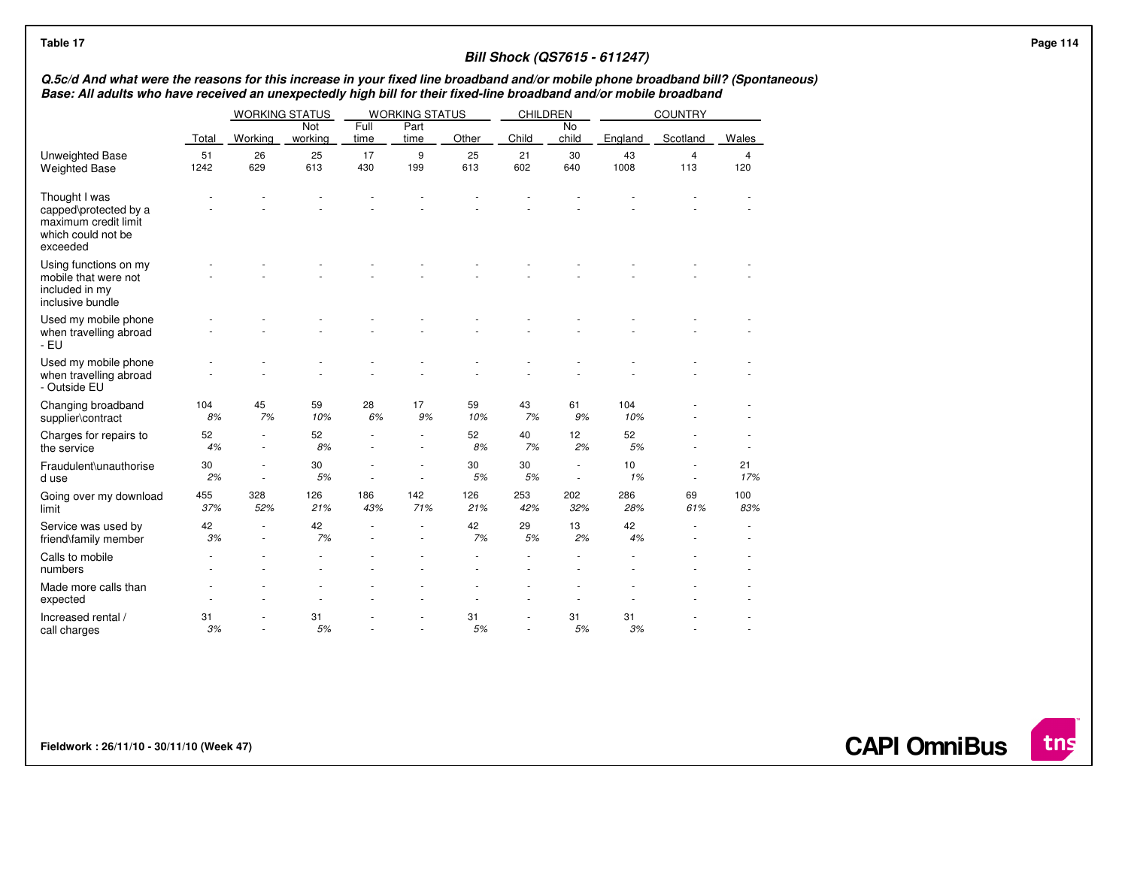| Table 17                                                                                                                                                                                                                                                 |            |                       |                |              |                       |             |            |                          | <b>Bill Shock (QS7615 - 611247)</b> |                       |                       | <b>Page 114</b> |
|----------------------------------------------------------------------------------------------------------------------------------------------------------------------------------------------------------------------------------------------------------|------------|-----------------------|----------------|--------------|-----------------------|-------------|------------|--------------------------|-------------------------------------|-----------------------|-----------------------|-----------------|
| Q.5c/d And what were the reasons for this increase in your fixed line broadband and/or mobile phone broadband bill? (Spontaneous)<br>Base: All adults who have received an unexpectedly high bill for their fixed-line broadband and/or mobile broadband |            |                       |                |              |                       |             |            |                          |                                     |                       |                       |                 |
|                                                                                                                                                                                                                                                          |            | <b>WORKING STATUS</b> |                |              | <b>WORKING STATUS</b> |             | CHILDREN   |                          |                                     | <b>COUNTRY</b>        |                       |                 |
|                                                                                                                                                                                                                                                          | Total      | Working               | Not<br>working | Full<br>time | Part<br>time          | Other       | Child      | No<br>child              | England                             | Scotland              | <b>Wales</b>          |                 |
| Unweighted Base<br><b>Weighted Base</b>                                                                                                                                                                                                                  | 51<br>1242 | 26<br>629             | 25<br>613      | 17<br>430    | 9<br>199              | 25<br>613   | 21<br>602  | 30<br>640                | 43<br>1008                          | $\overline{4}$<br>113 | $\overline{4}$<br>120 |                 |
| Thought I was<br>capped\protected by a<br>maximum credit limit<br>which could not be<br>exceeded                                                                                                                                                         |            |                       |                |              |                       |             |            |                          |                                     |                       |                       |                 |
| Using functions on my<br>mobile that were not<br>included in my<br>inclusive bundle                                                                                                                                                                      |            |                       |                |              |                       |             |            |                          |                                     |                       |                       |                 |
| Used my mobile phone<br>when travelling abroad<br>- EU                                                                                                                                                                                                   |            |                       |                |              |                       |             |            |                          |                                     |                       |                       |                 |
| Used my mobile phone<br>when travelling abroad<br>- Outside EU                                                                                                                                                                                           |            |                       |                |              |                       |             |            |                          |                                     |                       |                       |                 |
| Changing broadband<br>supplier\contract                                                                                                                                                                                                                  | 104<br>8%  | 45<br>7%              | 59<br>10%      | 28<br>6%     | 17<br>9%              | 59<br>10%   | 43<br>7%   | 61<br>9%                 | 104<br>10%                          |                       |                       |                 |
| Charges for repairs to<br>the service                                                                                                                                                                                                                    | 52<br>4%   | $\sim$                | 52<br>8%       |              |                       | 52<br>8%    | 40<br>7%   | 12<br>2%                 | 52<br>5%                            |                       |                       |                 |
| Fraudulent\unauthorise<br>d use                                                                                                                                                                                                                          | 30<br>2%   | $\sim$                | 30<br>5%       | ٠            | $\sim$                | 30<br>$5\%$ | 30<br>5%   | $\overline{\phantom{a}}$ | 10<br>1%                            | ٠                     | 21<br>17%             |                 |
| Going over my download<br>limit                                                                                                                                                                                                                          | 455<br>37% | 328<br>52%            | 126<br>21%     | 186<br>43%   | 142<br>71%            | 126<br>21%  | 253<br>42% | 202<br>32%               | 286<br>28%                          | 69<br>61%             | 100<br>83%            |                 |
| Service was used by<br>friend\family member                                                                                                                                                                                                              | 42<br>3%   | $\sim$                | 42<br>7%       |              |                       | 42<br>7%    | 29<br>5%   | 13<br>2%                 | 42<br>4%                            |                       |                       |                 |
| Calls to mobile<br>numbers                                                                                                                                                                                                                               |            |                       |                |              |                       |             |            |                          |                                     |                       |                       |                 |
| Made more calls than<br>expected                                                                                                                                                                                                                         |            |                       |                |              |                       |             |            |                          |                                     |                       |                       |                 |
| Increased rental /<br>call charges                                                                                                                                                                                                                       | 31<br>3%   | $\sim$                | 31<br>5%       |              |                       | 31<br>5%    |            | 31<br>5%                 | 31<br>3%                            |                       |                       |                 |

**Fieldwork : 26/11/10 - 30/11/10 (Week 47)** 

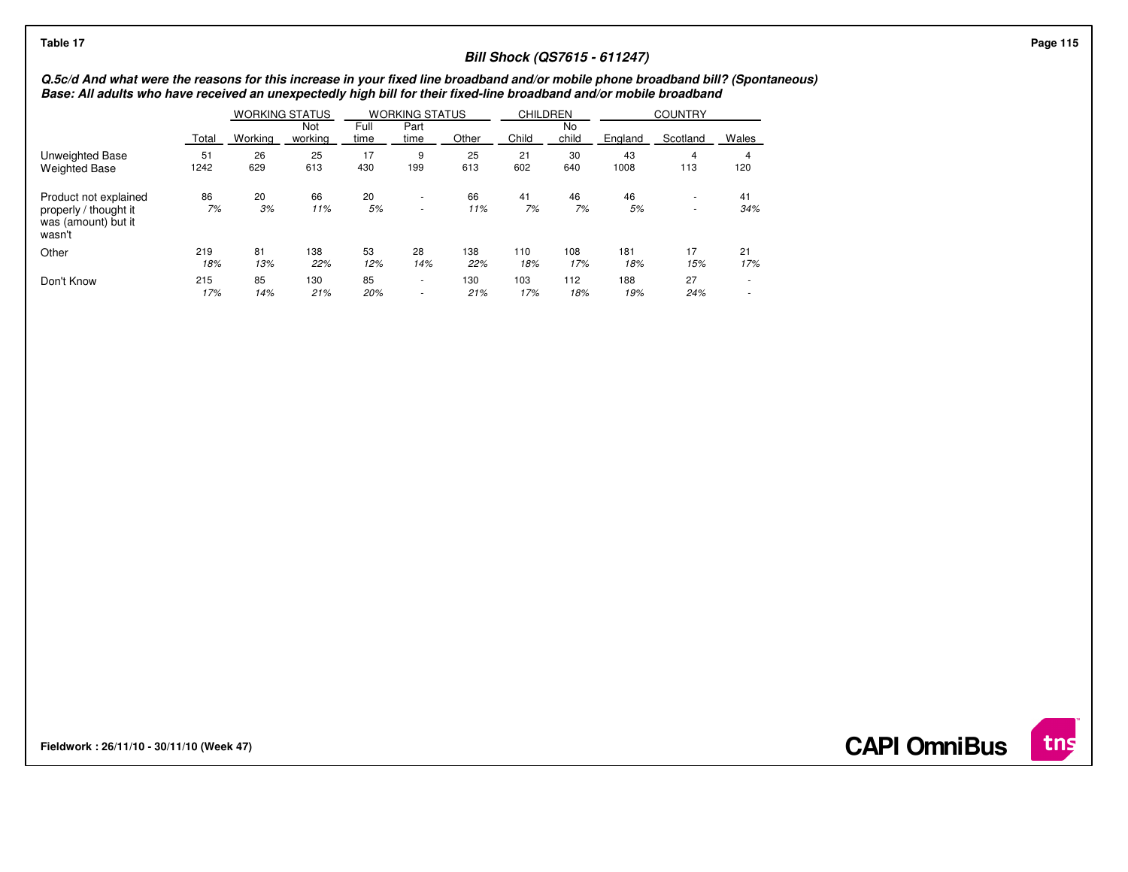| <b>Bill Shock (QS7615 - 611247)</b><br>Q.5c/d And what were the reasons for this increase in your fixed line broadband and/or mobile phone broadband bill? (Spontaneous)<br>Base: All adults who have received an unexpectedly high bill for their fixed-line broadband and/or mobile broadband<br><b>WORKING STATUS</b><br><b>WORKING STATUS</b><br><b>CHILDREN</b><br><b>COUNTRY</b><br>Full<br>Part<br>No<br>Not<br>Child<br>child<br>Working<br>Scotland<br>Wales<br>Other<br>Total<br>working<br>England<br>time<br>time<br>30<br>43<br>26<br>25<br>17<br>25<br>21<br>51<br>9<br>Unweighted Base<br>629<br>613<br>430<br>602<br>640<br>1008<br>1242<br>613<br>113<br>120<br>199<br><b>Weighted Base</b><br>46<br>20<br>66<br>20<br>46<br>Product not explained<br>86<br>66<br>41<br>41<br>$\sim$<br>٠<br>7%<br>7%<br>7%<br>3%<br>5%<br>11%<br>5%<br>11%<br>34%<br>properly / thought it<br>$\sim$<br>$\sim$<br>was (amount) but it<br>wasn't<br>53<br>81<br>138<br>17<br>21<br>Other<br>28<br>138<br>219<br>110<br>108<br>181<br>18%<br>13%<br>22%<br>12%<br>17%<br>14%<br>22%<br>17%<br>18%<br>18%<br>15%<br>85<br>Don't Know<br>215<br>85<br>130<br>103<br>112<br>188<br>27<br>130<br>$\sim$<br>$\overline{\phantom{a}}$ | Table 17 |     |     |     |     |     |     |     |     |     |  | Page 115 |
|---------------------------------------------------------------------------------------------------------------------------------------------------------------------------------------------------------------------------------------------------------------------------------------------------------------------------------------------------------------------------------------------------------------------------------------------------------------------------------------------------------------------------------------------------------------------------------------------------------------------------------------------------------------------------------------------------------------------------------------------------------------------------------------------------------------------------------------------------------------------------------------------------------------------------------------------------------------------------------------------------------------------------------------------------------------------------------------------------------------------------------------------------------------------------------------------------------------------------------|----------|-----|-----|-----|-----|-----|-----|-----|-----|-----|--|----------|
|                                                                                                                                                                                                                                                                                                                                                                                                                                                                                                                                                                                                                                                                                                                                                                                                                                                                                                                                                                                                                                                                                                                                                                                                                                 |          |     |     |     |     |     |     |     |     |     |  |          |
|                                                                                                                                                                                                                                                                                                                                                                                                                                                                                                                                                                                                                                                                                                                                                                                                                                                                                                                                                                                                                                                                                                                                                                                                                                 |          |     |     |     |     |     |     |     |     |     |  |          |
|                                                                                                                                                                                                                                                                                                                                                                                                                                                                                                                                                                                                                                                                                                                                                                                                                                                                                                                                                                                                                                                                                                                                                                                                                                 |          |     |     |     |     |     |     |     |     |     |  |          |
|                                                                                                                                                                                                                                                                                                                                                                                                                                                                                                                                                                                                                                                                                                                                                                                                                                                                                                                                                                                                                                                                                                                                                                                                                                 |          |     |     |     |     |     |     |     |     |     |  |          |
|                                                                                                                                                                                                                                                                                                                                                                                                                                                                                                                                                                                                                                                                                                                                                                                                                                                                                                                                                                                                                                                                                                                                                                                                                                 |          |     |     |     |     |     |     |     |     |     |  |          |
|                                                                                                                                                                                                                                                                                                                                                                                                                                                                                                                                                                                                                                                                                                                                                                                                                                                                                                                                                                                                                                                                                                                                                                                                                                 |          |     |     |     |     |     |     |     |     |     |  |          |
|                                                                                                                                                                                                                                                                                                                                                                                                                                                                                                                                                                                                                                                                                                                                                                                                                                                                                                                                                                                                                                                                                                                                                                                                                                 |          |     |     |     |     |     |     |     |     |     |  |          |
|                                                                                                                                                                                                                                                                                                                                                                                                                                                                                                                                                                                                                                                                                                                                                                                                                                                                                                                                                                                                                                                                                                                                                                                                                                 |          | 17% | 14% | 21% | 20% | 21% | 17% | 18% | 19% | 24% |  |          |

**Fieldwork : 26/11/10 - 30/11/10 (Week 47)** 

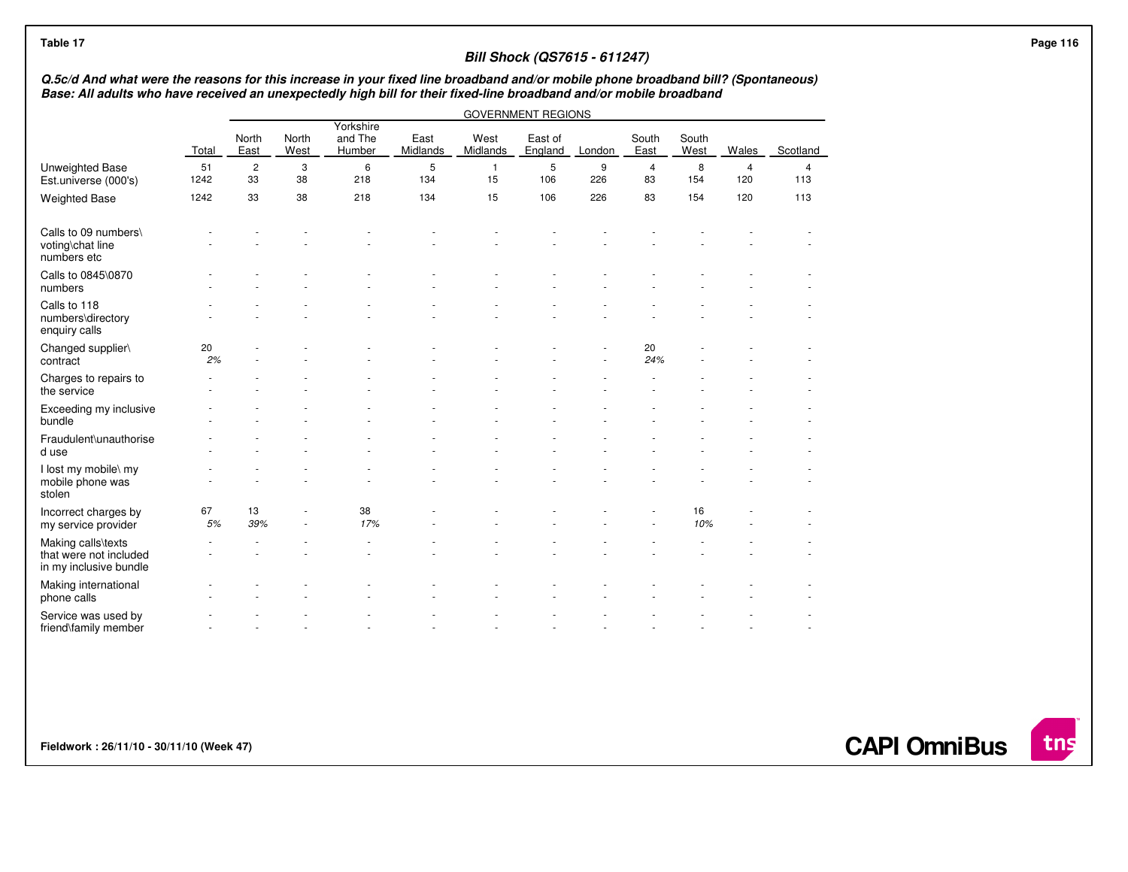| Q.5c/d And what were the reasons for this increase in your fixed line broadband and/or mobile phone broadband bill? (Spontaneous) |            |                      |                          |                                |                  |                    |                           |          |                      |               |                       |                       |  |
|-----------------------------------------------------------------------------------------------------------------------------------|------------|----------------------|--------------------------|--------------------------------|------------------|--------------------|---------------------------|----------|----------------------|---------------|-----------------------|-----------------------|--|
| Base: All adults who have received an unexpectedly high bill for their fixed-line broadband and/or mobile broadband               |            |                      |                          |                                |                  |                    | <b>GOVERNMENT REGIONS</b> |          |                      |               |                       |                       |  |
|                                                                                                                                   | Total      | North<br>East        | North<br>West            | Yorkshire<br>and The<br>Humber | East<br>Midlands | West<br>Midlands   | East of<br>England        | London   | South<br>East        | South<br>West | Wales                 | Scotland              |  |
| Unweighted Base<br>Est.universe (000's)                                                                                           | 51<br>1242 | $\overline{c}$<br>33 | 3<br>38                  | 6<br>218                       | 5<br>134         | $\mathbf{1}$<br>15 | $\mathbf 5$<br>106        | 9<br>226 | $\overline{4}$<br>83 | 8<br>154      | $\overline{4}$<br>120 | $\overline{4}$<br>113 |  |
| <b>Weighted Base</b>                                                                                                              | 1242       | 33                   | 38                       | 218                            | 134              | 15                 | 106                       | 226      | 83                   | 154           | 120                   | 113                   |  |
| Calls to 09 numbers\<br>voting\chat line<br>numbers etc                                                                           |            |                      |                          |                                |                  |                    |                           |          |                      |               |                       |                       |  |
| Calls to 0845\0870<br>numbers                                                                                                     |            |                      |                          |                                |                  |                    |                           |          |                      |               |                       |                       |  |
| Calls to 118<br>numbers\directory<br>enquiry calls                                                                                |            |                      |                          |                                |                  |                    |                           |          |                      |               |                       |                       |  |
| Changed supplier\<br>contract                                                                                                     | 20<br>2%   |                      |                          |                                |                  |                    |                           |          | 20<br>24%            |               |                       |                       |  |
| Charges to repairs to<br>the service                                                                                              |            |                      |                          |                                |                  |                    |                           |          |                      |               |                       |                       |  |
| Exceeding my inclusive<br>bundle                                                                                                  |            |                      |                          |                                |                  |                    |                           |          |                      |               |                       |                       |  |
| Fraudulent\unauthorise<br>d use                                                                                                   |            |                      |                          |                                |                  |                    |                           |          |                      |               |                       |                       |  |
| I lost my mobile\ my<br>mobile phone was<br>stolen                                                                                |            |                      |                          |                                |                  |                    |                           |          |                      |               |                       |                       |  |
| Incorrect charges by<br>my service provider                                                                                       | 67<br>5%   | 13<br>39%            | $\overline{\phantom{a}}$ | 38<br>17%                      |                  |                    |                           |          |                      | 16<br>10%     |                       |                       |  |
| Making calls\texts<br>that were not included<br>in my inclusive bundle                                                            |            |                      |                          |                                |                  |                    |                           |          |                      |               |                       |                       |  |
| Making international<br>phone calls                                                                                               |            |                      |                          |                                |                  |                    |                           |          |                      |               |                       |                       |  |
| Service was used by<br>friend\family member                                                                                       |            |                      |                          |                                |                  |                    |                           |          |                      |               |                       |                       |  |

**Fieldwork : 26/11/10 - 30/11/10 (Week 47)** 

**CAPI OmniBus**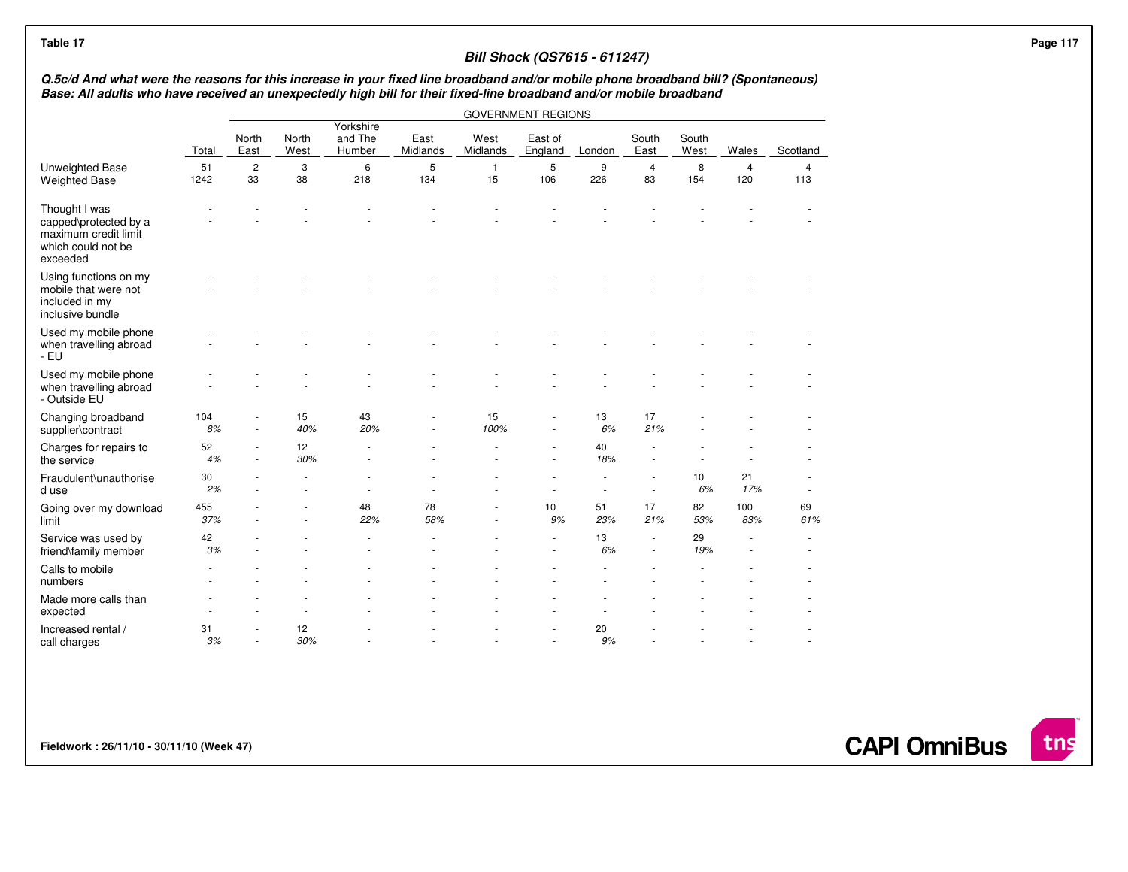|                                                                                                                                                                                                                                                          |            |                          |               |                                |                  |                    | <b>Bill Shock (QS7615 - 611247)</b> |           |                                                      |               |                       |                       |  |
|----------------------------------------------------------------------------------------------------------------------------------------------------------------------------------------------------------------------------------------------------------|------------|--------------------------|---------------|--------------------------------|------------------|--------------------|-------------------------------------|-----------|------------------------------------------------------|---------------|-----------------------|-----------------------|--|
| Q.5c/d And what were the reasons for this increase in your fixed line broadband and/or mobile phone broadband bill? (Spontaneous)<br>Base: All adults who have received an unexpectedly high bill for their fixed-line broadband and/or mobile broadband |            |                          |               |                                |                  |                    |                                     |           |                                                      |               |                       |                       |  |
|                                                                                                                                                                                                                                                          |            |                          |               |                                |                  |                    | <b>GOVERNMENT REGIONS</b>           |           |                                                      |               |                       |                       |  |
|                                                                                                                                                                                                                                                          | Total      | North<br>East            | North<br>West | Yorkshire<br>and The<br>Humber | East<br>Midlands | West<br>Midlands   | East of<br>England                  | London    | South<br>East                                        | South<br>West | Wales                 | Scotland              |  |
| Unweighted Base<br><b>Weighted Base</b>                                                                                                                                                                                                                  | 51<br>1242 | $\overline{c}$<br>33     | 3<br>38       | 6<br>218                       | 5<br>134         | $\mathbf{1}$<br>15 | 5<br>106                            | 9<br>226  | 4<br>83                                              | 8<br>154      | $\overline{4}$<br>120 | $\overline{4}$<br>113 |  |
| Thought I was<br>capped\protected by a<br>maximum credit limit<br>which could not be<br>exceeded                                                                                                                                                         |            |                          |               |                                |                  |                    |                                     |           |                                                      |               |                       |                       |  |
| Using functions on my<br>mobile that were not<br>included in my<br>inclusive bundle                                                                                                                                                                      |            |                          |               |                                |                  |                    |                                     |           |                                                      |               |                       |                       |  |
| Used my mobile phone<br>when travelling abroad<br>$-EU$                                                                                                                                                                                                  |            |                          |               |                                |                  |                    |                                     |           |                                                      |               |                       |                       |  |
| Used my mobile phone<br>when travelling abroad<br>- Outside EU                                                                                                                                                                                           |            |                          |               |                                |                  |                    |                                     |           |                                                      |               |                       |                       |  |
| Changing broadband<br>supplier\contract                                                                                                                                                                                                                  | 104<br>8%  | $\overline{\phantom{a}}$ | 15<br>40%     | 43<br>20%                      |                  | 15<br>100%         | $\overline{\phantom{a}}$            | 13<br>6%  | 17<br>21%                                            |               |                       |                       |  |
| Charges for repairs to<br>the service                                                                                                                                                                                                                    | 52<br>4%   | ٠                        | 12<br>30%     |                                |                  |                    |                                     | 40<br>18% |                                                      |               |                       |                       |  |
| Fraudulent\unauthorise<br>d use                                                                                                                                                                                                                          | 30<br>2%   |                          |               |                                |                  |                    |                                     |           | $\overline{\phantom{a}}$                             | 10<br>6%      | 21<br>17%             |                       |  |
| Going over my download<br>limit                                                                                                                                                                                                                          | 455<br>37% |                          |               | 48<br>22%                      | 78<br>58%        |                    | 10<br>9%                            | 51<br>23% | 17<br>21%                                            | 82<br>53%     | 100<br>83%            | 69<br>61%             |  |
| Service was used by<br>friend\family member                                                                                                                                                                                                              | 42<br>3%   |                          |               |                                |                  |                    | $\sim$                              | 13<br>6%  | $\overline{\phantom{a}}$<br>$\overline{\phantom{a}}$ | 29<br>19%     |                       |                       |  |
| Calls to mobile<br>numbers                                                                                                                                                                                                                               |            |                          |               |                                |                  |                    |                                     |           |                                                      |               |                       |                       |  |
| Made more calls than<br>expected                                                                                                                                                                                                                         |            |                          |               |                                |                  |                    |                                     |           |                                                      |               |                       |                       |  |
| Increased rental /<br>call charges                                                                                                                                                                                                                       | 31<br>3%   | ٠                        | 12<br>30%     |                                |                  |                    | ٠                                   | 20<br>9%  |                                                      |               |                       |                       |  |

**Fieldwork : 26/11/10 - 30/11/10 (Week 47)** 

**CAPI OmniBus**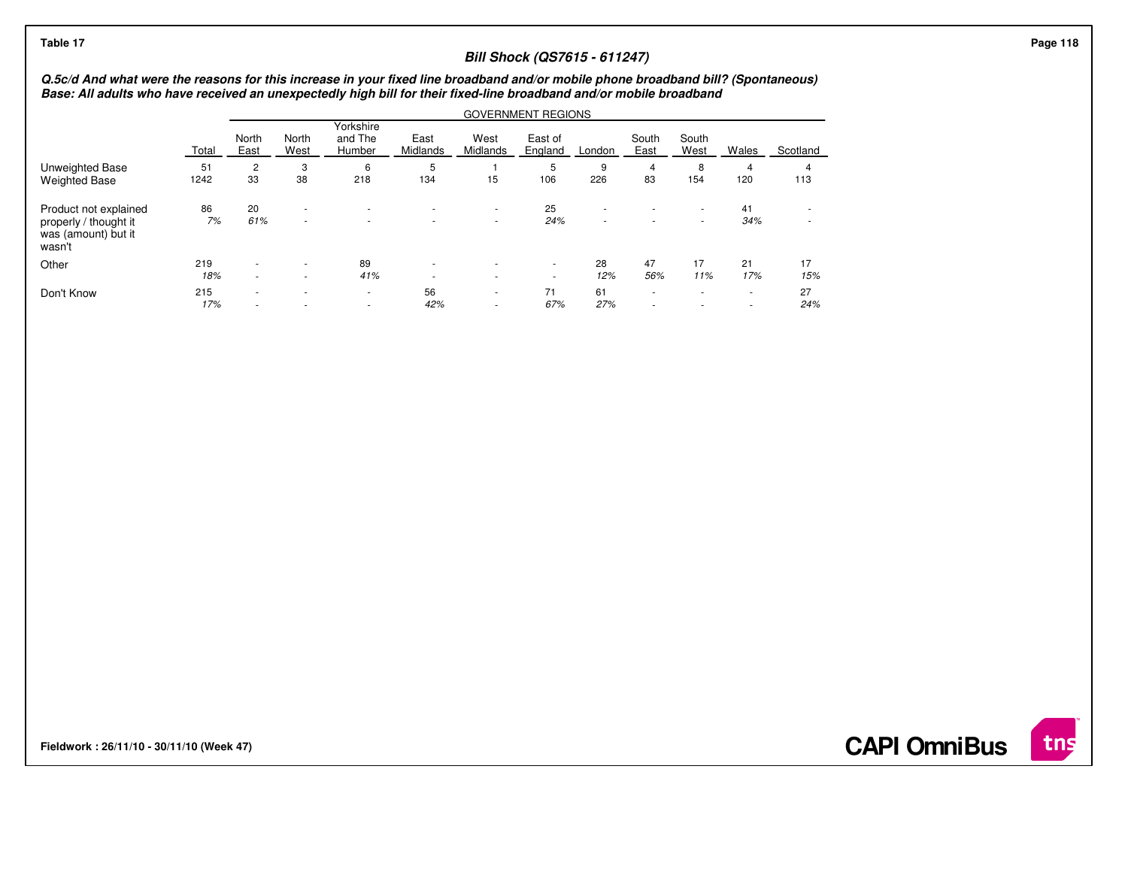# **Bill Shock (QS7615 - 611247)**

# Q.5c/d And what were the reasons for this increase in your fixed line broadband and/or mobile phone broadband bill? (Spontaneous)<br>Base: All adults who have received an unexpectedly high bill for their fixed-line broadband

|                                                                                 |            | <b>GOVERNMENT REGIONS</b>                            |                                                      |                                    |                                                      |                                                      |                                    |           |                                    |                                    |                                    |           |  |
|---------------------------------------------------------------------------------|------------|------------------------------------------------------|------------------------------------------------------|------------------------------------|------------------------------------------------------|------------------------------------------------------|------------------------------------|-----------|------------------------------------|------------------------------------|------------------------------------|-----------|--|
|                                                                                 | Total      | North<br>East                                        | North<br>West                                        | Yorkshire<br>and The<br>Humber     | East<br>Midlands                                     | West<br>Midlands                                     | East of<br>England                 | London    | South<br>East                      | South<br>West                      | Wales                              | Scotland  |  |
| Unweighted Base<br><b>Weighted Base</b>                                         | 51<br>1242 | 2<br>33                                              | 3<br>38                                              | 6<br>218                           | 5<br>134                                             | 15                                                   | 5<br>106                           | 9<br>226  | 4<br>83                            | 8<br>154                           | 4<br>120                           | 4<br>113  |  |
| Product not explained<br>properly / thought it<br>was (amount) but it<br>wasn't | 86<br>7%   | 20<br>61%                                            | $\overline{\phantom{a}}$<br>$\overline{\phantom{a}}$ | $\overline{\phantom{a}}$           | $\overline{\phantom{a}}$                             | $\overline{\phantom{a}}$<br>$\overline{\phantom{a}}$ | 25<br>24%                          | ۰         | $\overline{\phantom{a}}$<br>$\sim$ | $\overline{\phantom{a}}$<br>$\sim$ | 41<br>34%                          | ۰.        |  |
| Other                                                                           | 219<br>18% | $\overline{\phantom{a}}$<br>$\sim$                   |                                                      | 89<br>41%                          | $\overline{\phantom{a}}$<br>$\overline{\phantom{a}}$ | $\overline{\phantom{a}}$                             | $\overline{\phantom{a}}$<br>$\sim$ | 28<br>12% | 47<br>56%                          | 17<br>11%                          | 21<br>17%                          | 17<br>15% |  |
| Don't Know                                                                      | 215<br>17% | $\overline{\phantom{a}}$<br>$\overline{\phantom{a}}$ |                                                      | $\sim$<br>$\overline{\phantom{a}}$ | 56<br>42%                                            | $\overline{\phantom{a}}$<br>$\overline{\phantom{a}}$ | 71<br>67%                          | 61<br>27% | $\sim$<br>$\overline{\phantom{a}}$ | $\overline{a}$                     | $\sim$<br>$\overline{\phantom{a}}$ | 27<br>24% |  |

**Fieldwork : 26/11/10 - 30/11/10 (Week 47)** 



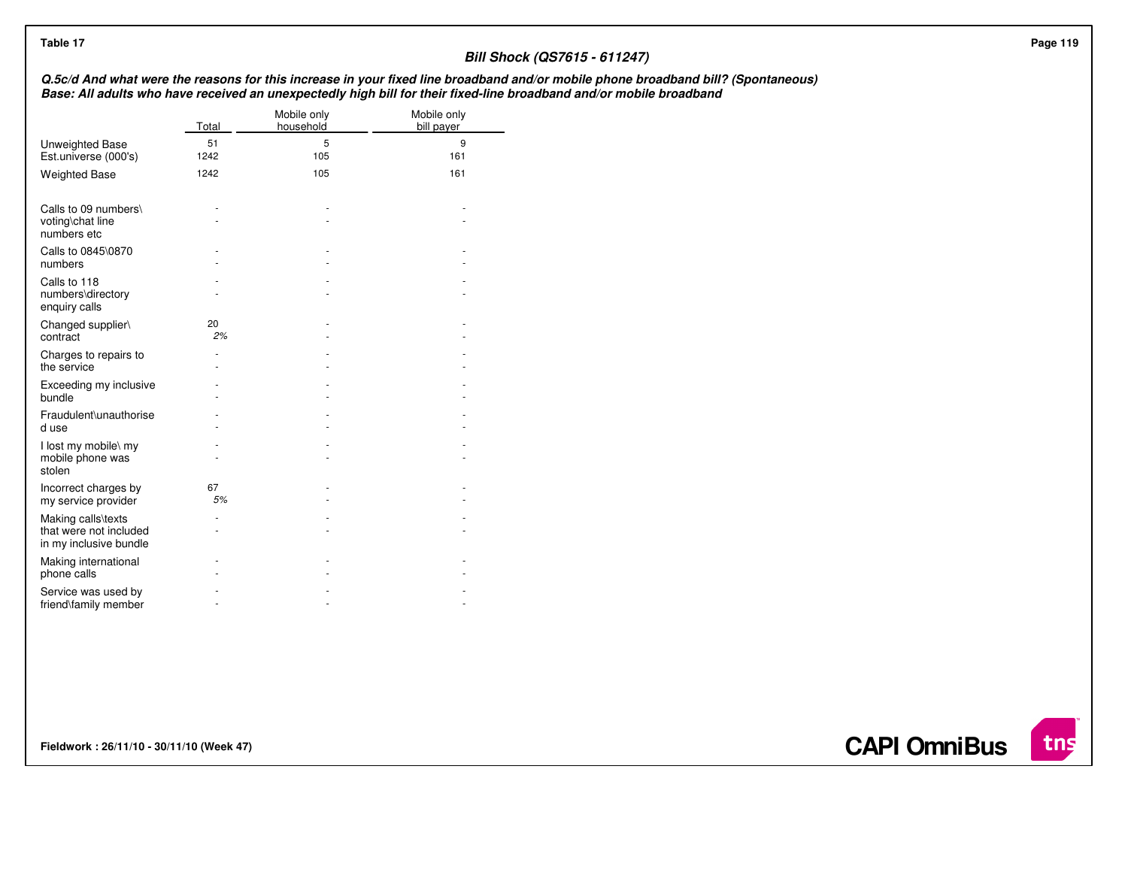| Table 17                                                               |            |                          |                           | <b>Bill Shock (QS7615 - 611247)</b>                                                                                                                                                                                                                      |  |
|------------------------------------------------------------------------|------------|--------------------------|---------------------------|----------------------------------------------------------------------------------------------------------------------------------------------------------------------------------------------------------------------------------------------------------|--|
|                                                                        |            |                          |                           | Q.5c/d And what were the reasons for this increase in your fixed line broadband and/or mobile phone broadband bill? (Spontaneous)<br>Base: All adults who have received an unexpectedly high bill for their fixed-line broadband and/or mobile broadband |  |
|                                                                        | Total      | Mobile only<br>household | Mobile only<br>bill payer |                                                                                                                                                                                                                                                          |  |
| Unweighted Base<br>Est.universe (000's)                                | 51<br>1242 | 5<br>105                 | 9<br>161                  |                                                                                                                                                                                                                                                          |  |
| <b>Weighted Base</b>                                                   | 1242       | 105                      | 161                       |                                                                                                                                                                                                                                                          |  |
| Calls to 09 numbers\<br>voting\chat line<br>numbers etc                |            |                          |                           |                                                                                                                                                                                                                                                          |  |
| Calls to 0845\0870<br>numbers                                          |            |                          |                           |                                                                                                                                                                                                                                                          |  |
| Calls to 118<br>numbers\directory<br>enquiry calls                     |            |                          |                           |                                                                                                                                                                                                                                                          |  |
| Changed supplier\<br>contract                                          | 20<br>2%   |                          |                           |                                                                                                                                                                                                                                                          |  |
| Charges to repairs to<br>the service                                   |            |                          |                           |                                                                                                                                                                                                                                                          |  |
| Exceeding my inclusive<br>bundle                                       |            |                          |                           |                                                                                                                                                                                                                                                          |  |
| Fraudulent\unauthorise<br>d use                                        |            |                          |                           |                                                                                                                                                                                                                                                          |  |
| I lost my mobile\ my<br>mobile phone was<br>stolen                     |            |                          |                           |                                                                                                                                                                                                                                                          |  |
| Incorrect charges by<br>my service provider                            | 67<br>$5%$ |                          |                           |                                                                                                                                                                                                                                                          |  |
| Making calls\texts<br>that were not included<br>in my inclusive bundle |            |                          |                           |                                                                                                                                                                                                                                                          |  |
| Making international<br>phone calls                                    |            |                          |                           |                                                                                                                                                                                                                                                          |  |
| Service was used by<br>friend\family member                            | ٠          | ٠                        |                           |                                                                                                                                                                                                                                                          |  |

**Fieldwork : 26/11/10 - 30/11/10 (Week 47)** 

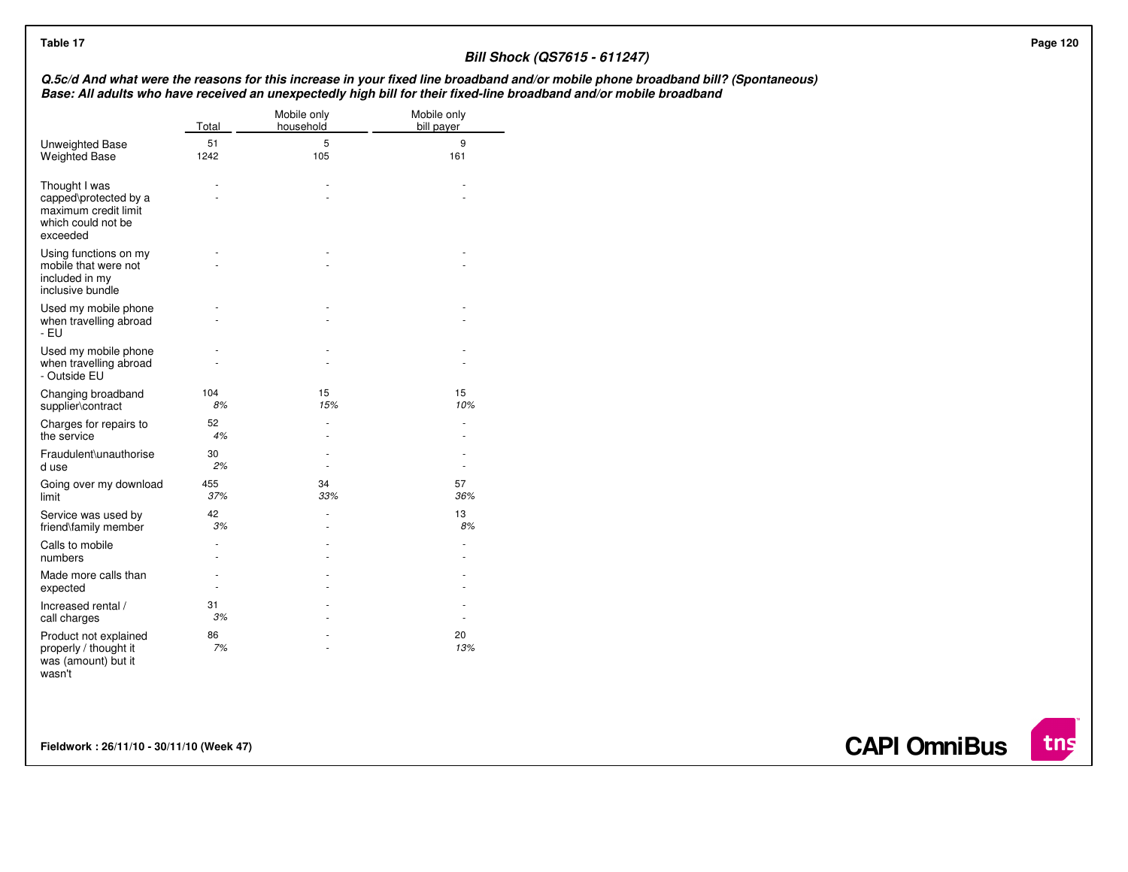# **Bill Shock (QS7615 - 611247)**

# Q.5c/d And what were the reasons for this increase in your fixed line broadband and/or mobile phone broadband bill? (Spontaneous)<br>Base: All adults who have received an unexpectedly high bill for their fixed-line broadband

|                                                                                                  | Total      | Mobile only<br>household | Mobile only<br>bill payer |
|--------------------------------------------------------------------------------------------------|------------|--------------------------|---------------------------|
| Unweighted Base<br><b>Weighted Base</b>                                                          | 51<br>1242 | 5<br>105                 | 9<br>161                  |
| Thought I was<br>capped\protected by a<br>maximum credit limit<br>which could not be<br>exceeded |            |                          |                           |
| Using functions on my<br>mobile that were not<br>included in my<br>inclusive bundle              |            |                          |                           |
| Used my mobile phone<br>when travelling abroad<br>- EU                                           |            |                          |                           |
| Used my mobile phone<br>when travelling abroad<br>- Outside EU                                   |            |                          |                           |
| Changing broadband<br>supplier\contract                                                          | 104<br>8%  | 15<br>15%                | 15<br>10%                 |
| Charges for repairs to<br>the service                                                            | 52<br>4%   |                          |                           |
| Fraudulent\unauthorise<br>d use                                                                  | 30<br>2%   |                          |                           |
| Going over my download<br>limit                                                                  | 455<br>37% | 34<br>33%                | 57<br>36%                 |
| Service was used by<br>friend\family member                                                      | 42<br>3%   |                          | 13<br>8%                  |
| Calls to mobile<br>numbers                                                                       |            |                          |                           |
| Made more calls than<br>expected                                                                 |            |                          |                           |
| Increased rental /<br>call charges                                                               | 31<br>3%   |                          |                           |
| Product not explained<br>properly / thought it<br>was (amount) but it<br>wasn't                  | 86<br>7%   |                          | 20<br>13%                 |

**Fieldwork : 26/11/10 - 30/11/10 (Week 47)** 

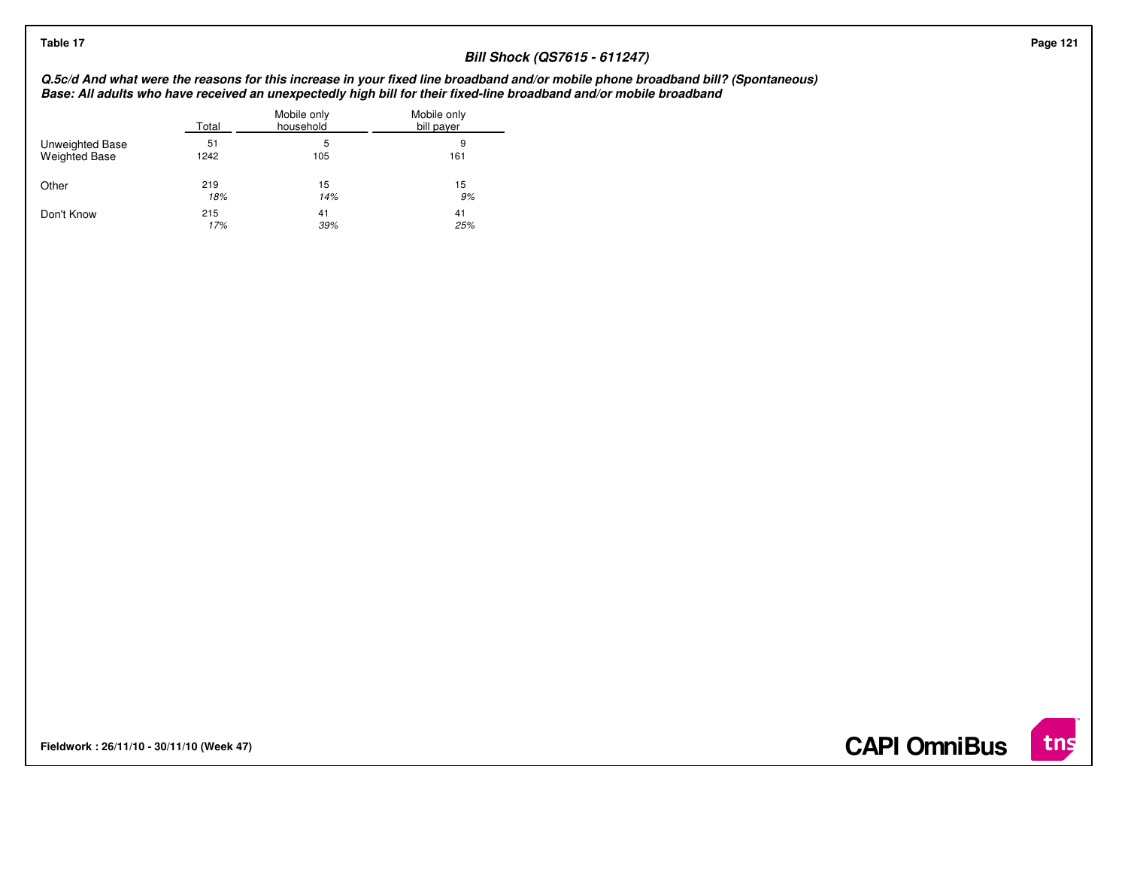# **Bill Shock (QS7615 - 611247)**

# Q.5c/d And what were the reasons for this increase in your fixed line broadband and/or mobile phone broadband bill? (Spontaneous)<br>Base: All adults who have received an unexpectedly high bill for their fixed-line broadband

|                      | Total | Mobile only<br>household | Mobile only<br>bill payer |
|----------------------|-------|--------------------------|---------------------------|
| Unweighted Base      | 51    | 5                        | 9                         |
| <b>Weighted Base</b> | 1242  | 105                      | 161                       |
| Other                | 219   | 15                       | 15                        |
|                      | 18%   | 14%                      | 9%                        |
| Don't Know           | 215   | 41                       | 41                        |
|                      | 17%   | 39%                      | 25%                       |

**Fieldwork : 26/11/10 - 30/11/10 (Week 47)** 

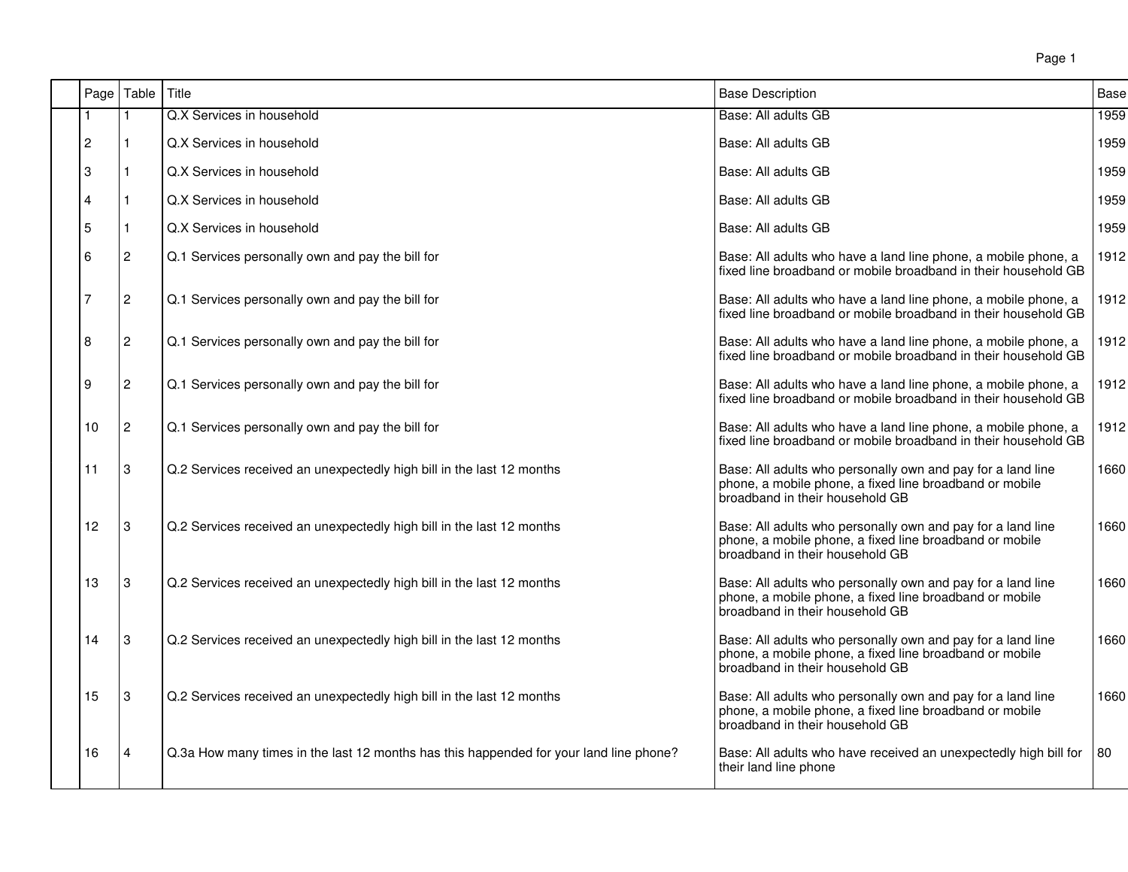|                | Page   Table   | Title                                                                                  | <b>Base Description</b>                                                                                                                                   | <b>Base</b> |
|----------------|----------------|----------------------------------------------------------------------------------------|-----------------------------------------------------------------------------------------------------------------------------------------------------------|-------------|
|                | 1              | Q.X Services in household                                                              | Base: All adults GB                                                                                                                                       | 1959        |
| $\overline{c}$ |                | Q.X Services in household                                                              | Base: All adults GB                                                                                                                                       | 1959        |
| 3              |                | Q.X Services in household                                                              | Base: All adults GB                                                                                                                                       | 1959        |
| 4              |                | Q.X Services in household                                                              | Base: All adults GB                                                                                                                                       | 1959        |
| 5              | 1              | Q.X Services in household                                                              | Base: All adults GB                                                                                                                                       | 1959        |
| 6              | $\overline{c}$ | Q.1 Services personally own and pay the bill for                                       | Base: All adults who have a land line phone, a mobile phone, a<br>fixed line broadband or mobile broadband in their household GB                          | 1912        |
| 7              | $\overline{c}$ | Q.1 Services personally own and pay the bill for                                       | Base: All adults who have a land line phone, a mobile phone, a<br>fixed line broadband or mobile broadband in their household GB                          | 1912        |
| 8              | $\overline{c}$ | Q.1 Services personally own and pay the bill for                                       | Base: All adults who have a land line phone, a mobile phone, a<br>fixed line broadband or mobile broadband in their household GB                          | 1912        |
| 9              | 2              | Q.1 Services personally own and pay the bill for                                       | Base: All adults who have a land line phone, a mobile phone, a<br>fixed line broadband or mobile broadband in their household GB                          | 1912        |
| 10             | $\overline{c}$ | Q.1 Services personally own and pay the bill for                                       | Base: All adults who have a land line phone, a mobile phone, a<br>fixed line broadband or mobile broadband in their household GB                          | 1912        |
| 11             | 3              | Q.2 Services received an unexpectedly high bill in the last 12 months                  | Base: All adults who personally own and pay for a land line<br>phone, a mobile phone, a fixed line broadband or mobile<br>broadband in their household GB | 1660        |
| 12             | 3              | Q.2 Services received an unexpectedly high bill in the last 12 months                  | Base: All adults who personally own and pay for a land line<br>phone, a mobile phone, a fixed line broadband or mobile<br>broadband in their household GB | 1660        |
| 13             | 3              | Q.2 Services received an unexpectedly high bill in the last 12 months                  | Base: All adults who personally own and pay for a land line<br>phone, a mobile phone, a fixed line broadband or mobile<br>broadband in their household GB | 1660        |
| 14             | 3              | Q.2 Services received an unexpectedly high bill in the last 12 months                  | Base: All adults who personally own and pay for a land line<br>phone, a mobile phone, a fixed line broadband or mobile<br>broadband in their household GB | 1660        |
| 15             | 3              | Q.2 Services received an unexpectedly high bill in the last 12 months                  | Base: All adults who personally own and pay for a land line<br>phone, a mobile phone, a fixed line broadband or mobile<br>broadband in their household GB | 1660        |
| 16             | 4              | Q.3a How many times in the last 12 months has this happended for your land line phone? | Base: All adults who have received an unexpectedly high bill for<br>their land line phone                                                                 | 80          |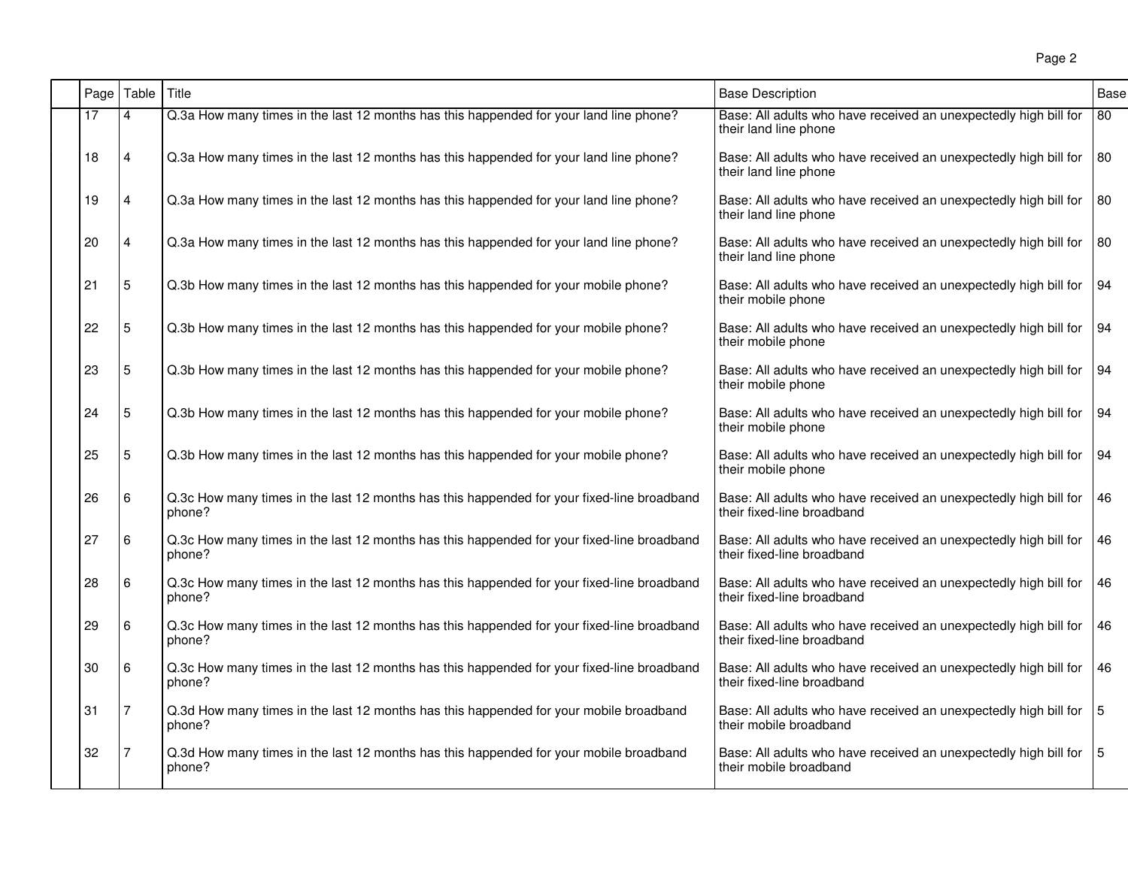| Page | Table | Title                                                                                                | <b>Base Description</b>                                                                        | Base |
|------|-------|------------------------------------------------------------------------------------------------------|------------------------------------------------------------------------------------------------|------|
| 17   | 4     | Q.3a How many times in the last 12 months has this happended for your land line phone?               | Base: All adults who have received an unexpectedly high bill for<br>their land line phone      | 80   |
| 18   | 4     | Q.3a How many times in the last 12 months has this happended for your land line phone?               | Base: All adults who have received an unexpectedly high bill for<br>their land line phone      | 80   |
| 19   | 4     | Q.3a How many times in the last 12 months has this happended for your land line phone?               | Base: All adults who have received an unexpectedly high bill for<br>their land line phone      | 80   |
| 20   | 4     | Q.3a How many times in the last 12 months has this happended for your land line phone?               | Base: All adults who have received an unexpectedly high bill for<br>their land line phone      | 80   |
| 21   | 5     | Q.3b How many times in the last 12 months has this happended for your mobile phone?                  | Base: All adults who have received an unexpectedly high bill for<br>their mobile phone         | 94   |
| 22   | 5     | Q.3b How many times in the last 12 months has this happended for your mobile phone?                  | Base: All adults who have received an unexpectedly high bill for<br>their mobile phone         | 94   |
| 23   | 5     | Q.3b How many times in the last 12 months has this happended for your mobile phone?                  | Base: All adults who have received an unexpectedly high bill for<br>their mobile phone         | 94   |
| 24   | 5     | Q.3b How many times in the last 12 months has this happended for your mobile phone?                  | Base: All adults who have received an unexpectedly high bill for<br>their mobile phone         | 94   |
| 25   | 5     | Q.3b How many times in the last 12 months has this happended for your mobile phone?                  | Base: All adults who have received an unexpectedly high bill for<br>their mobile phone         | 94   |
| 26   | 6     | Q.3c How many times in the last 12 months has this happended for your fixed-line broadband<br>phone? | Base: All adults who have received an unexpectedly high bill for<br>their fixed-line broadband | 46   |
| 27   | 6     | Q.3c How many times in the last 12 months has this happended for your fixed-line broadband<br>phone? | Base: All adults who have received an unexpectedly high bill for<br>their fixed-line broadband | 46   |
| 28   | 6     | Q.3c How many times in the last 12 months has this happended for your fixed-line broadband<br>phone? | Base: All adults who have received an unexpectedly high bill for<br>their fixed-line broadband | 46   |
| 29   | 6     | Q.3c How many times in the last 12 months has this happended for your fixed-line broadband<br>phone? | Base: All adults who have received an unexpectedly high bill for<br>their fixed-line broadband | 46   |
| 30   | 6     | Q.3c How many times in the last 12 months has this happended for your fixed-line broadband<br>phone? | Base: All adults who have received an unexpectedly high bill for<br>their fixed-line broadband | 46   |
| 31   | 7     | Q.3d How many times in the last 12 months has this happended for your mobile broadband<br>phone?     | Base: All adults who have received an unexpectedly high bill for<br>their mobile broadband     | 5    |
| 32   |       | Q.3d How many times in the last 12 months has this happended for your mobile broadband<br>phone?     | Base: All adults who have received an unexpectedly high bill for<br>their mobile broadband     | 5    |
|      |       |                                                                                                      |                                                                                                |      |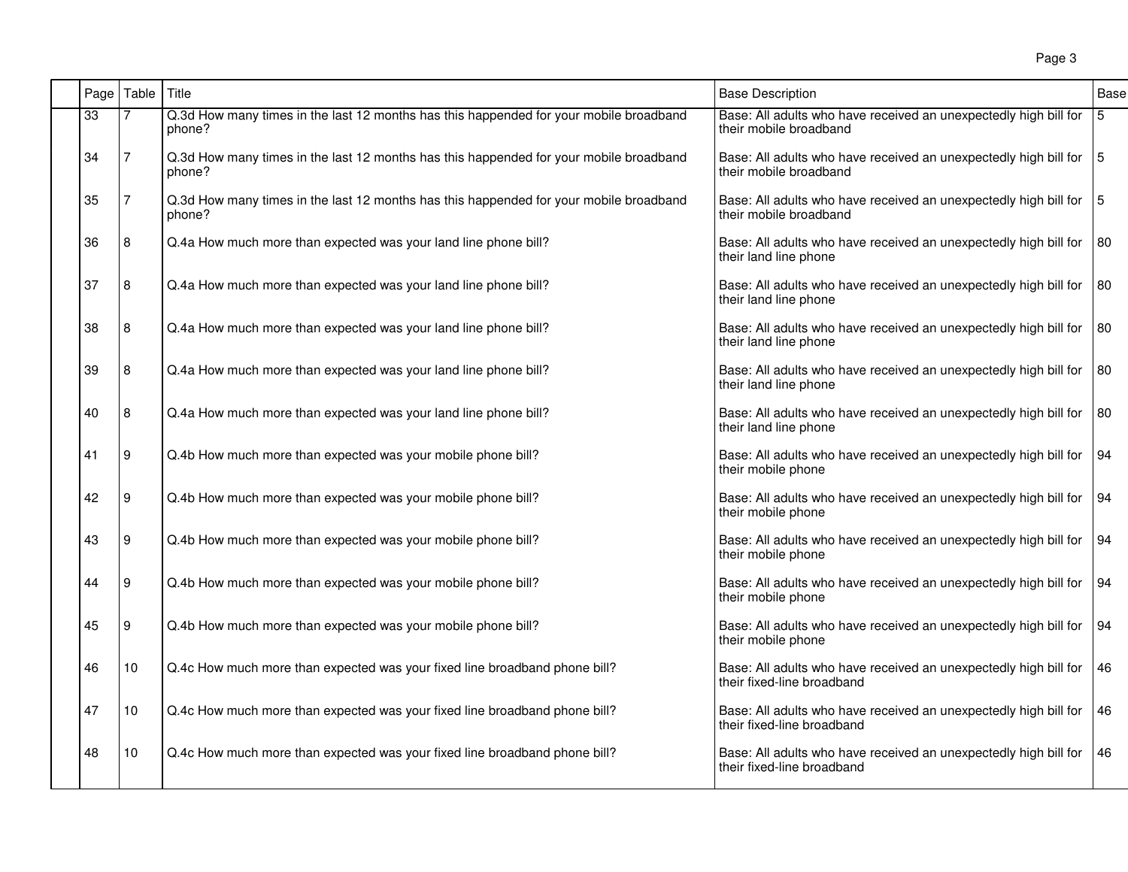| Page | Table | Title                                                                                            | <b>Base Description</b>                                                                        | Base |
|------|-------|--------------------------------------------------------------------------------------------------|------------------------------------------------------------------------------------------------|------|
| 33   |       | Q.3d How many times in the last 12 months has this happended for your mobile broadband<br>phone? | Base: All adults who have received an unexpectedly high bill for<br>their mobile broadband     | 5    |
| 34   | 7     | Q.3d How many times in the last 12 months has this happended for your mobile broadband<br>phone? | Base: All adults who have received an unexpectedly high bill for<br>their mobile broadband     | 15   |
| 35   | 7     | Q.3d How many times in the last 12 months has this happended for your mobile broadband<br>phone? | Base: All adults who have received an unexpectedly high bill for<br>their mobile broadband     | 15   |
| 36   | 8     | Q.4a How much more than expected was your land line phone bill?                                  | Base: All adults who have received an unexpectedly high bill for<br>their land line phone      | 180  |
| 37   | 8     | Q.4a How much more than expected was your land line phone bill?                                  | Base: All adults who have received an unexpectedly high bill for<br>their land line phone      | l 80 |
| 38   | 8     | Q.4a How much more than expected was your land line phone bill?                                  | Base: All adults who have received an unexpectedly high bill for<br>their land line phone      | 80   |
| 39   | 8     | Q.4a How much more than expected was your land line phone bill?                                  | Base: All adults who have received an unexpectedly high bill for<br>their land line phone      | 80   |
| 40   | 8     | Q.4a How much more than expected was your land line phone bill?                                  | Base: All adults who have received an unexpectedly high bill for<br>their land line phone      | 80   |
| 41   | 9     | Q.4b How much more than expected was your mobile phone bill?                                     | Base: All adults who have received an unexpectedly high bill for<br>their mobile phone         | 94   |
| 42   | 9     | Q.4b How much more than expected was your mobile phone bill?                                     | Base: All adults who have received an unexpectedly high bill for<br>their mobile phone         | 94   |
| 43   | 9     | Q.4b How much more than expected was your mobile phone bill?                                     | Base: All adults who have received an unexpectedly high bill for<br>their mobile phone         | 94   |
| 44   | 9     | Q.4b How much more than expected was your mobile phone bill?                                     | Base: All adults who have received an unexpectedly high bill for<br>their mobile phone         | 94   |
| 45   | 9     | Q.4b How much more than expected was your mobile phone bill?                                     | Base: All adults who have received an unexpectedly high bill for<br>their mobile phone         | l 94 |
| 46   | 10    | Q.4c How much more than expected was your fixed line broadband phone bill?                       | Base: All adults who have received an unexpectedly high bill for<br>their fixed-line broadband | 46   |
| 47   | 10    | Q.4c How much more than expected was your fixed line broadband phone bill?                       | Base: All adults who have received an unexpectedly high bill for<br>their fixed-line broadband | 46   |
| 48   | 10    | Q.4c How much more than expected was your fixed line broadband phone bill?                       | Base: All adults who have received an unexpectedly high bill for<br>their fixed-line broadband | 46   |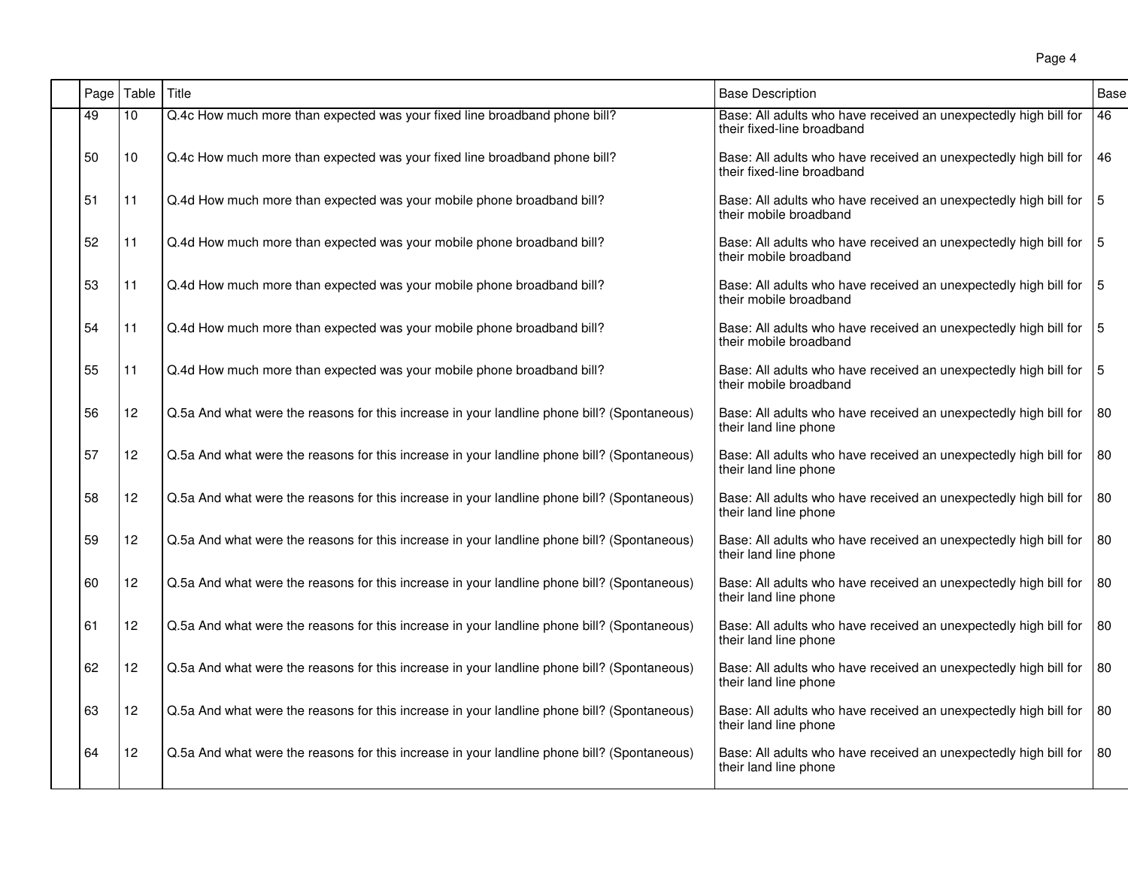| Page | Table           | Title                                                                                       | <b>Base Description</b>                                                                                    | Base |
|------|-----------------|---------------------------------------------------------------------------------------------|------------------------------------------------------------------------------------------------------------|------|
| 49   | 10 <sup>1</sup> | Q.4c How much more than expected was your fixed line broadband phone bill?                  | Base: All adults who have received an unexpectedly high bill for<br>their fixed-line broadband             | 46   |
| 50   | 10              | Q.4c How much more than expected was your fixed line broadband phone bill?                  | Base: All adults who have received an unexpectedly high bill for<br>their fixed-line broadband             | 46   |
| 51   | 11              | Q.4d How much more than expected was your mobile phone broadband bill?                      | Base: All adults who have received an unexpectedly high bill for $\vert$ 5<br>their mobile broadband       |      |
| 52   | 11              | Q.4d How much more than expected was your mobile phone broadband bill?                      | Base: All adults who have received an unexpectedly high bill for $ 5 $<br>their mobile broadband           |      |
| 53   | 11              | Q.4d How much more than expected was your mobile phone broadband bill?                      | Base: All adults who have received an unexpectedly high bill for   5<br>their mobile broadband             |      |
| 54   | 11              | Q.4d How much more than expected was your mobile phone broadband bill?                      | Base: All adults who have received an unexpectedly high bill for $\vert$ 5<br>their mobile broadband       |      |
| 55   | 11              | Q.4d How much more than expected was your mobile phone broadband bill?                      | Base: All adults who have received an unexpectedly high bill for $\vert 5 \vert$<br>their mobile broadband |      |
| 56   | 12 <sup>2</sup> | Q.5a And what were the reasons for this increase in your landline phone bill? (Spontaneous) | Base: All adults who have received an unexpectedly high bill for<br>their land line phone                  | l 80 |
| 57   | 12 <sup>°</sup> | Q.5a And what were the reasons for this increase in your landline phone bill? (Spontaneous) | Base: All adults who have received an unexpectedly high bill for<br>their land line phone                  | 80   |
| 58   | 12              | Q.5a And what were the reasons for this increase in your landline phone bill? (Spontaneous) | Base: All adults who have received an unexpectedly high bill for<br>their land line phone                  | 80   |
| 59   | 12              | Q.5a And what were the reasons for this increase in your landline phone bill? (Spontaneous) | Base: All adults who have received an unexpectedly high bill for $ 80 $<br>their land line phone           |      |
| 60   | 12              | Q.5a And what were the reasons for this increase in your landline phone bill? (Spontaneous) | Base: All adults who have received an unexpectedly high bill for<br>their land line phone                  | 80   |
| 61   | 12              | Q.5a And what were the reasons for this increase in your landline phone bill? (Spontaneous) | Base: All adults who have received an unexpectedly high bill for<br>their land line phone                  | 80   |
| 62   | 12              | Q.5a And what were the reasons for this increase in your landline phone bill? (Spontaneous) | Base: All adults who have received an unexpectedly high bill for<br>their land line phone                  | 80   |
| 63   | 12              | Q.5a And what were the reasons for this increase in your landline phone bill? (Spontaneous) | Base: All adults who have received an unexpectedly high bill for<br>their land line phone                  | 80   |
| 64   | 12 <sup>2</sup> | Q.5a And what were the reasons for this increase in your landline phone bill? (Spontaneous) | Base: All adults who have received an unexpectedly high bill for<br>their land line phone                  | l 80 |
|      |                 |                                                                                             |                                                                                                            |      |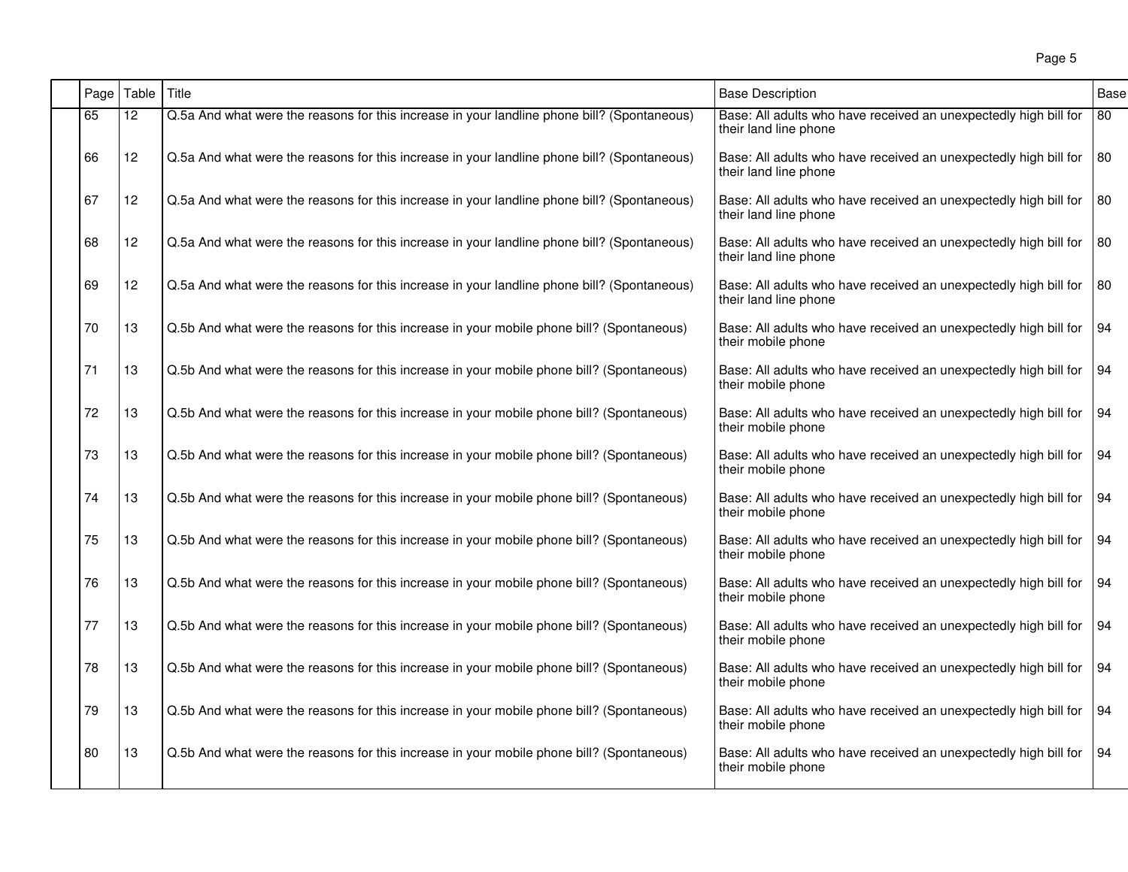| Page | Table | Title                                                                                       | <b>Base Description</b>                                                                   | Base |
|------|-------|---------------------------------------------------------------------------------------------|-------------------------------------------------------------------------------------------|------|
| 65   | 12    | Q.5a And what were the reasons for this increase in your landline phone bill? (Spontaneous) | Base: All adults who have received an unexpectedly high bill for<br>their land line phone | 80   |
| 66   | 12    | Q.5a And what were the reasons for this increase in your landline phone bill? (Spontaneous) | Base: All adults who have received an unexpectedly high bill for<br>their land line phone | 80   |
| 67   | 12    | Q.5a And what were the reasons for this increase in your landline phone bill? (Spontaneous) | Base: All adults who have received an unexpectedly high bill for<br>their land line phone | 80   |
| 68   | 12    | Q.5a And what were the reasons for this increase in your landline phone bill? (Spontaneous) | Base: All adults who have received an unexpectedly high bill for<br>their land line phone | 80   |
| 69   | 12    | Q.5a And what were the reasons for this increase in your landline phone bill? (Spontaneous) | Base: All adults who have received an unexpectedly high bill for<br>their land line phone | 80   |
| 70   | 13    | Q.5b And what were the reasons for this increase in your mobile phone bill? (Spontaneous)   | Base: All adults who have received an unexpectedly high bill for<br>their mobile phone    | 94   |
| 71   | 13    | Q.5b And what were the reasons for this increase in your mobile phone bill? (Spontaneous)   | Base: All adults who have received an unexpectedly high bill for<br>their mobile phone    | 94   |
| 72   | 13    | Q.5b And what were the reasons for this increase in your mobile phone bill? (Spontaneous)   | Base: All adults who have received an unexpectedly high bill for<br>their mobile phone    | 94   |
| 73   | 13    | Q.5b And what were the reasons for this increase in your mobile phone bill? (Spontaneous)   | Base: All adults who have received an unexpectedly high bill for<br>their mobile phone    | 94   |
| 74   | 13    | Q.5b And what were the reasons for this increase in your mobile phone bill? (Spontaneous)   | Base: All adults who have received an unexpectedly high bill for<br>their mobile phone    | 94   |
| 75   | 13    | Q.5b And what were the reasons for this increase in your mobile phone bill? (Spontaneous)   | Base: All adults who have received an unexpectedly high bill for<br>their mobile phone    | 94   |
| 76   | 13    | Q.5b And what were the reasons for this increase in your mobile phone bill? (Spontaneous)   | Base: All adults who have received an unexpectedly high bill for<br>their mobile phone    | 94   |
| 77   | 13    | Q.5b And what were the reasons for this increase in your mobile phone bill? (Spontaneous)   | Base: All adults who have received an unexpectedly high bill for<br>their mobile phone    | 94   |
| 78   | 13    | Q.5b And what were the reasons for this increase in your mobile phone bill? (Spontaneous)   | Base: All adults who have received an unexpectedly high bill for<br>their mobile phone    | 94   |
| 79   | 13    | Q.5b And what were the reasons for this increase in your mobile phone bill? (Spontaneous)   | Base: All adults who have received an unexpectedly high bill for<br>their mobile phone    | l 94 |
| 80   | 13    | Q.5b And what were the reasons for this increase in your mobile phone bill? (Spontaneous)   | Base: All adults who have received an unexpectedly high bill for<br>their mobile phone    | 94   |
|      |       |                                                                                             |                                                                                           |      |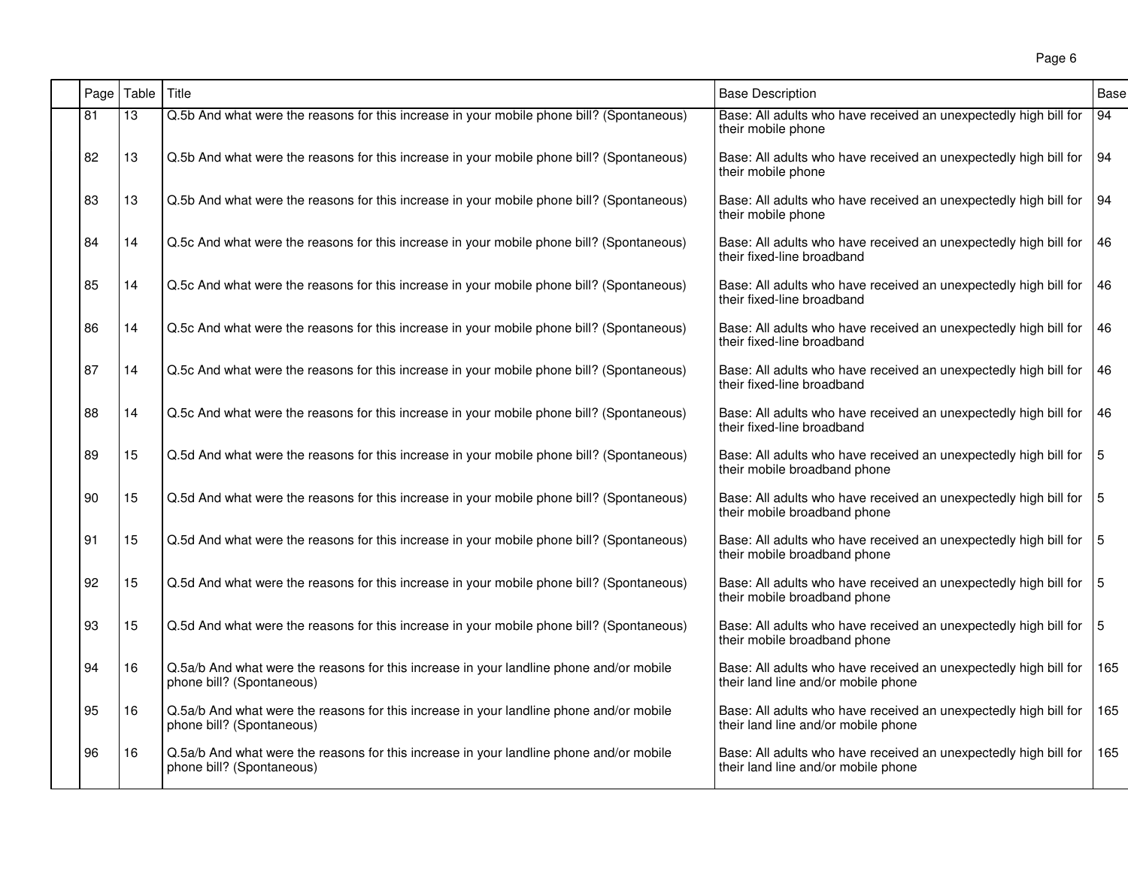| Page | Table | Title                                                                                                                | <b>Base Description</b>                                                                                 | <b>Base</b>    |
|------|-------|----------------------------------------------------------------------------------------------------------------------|---------------------------------------------------------------------------------------------------------|----------------|
| 81   | 13    | Q.5b And what were the reasons for this increase in your mobile phone bill? (Spontaneous)                            | Base: All adults who have received an unexpectedly high bill for<br>their mobile phone                  | 94             |
| 82   | 13    | Q.5b And what were the reasons for this increase in your mobile phone bill? (Spontaneous)                            | Base: All adults who have received an unexpectedly high bill for<br>their mobile phone                  | 94             |
| 83   | 13    | Q.5b And what were the reasons for this increase in your mobile phone bill? (Spontaneous)                            | Base: All adults who have received an unexpectedly high bill for<br>their mobile phone                  | 94             |
| 84   | 14    | Q.5c And what were the reasons for this increase in your mobile phone bill? (Spontaneous)                            | Base: All adults who have received an unexpectedly high bill for<br>their fixed-line broadband          | 46             |
| 85   | 14    | Q.5c And what were the reasons for this increase in your mobile phone bill? (Spontaneous)                            | Base: All adults who have received an unexpectedly high bill for<br>their fixed-line broadband          | <b>46</b>      |
| 86   | 14    | Q.5c And what were the reasons for this increase in your mobile phone bill? (Spontaneous)                            | Base: All adults who have received an unexpectedly high bill for<br>their fixed-line broadband          | 46             |
| 87   | 14    | Q.5c And what were the reasons for this increase in your mobile phone bill? (Spontaneous)                            | Base: All adults who have received an unexpectedly high bill for<br>their fixed-line broadband          | 46             |
| 88   | 14    | Q.5c And what were the reasons for this increase in your mobile phone bill? (Spontaneous)                            | Base: All adults who have received an unexpectedly high bill for<br>their fixed-line broadband          | 46             |
| 89   | 15    | Q.5d And what were the reasons for this increase in your mobile phone bill? (Spontaneous)                            | Base: All adults who have received an unexpectedly high bill for<br>their mobile broadband phone        | $\overline{5}$ |
| 90   | 15    | Q.5d And what were the reasons for this increase in your mobile phone bill? (Spontaneous)                            | Base: All adults who have received an unexpectedly high bill for<br>their mobile broadband phone        | 15             |
| 91   | 15    | Q.5d And what were the reasons for this increase in your mobile phone bill? (Spontaneous)                            | Base: All adults who have received an unexpectedly high bill for<br>their mobile broadband phone        | $\sqrt{5}$     |
| 92   | 15    | Q.5d And what were the reasons for this increase in your mobile phone bill? (Spontaneous)                            | Base: All adults who have received an unexpectedly high bill for<br>their mobile broadband phone        | 15             |
| 93   | 15    | Q.5d And what were the reasons for this increase in your mobile phone bill? (Spontaneous)                            | Base: All adults who have received an unexpectedly high bill for<br>their mobile broadband phone        | 15             |
| 94   | 16    | Q.5a/b And what were the reasons for this increase in your landline phone and/or mobile<br>phone bill? (Spontaneous) | Base: All adults who have received an unexpectedly high bill for<br>their land line and/or mobile phone | 165            |
| 95   | 16    | Q.5a/b And what were the reasons for this increase in your landline phone and/or mobile<br>phone bill? (Spontaneous) | Base: All adults who have received an unexpectedly high bill for<br>their land line and/or mobile phone | 165            |
| 96   | 16    | Q.5a/b And what were the reasons for this increase in your landline phone and/or mobile<br>phone bill? (Spontaneous) | Base: All adults who have received an unexpectedly high bill for<br>their land line and/or mobile phone | 165            |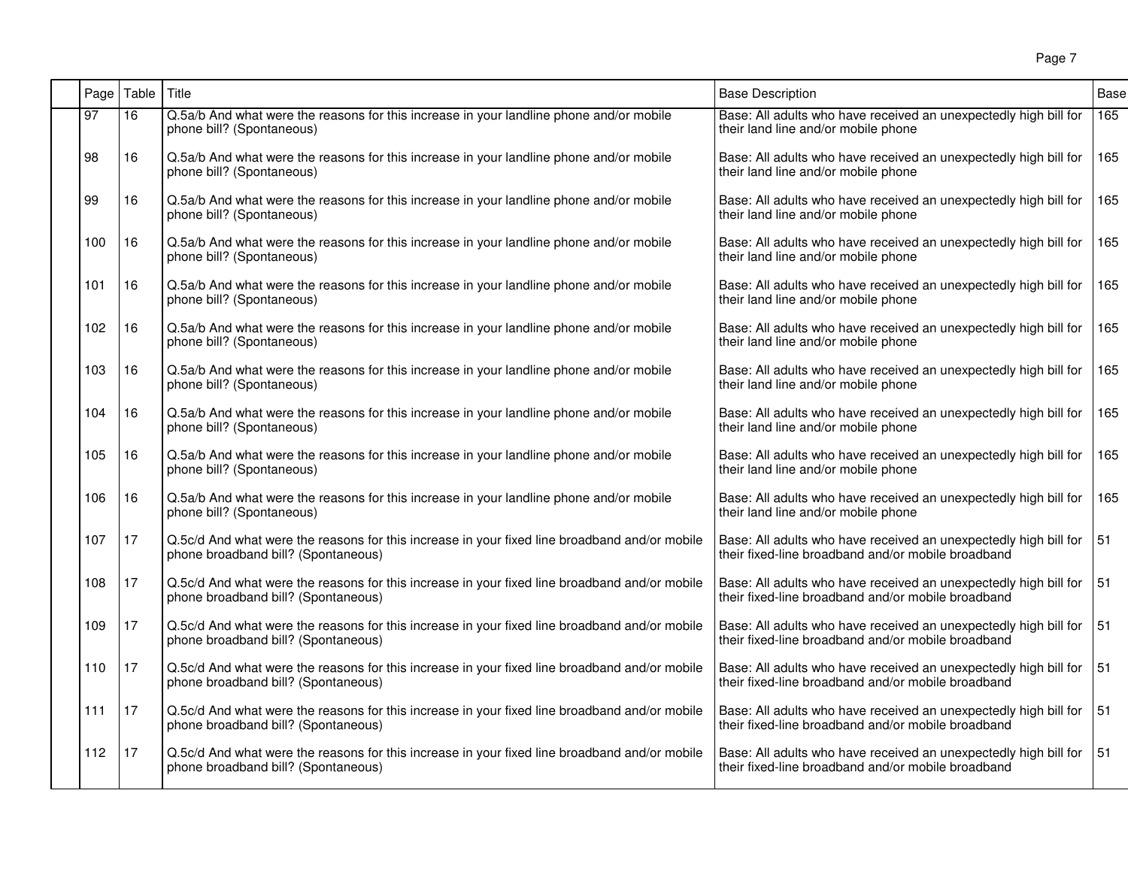| Page | Table           | l Title                                                                                                                              | <b>Base Description</b>                                                                                                | <b>Base</b>      |
|------|-----------------|--------------------------------------------------------------------------------------------------------------------------------------|------------------------------------------------------------------------------------------------------------------------|------------------|
| 97   | $\overline{16}$ | Q.5a/b And what were the reasons for this increase in your landline phone and/or mobile<br>phone bill? (Spontaneous)                 | Base: All adults who have received an unexpectedly high bill for<br>their land line and/or mobile phone                | $\overline{165}$ |
| 98   | 16              | Q.5a/b And what were the reasons for this increase in your landline phone and/or mobile<br>phone bill? (Spontaneous)                 | Base: All adults who have received an unexpectedly high bill for<br>their land line and/or mobile phone                | 165              |
| 99   | 16              | Q.5a/b And what were the reasons for this increase in your landline phone and/or mobile<br>phone bill? (Spontaneous)                 | Base: All adults who have received an unexpectedly high bill for<br>their land line and/or mobile phone                | 165              |
| 100  | 16              | Q.5a/b And what were the reasons for this increase in your landline phone and/or mobile<br>phone bill? (Spontaneous)                 | Base: All adults who have received an unexpectedly high bill for<br>their land line and/or mobile phone                | 165              |
| 101  | 16              | Q.5a/b And what were the reasons for this increase in your landline phone and/or mobile<br>phone bill? (Spontaneous)                 | Base: All adults who have received an unexpectedly high bill for<br>their land line and/or mobile phone                | 165              |
| 102  | 16              | Q.5a/b And what were the reasons for this increase in your landline phone and/or mobile<br>phone bill? (Spontaneous)                 | Base: All adults who have received an unexpectedly high bill for<br>their land line and/or mobile phone                | 165              |
| 103  | 16              | Q.5a/b And what were the reasons for this increase in your landline phone and/or mobile<br>phone bill? (Spontaneous)                 | Base: All adults who have received an unexpectedly high bill for<br>their land line and/or mobile phone                | 165              |
| 104  | 16              | Q.5a/b And what were the reasons for this increase in your landline phone and/or mobile<br>phone bill? (Spontaneous)                 | Base: All adults who have received an unexpectedly high bill for<br>their land line and/or mobile phone                | 165              |
| 105  | 16              | Q.5a/b And what were the reasons for this increase in your landline phone and/or mobile<br>phone bill? (Spontaneous)                 | Base: All adults who have received an unexpectedly high bill for<br>their land line and/or mobile phone                | 165              |
| 106  | 16              | Q.5a/b And what were the reasons for this increase in your landline phone and/or mobile<br>phone bill? (Spontaneous)                 | Base: All adults who have received an unexpectedly high bill for<br>their land line and/or mobile phone                | 165              |
| 107  | 17              | Q.5c/d And what were the reasons for this increase in your fixed line broadband and/or mobile<br>phone broadband bill? (Spontaneous) | Base: All adults who have received an unexpectedly high bill for<br>their fixed-line broadband and/or mobile broadband | 51               |
| 108  | 17              | Q.5c/d And what were the reasons for this increase in your fixed line broadband and/or mobile<br>phone broadband bill? (Spontaneous) | Base: All adults who have received an unexpectedly high bill for<br>their fixed-line broadband and/or mobile broadband | 51               |
| 109  | 17              | Q.5c/d And what were the reasons for this increase in your fixed line broadband and/or mobile<br>phone broadband bill? (Spontaneous) | Base: All adults who have received an unexpectedly high bill for<br>their fixed-line broadband and/or mobile broadband | 151              |
| 110  | 17              | Q.5c/d And what were the reasons for this increase in your fixed line broadband and/or mobile<br>phone broadband bill? (Spontaneous) | Base: All adults who have received an unexpectedly high bill for<br>their fixed-line broadband and/or mobile broadband | 51               |
| 111  | 17              | Q.5c/d And what were the reasons for this increase in your fixed line broadband and/or mobile<br>phone broadband bill? (Spontaneous) | Base: All adults who have received an unexpectedly high bill for<br>their fixed-line broadband and/or mobile broadband | 51               |
| 112  | 17              | Q.5c/d And what were the reasons for this increase in your fixed line broadband and/or mobile<br>phone broadband bill? (Spontaneous) | Base: All adults who have received an unexpectedly high bill for<br>their fixed-line broadband and/or mobile broadband | 51               |
|      |                 |                                                                                                                                      |                                                                                                                        |                  |